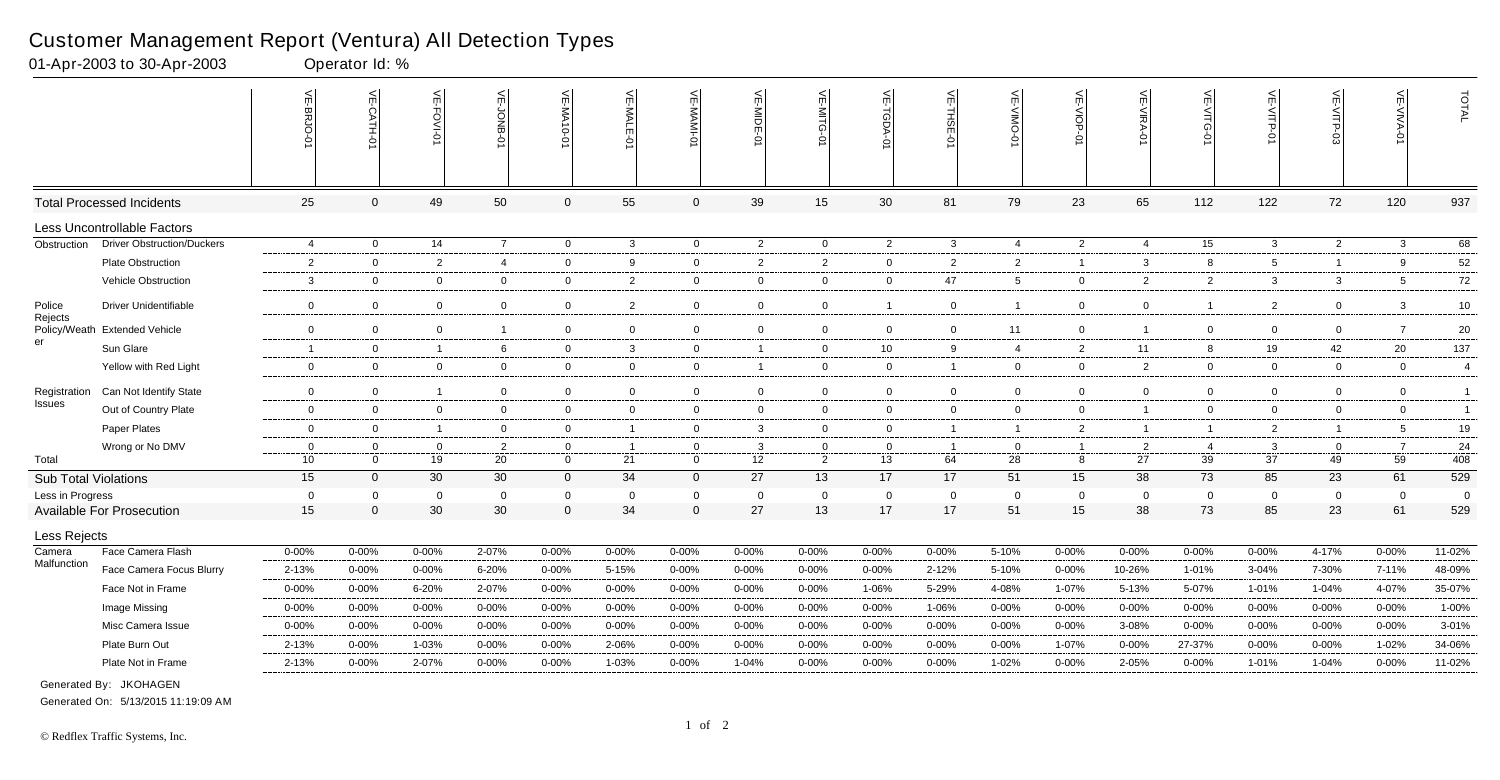|                             |                                   | ⊼<br>Ċ<br>ξŪ<br>ō    | $\frac{1}{2}$<br>-CATH-<br>ò | VE-FOVI-0      | VE-JONB-             | VE-MA10-01              | VE-MALE-01        | VE-MAMI-0                  | VE-MIDE-01           | 븻<br>₿<br>ධ    | VE-TGDA-0         | VE-THSE-01     | $\leq$<br>OWIN-<br>Ò | VE-VIOP-<br>ò     | VE-VIRA-01           | VE-VITG-01        | VE-VITP-01        | VE-VITP-03        | VE-VIVA-0            | TOTAL          |
|-----------------------------|-----------------------------------|----------------------|------------------------------|----------------|----------------------|-------------------------|-------------------|----------------------------|----------------------|----------------|-------------------|----------------|----------------------|-------------------|----------------------|-------------------|-------------------|-------------------|----------------------|----------------|
|                             | <b>Total Processed Incidents</b>  | 25                   | $\mathbf{0}$                 | 49             | 50                   | $\mathbf 0$             | 55                | $\mathbf 0$                | 39                   | 15             | 30                | 81             | 79                   | 23                | 65                   | 112               | 122               | 72                | 120                  | 937            |
|                             | Less Uncontrollable Factors       |                      |                              |                |                      |                         |                   |                            |                      |                |                   |                |                      |                   |                      |                   |                   |                   |                      |                |
| Obstruction                 | <b>Driver Obstruction/Duckers</b> | $\overline{4}$       | $\overline{0}$               | 14             | $\overline{7}$       | $\mathbf 0$             | $\mathbf{3}$      | $\overline{0}$             | $\overline{2}$       | $\overline{0}$ | $\overline{2}$    | $\mathbf{3}$   | $\overline{4}$       | $\overline{2}$    | $\overline{4}$       | 15                | $\mathbf{3}$      | $\overline{2}$    | $\mathbf{3}$         | 68             |
|                             | <b>Plate Obstruction</b>          | 2                    | $\overline{0}$               | $\overline{2}$ | $\overline{4}$       | $\mathbf 0$             | 9                 | $\mathbf 0$                | $\overline{2}$       | $\overline{2}$ | $\overline{0}$    | $\overline{2}$ | $\overline{2}$       | $\overline{1}$    | 3                    | 8                 | $5\overline{5}$   | $\overline{1}$    | 9                    | 52             |
|                             | Vehicle Obstruction               | 3                    | $\overline{0}$               | $\overline{0}$ | $\overline{0}$       | $\mathbf 0$             | $\overline{2}$    | $\mathsf 0$                | $\overline{0}$       | $\mathbf 0$    | $\mathbf 0$       | 47             | $5\overline{)}$      | $\overline{0}$    | $\overline{2}$       | $\overline{2}$    | $\mathbf{3}$      | $\mathbf{3}$      | 5                    | $72\,$         |
| Police                      | <b>Driver Unidentifiable</b>      | 0                    | $\overline{0}$               | $\mathbf{0}$   | $\mathbf 0$          | $\mathbf 0$             | $\overline{2}$    | $\mathbf 0$                | $\overline{0}$       | $\overline{0}$ | $\overline{1}$    | $\overline{0}$ |                      | $\overline{0}$    | $\overline{0}$       | 1                 | $\overline{2}$    | $\mathbf 0$       | $\mathbf{3}$         | 10             |
| Rejects                     | Policy/Weath Extended Vehicle     | $\mathbf 0$          | $\overline{0}$               | $\mathbf 0$    | $\overline{1}$       | $\mathbf 0$             | $\overline{0}$    | $\mathbf 0$                | $\overline{0}$       | $\overline{0}$ | $\mathbf 0$       | $\mathbf 0$    | 11                   | $\mathbf 0$       | - 1                  | $\overline{0}$    | $\mathbf 0$       | $\overline{0}$    | $\overline{7}$       | $20\,$         |
| er                          | Sun Glare                         | $\overline{1}$       | $\overline{0}$               | $\overline{1}$ | 6                    | $\mathbf 0$             | 3                 | $\overline{0}$             | $\overline{1}$       | $\overline{0}$ | 10                | 9              | $\overline{4}$       | $\overline{2}$    | 11                   | 8                 | 19                | 42                | 20                   | 137            |
|                             | Yellow with Red Light             | 0                    | $\overline{0}$               | $\overline{0}$ | $\mathbf 0$          | 0                       | $\mathbf{0}$      | $\mathbf 0$                | $\overline{1}$       | $\overline{0}$ | $\overline{0}$    | $\overline{1}$ | $\mathbf 0$          | $\overline{0}$    | $\overline{2}$       | $\overline{0}$    | $\overline{0}$    | $\mathbf{0}$      | $\overline{0}$       | $\overline{4}$ |
| Registration                | Can Not Identify State            | $\mathbf 0$          | $\overline{0}$               | $\overline{1}$ | $\overline{0}$       | $\mathbf 0$             | $\mathbf 0$       | $\overline{0}$             | $\overline{0}$       | $\mathbf 0$    | $\overline{0}$    | $\mathbf 0$    | $\mathbf 0$          | $\overline{0}$    | $\mathbf 0$          | $\mathbf 0$       | $\overline{0}$    | 0                 | $\overline{0}$       | $\overline{1}$ |
| Issues                      | Out of Country Plate              | $\mathbf 0$          | $\overline{0}$               | $\mathbf 0$    | $\overline{0}$       | $\mathbf 0$             | $\mathbf 0$       | $\overline{0}$             | $\overline{0}$       | $\overline{0}$ | $\mathbf 0$       | $\mathbf 0$    | $\Omega$             | $\mathbf 0$       | $\overline{1}$       | $\mathbf 0$       | $\mathbf 0$       | 0                 | $\overline{0}$       | $\overline{1}$ |
|                             | Paper Plates                      | $\mathbf 0$          | $\mathbf 0$                  | $\overline{1}$ | $\overline{0}$       | $\mathbf 0$             | $\mathbf{1}$      | $\overline{0}$             | $\mathbf{3}$         | $\mathbf{0}$   | $\overline{0}$    | $\overline{1}$ | -1                   | $\overline{2}$    | $\overline{1}$       | $\mathbf 1$       | $\overline{2}$    | $\overline{1}$    | 5                    | 19             |
|                             | Wrong or No DMV                   | $\overline{0}$       | $\Omega$                     | $\mathbf 0$    | $\overline{2}$       | $\mathbf 0$             | $\mathbf{1}$      | $\mathbf 0$                | $\mathbf{3}$         | $\mathbf 0$    | $\mathbf 0$       | $\overline{1}$ | $\mathbf 0$          | $\overline{1}$    | $\overline{2}$       | -4                | $\mathbf{3}$      | $\overline{0}$    | $\overline{7}$       | 24             |
| Total                       |                                   | 10                   | $\overline{0}$               | 19             | 20                   | $\mathbf{0}$            | 21                | $\overline{0}$             | 12                   | $2^{\circ}$    | 13                | 64             | 28                   | 8                 | 27                   | 39                | 37                | 49                | 59                   | 408            |
| <b>Sub Total Violations</b> |                                   | 15                   | $\overline{0}$               | 30             | 30                   | $\mathbf{0}$            | 34                | $\overline{0}$             | 27                   | 13             | 17                | 17             | 51                   | 15                | 38                   | 73                | 85                | 23                | 61                   | 529            |
| Less in Progress            |                                   | $\overline{0}$<br>15 | $\Omega$<br>$\Omega$         | $\Omega$<br>30 | $\overline{0}$<br>30 | $\mathbf 0$<br>$\Omega$ | $\mathbf 0$<br>34 | $\mathbf 0$<br>$\mathbf 0$ | $\overline{0}$<br>27 | $\Omega$<br>13 | $\mathbf 0$<br>17 | $\Omega$<br>17 | $\Omega$<br>51       | $\mathbf 0$<br>15 | $\overline{0}$<br>38 | $\mathbf 0$<br>73 | $\mathbf 0$<br>85 | $\mathbf 0$<br>23 | $\overline{0}$<br>61 | - 0<br>529     |
|                             | <b>Available For Prosecution</b>  |                      |                              |                |                      |                         |                   |                            |                      |                |                   |                |                      |                   |                      |                   |                   |                   |                      |                |
| Less Rejects                |                                   |                      |                              |                |                      |                         |                   |                            |                      |                |                   |                |                      |                   |                      |                   |                   |                   |                      |                |
| Camera<br>Malfunction       | Face Camera Flash                 | $0 - 00%$            | $0 - 00%$                    | $0 - 00%$      | 2-07%                | $0 - 00%$               | $0 - 00%$         | $0 - 00%$                  | $0 - 00%$            | $0 - 00%$      | $0 - 00%$         | $0 - 00%$      | 5-10%                | $0 - 00\%$        | $0 - 00%$            | 0-00%             | $0 - 00%$         | 4-17%             | $0 - 00%$            | 11-02%         |
|                             | Face Camera Focus Blurry          | 2-13%                | $0 - 00%$                    | $0 - 00%$      | 6-20%                | $0 - 00%$               | 5-15%             | 0-00%                      | 0-00%                | 0-00%          | $0 - 00\%$        | $2 - 12%$      | 5-10%                | $0 - 00%$         | 10-26%               | 1-01%             | 3-04%             | 7-30%             | 7-11%                | 48-09%         |
|                             | Face Not in Frame                 | $0 - 00%$            | $0 - 00%$                    | 6-20%          | 2-07%                | 0-00%                   | $0 - 00%$         | $0 - 00%$                  | $0 - 00%$            | $0 - 00%$      | 1-06%             | 5-29%          | 4-08%                | 1-07%             | $5 - 13%$            | 5-07%             | 1-01%             | 1-04%             | 4-07%                | 35-07%         |
|                             | Image Missing                     | $0 - 00%$            | $0 - 00%$                    | $0 - 00%$      | $0 - 00%$            | $0 - 00%$               | $0 - 00%$         | $0 - 00\%$                 | $0 - 00%$            | $0 - 00%$      | $0 - 00\%$        | 1-06%          | $0 - 00%$            | $0 - 00%$         | $0 - 00\%$           | $0 - 00%$         | $0 - 00%$         | $0 - 00%$         | $0 - 00%$            | 1-00%          |
|                             | Misc Camera Issue                 | $0 - 00\%$           | $0 - 00%$                    | $0 - 00%$      | $0 - 00%$            | $0 - 00%$               | $0 - 00%$         | $0 - 00%$                  | $0 - 00%$            | 0-00%          | $0 - 00\%$        | $0 - 00%$      | 0-00%                | $0 - 00%$         | 3-08%                | 0-00%             | $0 - 00%$         | $0 - 00%$         | $0 - 00%$            | 3-01%          |
|                             | Plate Burn Out                    | 2-13%                | $0 - 00%$                    | 1-03%          | $0 - 00%$            | $0 - 00%$               | 2-06%             | 0-00%                      | $0 - 00%$            | 0-00%          | $0 - 00%$         | $0 - 00%$      | 0-00%                | 1-07%             | $0 - 00%$            | 27-37%            | $0 - 00%$         | $0 - 00%$         | 1-02%                | 34-06%         |
|                             | Plate Not in Frame                | 2-13%                | $0 - 00%$                    | 2-07%          | $0 - 00%$            | 0-00%                   | 1-03%             | $0 - 00%$                  | $1 - 04%$            | 0-00%          | $0 - 00\%$        | $0 - 00%$      | 1-02%                | $0 - 00%$         | 2-05%                | $0 - 00%$         | 1-01%             | 1-04%             | $0 - 00%$            | 11-02%         |
|                             | Generated By: JKOHAGEN            |                      |                              |                |                      |                         |                   |                            |                      |                |                   |                |                      |                   |                      |                   |                   |                   |                      |                |

01-Apr-2003 to 30-Apr-2003 Operator Id: %

Generated On: 5/13/2015 11:19:09 AM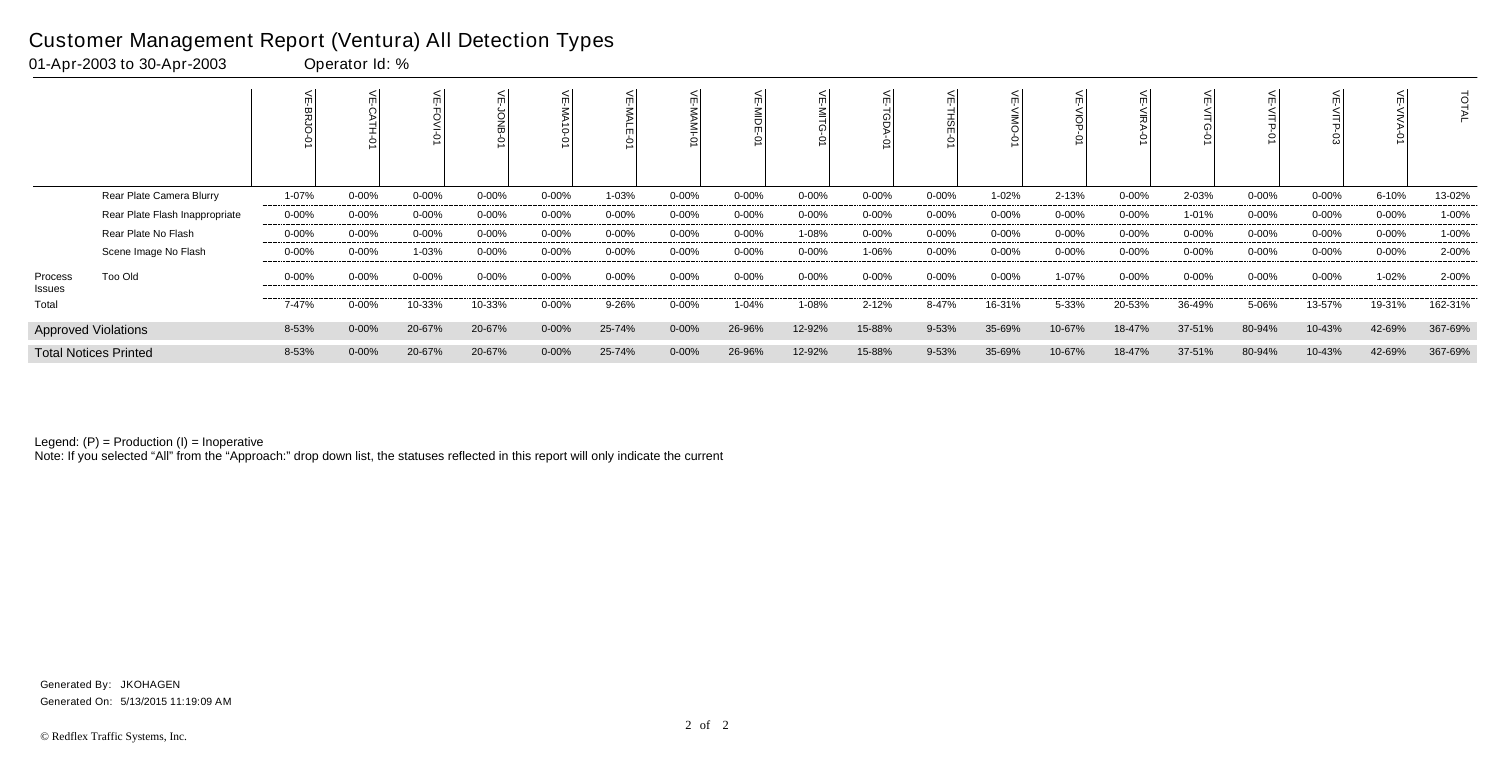|                   |                                |            |            |           |            | $\circ$    |            |            |           |            |            | 쯞<br>Š    |        |            |            |           |            |           |            | O       |
|-------------------|--------------------------------|------------|------------|-----------|------------|------------|------------|------------|-----------|------------|------------|-----------|--------|------------|------------|-----------|------------|-----------|------------|---------|
|                   | Rear Plate Camera Blurry       | 1-07%      | $0 - 00%$  | $0 - 00%$ | $0 - 00\%$ | $0 - 00%$  | 1-03%      | $0 - 00%$  | 0-00%     | $0 - 00\%$ | $0 - 00\%$ | $0 - 00%$ | 1-02%  | 2-13%      | $0 - 00%$  | 2-03%     | $0 - 00%$  | $0 - 00%$ | 6-10%      | 13-02%  |
|                   | Rear Plate Flash Inappropriate | $0 - 00\%$ | $0 - 00%$  | $0 - 00%$ | $0 - 00\%$ | $0 - 00%$  | $0 - 00\%$ | $0 - 00%$  | 0-00%     | $0 - 00\%$ | $0 - 00\%$ | $0 - 00%$ | 0-00%  | $0 - 00\%$ | $0 - 00%$  | 1-01%     | $0 - 00\%$ | $0 - 00%$ | $0 - 00\%$ | 1-00%   |
|                   | Rear Plate No Flash            | $0 - 00\%$ | $0 - 00\%$ | $0 - 00%$ | $0 - 00\%$ | $0 - 00\%$ | $0 - 00\%$ | $0 - 00\%$ | 0-00%     | 1-08%      | $0 - 00\%$ | $0 - 00%$ | 0-00%  | $0 - 00\%$ | $0 - 00%$  | $0 - 00%$ | $0 - 00\%$ | $0 - 00%$ | $0 - 00\%$ | 1-00%   |
|                   | Scene Image No Flash           | $0 - 00\%$ | $0 - 00\%$ | 1-03%     | $0 - 00\%$ | $0 - 00%$  | $0 - 00\%$ | $0 - 00%$  | $0 - 00%$ | $0 - 00\%$ | 1-06%      | $0 - 00%$ | 0-00%  | $0 - 00\%$ | $0 - 00\%$ | $0 - 00%$ | $0 - 00\%$ | $0 - 00%$ | $0 - 00\%$ | 2-00%   |
| Process<br>Issues | Too Old                        | $0 - 00\%$ | $0 - 00%$  | $0 - 00%$ | $0 - 00\%$ | $0 - 00%$  | $0 - 00\%$ | $0 - 00%$  | $0 - 00%$ | $0 - 00\%$ | $0 - 00\%$ | $0 - 00%$ | 0-00%  | 1-07%      | $0 - 00%$  | 0-00%     | $0 - 00\%$ | $0 - 00%$ | 1-02%      | 2-00%   |
| Total             |                                | 7-47%      | $0 - 00\%$ | 10-33%    | 10-33%     | 0-00%      | 9-26%      | $0 - 00%$  | 1-04%     | 1-08%      | 2-12%      | 8-47%     | 16-31% | 5-33%      | 20-53%     | 36-49%    | 5-06%      | 13-57%    | 19-31%     | 162-31% |
|                   | <b>Approved Violations</b>     | 8-53%      | $0 - 00%$  | 20-67%    | 20-67%     | $0 - 00%$  | 25-74%     | $0 - 00%$  | 26-96%    | 12-92%     | 15-88%     | 9-53%     | 35-69% | 10-67%     | 18-47%     | 37-51%    | 80-94%     | 10-43%    | 42-69%     | 367-69% |
|                   | <b>Total Notices Printed</b>   | 8-53%      | $0 - 00\%$ | 20-67%    | 20-67%     | $0 - 00\%$ | 25-74%     | $0 - 00%$  | 26-96%    | 12-92%     | 15-88%     | 9-53%     | 35-69% | 10-67%     | 18-47%     | 37-51%    | 80-94%     | 10-43%    | 42-69%     | 367-69% |

Note: If you selected "All" from the "Approach:" drop down list, the statuses reflected in this report will only indicate the current

### Customer Management Report (Ventura) All Detection Types

01-Apr-2003 to 30-Apr-2003 Operator Id: %

Generated On: 5/13/2015 11:19:09 AM Generated By: JKOHAGEN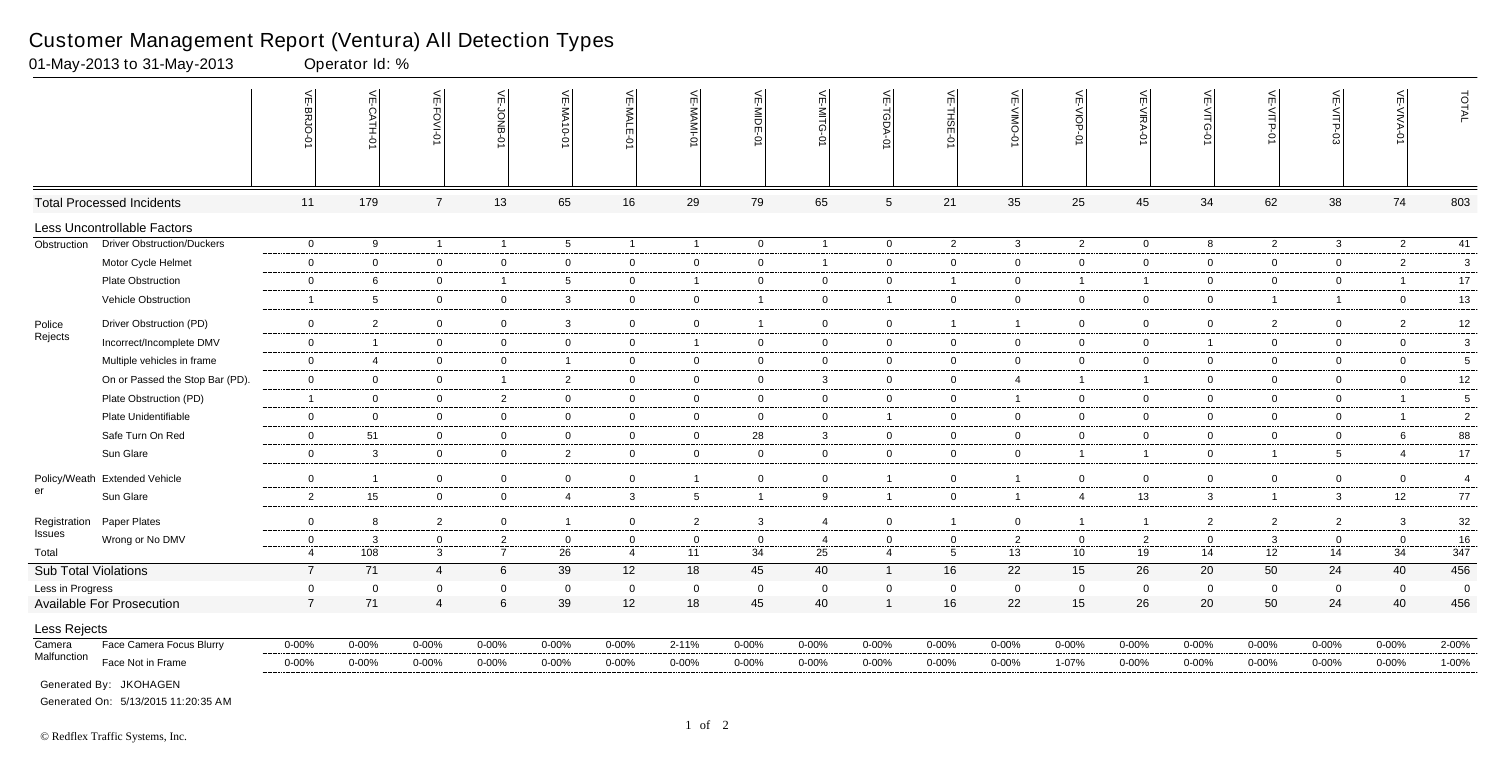|                             |                                   | VE-BRJO        | VE-CATH-01      | VE-FOVI-0      | VE-JONB-        | VE-MA10-01      | VE-MALE-01                 | VE-MAMI-0       | VE-MIDE-01     | VE-MITG-01                  | VE-TGDA-0      | VE-THSE-01      | VE-VIMO                          | VE-VIOP-0      | VE-VIRA-01     | VE-VITG-<br>Ò  | VE-VITP-0                        | VE-VITP-        | VE-VIVA-<br>$\circ$ | TOTAL          |
|-----------------------------|-----------------------------------|----------------|-----------------|----------------|-----------------|-----------------|----------------------------|-----------------|----------------|-----------------------------|----------------|-----------------|----------------------------------|----------------|----------------|----------------|----------------------------------|-----------------|---------------------|----------------|
|                             | <b>Total Processed Incidents</b>  | 11             | 179             | $\overline{7}$ | 13              | 65              | 16                         | 29              | 79             | 65                          | $\sqrt{5}$     | 21              | 35                               | 25             | 45             | 34             | 62                               | 38              | 74                  | 803            |
|                             | Less Uncontrollable Factors       |                |                 |                |                 |                 |                            |                 |                |                             |                |                 |                                  |                |                |                |                                  |                 |                     |                |
| Obstruction                 | <b>Driver Obstruction/Duckers</b> | $\overline{0}$ | 9               | $\overline{1}$ | $\overline{1}$  | $5\overline{)}$ | $\overline{1}$             | $\overline{1}$  | $\overline{0}$ | $\overline{1}$              | $\overline{0}$ | 2               | $\mathbf{3}$                     | $\overline{2}$ | $\overline{0}$ | 8              | $2^{\circ}$                      | $\mathbf{3}$    | $\overline{2}$      | 41             |
|                             | Motor Cycle Helmet                | $\overline{0}$ | $\overline{0}$  | $\overline{0}$ | $\overline{0}$  | $\mathbf 0$     | $\mathbf 0$                | $\overline{0}$  | $\mathbf 0$    | $\mathbf{1}$                | $\overline{0}$ | $\overline{0}$  | $\overline{0}$                   | $\mathbf 0$    | $\mathbf 0$    | $\mathbf 0$    | $\overline{0}$                   | $\overline{0}$  | $\overline{2}$      | $\mathbf{3}$   |
|                             | Plate Obstruction                 | $\mathbf 0$    | 6               | $\overline{0}$ | $\overline{1}$  | 5               | $\overline{0}$             | $\overline{1}$  | $\mathbf 0$    | $\overline{0}$              | $\overline{0}$ | $\overline{1}$  | $\overline{0}$                   | $\overline{1}$ | $\overline{1}$ | $\overline{0}$ | $\overline{0}$                   | $\overline{0}$  | $\overline{1}$      | 17             |
|                             | <b>Vehicle Obstruction</b>        | $\overline{1}$ | 5               | $\overline{0}$ | $\overline{0}$  | 3               | $\mathbf 0$                | $\overline{0}$  | $\overline{1}$ | $\mathbf 0$                 | $\overline{1}$ | $\overline{0}$  | $\overline{0}$                   | $\mathbf 0$    | $\overline{0}$ | $\overline{0}$ | $\overline{1}$                   | $\overline{1}$  | $\mathbf 0$         | 13             |
|                             | Driver Obstruction (PD)           | $\overline{0}$ | $\overline{2}$  | $\overline{0}$ | $\overline{0}$  | $\mathbf{3}$    | $\mathbf 0$                | $\mathbf 0$     | $\overline{1}$ | $\mathbf 0$                 | $\mathbf 0$    | $\overline{1}$  | $\mathbf{1}$                     | $\mathbf 0$    | $\mathbf 0$    | $\mathbf 0$    | $\overline{2}$                   | $\overline{0}$  | $\overline{2}$      | 12             |
| Police<br>Rejects           | Incorrect/Incomplete DMV          | $\overline{0}$ | -1              | $\mathbf 0$    | $\overline{0}$  | $\mathbf 0$     | $\mathbf 0$                | $\overline{1}$  | $\mathbf 0$    | $\mathbf 0$                 | $\overline{0}$ | $\overline{0}$  | $\overline{0}$                   | $\mathbf 0$    | $\mathbf 0$    | $\overline{1}$ | $\overline{0}$                   | $\mathbf 0$     | $\overline{0}$      | 3              |
|                             | Multiple vehicles in frame        | $\mathbf 0$    | $\overline{4}$  | $\overline{0}$ | $\overline{0}$  | -1              | $\mathbf 0$                | $\overline{0}$  | $\mathbf 0$    | $\mathbf 0$                 | $\overline{0}$ | $\overline{0}$  | $\mathbf 0$                      | $\overline{0}$ | $\mathbf 0$    | $\Omega$       | $\overline{0}$                   | $\mathbf 0$     | $\mathbf 0$         | 5              |
|                             | On or Passed the Stop Bar (PD).   | $\mathbf 0$    | $\overline{0}$  | $\overline{0}$ | $\overline{1}$  | $\overline{2}$  | $\mathbf 0$                | $\overline{0}$  | $\overline{0}$ | $\mathbf{3}$                | $\overline{0}$ | $\overline{0}$  | $\overline{4}$                   | $\overline{1}$ | $\overline{1}$ | $\mathbf 0$    |                                  | $\overline{0}$  | $\overline{0}$      |                |
|                             | Plate Obstruction (PD)            | $\overline{1}$ | $\Omega$        | $\overline{0}$ | $\overline{2}$  | $\mathbf 0$     | $\mathbf{0}$               | $\overline{0}$  | $\overline{0}$ | $\mathbf 0$                 | $\mathbf 0$    | $\overline{0}$  | $\overline{1}$                   | $\mathbf 0$    | $\overline{0}$ | $\overline{0}$ | $\overline{0}$<br>$\overline{0}$ | $\mathbf 0$     | $\overline{1}$      | 12<br>5        |
|                             | Plate Unidentifiable              | $\overline{0}$ | $\overline{0}$  | $\overline{0}$ | $\overline{0}$  | $\mathbf 0$     | $\mathbf 0$                | $\overline{0}$  | $\overline{0}$ | $\mathbf 0$                 | $\overline{1}$ | $\overline{0}$  | $\mathbf 0$                      | $\mathbf 0$    | $\mathbf 0$    | $\mathbf 0$    | $\overline{0}$                   | $\mathbf 0$     | $\overline{1}$      | $\overline{2}$ |
|                             | Safe Turn On Red                  | $\mathbf 0$    | 51              | $\mathbf 0$    | $\overline{0}$  | $\overline{0}$  |                            |                 |                |                             |                | $\overline{0}$  |                                  | $\mathbf 0$    | $\mathbf 0$    |                |                                  |                 | 6                   | 88             |
|                             | Sun Glare                         |                | 3               |                |                 |                 | $\mathbf 0$<br>$\mathbf 0$ | $\overline{0}$  | 28             | $\mathbf{3}$<br>$\mathbf 0$ | $\overline{0}$ |                 | $\overline{0}$<br>$\overline{0}$ | $\overline{1}$ | $\overline{1}$ | $\overline{0}$ | $\overline{0}$<br>$\overline{1}$ | $\overline{0}$  |                     | 17             |
|                             |                                   | $\overline{0}$ |                 | $\overline{0}$ | $\overline{0}$  | $\overline{2}$  |                            | $\mathbf 0$     | $\overline{0}$ |                             | $\overline{0}$ | $\overline{0}$  |                                  |                |                | $\overline{0}$ |                                  | $5\overline{)}$ | 4                   |                |
|                             | Policy/Weath Extended Vehicle     | $\overline{0}$ |                 | $\overline{0}$ | $\overline{0}$  | $\overline{0}$  | $\mathbf 0$                | $\overline{1}$  | $\overline{0}$ | $\overline{0}$              | $\overline{1}$ | $\overline{0}$  | $\overline{1}$                   | $\mathbf 0$    | $\mathbf 0$    | $\overline{0}$ | $\mathbf 0$                      | $\mathbf 0$     | $\overline{0}$      | $\overline{4}$ |
| er                          | Sun Glare                         | $\overline{2}$ | 15              | $\mathbf 0$    | $\overline{0}$  | $\overline{4}$  | $\mathbf{3}$               | $5\overline{5}$ | $\overline{1}$ | 9                           | $\overline{1}$ | $\overline{0}$  | $\overline{1}$                   | $\overline{4}$ | 13             | 3              | $\mathbf{1}$                     | $\mathbf{3}$    | 12                  | $77$           |
| Registration                | Paper Plates                      | $\overline{0}$ | 8               | 2              | $\overline{0}$  | $\overline{1}$  | $\overline{0}$             | $\overline{2}$  | 3              | $\overline{4}$              | $\mathbf 0$    | $\overline{1}$  | $\overline{0}$                   | $\overline{1}$ | $\overline{1}$ | $\overline{2}$ | $\overline{2}$                   | 2               | $\mathbf{3}$        | 32             |
| Issues                      | Wrong or No DMV                   | $\mathbf{0}$   | 3               | $\overline{0}$ | $\overline{2}$  | $\mathbf 0$     | $\mathbf 0$                | $\mathbf 0$     | $\mathbf 0$    | 4                           | $\mathbf 0$    | $\overline{0}$  | $\overline{2}$                   | $\mathbf 0$    | $\overline{2}$ | $\mathbf 0$    | 3                                | $\mathbf 0$     | $\mathbf 0$         | 16             |
| Total                       |                                   | $\overline{4}$ | $\frac{1}{108}$ | $\mathbf{3}$   | $\overline{7}$  | 26              | $\overline{4}$             | 11              | 34             | 25                          | $\overline{4}$ | $5\overline{)}$ | 13                               | 10             | 19             | 14             | 12                               | 14              | 34                  | 347            |
| <b>Sub Total Violations</b> |                                   | $\overline{7}$ | 71              | $\overline{4}$ | $6\overline{6}$ | 39              | 12                         | 18              | 45             | 40                          | $\overline{1}$ | 16              | 22                               | 15             | 26             | 20             | 50                               | 24              | 40                  | 456            |
| Less in Progress            |                                   | $\mathbf 0$    | $\Omega$        | $\Omega$       | $\mathbf 0$     | $\mathbf 0$     | $\mathbf 0$                | $\mathbf 0$     | $\mathbf 0$    | $\mathbf{0}$                | $\mathbf 0$    | $\overline{0}$  | $\mathbf 0$                      | $\mathbf 0$    | $\overline{0}$ | $\mathbf 0$    | 0                                | $\mathbf 0$     | $\overline{0}$      | $\overline{0}$ |
|                             | <b>Available For Prosecution</b>  | $\overline{7}$ | 71              | $\overline{4}$ | $6\phantom{1}$  | 39              | 12                         | 18              | 45             | 40                          | $\overline{1}$ | 16              | 22                               | 15             | 26             | 20             | 50                               | 24              | 40                  | 456            |
| Less Rejects                |                                   |                |                 |                |                 |                 |                            |                 |                |                             |                |                 |                                  |                |                |                |                                  |                 |                     |                |
| Camera                      | Face Camera Focus Blurry          | $0 - 00\%$     | $0 - 00%$       | $0 - 00%$      | $0 - 00%$       | 0-00%           | $0 - 00\%$                 | $2 - 11%$       | $0 - 00%$      | $0 - 00%$                   | $0 - 00\%$     | $0 - 00%$       | $0 - 00%$                        | $0 - 00%$      | $0 - 00\%$     | $0 - 00%$      | $0 - 00%$                        | $0 - 00\%$      | $0 - 00\%$          | 2-00%          |
| Malfunction                 | Face Not in Frame                 | $0 - 00\%$     | $0 - 00\%$      | $0 - 00%$      | $0 - 00%$       | 0-00%           | $0 - 00\%$                 | $0 - 00%$       | 0-00%          | $0 - 00\%$                  | $0 - 00\%$     | 0-00%           | $0 - 00%$                        | 1-07%          | $0 - 00%$      | $0 - 00%$      | 0-00%                            | $0 - 00\%$      | $0 - 00\%$          | 1-00%          |
|                             | Generated By: JKOHAGEN            |                |                 |                |                 |                 |                            |                 |                |                             |                |                 |                                  |                |                |                |                                  |                 |                     |                |

01-May-2013 to 31-May-2013 Operator Id: %

Generated On: 5/13/2015 11:20:35 AM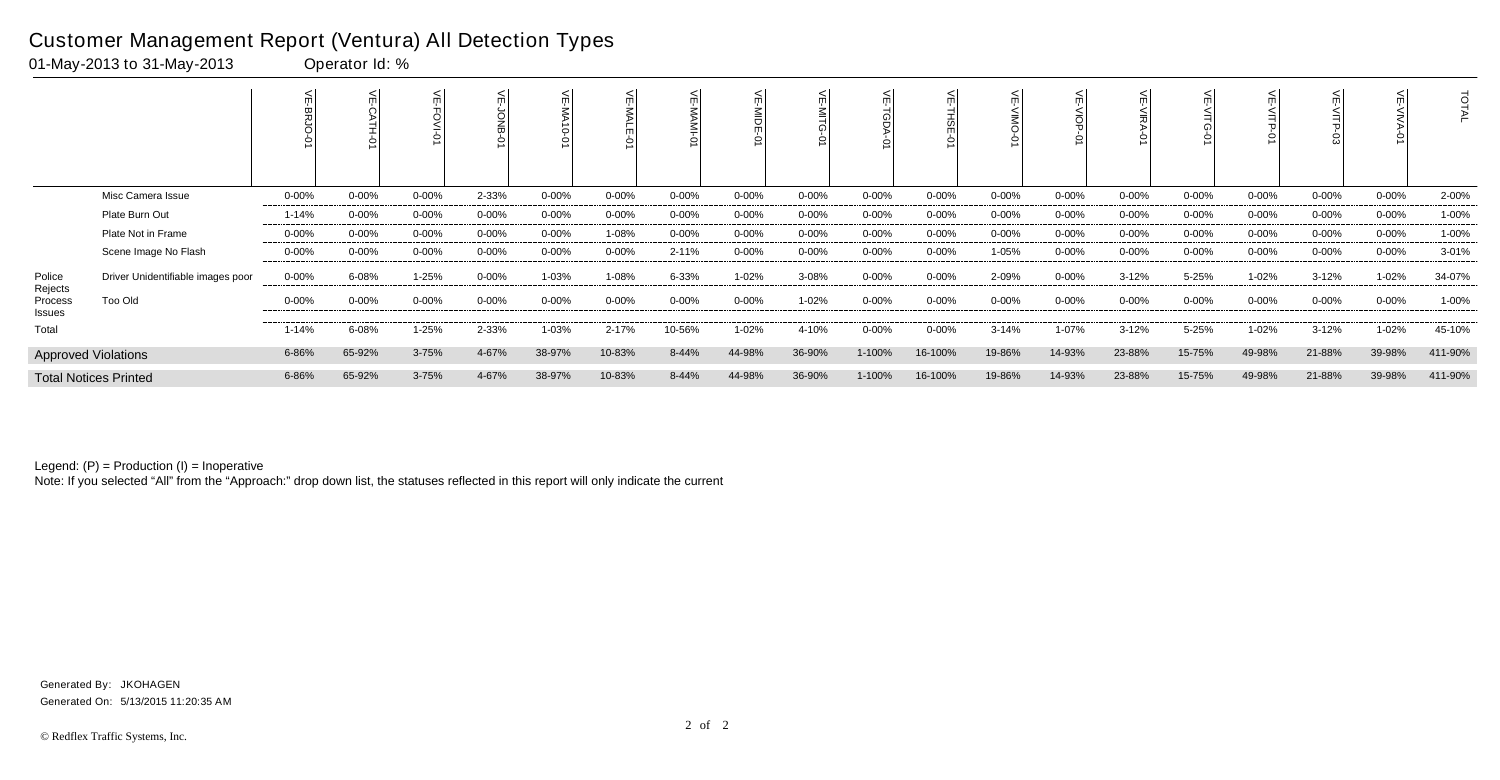|                              |                                   | <          |            |           |            | ے<br>$\vec{0}$<br>$\circ$ |            |           | <b>NIDE</b><br>Ò |            |            | 는<br>⋒     |            |            |            |           |            |           |            | ਰ<br>ГAL |
|------------------------------|-----------------------------------|------------|------------|-----------|------------|---------------------------|------------|-----------|------------------|------------|------------|------------|------------|------------|------------|-----------|------------|-----------|------------|----------|
|                              | Misc Camera Issue                 | $0 - 00%$  | $0 - 00%$  | $0 - 00%$ | 2-33%      | $0 - 00\%$                | $0 - 00\%$ | $0 - 00%$ | $0 - 00%$        | $0 - 00\%$ | $0 - 00\%$ | $0 - 00%$  | $0 - 00\%$ | $0 - 00\%$ | $0 - 00\%$ | $0 - 00%$ | $0 - 00\%$ | $0 - 00%$ | $0 - 00\%$ | 2-00%    |
|                              | Plate Burn Out                    | $1 - 14%$  | $0 - 00%$  | $0 - 00%$ | $0 - 00\%$ | $0 - 00%$                 | $0 - 00\%$ | 0-00%     | $0 - 00%$        | $0 - 00\%$ | $0 - 00\%$ | $0 - 00%$  | 0-00%      | $0 - 00\%$ | $0 - 00%$  | $0 - 00%$ | $0 - 00\%$ | $0 - 00%$ | $0 - 00\%$ | 1-00%    |
|                              | Plate Not in Frame                | 0-00%      | $0 - 00\%$ | $0 - 00%$ | $0 - 00\%$ | 0-00%                     | 1-08%      | $0 - 00%$ | 0-00%            | $0 - 00\%$ | $0 - 00\%$ | $0 - 00\%$ | 0-00%      | 0-00%      | $0 - 00\%$ | $0 - 00%$ | $0 - 00\%$ | $0 - 00%$ | $0 - 00\%$ | 1-00%    |
|                              | Scene Image No Flash              | $0 - 00\%$ | $0 - 00\%$ | 0-00%     | $0 - 00\%$ | $0 - 00%$                 | $0 - 00\%$ | 2-11%     | $0 - 00%$        | $0 - 00\%$ | $0 - 00\%$ | $0 - 00%$  | 1-05%      | $0 - 00\%$ | $0 - 00%$  | 0-00%     | $0 - 00\%$ | 0-00%     | $0 - 00\%$ | 3-01%    |
| Police                       | Driver Unidentifiable images poor | $0 - 00\%$ | 6-08%      | 1-25%     | $0 - 00\%$ | 1-03%                     | 1-08%      | 6-33%     | 1-02%            | 3-08%      | $0 - 00\%$ | $0 - 00%$  | 2-09%      | $0 - 00%$  | $3 - 12%$  | 5-25%     | 1-02%      | $3 - 12%$ | $1 - 02%$  | 34-07%   |
| Rejects<br>Process<br>Issues | Too Old                           | $0 - 00\%$ | $0 - 00%$  | 0-00%     | $0 - 00\%$ | $0 - 00%$                 | $0 - 00\%$ | 0-00%     | $0 - 00%$        | 1-02%      | $0 - 00\%$ | $0 - 00%$  | $0 - 00\%$ | $0 - 00\%$ | $0 - 00%$  | 0-00%     | $0 - 00\%$ | 0-00%     | $0 - 00\%$ | 1-00%    |
| Total                        |                                   | $1 - 14%$  | 6-08%      | 1-25%     | 2-33%      | 1-03%                     | 2-17%      | 10-56%    | 1-02%            | 4-10%      | $0 - 00\%$ | $0 - 00%$  | 3-14%      | 1-07%      | $3 - 12%$  | 5-25%     | 1-02%      | $3 - 12%$ | 1-02%      | 45-10%   |
|                              | <b>Approved Violations</b>        | 6-86%      | 65-92%     | 3-75%     | 4-67%      | 38-97%                    | 10-83%     | 8-44%     | 44-98%           | 36-90%     | 1-100%     | 16-100%    | 19-86%     | 14-93%     | 23-88%     | 15-75%    | 49-98%     | 21-88%    | 39-98%     | 411-90%  |
|                              | <b>Total Notices Printed</b>      | 6-86%      | 65-92%     | 3-75%     | 4-67%      | 38-97%                    | 10-83%     | 8-44%     | 44-98%           | 36-90%     | 1-100%     | 16-100%    | 19-86%     | 14-93%     | 23-88%     | 15-75%    | 49-98%     | 21-88%    | 39-98%     | 411-90%  |

Note: If you selected "All" from the "Approach:" drop down list, the statuses reflected in this report will only indicate the current

### Customer Management Report (Ventura) All Detection Types

01-May-2013 to 31-May-2013 Operator Id: %

Generated On: 5/13/2015 11:20:35 AM Generated By: JKOHAGEN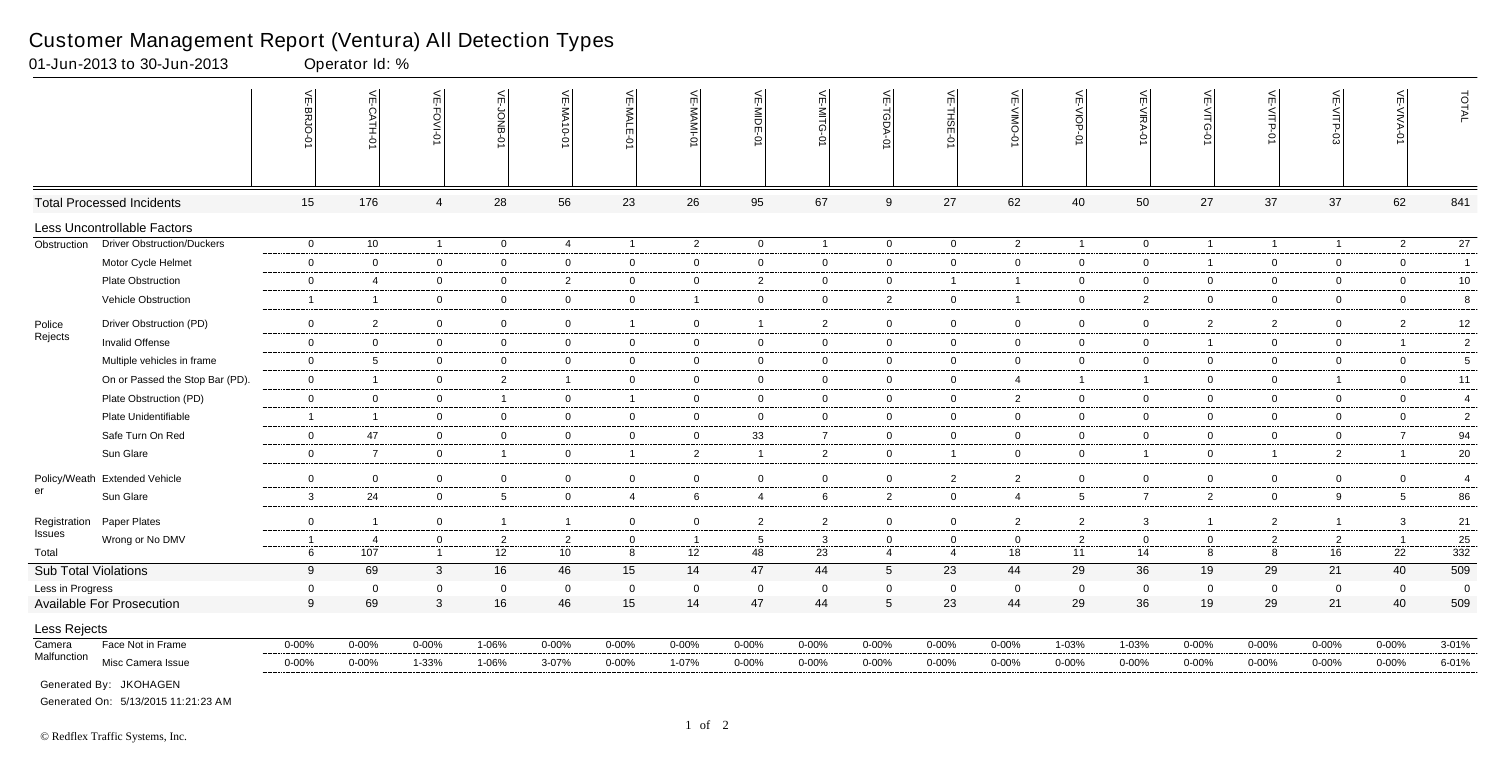|                             |                                   | $\widetilde{\mathbb{F}}$<br><b>BRJO-</b> | VE-CATH-01               | <b>VE-FOVI-0</b> | $\widetilde{\mathbb{F}}$<br><b>BNOL</b> | VE-MA10-01              | VE-MALE        | VE-MAMI-0       | VE-MIDE-01     | VE-MITG-<br>$\overrightarrow{Q}$ | VE-TGDA-0       | VE-THSE-01     | ے<br>OWIN-<br>Ò | VE-VIOP-<br>$\dot{\circ}$ | VE-VIRA-01     | VE-VITG-01     | VE-VITP-01     | VE-VITP-03     | VE-VIVA-0       | TOTAL           |
|-----------------------------|-----------------------------------|------------------------------------------|--------------------------|------------------|-----------------------------------------|-------------------------|----------------|-----------------|----------------|----------------------------------|-----------------|----------------|-----------------|---------------------------|----------------|----------------|----------------|----------------|-----------------|-----------------|
|                             | <b>Total Processed Incidents</b>  | 15                                       | 176                      | $\overline{4}$   | 28                                      | 56                      | 23             | 26              | 95             | 67                               | 9               | 27             | 62              | 40                        | 50             | 27             | 37             | 37             | 62              | 841             |
|                             | Less Uncontrollable Factors       |                                          |                          |                  |                                         |                         |                |                 |                |                                  |                 |                |                 |                           |                |                |                |                |                 |                 |
| Obstruction                 | <b>Driver Obstruction/Duckers</b> | $\overline{0}$                           | 10                       | $\overline{1}$   | $\overline{0}$                          | $\overline{4}$          | $\overline{1}$ | $\overline{2}$  | $\overline{0}$ | $\mathbf{1}$                     | $\overline{0}$  | $\mathbf 0$    | $\overline{2}$  | $\overline{1}$            | $\mathbf 0$    | $\overline{1}$ | $\mathbf{1}$   | $\overline{1}$ | $\overline{2}$  | $\overline{27}$ |
|                             | Motor Cycle Helmet                | $\mathbf 0$                              | $\mathbf 0$              | $\mathbf 0$      | $\mathbf 0$                             | $\overline{0}$          | $\mathbf 0$    | $\overline{0}$  | $\overline{0}$ | $\mathbf 0$                      | $\mathbf 0$     | $\mathbf 0$    | $\mathbf 0$     | $\mathbf 0$               | $\mathbf 0$    | $\overline{1}$ | $\overline{0}$ | $\mathbf 0$    | $\mathbf 0$     | $\overline{1}$  |
|                             | Plate Obstruction                 | $\boldsymbol{0}$                         | $\overline{4}$           | $\mathbf 0$      | $\overline{0}$                          | $\overline{2}$          | $\overline{0}$ | $\overline{0}$  | $\overline{2}$ | $\mathbf 0$                      | $\mathbf 0$     | $\overline{1}$ | $\overline{1}$  | $\overline{0}$            | $\mathbf 0$    | $\overline{0}$ | $\overline{0}$ | $\overline{0}$ | $\mathbf 0$     | 10              |
|                             | Vehicle Obstruction               | $\mathbf{1}$                             | $\overline{\mathbf{1}}$  | $\overline{0}$   | $\overline{0}$                          | $\mathbf 0$             | $\overline{0}$ | $\overline{1}$  | $\overline{0}$ | $\overline{0}$                   | $\overline{2}$  | $\mathbf 0$    | $\overline{1}$  | $\overline{0}$            | $\overline{2}$ | $\overline{0}$ | $\overline{0}$ | $\overline{0}$ | $\overline{0}$  | 8               |
| Police                      | Driver Obstruction (PD)           | $\mathbf 0$                              | $\overline{2}$           | $\mathbf 0$      | $\overline{0}$                          | $\mathbf 0$             | $\mathbf{1}$   | $\overline{0}$  | $\overline{1}$ | $\overline{2}$                   | $\overline{0}$  | $\mathbf 0$    | $\overline{0}$  | $\overline{0}$            | $\overline{0}$ | $\overline{2}$ | $\overline{2}$ | $\mathbf 0$    | $\overline{2}$  | 12              |
| Rejects                     | Invalid Offense                   | $\overline{0}$                           | $\overline{0}$           | $\mathbf 0$      | $\overline{0}$                          | $\mathbf 0$             | $\overline{0}$ | $\overline{0}$  | $\overline{0}$ | $\overline{0}$                   | $\mathbf 0$     | $\mathbf 0$    | $\mathbf 0$     | $\overline{0}$            | $\overline{0}$ | $\overline{1}$ | $\overline{0}$ | $\overline{0}$ | $\overline{1}$  | $\sqrt{2}$      |
|                             | Multiple vehicles in frame        | $\mathbf 0$                              | 5                        | $\overline{0}$   | $\overline{0}$                          | $\mathbf 0$             | $\mathbf 0$    | $\mathbf 0$     | $\overline{0}$ | $\overline{0}$                   | $\overline{0}$  | $\mathbf 0$    | 0               | $\overline{0}$            | $\mathbf 0$    | $\overline{0}$ | $\overline{0}$ | $\mathbf 0$    | $\mathbf 0$     | 5               |
|                             | On or Passed the Stop Bar (PD).   | $\overline{0}$                           | $\overline{1}$           | $\mathbf 0$      | $\overline{2}$                          | $\overline{\mathbf{1}}$ | $\mathbf 0$    | $\overline{0}$  | $\overline{0}$ | $\mathbf 0$                      | $\overline{0}$  | $\mathbf 0$    | 4               | $\overline{1}$            | $\overline{1}$ | $\mathbf 0$    | $\overline{0}$ | $\overline{1}$ | $\overline{0}$  | 11              |
|                             | Plate Obstruction (PD)            | $\mathbf 0$                              | $\overline{0}$           | $\mathbf 0$      | $\overline{1}$                          | $\mathbf 0$             | $\overline{1}$ | $\mathbf 0$     | $\overline{0}$ | $\overline{0}$                   | $\overline{0}$  | $\mathbf 0$    | $\overline{2}$  | $\overline{0}$            | $\mathbf 0$    | $\mathbf 0$    | $\overline{0}$ | $\mathbf 0$    | $\mathbf 0$     | $\overline{4}$  |
|                             | Plate Unidentifiable              | $\mathbf{1}$                             | $\overline{1}$           | $\mathbf 0$      | $\mathbf 0$                             | $\mathbf 0$             | $\mathbf 0$    | 0               | $\overline{0}$ | $\overline{0}$                   | $\mathbf 0$     | $\overline{0}$ | $\mathbf 0$     | $\mathbf 0$               | $\Omega$       | $\mathbf 0$    | $\overline{0}$ | 0              | $\mathbf 0$     | $\overline{2}$  |
|                             | Safe Turn On Red                  | $\boldsymbol{0}$                         | 47                       | $\mathbf 0$      | $\overline{0}$                          | $\overline{0}$          | $\overline{0}$ | $\overline{0}$  | 33             | $\overline{7}$                   | $\mathsf 0$     | $\mathbf 0$    | $\mathbf 0$     | $\overline{0}$            | $\overline{0}$ | $\overline{0}$ | $\mathbf 0$    | $\overline{0}$ | $\overline{7}$  | 94              |
|                             | Sun Glare                         | $\mathbf 0$                              | $\overline{7}$           | $\overline{0}$   | $\overline{1}$                          | $\overline{0}$          | $\overline{1}$ | $\overline{2}$  | $\overline{1}$ | $\overline{2}$                   | $\overline{0}$  | $\overline{1}$ | $\overline{0}$  | $\overline{0}$            | $\overline{1}$ | $\overline{0}$ | $\mathbf{1}$   | $\overline{2}$ | $\overline{1}$  | 20              |
|                             | Policy/Weath Extended Vehicle     | $\mathbf 0$                              | $\overline{0}$           | $\overline{0}$   | $\overline{0}$                          | $\mathbf 0$             | $\overline{0}$ | $\mathbf 0$     | $\overline{0}$ | $\overline{0}$                   | $\mathbf 0$     | $\overline{2}$ | $\overline{2}$  | $\overline{0}$            | $\overline{0}$ | $\overline{0}$ | $\overline{0}$ | $\mathbf 0$    | $\overline{0}$  | $\overline{4}$  |
| er                          | Sun Glare                         | $\mathbf{3}$                             | 24                       | $\mathbf 0$      | $5\phantom{.0}$                         | $\overline{0}$          | $\overline{4}$ | $6\phantom{.}6$ | $\overline{4}$ | 6                                | $\overline{2}$  | $\mathbf 0$    | $\overline{4}$  | $5\phantom{.0}$           | $\overline{7}$ | $\overline{2}$ | $\mathbf 0$    | 9              | $5\overline{)}$ | 86              |
| Registration                | Paper Plates                      | $\mathbf 0$                              | $\overline{1}$           | $\overline{0}$   | $\overline{1}$                          | $\overline{1}$          | $\overline{0}$ | $\overline{0}$  | $\overline{2}$ | $\overline{2}$                   | $\mathbf 0$     | $\mathbf 0$    | $\overline{2}$  | $\overline{2}$            | $\mathbf{3}$   | $\mathbf{1}$   | $\overline{2}$ | $\overline{1}$ | $\mathbf{3}$    | $21\,$          |
| <b>Issues</b>               | Wrong or No DMV                   | $\overline{1}$                           | $\overline{\mathcal{A}}$ | $\overline{0}$   | $\overline{2}$                          | $\overline{2}$          | $\overline{0}$ | $\overline{1}$  | 5              | $\mathbf{3}$                     | $\overline{0}$  | $\mathbf 0$    | $\mathbf 0$     | $\overline{2}$            | $\overline{0}$ | $\mathbf 0$    | $\overline{2}$ | $\overline{2}$ | $\overline{1}$  | 25              |
| Total                       |                                   | 6                                        | 107                      | $\mathbf{1}$     | 12                                      | 10                      | 8              | 12              | 48             | 23                               | 4               | $\overline{4}$ | 18              | 11                        | 14             | 8              | 8              | 16             | 22              | 332             |
| <b>Sub Total Violations</b> |                                   | 9                                        | 69                       | $\mathbf{3}$     | 16                                      | 46                      | 15             | 14              | 47             | 44                               | $5\phantom{.0}$ | 23             | 44              | 29                        | 36             | 19             | 29             | 21             | 40              | 509             |
| Less in Progress            |                                   | $\mathbf 0$                              | 0                        | $\Omega$         | $\mathbf 0$                             | $\overline{0}$          | $\mathbf 0$    | $\mathbf 0$     | $\overline{0}$ | $\Omega$                         | $\mathbf 0$     | $\Omega$       | $\Omega$        | $\mathbf 0$               | $\Omega$       | $\mathbf 0$    | $\mathbf 0$    | $\mathbf 0$    | $\mathbf 0$     | $\overline{0}$  |
|                             | <b>Available For Prosecution</b>  | 9                                        | 69                       | 3                | 16                                      | 46                      | 15             | 14              | 47             | 44                               | $5\phantom{.0}$ | 23             | 44              | 29                        | 36             | 19             | 29             | 21             | 40              | 509             |
| Less Rejects                |                                   |                                          |                          |                  |                                         |                         |                |                 |                |                                  |                 |                |                 |                           |                |                |                |                |                 |                 |
| Camera                      | Face Not in Frame                 | $0 - 00%$                                | 0-00%                    | $0 - 00\%$       | $1 - 06%$                               | 0-00%                   | $0 - 00\%$     | $0 - 00\%$      | 0-00%          | $0 - 00%$                        | $0 - 00%$       | $0 - 00%$      | $0 - 00%$       | $1 - 03%$                 | $1 - 03%$      | $0 - 00%$      | $0 - 00%$      | $0 - 00%$      | $0 - 00\%$      | $3 - 01%$       |
| Malfunction                 | Misc Camera Issue                 | $0 - 00%$                                | 0-00%                    | 1-33%            | 1-06%                                   | 3-07%                   | $0 - 00\%$     | 1-07%           | $0 - 00%$      | $0 - 00%$                        | $0 - 00\%$      | $0 - 00%$      | 0-00%           | $0 - 00%$                 | 0-00%          | 0-00%          | $0 - 00%$      | $0 - 00%$      | $0 - 00\%$      | 6-01%           |
|                             | Generated By: JKOHAGEN            |                                          |                          |                  |                                         |                         |                |                 |                |                                  |                 |                |                 |                           |                |                |                |                |                 |                 |

01-Jun-2013 to 30-Jun-2013 Operator Id: %

Generated On: 5/13/2015 11:21:23 AM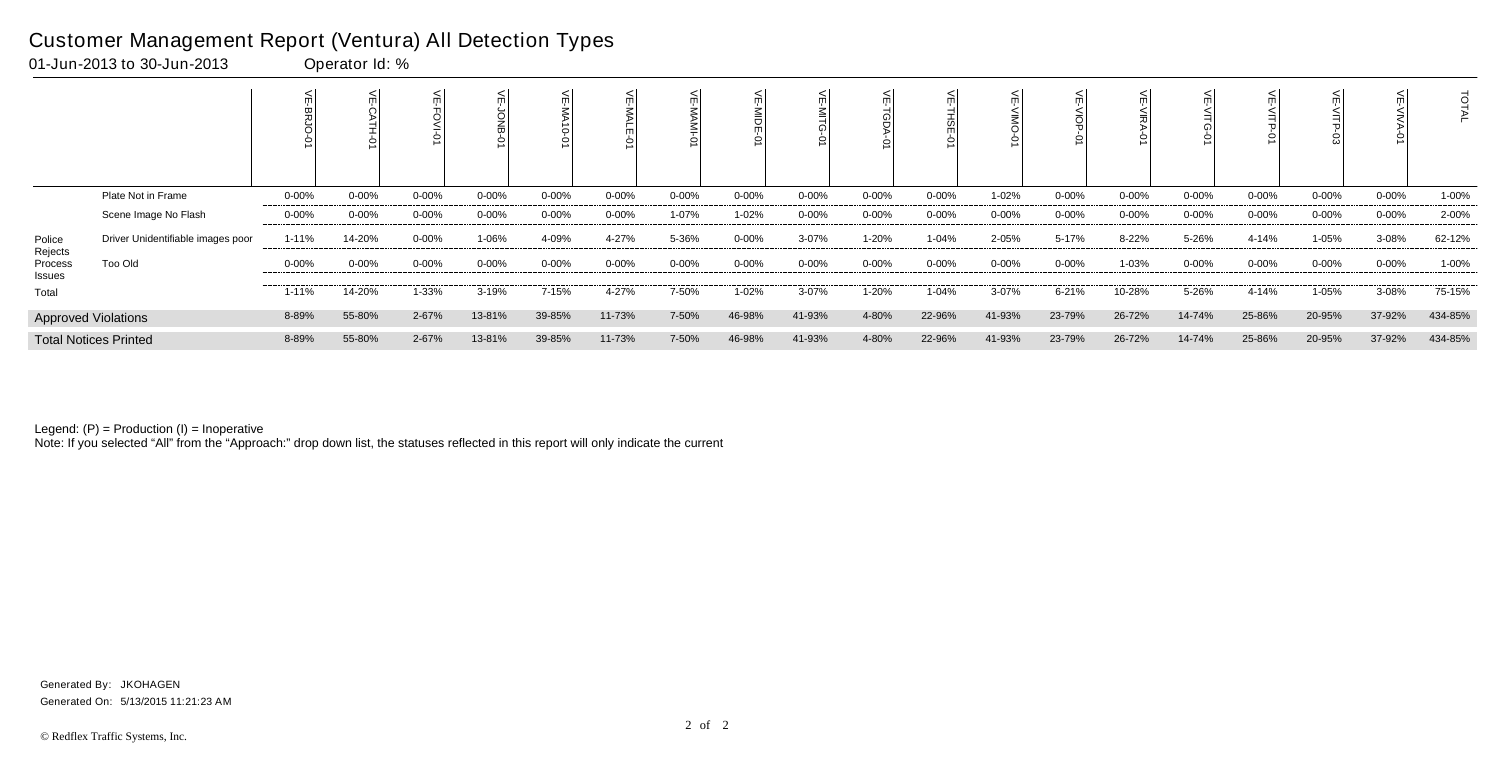|                   |                                   |            |            |            |            |            |        |           | Ģ         |            |            |           |            |            |            |           |            |            |            | ਰ       |
|-------------------|-----------------------------------|------------|------------|------------|------------|------------|--------|-----------|-----------|------------|------------|-----------|------------|------------|------------|-----------|------------|------------|------------|---------|
|                   | Plate Not in Frame                | 0-00%      | $0 - 00%$  | $0 - 00\%$ | $0 - 00\%$ | $0 - 00\%$ | 0-00%  | $0 - 00%$ | 0-00%     | 0-00%      | $0 - 00\%$ | $0 - 00%$ | 1-02%      | $0 - 00\%$ | $0 - 00%$  | $0 - 00%$ | $0 - 00\%$ | 0-00%      | $0 - 00\%$ | 1-00%   |
|                   | Scene Image No Flash              | 0-00%      | $0 - 00\%$ | 0-00%      | $0 - 00%$  | $0 - 00%$  | 0-00%  | 1-07%     | 1-02%     | 0-00%      | $0 - 00\%$ | $0 - 00%$ | 0-00%      | $0 - 00\%$ | $0 - 00\%$ | 0-00%     | $0 - 00\%$ | $0 - 00%$  | $0 - 00\%$ | 2-00%   |
| Police<br>Rejects | Driver Unidentifiable images poor | $1 - 11%$  | 14-20%     | $0 - 00%$  | 1-06%      | 4-09%      | 4-27%  | 5-36%     | $0 - 00%$ | 3-07%      | 1-20%      | 1-04%     | 2-05%      | 5-17%      | 8-22%      | 5-26%     | 4-14%      | 1-05%      | 3-08%      | 62-12%  |
| Process<br>Issues | Too Old                           | $0 - 00\%$ | $0 - 00%$  | $0 - 00\%$ | $0 - 00%$  | $0 - 00%$  | 0-00%  | $0 - 00%$ | $0 - 00%$ | $0 - 00\%$ | $0 - 00\%$ | $0 - 00%$ | $0 - 00\%$ | $0 - 00\%$ | 1-03%      | $0 - 00%$ | $0 - 00\%$ | $0 - 00\%$ | $0 - 00\%$ | 1-00%   |
| Total             |                                   | 1-11%      | 14-20%     | 1-33%      | 3-19%      | 7-15%      | 4-27%  | 7-50%     | $1 - 02%$ | $3 - 07%$  | 1-20%      | $1 - 04%$ | 3-07%      | 6-21%      | 10-28%     | 5-26%     | 4-14%      | 1-05%      | 3-08%      | 75-15%  |
|                   | <b>Approved Violations</b>        | 8-89%      | 55-80%     | 2-67%      | 13-81%     | 39-85%     | 11-73% | 7-50%     | 46-98%    | 41-93%     | 4-80%      | 22-96%    | 41-93%     | 23-79%     | 26-72%     | 14-74%    | 25-86%     | 20-95%     | 37-92%     | 434-85% |
|                   | <b>Total Notices Printed</b>      | 8-89%      | 55-80%     | 2-67%      | 13-81%     | 39-85%     | 11-73% | 7-50%     | 46-98%    | 41-93%     | 4-80%      | 22-96%    | 41-93%     | 23-79%     | 26-72%     | 14-74%    | 25-86%     | 20-95%     | 37-92%     | 434-85% |

Note: If you selected "All" from the "Approach:" drop down list, the statuses reflected in this report will only indicate the current

### Customer Management Report (Ventura) All Detection Types

01-Jun-2013 to 30-Jun-2013 Operator Id: %

Generated On: 5/13/2015 11:21:23 AM Generated By: JKOHAGEN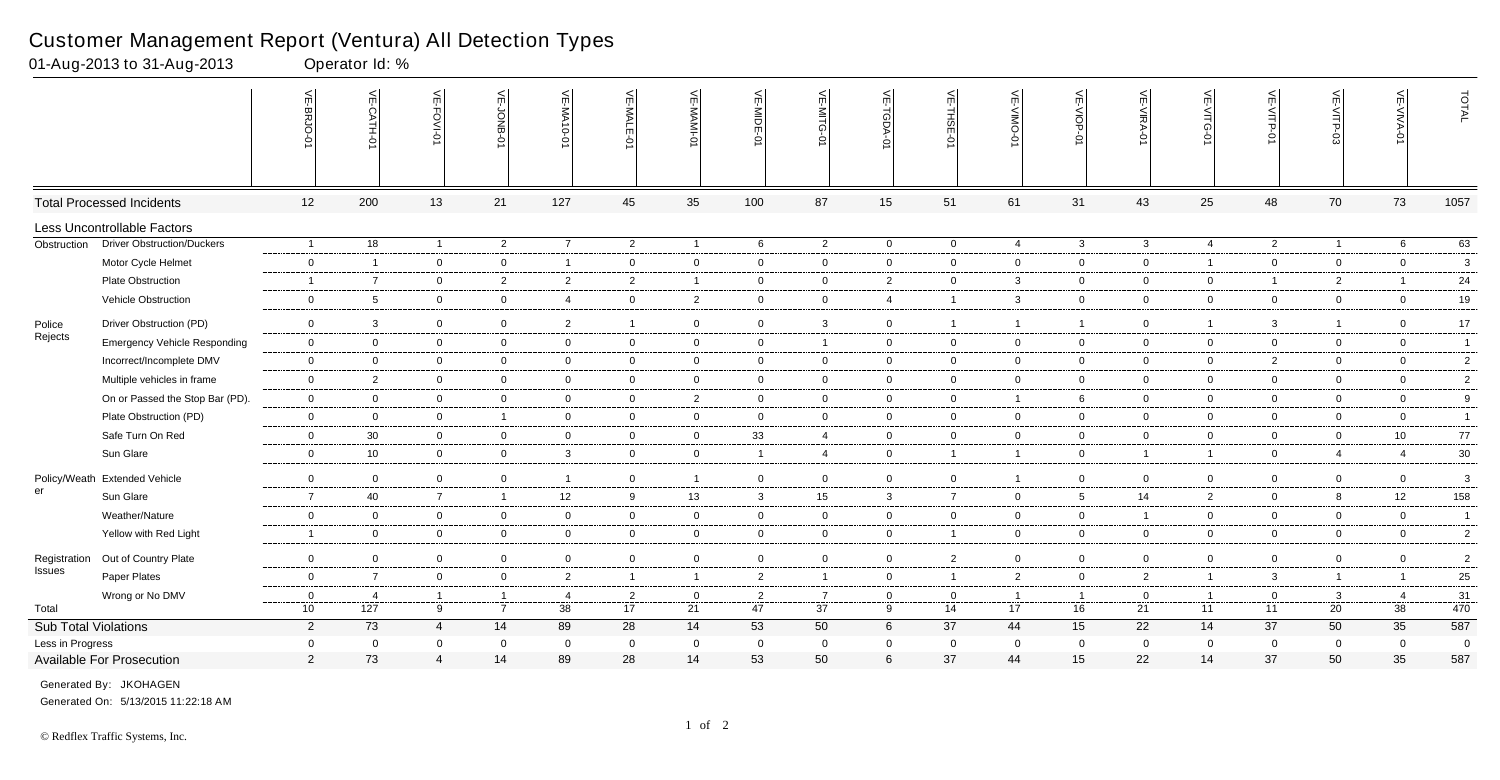|                      |                                     | 닞<br>-BRJO     | VE-CATH-01               | VE-FOVI-01     | VE-JONB-01     | VE-MA10-01              | $\leq$         | VE-MAMI-0      | VE-MIDE-01     | VE-MITG-01     | VE-TGDA-0      | VE-THSE-01     | 닞<br>-VIIN-<br>Ò | VE-VIOP-0       | VE-VIRA-01     | VE-VITG-0      | VE-VITP-0      | VE-VITP-03     | VE-VIVA-<br>$\dot{\varphi}$ | TOTAL           |
|----------------------|-------------------------------------|----------------|--------------------------|----------------|----------------|-------------------------|----------------|----------------|----------------|----------------|----------------|----------------|------------------|-----------------|----------------|----------------|----------------|----------------|-----------------------------|-----------------|
|                      | <b>Total Processed Incidents</b>    | 12             | 200                      | 13             | 21             | 127                     | 45             | 35             | 100            | 87             | 15             | 51             | 61               | 31              | 43             | 25             | 48             | 70             | 73                          | 1057            |
|                      | Less Uncontrollable Factors         |                |                          |                |                |                         |                |                |                |                |                |                |                  |                 |                |                |                |                |                             |                 |
| Obstruction          | <b>Driver Obstruction/Duckers</b>   | $\overline{1}$ | $\overline{18}$          | $\mathbf{1}$   | $\overline{2}$ | $\overline{7}$          | $\overline{2}$ | $\overline{1}$ | 6              | $\overline{2}$ | $\mathbf 0$    | $\mathbf 0$    | $\overline{4}$   | $\mathbf{3}$    | $\mathbf{3}$   | $\overline{4}$ | $2^{\circ}$    | $\overline{1}$ | 6                           | 63              |
|                      | Motor Cycle Helmet                  | $\mathbf 0$    | $\overline{\phantom{0}}$ | $\overline{0}$ | $\mathbf 0$    | $\overline{1}$          | $\mathbf 0$    | $\mathbf 0$    | $\overline{0}$ | $\mathbf 0$    | $\overline{0}$ | $\mathbf 0$    | $\mathbf{0}$     | $\overline{0}$  | $\mathbf 0$    | $\overline{1}$ | $\mathbf 0$    | $\mathbf 0$    | $\overline{0}$              | $\mathbf{3}$    |
|                      | Plate Obstruction                   | $\overline{1}$ | $\overline{7}$           | $\overline{0}$ | $\overline{2}$ | $\overline{2}$          | $\overline{2}$ | $\overline{1}$ | $\overline{0}$ | $\mathbf 0$    | $\overline{2}$ | $\overline{0}$ | $\mathbf{3}$     | $\overline{0}$  | $\overline{0}$ | $\mathbf 0$    | $\mathbf{1}$   | $\overline{2}$ |                             | 24              |
|                      | Vehicle Obstruction                 | $\overline{0}$ | 5                        | $\overline{0}$ | $\overline{0}$ | $\overline{4}$          | $\overline{0}$ | $\overline{2}$ | $\overline{0}$ | $\overline{0}$ | $\overline{4}$ | $\overline{1}$ | $\mathbf{3}$     | $\mathbf 0$     | $\mathbf 0$    | $\overline{0}$ | $\mathbf 0$    | $\mathbf 0$    | $\overline{0}$              | $19$            |
| Police               | Driver Obstruction (PD)             | $\mathbf 0$    | -3                       | $\mathbf 0$    | $\overline{0}$ | 2                       | $\overline{1}$ | $\mathbf 0$    | $\overline{0}$ | 3              | $\overline{0}$ | $\overline{1}$ | -1               | $\overline{1}$  | $\mathbf 0$    | $\mathbf 1$    | 3              | $\overline{1}$ | $\overline{0}$              | 17              |
| Rejects              | <b>Emergency Vehicle Responding</b> | $\overline{0}$ | $\overline{0}$           | $\overline{0}$ | $\mathbf 0$    | $\overline{0}$          | $\mathbf 0$    | $\overline{0}$ | $\overline{0}$ | $\mathbf{1}$   | $\mathbf 0$    | $\mathbf 0$    | $\mathbf 0$      | $\overline{0}$  | $\mathbf 0$    | $\mathbf 0$    | $\overline{0}$ | $\mathbf 0$    | $\overline{0}$              | $\mathbf{1}$    |
|                      | Incorrect/Incomplete DMV            | $\overline{0}$ | $\mathbf 0$              | $\mathbf 0$    | $\mathbf 0$    | $\overline{0}$          | $\overline{0}$ | $\mathbf 0$    | $\overline{0}$ | $\mathbf 0$    | $\overline{0}$ | $\mathbf 0$    | $\mathbf 0$      | $\overline{0}$  | $\overline{0}$ | $\mathbf 0$    | $\overline{2}$ | $\mathbf 0$    | $\overline{0}$              | $\overline{2}$  |
|                      | Multiple vehicles in frame          | $\overline{0}$ | $\overline{2}$           | $\overline{0}$ | $\mathbf 0$    | $\overline{0}$          | $\mathbf 0$    | $\overline{0}$ | $\overline{0}$ | $\overline{0}$ | $\overline{0}$ | $\mathbf 0$    | $\mathbf 0$      | $\overline{0}$  | $\mathbf 0$    | $\mathbf 0$    | $\overline{0}$ | $\mathbf 0$    | $\overline{0}$              | $\overline{2}$  |
|                      | On or Passed the Stop Bar (PD).     | $\overline{0}$ | $\mathbf 0$              | $\mathbf 0$    | $\overline{0}$ | $\overline{0}$          | $\overline{0}$ | $\overline{2}$ | $\overline{0}$ | $\overline{0}$ | $\mathbf 0$    | $\mathbf 0$    | $\overline{1}$   | 6               | $\overline{0}$ | $\mathbf 0$    | $\overline{0}$ | $\mathbf 0$    | $\mathbf 0$                 | 9               |
|                      | Plate Obstruction (PD)              | $\overline{0}$ | $\mathbf 0$              | $\mathbf 0$    | $\overline{1}$ | $\overline{0}$          | $\mathbf 0$    | $\overline{0}$ | $\overline{0}$ | $\mathbf 0$    | $\overline{0}$ | $\mathbf 0$    | $\mathbf 0$      | $\overline{0}$  | $\mathbf 0$    | $\mathbf 0$    | $\overline{0}$ | $\mathbf 0$    | $\overline{0}$              | $\mathbf{1}$    |
|                      | Safe Turn On Red                    | $\overline{0}$ | 30                       | $\overline{0}$ | $\overline{0}$ | $\overline{0}$          | $\overline{0}$ | $\overline{0}$ | 33             | $\overline{4}$ | $\mathbf 0$    | $\overline{0}$ | 0                | $\overline{0}$  | $\overline{0}$ | $\overline{0}$ | $\overline{0}$ | $\overline{0}$ | 10 <sup>1</sup>             | 77              |
|                      | Sun Glare                           | $\overline{0}$ | 10                       | $\overline{0}$ | $\mathbf 0$    | $\overline{3}$          | $\overline{0}$ | $\overline{0}$ | $\overline{1}$ | $\overline{4}$ | $\mathbf 0$    | $\overline{1}$ | $\mathbf 1$      | $\overline{0}$  | $\overline{1}$ | $\mathbf{1}$   | $\overline{0}$ | $\overline{4}$ | $\overline{4}$              | $30\,$          |
| Policy/Weath         | <b>Extended Vehicle</b>             | $\mathbf 0$    | $\mathbf 0$              | $\overline{0}$ | $\overline{0}$ | $\overline{\mathbf{1}}$ | $\overline{0}$ | $\overline{1}$ | $\overline{0}$ | $\overline{0}$ | $\mathbf 0$    | $\mathbf 0$    | $\overline{1}$   | $\overline{0}$  | $\mathbf 0$    | $\mathbf 0$    | $\overline{0}$ | $\overline{0}$ | $\overline{0}$              | $\mathbf{3}$    |
| er                   | Sun Glare                           | $\overline{7}$ | 40                       | $\overline{7}$ | $\overline{1}$ | 12                      | 9              | 13             | $\mathbf{3}$   | 15             | $\mathbf{3}$   | $\overline{7}$ | $\mathbf 0$      | $5\overline{)}$ | 14             | $\overline{2}$ | $\overline{0}$ | 8              | 12                          | 158             |
|                      | Weather/Nature                      | $\overline{0}$ | $\overline{0}$           | $\overline{0}$ | $\mathbf 0$    | $\overline{0}$          | $\mathbf 0$    | $\overline{0}$ | $\overline{0}$ | $\mathbf 0$    | $\mathbf 0$    | $\mathbf 0$    | $\Omega$         | $\overline{0}$  | $\overline{1}$ | $\mathbf 0$    | $\overline{0}$ | $\mathbf 0$    | $\overline{0}$              | $\overline{1}$  |
|                      | Yellow with Red Light               | $\overline{1}$ | $\mathbf 0$              | $\mathbf 0$    | $\mathbf 0$    | $\overline{0}$          | $\overline{0}$ | $\overline{0}$ | $\overline{0}$ | $\overline{0}$ | $\overline{0}$ | $\overline{1}$ | $\mathbf 0$      | $\overline{0}$  | $\mathbf 0$    | $\mathbf 0$    | $\overline{0}$ | $\mathbf 0$    | $\overline{0}$              | $2\overline{ }$ |
| Registration         | Out of Country Plate                | $\overline{0}$ | $\mathbf 0$              | $\overline{0}$ | $\overline{0}$ | $\overline{0}$          | $\overline{0}$ | $\overline{0}$ | $\overline{0}$ | $\overline{0}$ | $\mathbf 0$    | $\overline{2}$ | $\mathbf 0$      | $\overline{0}$  | $\overline{0}$ | $\overline{0}$ | $\overline{0}$ | $\overline{0}$ | $\mathbf 0$                 | $\overline{2}$  |
| Issues               | Paper Plates                        | $\overline{0}$ | $\overline{7}$           | $\mathbf 0$    | $\overline{0}$ | $\overline{2}$          | $\overline{1}$ | $\overline{1}$ | $\overline{2}$ | 1              | $\mathbf 0$    | $\overline{1}$ | $\overline{2}$   | $\mathbf 0$     | $\overline{2}$ | $\mathbf{1}$   | $\mathbf{3}$   | $\overline{1}$ | $\overline{1}$              | 25              |
|                      | Wrong or No DMV                     | $\overline{0}$ | $\overline{4}$           | $\mathbf{1}$   | $\overline{1}$ | -4                      | 2              | $\mathbf 0$    | $\overline{2}$ | $\overline{7}$ | $\overline{0}$ | $\mathbf 0$    |                  | $\overline{1}$  | $\overline{0}$ | $\overline{1}$ | $\overline{0}$ | $\mathbf{3}$   | $\overline{4}$              | 31              |
| Total                |                                     | 10             | 127                      | 9              | $\overline{7}$ | 38                      | 17             | 21             | 47             | 37             | 9              | 14             | 17               | 16              | 21             | 11             | 11             | 20             | 38                          | 470             |
| Sub Total Violations |                                     | $\overline{2}$ | 73                       | $\overline{4}$ | 14             | 89                      | 28             | 14             | 53             | 50             | 6              | 37             | 44               | 15              | 22             | 14             | 37             | 50             | 35                          | 587             |
| Less in Progress     |                                     | $\mathbf 0$    | $\overline{\mathbf{0}}$  | $\mathbf 0$    | $\mathbf 0$    | $\overline{0}$          | $\mathbf 0$    | $\mathbf 0$    | $\overline{0}$ | $\mathbf 0$    | $\overline{0}$ | $\overline{0}$ | $\mathbf 0$      | $\mathbf 0$     | $\overline{0}$ | $\mathbf 0$    | $\mathbf 0$    | $\mathbf 0$    | $\mathbf 0$                 | $\overline{0}$  |
|                      | Available For Prosecution           | $\overline{2}$ | 73                       | 4              | 14             | 89                      | 28             | 14             | 53             | 50             | 6              | 37             | 44               | 15              | 22             | 14             | 37             | 50             | 35                          | 587             |

01-Aug-2013 to 31-Aug-2013

Generated On: 5/13/2015 11:22:18 AM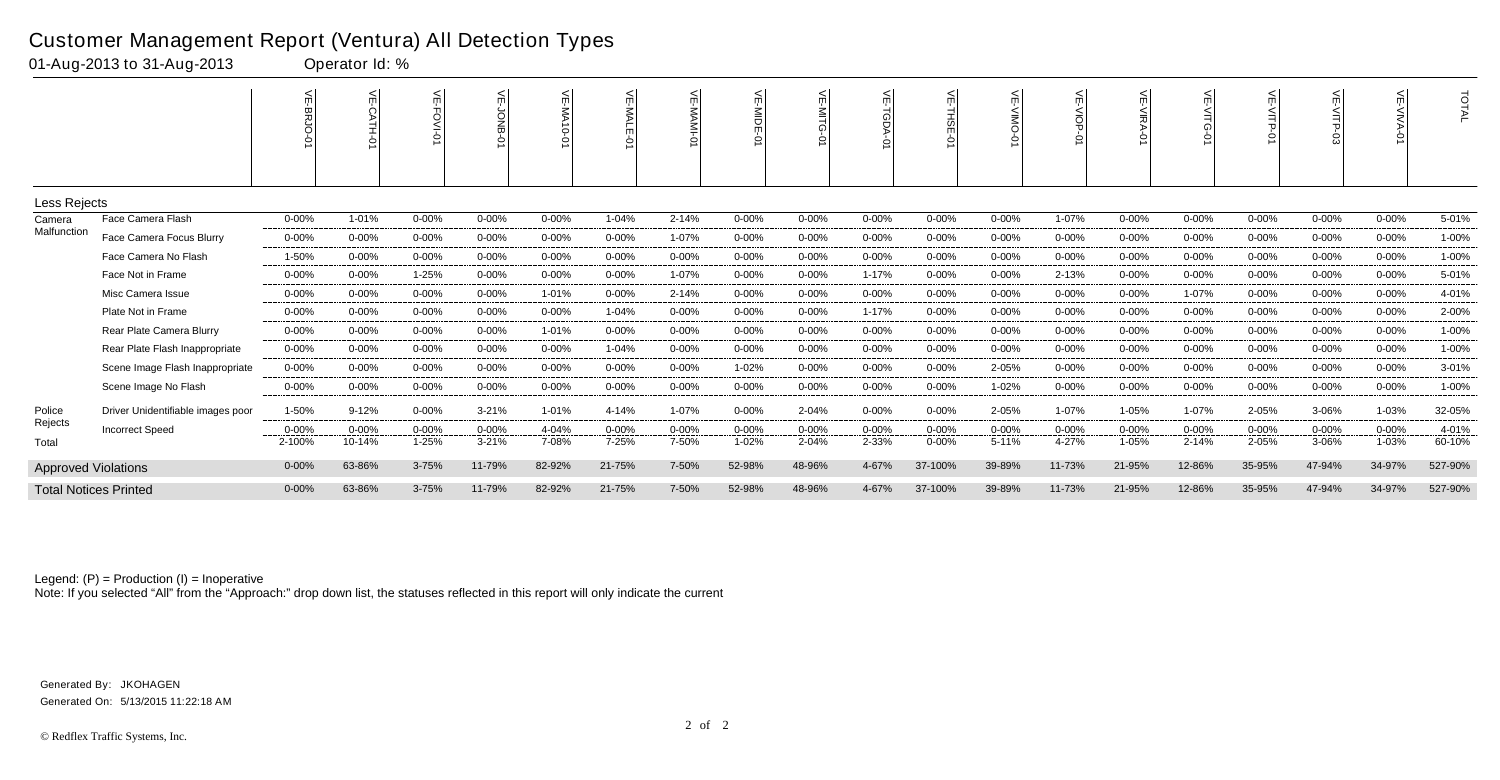|                            |                                   | $\widetilde{\pi}$ | 녽<br>◠    | m         | 늰<br><u>SI</u> | 븻<br><b>MA10</b><br>Ò | mì<br>◠   | 늦         | 늰<br>틞<br>ò | $\leq$     | $\widetilde{\pi}$ | m          | $\leq$    | VE-VIOP-  |            | 늦         | 늰<br><b>NITP</b><br>Ò | 늰<br>≤<br>ਜ਼ | $\leq$<br><b>NNA</b><br>Ş | TOTAL   |
|----------------------------|-----------------------------------|-------------------|-----------|-----------|----------------|-----------------------|-----------|-----------|-------------|------------|-------------------|------------|-----------|-----------|------------|-----------|-----------------------|--------------|---------------------------|---------|
| Less Rejects               |                                   |                   |           |           |                |                       |           |           |             |            |                   |            |           |           |            |           |                       |              |                           |         |
| Camera                     | Face Camera Flash                 | $0 - 00%$         | 1-01%     | $0 - 00%$ | $0 - 00%$      | $0 - 00%$             | 1-04%     | 2-14%     | $0 - 00%$   | $0 - 00%$  | $0 - 00%$         | $0 - 00%$  | $0 - 00%$ | 1-07%     | $0 - 00%$  | $0 - 00%$ | 0-00%                 | 0-00%        | $0 - 00%$                 | 5-01%   |
| Malfunction                | Face Camera Focus Blurry          | $0 - 00%$         | $0 - 00%$ | $0 - 00%$ | $0 - 00%$      | $0 - 00%$             | $0 - 00%$ | 1-07%     | 0-00%       | $0 - 00%$  | $0 - 00%$         | $0 - 00%$  | 0-00%     | $0 - 00%$ | $0 - 00\%$ | 0-00%     | $0 - 00%$             | $0 - 00%$    | 0-00%                     | 1-00%   |
|                            | Face Camera No Flash              | 1-50%             | $0 - 00%$ | $0 - 00%$ | $0 - 00%$      | $0 - 00%$             | 0-00%     | $0 - 00%$ | $0 - 00%$   | $0 - 00%$  | $0 - 00%$         | $0 - 00%$  | $0 - 00%$ | $0 - 00%$ | $0 - 00%$  | $0 - 00%$ | $0 - 00%$             | $0 - 00%$    | $0 - 00\%$                | 1-00%   |
|                            | Face Not in Frame                 | $0 - 00%$         | $0 - 00%$ | 1-25%     | $0 - 00%$      | $0 - 00%$             | $0 - 00%$ | 1-07%     | $0 - 00%$   | $0 - 00%$  | 1-17%             | $0 - 00%$  | $0 - 00%$ | 2-13%     | $0 - 00%$  | $0 - 00%$ | 0-00%                 | $0 - 00%$    | 0-00%                     | 5-01%   |
|                            | Misc Camera Issue                 | $0 - 00\%$        | $0 - 00%$ | $0 - 00%$ | $0 - 00\%$     | 1-01%                 | $0 - 00%$ | 2-14%     | $0 - 00%$   | $0 - 00\%$ | $0 - 00%$         | $0 - 00%$  | 0-00%     | $0 - 00%$ | $0 - 00\%$ | 1-07%     | $0 - 00%$             | 0-00%        | 0-00%                     | 4-01%   |
|                            | Plate Not in Frame                | $0 - 00%$         | $0 - 00%$ | $0 - 00%$ | $0 - 00%$      | $0 - 00%$             | 1-04%     | $0 - 00%$ | $0 - 00%$   | $0 - 00%$  | 1-17%             | $0 - 00%$  | $0 - 00%$ | $0 - 00%$ | $0 - 00%$  | $0 - 00%$ | $0 - 00%$             | $0 - 00%$    | $0 - 00\%$                | 2-00%   |
|                            | Rear Plate Camera Blurry          | $0 - 00%$         | $0 - 00%$ | $0 - 00%$ | $0 - 00\%$     | 1-01%                 | $0 - 00%$ | $0 - 00%$ | $0 - 00%$   | $0 - 00%$  | $0 - 00%$         | $0 - 00\%$ | $0 - 00%$ | $0 - 00%$ | $0 - 00%$  | $0 - 00%$ | $0 - 00%$             | 0-00%        | $0 - 00\%$                | 1-00%   |
|                            | Rear Plate Flash Inappropriate    | $0 - 00%$         | $0 - 00%$ | $0 - 00%$ | $0 - 00%$      | $0 - 00%$             | 1-04%     | $0 - 00%$ | $0 - 00%$   | $0 - 00%$  | $0 - 00%$         | $0 - 00%$  | $0 - 00%$ | $0 - 00%$ | $0 - 00%$  | $0 - 00%$ | $0 - 00%$             | $0 - 00%$    | $0 - 00\%$                | 1-00%   |
|                            | Scene Image Flash Inappropriate   | $0 - 00%$         | $0 - 00%$ | $0 - 00%$ | $0 - 00%$      | $0 - 00%$             | $0 - 00%$ | $0 - 00%$ | 1-02%       | $0 - 00%$  | 0-00%             | $0 - 00%$  | 2-05%     | 0-00%     | $0 - 00%$  | $0 - 00%$ | 0-00%                 | 0-00%        | $0 - 00%$                 | 3-01%   |
|                            | Scene Image No Flash              | $0 - 00%$         | $0 - 00%$ | $0 - 00%$ | $0 - 00%$      | $0 - 00%$             | $0 - 00%$ | $0 - 00%$ | $0 - 00%$   | $0 - 00%$  | $0 - 00%$         | $0 - 00%$  | 1-02%     | $0 - 00%$ | $0 - 00%$  | $0 - 00%$ | $0 - 00%$             | $0 - 00%$    | $0 - 00%$                 | 1-00%   |
| Police                     | Driver Unidentifiable images poor | 1-50%             | $9 - 12%$ | $0 - 00%$ | $3 - 21%$      | 1-01%                 | 4-14%     | 1-07%     | $0 - 00%$   | 2-04%      | $0 - 00%$         | $0 - 00%$  | 2-05%     | 1-07%     | 1-05%      | 1-07%     | 2-05%                 | 3-06%        | 1-03%                     | 32-05%  |
| Rejects                    | <b>Incorrect Speed</b>            | $0 - 00%$         | $0 - 00%$ | $0 - 00%$ | $0 - 00%$      | 4-04%                 | $0 - 00%$ | $0 - 00%$ | $0 - 00%$   | $0 - 00%$  | $0 - 00%$         | $0 - 00%$  | $0 - 00%$ | $0 - 00%$ | $0 - 00%$  | $0 - 00%$ | $0 - 00%$             | 0-00%        | $0 - 00%$                 | 4-01%   |
| Total                      |                                   | 2-100%            | 10-14%    | 1-25%     | $3 - 21%$      | 7-08%                 | 7-25%     | 7-50%     | 1-02%       | 2-04%      | 2-33%             | $0 - 00%$  | $5 - 11%$ | 4-27%     | 1-05%      | $2 - 14%$ | 2-05%                 | 3-06%        | 1-03%                     | 60-10%  |
| <b>Approved Violations</b> |                                   | $0 - 00%$         | 63-86%    | 3-75%     | 11-79%         | 82-92%                | 21-75%    | 7-50%     | 52-98%      | 48-96%     | 4-67%             | 37-100%    | 39-89%    | 11-73%    | 21-95%     | 12-86%    | 35-95%                | 47-94%       | 34-97%                    | 527-90% |
|                            | <b>Total Notices Printed</b>      | $0 - 00%$         | 63-86%    | 3-75%     | 11-79%         | 82-92%                | 21-75%    | 7-50%     | 52-98%      | 48-96%     | 4-67%             | 37-100%    | 39-89%    | 11-73%    | 21-95%     | 12-86%    | 35-95%                | 47-94%       | 34-97%                    | 527-90% |

Note: If you selected "All" from the "Approach:" drop down list, the statuses reflected in this report will only indicate the current

### Customer Management Report (Ventura) All Detection Types

01-Aug-2013 to 31-Aug-2013 Operator Id: %

Generated On: 5/13/2015 11:22:18 AM Generated By: JKOHAGEN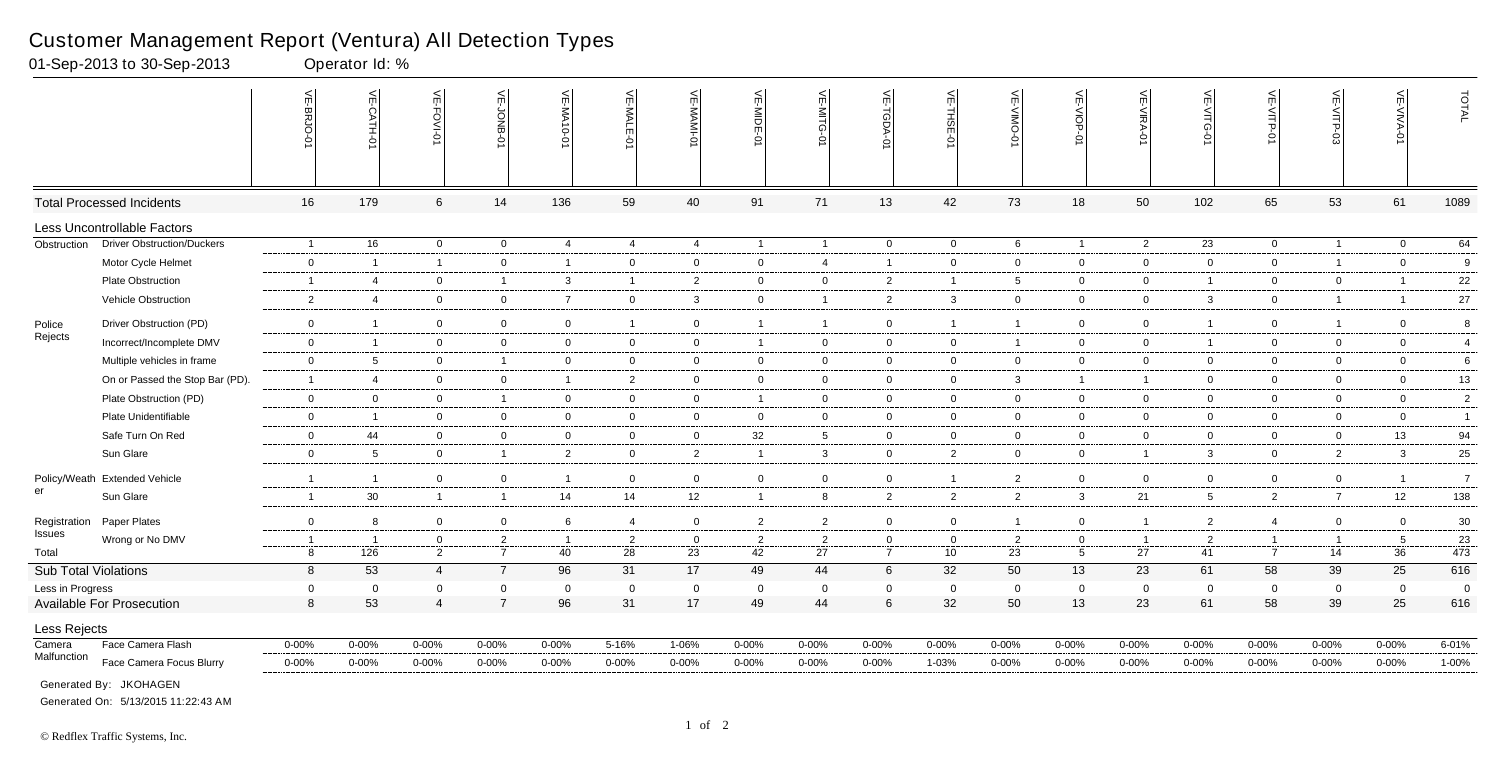VE-VIOP-01 는 VE-MIDE-01 VE-MITG-0 VE-TGDA-0  $\frac{1}{2}$ VE-CATH-01<br>VE-BRJO-01<br>VE-BRJO-01 VE-FOVI-01 VE-FOVI-01 VE-JONB-01 VE-MA10-01 VE-MA10-01 VE-MALE-01 VE-MAMI-01 VE-MAMI-01 VE-MIDE-01 VE-MITG-01 VE-TGDA-01 VE-THSE-01 VE-VIMO-01 VE-VIMO-01 VE-VIOP-01  $\frac{5}{11}$ **MALE** THS -0-BHOC -NIKA-0 ŢП ċ Total Processed Incidents 16 179 6 14 136 59 40 91 71 13 42 73 18 50 102 65 53 61 1089 Less Uncontrollable Factors **Obstruction** Driver Obstruction/Duckers 1 16 0 0 4 4 4 1 1 0 0 6 1 2 23 0 1 0 64 Motor Cycle Helmet 0 1 1 0 1 0 0 0 4 1 0 0 0 0 0 0 1 0 9 Plate Obstruction 1 4 0 1 3 1 2 0 0 2 1 5 0 0 1 0 0 1 22 Vehicle Obstruction 2 4 0 0 7 0 3 0 1 2 3 0 0 0 3 0 1 1 27 Police Driver Obstruction (PD) 0 1 0 0 0 1 0 1 1 0 1 1 0 0 1 0 1 0 8 Rejects Incorrect/Incomplete DMV 0 1 0 0 0 0 0 1 0 0 0 1 0 0 1 0 0 0 4 Multiple vehicles in frame 0 5 0 1 0 0 0 0 0 0 0 0 0 0 0 0 0 0 6 On or Passed the Stop Bar (PD). 1 4 0 0 1 2 0 0 0 0 0 3 1 1 0 0 0 0 13 Plate Obstruction (PD) 0 0 0 1 0 0 0 1 0 0 0 0 0 0 0 0 0 0 2 Plate Unidentifiable 0 1 0 0 0 0 0 0 0 0 0 0 0 0 0 0 0 0 1 Safe Turn On Red 0 44 0 0 0 0 0 32 5 0 0 0 0 0 0 0 0 13 94 Sun Glare 0 5 0 1 2 0 2 1 3 0 2 0 0 1 3 0 2 3 25 Policy/Weath Extended Vehicle Extended Vehicle 1 1 0 0 1 0 0 0 0 0 1 2 0 0 0 0 0 1 7 er Sun Glare 1 30 1 1 14 14 12 1 8 2 2 2 3 21 5 2 7 12 138 Registration Paper Plates Paper Plates 0 8 0 6 4 0 2 2 0 1 0 1 2 4 0 30 Issues Wrong or No DMV 1 1 0 2 1 2 0 2 2 0 0 2 0 1 2 1 1 5 23 Total 8 126 2 7 40 28 23 42 27 7 10 23 5 27 41 7 14 36 473 Sub Total Violations 8 53 4 7 96 31 17 49 44 6 32 50 13 23 61 58 39 25 616 Less in Progress 0 0 0 0 0 0 0 0 0 0 0 0 0 0 0 0 0 0 0 Available For Prosecution 8 53 4 7 96 31 17 49 44 6 32 50 13 23 61 58 39 25 616 Less Rejects Camera Face Camera Flash 0-00% 0-00% 0-00% 0-00% 0-00% 5-16% 1-06% 0-00% 0-00% 0-00% 0-00% 0-00% 0-00% 0-00% 0-00% 0-00% 0-00% 0-00% 6-01% Malfunction Face Camera Focus Blurry 0-00% 0-00% 0-00% 0-00% 0-00% 0-00% 0-00% 0-00% 0-00% 0-00% 1-03% 0-00% 0-00% 0-00% 0-00% 0-00% 0-00% 0-00% 1-00%

#### Customer Management Report (Ventura) All Detection Types

01-Sep-2013 to 30-Sep-2013 Operator Id: %

Face Not in Frame 0-00% 0-00% 1-25% 0-00% 0-00% 0-00% 2-12% 0-00% 0-00% 2-33% 0-00% 0-00% 1-08% 0-00% 2-03% 0-00% 0-00% 0-00% 8-01% Generated By: JKOHAGEN

| ņ<br>RA-01 | VE-VITG-01 | 씆<br>VITP-01 | <<br>ர்<br><ПР<br>Н<br>င္လ် | ←<br>ψi<br>⋚<br>ъ<br>≍ | ГAL  |
|------------|------------|--------------|-----------------------------|------------------------|------|
| 50         | 102        | 65           | 53                          | 61                     | 1089 |

| $\overline{2}$           | $\overline{23}$ | $\overline{0}$ | $\overline{1}$   | $\mathbf 0$    | 64                      |
|--------------------------|-----------------|----------------|------------------|----------------|-------------------------|
| $\mathfrak{c}$           | 0               | 0              | 1                | 0              | 9                       |
| $\overline{)}$           | 1               | 0              | 0                | $\mathbf{1}$   | 22                      |
| $\overline{\phantom{a}}$ | 3               | $\pmb{0}$      | 1                | $\mathbf{1}$   | 27                      |
| J                        | 1               | 0              | 1                | 0              | 8                       |
| $\mathfrak{c}$           | 1               | 0              | 0                | 0              | $\overline{\mathbf{4}}$ |
| $\mathfrak{c}$           | 0               | 0              | $\mathsf 0$      | $\pmb{0}$      | 6                       |
| 1                        | 0               | 0              | 0                | $\mathsf 0$    | 13                      |
| $\mathfrak{c}$           | 0               | 0              | 0                | 0              | $\overline{2}$          |
| $\mathfrak{c}$           | 0               | 0              | 0                | 0              | $\mathbf{1}$            |
| $\mathfrak{c}$           | 0               | 0              | 0                | 13             | 94                      |
| 1                        | 3               | $\pmb{0}$      | $\overline{2}$   | 3              | 25                      |
| $\mathfrak z$            | 0               | 0              | 0                | 1              | $\overline{7}$          |
| 1                        | 5               | $\mathbf 2$    | $\boldsymbol{7}$ | 12             | 138                     |
| 1                        | $\overline{2}$  | $\overline{4}$ | 0                | 0              | $30\,$                  |
| 1                        | $\overline{2}$  | 1              | 1                | 5              | 23                      |
| 7                        | 41              | $\overline{7}$ | 14               | 36             | 473                     |
| $\overline{\mathbf{3}}$  | 61              | 58             | 39               | 25             | 616                     |
| J                        | $\mathbf 0$     | 0              | $\mathbf 0$      | $\overline{0}$ | 0                       |
| $\mathbf{3}$             | 61              | 58             | 39               | 25             | 616                     |
|                          |                 |                |                  |                |                         |
| 6                        | $0 - 00%$       | $0 - 00\%$     | $0 - 00%$        | $0 - 00\%$     | $6 - 01%$               |
|                          | 0.000           | 0.000          | 0.000            | 0.0001         | 1.0001                  |

Generated On: 5/13/2015 11:22:43 AM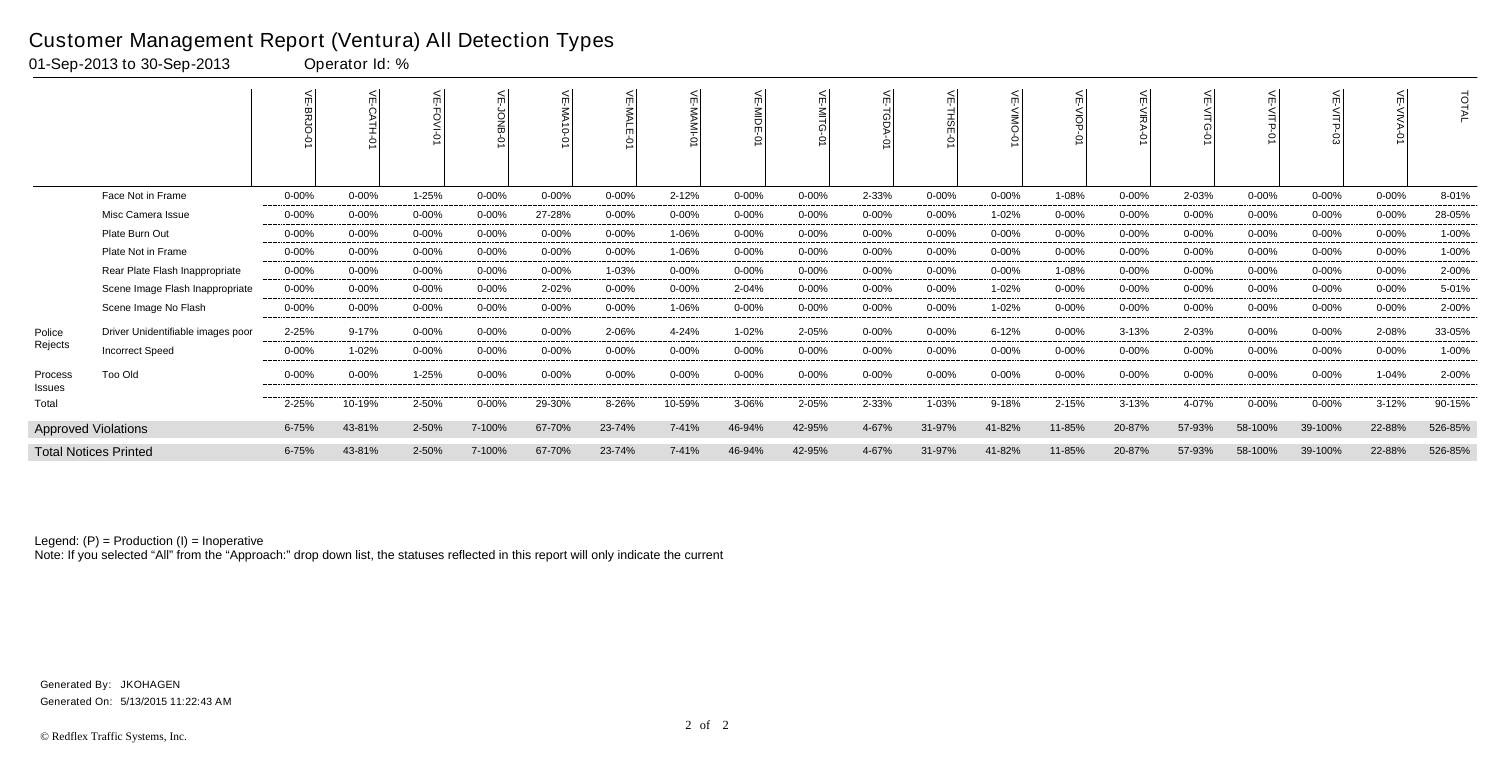|                   |                                   |            | W<br>ò     | ۴          | 늰         | 뷔<br>$0 - 01$ | 븻<br>-MALE |           | 늦<br>i<br>S⊟<br>ġ |            |            | $\leq$<br>젊 |            | п          |            |           | $\leq$     | ₹          |            | <b>TOTAL</b> |
|-------------------|-----------------------------------|------------|------------|------------|-----------|---------------|------------|-----------|-------------------|------------|------------|-------------|------------|------------|------------|-----------|------------|------------|------------|--------------|
|                   | Face Not in Frame                 | $0 - 00%$  | $0 - 00%$  | 1-25%      | 0-00%     | $0 - 00%$     | $0 - 00\%$ | 2-12%     | $0 - 00%$         | $0 - 00\%$ | 2-33%      | $0 - 00%$   | $0 - 00\%$ | 1-08%      | $0 - 00%$  | 2-03%     | $0 - 00%$  | $0 - 00%$  | $0 - 00\%$ | 8-01%        |
|                   | Misc Camera Issue                 | 0-00%      | $0 - 00\%$ | $0 - 00%$  | 0-00%     | 27-28%        | $0 - 00\%$ | $0 - 00%$ | $0 - 00%$         | $0 - 00\%$ | $0 - 00\%$ | $0 - 00%$   | 1-02%      | $0 - 00\%$ | $0 - 00%$  | $0 - 00%$ | $0 - 00\%$ | $0 - 00\%$ | $0 - 00\%$ | 28-05%       |
|                   | Plate Burn Out                    | $0 - 00\%$ | $0 - 00\%$ | $0 - 00%$  | $0 - 00%$ | $0 - 00%$     | $0 - 00\%$ | 1-06%     | $0 - 00%$         | 0-00%      | $0 - 00\%$ | $0 - 00%$   | 0-00%      | $0 - 00\%$ | $0 - 00\%$ | $0 - 00%$ | $0 - 00\%$ | $0 - 00%$  | $0 - 00\%$ | 1-00%        |
|                   | Plate Not in Frame                | $0 - 00\%$ | $0 - 00\%$ | $0 - 00%$  | $0 - 00%$ | $0 - 00%$     | $0 - 00\%$ | 1-06%     | $0 - 00%$         | $0 - 00\%$ | $0 - 00\%$ | $0 - 00%$   | $0 - 00\%$ | $0 - 00\%$ | $0 - 00\%$ | $0 - 00%$ | $0 - 00\%$ | $0 - 00%$  | $0 - 00\%$ | 1-00%        |
|                   | Rear Plate Flash Inappropriate    | $0 - 00%$  | $0 - 00\%$ | $0 - 00%$  | $0 - 00%$ | $0 - 00%$     | 1-03%      | $0 - 00%$ | $0 - 00%$         | 0-00%      | $0 - 00\%$ | $0 - 00%$   | 0-00%      | 1-08%      | $0 - 00\%$ | $0 - 00%$ | $0 - 00%$  | $0 - 00\%$ | $0 - 00%$  | 2-00%        |
|                   | Scene Image Flash Inappropriate   | $0 - 00\%$ | $0 - 00%$  | $0 - 00%$  | 0-00%     | 2-02%         | $0 - 00\%$ | $0 - 00%$ | 2-04%             | $0 - 00\%$ | $0 - 00\%$ | $0 - 00%$   | 1-02%      | $0 - 00\%$ | $0 - 00\%$ | $0 - 00%$ | $0 - 00\%$ | $0 - 00%$  | $0 - 00\%$ | 5-01%        |
|                   | Scene Image No Flash              | $0 - 00\%$ | $0 - 00\%$ | $0 - 00%$  | $0 - 00%$ | $0 - 00%$     | $0 - 00\%$ | 1-06%     | $0 - 00%$         | $0 - 00\%$ | $0 - 00\%$ | $0 - 00%$   | 1-02%      | $0 - 00\%$ | 0-00%      | $0 - 00%$ | $0 - 00%$  | $0 - 00%$  | $0 - 00\%$ | 2-00%        |
| Police            | Driver Unidentifiable images poor | 2-25%      | $9 - 17%$  | $0 - 00\%$ | $0 - 00%$ | $0 - 00%$     | 2-06%      | 4-24%     | 1-02%             | 2-05%      | $0 - 00\%$ | $0 - 00%$   | $6 - 12%$  | $0 - 00\%$ | $3 - 13%$  | 2-03%     | $0 - 00\%$ | $0 - 00%$  | 2-08%      | 33-05%       |
| Rejects           | <b>Incorrect Speed</b>            | 0-00%      | 1-02%      | $0 - 00%$  | $0 - 00%$ | $0 - 00%$     | $0 - 00%$  | $0 - 00%$ | $0 - 00%$         | $0 - 00%$  | $0 - 00\%$ | $0 - 00%$   | 0-00%      | $0 - 00\%$ | $0 - 00%$  | $0 - 00%$ | $0 - 00%$  | $0 - 00\%$ | $0 - 00%$  | 1-00%        |
| Process<br>Issues | Too Old                           | 0-00%      | $0 - 00%$  | 1-25%      | $0 - 00%$ | $0 - 00%$     | $0 - 00\%$ | $0 - 00%$ | $0 - 00%$         | $0 - 00\%$ | $0 - 00\%$ | $0 - 00%$   | 0-00%      | $0 - 00\%$ | $0 - 00%$  | $0 - 00%$ | $0 - 00\%$ | $0 - 00%$  | 1-04%      | 2-00%        |
| Total             |                                   | 2-25%      | 10-19%     | 2-50%      | $0 - 00%$ | 29-30%        | 8-26%      | 10-59%    | 3-06%             | 2-05%      | 2-33%      | 1-03%       | 9-18%      | 2-15%      | $3 - 13%$  | 4-07%     | $0 - 00\%$ | $0 - 00\%$ | $3 - 12%$  | 90-15%       |
|                   | <b>Approved Violations</b>        | $6 - 75%$  | 43-81%     | 2-50%      | 7-100%    | 67-70%        | 23-74%     | 7-41%     | 46-94%            | 42-95%     | 4-67%      | 31-97%      | 41-82%     | 11-85%     | 20-87%     | 57-93%    | 58-100%    | 39-100%    | 22-88%     | 526-85%      |
|                   | <b>Total Notices Printed</b>      | $6 - 75%$  | 43-81%     | 2-50%      | 7-100%    | 67-70%        | 23-74%     | $7 - 41%$ | 46-94%            | 42-95%     | 4-67%      | 31-97%      | 41-82%     | 11-85%     | 20-87%     | 57-93%    | 58-100%    | 39-100%    | 22-88%     | 526-85%      |

Note: If you selected "All" from the "Approach:" drop down list, the statuses reflected in this report will only indicate the current

### Customer Management Report (Ventura) All Detection Types

01-Sep-2013 to 30-Sep-2013 Operator Id: %

Generated On: 5/13/2015 11:22:43 AM Generated By: JKOHAGEN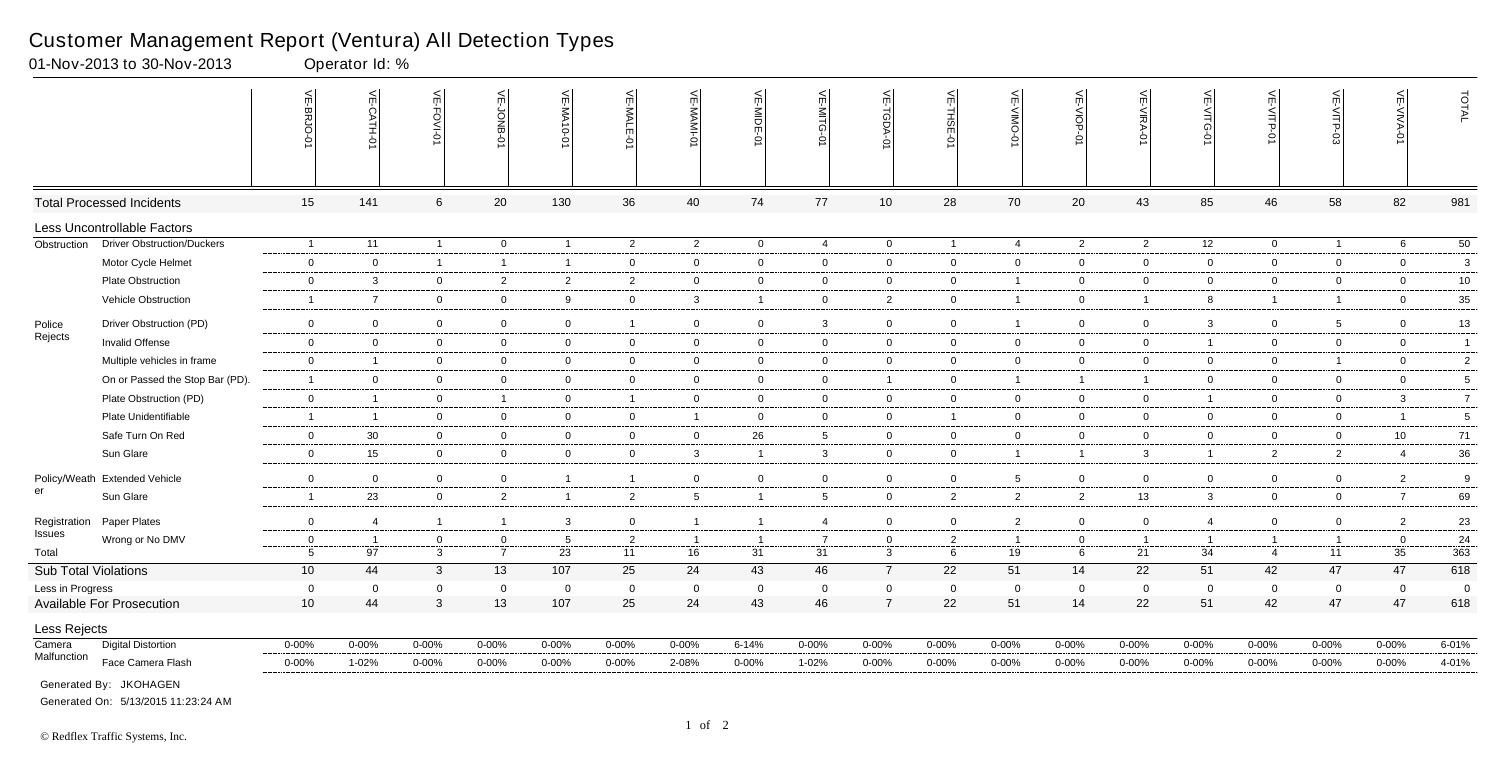|                             |                                   | 듯                              | $\frac{1}{2}$<br>Ò<br><b>ATH-0</b> | VE-FOVI-0                   | $\leq$<br>δ                      | VE-MA<br>$-0-0$         | VE-MALE<br>ò         | VE-MAMI              | VE-MIDE-01              | VE-MITG-<br>ь        | VE-TGDA-0                   | VE-THSE-01          | VE-VIMO-0            | VE-VIOP-07       | VE-VIRA-01           | $\widetilde{\mathbb{F}}$<br>-VITG<br>Ò | VE-VITP-01                       | VE-VITP              | VE-VIVA           | TOTAL          |
|-----------------------------|-----------------------------------|--------------------------------|------------------------------------|-----------------------------|----------------------------------|-------------------------|----------------------|----------------------|-------------------------|----------------------|-----------------------------|---------------------|----------------------|------------------|----------------------|----------------------------------------|----------------------------------|----------------------|-------------------|----------------|
|                             | <b>Total Processed Incidents</b>  | 15                             | 141                                | 6                           | 20                               | 130                     | 36                   | 40                   | 74                      | 77                   | 10                          | 28                  | 70                   | 20               | 43                   | 85                                     | 46                               | 58                   | 82                | 981            |
|                             | Less Uncontrollable Factors       |                                |                                    |                             |                                  |                         |                      |                      |                         |                      |                             |                     |                      |                  |                      |                                        |                                  |                      |                   |                |
| Obstruction                 | <b>Driver Obstruction/Duckers</b> | $\overline{1}$                 | 11                                 | $\overline{1}$              | $\overline{0}$                   | $\overline{1}$          | 2                    | $\overline{2}$       | $\overline{0}$          | $\overline{4}$       | $\overline{0}$              | $\overline{1}$      | $\overline{4}$       | $\overline{2}$   | $\overline{2}$       | 12                                     | $\overline{0}$                   | $\overline{1}$       | 6                 | 50             |
|                             | Motor Cycle Helmet                | $\mathbf 0$                    | $\mathbf 0$                        | $\overline{1}$              | $\overline{1}$                   | $\overline{\mathbf{1}}$ | $\mathbf 0$          | $\overline{0}$       | $\mathbf 0$             | $\overline{0}$       | $\mathbf 0$                 | $\overline{0}$      | $\mathbf 0$          | $\mathbf 0$      | $\mathbf 0$          | $\mathbf 0$                            | $\overline{0}$                   | $\mathbf 0$          | $\mathbf 0$       | $\mathbf{3}$   |
|                             | <b>Plate Obstruction</b>          | $\mathbf 0$                    | 3                                  | $\mathbf 0$                 | $\overline{2}$                   | $\overline{2}$          | $\overline{2}$       | $\overline{0}$       | $\mathbf 0$             | $\overline{0}$       | $\overline{0}$              | $\overline{0}$      | $\mathbf{1}$         | $\mathbf 0$      | $\mathbf 0$          | $\overline{0}$                         | $\overline{0}$                   | $\mathbf 0$          | $\overline{0}$    | 10             |
|                             | Vehicle Obstruction               | -1                             | $\overline{7}$                     | $\overline{0}$              | $\overline{0}$                   | 9                       | $\mathbf{0}$         | $\mathbf{3}$         | $\overline{1}$          | $\overline{0}$       | $\overline{2}$              | $\overline{0}$      | $\mathbf{1}$         | $\overline{0}$   | $\overline{1}$       | 8                                      | $\overline{1}$                   | $\overline{1}$       | $\mathbf 0$       | 35             |
| Police                      | Driver Obstruction (PD)           | $\overline{0}$                 | $\overline{0}$                     | $\overline{0}$              | $\mathbf 0$                      | $\overline{0}$          | $\mathbf{1}$         | $\mathbf 0$          | $\mathbf 0$             | $\mathbf{3}$         | $\mathbf 0$                 | $\overline{0}$      | $\mathbf{1}$         | $\overline{0}$   | $\mathbf 0$          | 3                                      | $\overline{0}$                   | 5                    | $\overline{0}$    | 13             |
| Rejects                     | <b>Invalid Offense</b>            | $\mathbf 0$                    | $\overline{0}$                     | $\overline{0}$              | $\overline{0}$                   | $\mathbf 0$             | $\overline{0}$       | $\overline{0}$       | $\mathbf 0$             | $\overline{0}$       | $\overline{0}$              | $\overline{0}$      | $\mathbf 0$          | $\overline{0}$   | $\mathbf 0$          | $\overline{1}$                         | $\overline{0}$                   | $\mathbf 0$          | $\overline{0}$    | $\overline{1}$ |
|                             | Multiple vehicles in frame        | $\mathbf 0$                    | $\overline{1}$                     | $\mathbf 0$                 | $\mathbf 0$                      | $\mathbf{0}$            | $\mathbf{0}$         | $\mathbf 0$          | $\mathbf 0$             | $\overline{0}$       | $\mathbf 0$                 | $\overline{0}$      | $\mathbf 0$          | $\mathbf 0$      | $\mathbf 0$          | $\mathbf 0$                            | $\overline{0}$                   | $\overline{1}$       | $\mathbf 0$       | $\overline{2}$ |
|                             | On or Passed the Stop Bar (PD).   | $\overline{\phantom{1}}$       | $\overline{0}$                     | $\overline{0}$              | $\overline{0}$                   | $\mathbf 0$             | $\mathbf{0}$         | $\overline{0}$       | $\mathbf 0$             | $\overline{0}$       | $\mathbf{1}$                | $\overline{0}$      | $\mathbf{1}$         | $\overline{1}$   | $\overline{1}$       | $\overline{0}$                         | $\overline{0}$                   | $\overline{0}$       | $\overline{0}$    | 5              |
|                             | Plate Obstruction (PD)            | $\mathbf 0$                    | $\overline{1}$                     | $\mathbf 0$                 | $\overline{1}$                   | $\mathbf{0}$            | $\mathbf{1}$         | $\overline{0}$       | $\mathbf 0$             | $\overline{0}$       | $\overline{0}$              | $\overline{0}$      | $\mathbf 0$          | $\overline{0}$   | $\mathbf 0$          | $\overline{1}$                         | $\overline{0}$                   | $\mathbf 0$          | $\mathbf{3}$      | $\overline{7}$ |
|                             | Plate Unidentifiable              | $\overline{\mathbf{1}}$        | $\overline{1}$                     | $\overline{0}$              | $\overline{0}$                   | $\mathbf{0}$            | $\mathbf{0}$         | $\overline{1}$       | $\mathbf 0$             | $\overline{0}$       | $\overline{0}$              | $\overline{1}$      | $\mathbf{0}$         | $\overline{0}$   | $\overline{0}$       | $\mathbf 0$                            | $\overline{0}$                   | $\mathbf 0$          | $\overline{1}$    | $\sqrt{5}$     |
|                             | Safe Turn On Red                  | $\mathbf 0$                    | 30                                 | $\mathbf 0$                 | $\mathbf 0$                      | 0                       | $\mathbf{0}$         | $\overline{0}$       | 26                      | $5^{\circ}$          | $\mathbf{0}$                | $\overline{0}$      | $\mathbf{0}$         | $\overline{0}$   | $\mathbf 0$          | $\mathbf 0$                            | $\overline{0}$                   | $\mathbf 0$          | 10                | $71$           |
|                             | Sun Glare                         | $\mathbf 0$                    | 15                                 | $\overline{0}$              | $\overline{0}$                   | $\mathbf 0$             | $\overline{0}$       | $\mathbf{3}$         | $\overline{\mathbf{1}}$ | $\mathbf{3}$         | $\overline{0}$              | $\overline{0}$      | $\mathbf{1}$         | $\overline{1}$   | $\mathbf{3}$         | $\overline{1}$                         | $2^{\circ}$                      | $\overline{2}$       | $\overline{4}$    | 36             |
|                             | Policy/Weath Extended Vehicle     | $\mathbf 0$                    | $\overline{0}$                     | $\mathbf 0$                 | $\overline{0}$                   | $\overline{\mathbf{1}}$ | $\mathbf{1}$         | $\overline{0}$       | $\overline{0}$          | $\overline{0}$       | $\overline{0}$              | $\overline{0}$      | $5^{\circ}$          | $\mathbf 0$      | $\mathbf 0$          | $\mathbf 0$                            | $\mathbf 0$                      | $\mathbf 0$          | $\overline{2}$    | 9              |
| er                          | Sun Glare                         | $\overline{1}$                 | 23                                 | $\overline{0}$              | $\overline{2}$                   | - 1                     | $\overline{2}$       | $5\overline{5}$      | -1                      | $5^{\circ}$          | $\mathbf{0}$                | $\overline{2}$      | $\overline{2}$       | $\overline{2}$   | 13                   | 3                                      | $\overline{0}$                   | $\overline{0}$       | $\overline{7}$    | 69             |
|                             |                                   |                                |                                    |                             |                                  |                         |                      |                      |                         |                      |                             |                     |                      |                  |                      |                                        |                                  |                      |                   |                |
| Registration<br>Issues      | Paper Plates                      | $\overline{0}$                 | 4                                  | $\overline{1}$              | $\overline{1}$                   | 3                       | $\overline{0}$       | $\overline{1}$       | -1                      | $\overline{4}$       | $\overline{0}$              | $\overline{0}$      | $\overline{2}$       | $\mathbf 0$      | $\mathbf 0$          | $\overline{4}$                         | $\overline{0}$                   | $\mathbf 0$          | $\overline{2}$    | 23             |
| Total                       | Wrong or No DMV                   | $\mathbf 0$<br>$5\phantom{.0}$ | $\overline{1}$<br>97               | $\mathbf 0$<br>$\mathbf{3}$ | $\overline{0}$<br>$\overline{7}$ | 5<br>23                 | $\overline{2}$<br>11 | $\overline{1}$<br>16 | $\overline{1}$<br>31    | $\overline{7}$<br>31 | $\mathbf 0$<br>$\mathbf{3}$ | $\overline{2}$<br>6 | $\overline{1}$<br>19 | $\mathbf 0$<br>6 | $\overline{1}$<br>21 | $\overline{1}$<br>34                   | $\overline{1}$<br>$\overline{4}$ | $\overline{1}$<br>11 | $\mathbf 0$<br>35 | 24<br>363      |
| <b>Sub Total Violations</b> |                                   | 10 <sup>°</sup>                | 44                                 | $\mathbf{3}$                | 13                               | 107                     | 25                   | 24                   | 43                      | 46                   | $\overline{7}$              | 22                  | 51                   | 14               | 22                   | 51                                     | 42                               | 47                   | 47                | 618            |
| Less in Progress            |                                   | $\mathbf 0$                    | $\overline{0}$                     | $\Omega$                    | $\mathbf 0$                      | $\Omega$                | $\mathbf{0}$         | $\overline{0}$       | $\mathbf 0$             | $\overline{0}$       | $\mathbf 0$                 | $\overline{0}$      | $\Omega$             | $\mathbf 0$      | $\Omega$             | $\mathbf 0$                            | $\mathbf 0$                      | $\mathbf 0$          | $\overline{0}$    | $\overline{0}$ |
|                             | <b>Available For Prosecution</b>  | 10 <sup>1</sup>                | 44                                 | $\mathbf{3}$                | 13                               | 107                     | 25                   | 24                   | 43                      | 46                   | $\overline{7}$              | 22                  | 51                   | 14               | 22                   | 51                                     | 42                               | 47                   | 47                | 618            |
| Less Rejects                |                                   |                                |                                    |                             |                                  |                         |                      |                      |                         |                      |                             |                     |                      |                  |                      |                                        |                                  |                      |                   |                |
| Camera                      | <b>Digital Distortion</b>         | $0 - 00%$                      | $0 - 00%$                          | $0 - 00\%$                  | $0 - 00%$                        | $0 - 00%$               | $0 - 00\%$           | $0 - 00\%$           | $6 - 14%$               | $0 - 00%$            | $0 - 00\%$                  | $0 - 00%$           | $0 - 00%$            | $0 - 00%$        | $0 - 00\%$           | $0 - 00%$                              | $0 - 00%$                        | $0 - 00\%$           | $0 - 00\%$        | $6 - 01%$      |
| Malfunction                 | Face Camera Flash                 | $0 - 00\%$                     | 1-02%                              | $0 - 00%$                   | $0 - 00%$                        | $0 - 00%$               | $0 - 00\%$           | 2-08%                | $0 - 00%$               | 1-02%                | 0-00%                       | $0 - 00%$           | $0 - 00%$            | $0 - 00%$        | $0 - 00\%$           | $0 - 00%$                              | 0-00%                            | $0 - 00\%$           | $0 - 00\%$        | 4-01%          |
|                             | Generated By: JKOHAGEN            |                                |                                    |                             |                                  |                         |                      |                      |                         |                      |                             |                     |                      |                  |                      |                                        |                                  |                      |                   |                |

01-Nov-2013 to 30-Nov-2013 Operator Id: %

Generated On: 5/13/2015 11:23:24 AM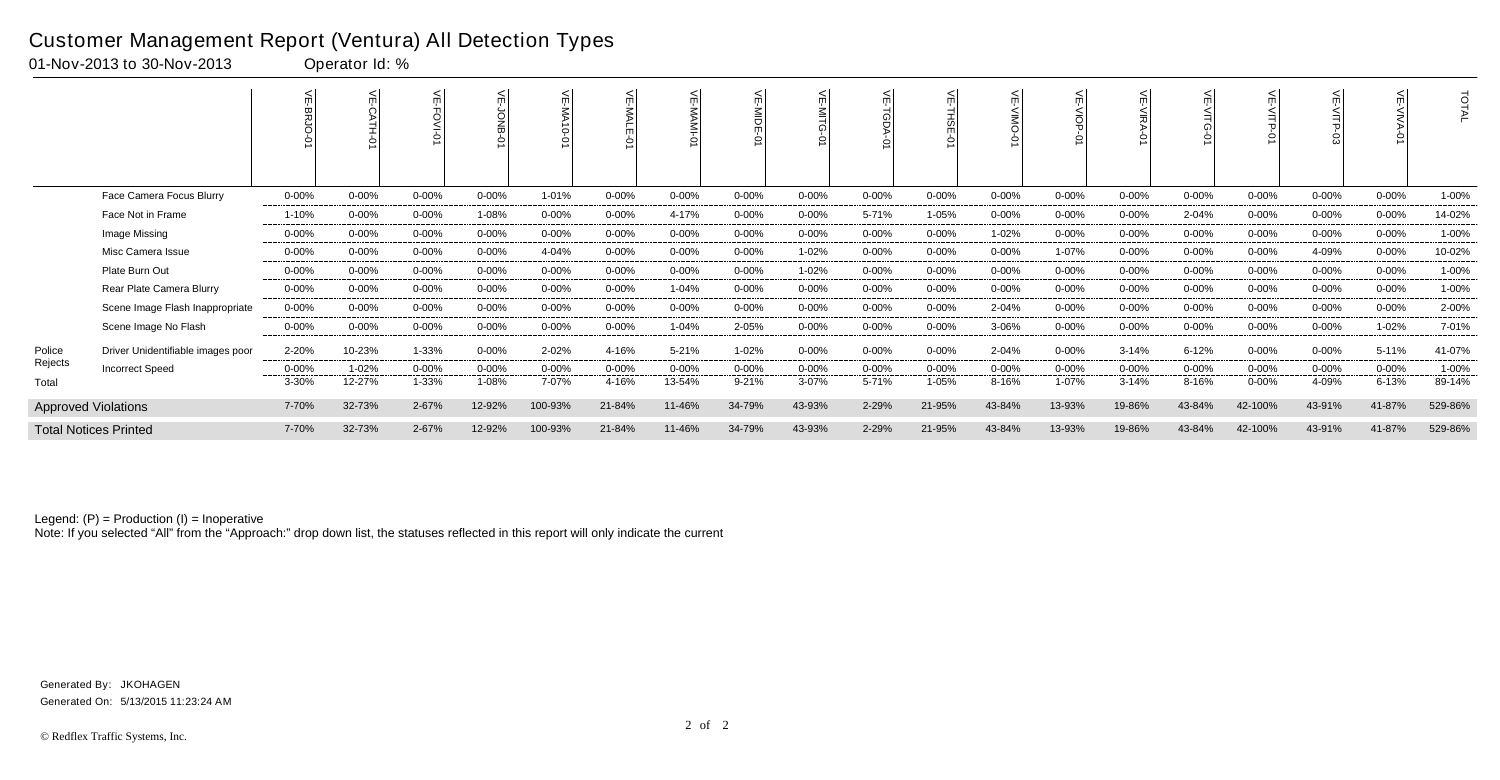| 01-Nov-2013 to 30-Nov-2013      |            | Operator Id: % |           |            |            |            |            |            |            |            |           |            |            |            |           |            |            |            |        |
|---------------------------------|------------|----------------|-----------|------------|------------|------------|------------|------------|------------|------------|-----------|------------|------------|------------|-----------|------------|------------|------------|--------|
|                                 |            |                |           |            |            |            |            |            |            | ∖⊟         |           |            |            |            |           |            |            |            |        |
| Face Camera Focus Blurry        | $0 - 00\%$ | $0 - 00\%$     | $0 - 00%$ | $0 - 00\%$ | 1-01%      | $0 - 00\%$ | $0 - 00\%$ | $0 - 00\%$ | $0 - 00\%$ | $0 - 00\%$ | $0 - 00%$ | $0 - 00\%$ | $0 - 00\%$ | $0 - 00\%$ | 0-00%     | $0 - 00\%$ | $0 - 00%$  | $0 - 00\%$ | 1-00%  |
| Face Not in Frame               | 1-10%      | $0 - 00%$      | $0 - 00%$ | 1-08%      | 0-00%      | $0 - 00\%$ | 4-17%      | $0 - 00\%$ | 0-00%      | 5-71%      | 1-05%     | 0-00%      | $0 - 00\%$ | $0 - 00%$  | 2-04%     | $0 - 00\%$ | 0-00%      | $0 - 00\%$ | 14-02% |
| Image Missing                   | 0-00%      | $0 - 00\%$     | $0 - 00%$ | $0 - 00%$  | 0-00%      | $0 - 00\%$ | $0 - 00\%$ | $0 - 00\%$ | 0-00%      | $0 - 00\%$ | $0 - 00%$ | 1-02%      | $0 - 00\%$ | $0 - 00%$  | 0-00%     | $0 - 00\%$ | $0 - 00\%$ | $0 - 00\%$ | 1-00%  |
| Misc Camera Issue               | 0-00%      | $0 - 00%$      | $0 - 00%$ | $0 - 00\%$ | 4-04%      | $0 - 00\%$ | 0-00%      | $0 - 00\%$ | 1-02%      | $0 - 00\%$ | $0 - 00%$ | 0-00%      | 1-07%      | $0 - 00\%$ | 0-00%     | $0 - 00\%$ | 4-09%      | $0 - 00\%$ | 10-02% |
| Plate Burn Out                  | 0-00%      | 0-00%          | $0 - 00%$ | $0 - 00\%$ | $0 - 00\%$ | $0 - 00%$  | $0 - 00\%$ | $0 - 00\%$ | 1-02%      | $0 - 00\%$ | $0 - 00%$ | 0-00%      | $0 - 00\%$ | $0 - 00\%$ | 0-00%     | $0 - 00\%$ | $0 - 00%$  | $0 - 00%$  | 1-00%  |
| Rear Plate Camera Blurry        | 0-00%      | 0-00%          | $0 - 00%$ | $0 - 00\%$ | 0-00%      | $0 - 00\%$ | 1-04%      | $0 - 00\%$ | 0-00%      | $0 - 00\%$ | $0 - 00%$ | 0-00%      | $0 - 00\%$ | $0 - 00\%$ | 0-00%     | $0 - 00\%$ | 0-00%      | $0 - 00\%$ | 1-00%  |
| Scene Image Flash Inappropriate | $0 - 00\%$ | $0 - 00\%$     | 0-00%     | 0-00%      | $0 - 00\%$ | $0 - 00\%$ | $0 - 00\%$ | $0 - 00%$  | $0 - 00%$  | $0 - 00%$  | $0 - 00%$ | 2-04%      | $0 - 00\%$ | $0 - 00\%$ | $0 - 00%$ | $0 - 00\%$ | $0 - 00%$  | $0 - 00\%$ | 2-00%  |
|                                 |            |                |           |            |            |            |            |            |            |            |           |            |            |            |           |            |            |            |        |

Police Rejects

Approved Violations Total Notices Printed

Note: If you selected "All" from the "Approach:" drop down list, the statuses reflected in this report will only indicate the current

#### Customer Management Report (Ventura) All Detection Types

|         |                                   |           |            | ¥         | 읒         |            | ¥          | 닞<br>$\circ$ |            | ¥<br>$\circ$ | 늰          |            | $\leq$     | 늰<br>$\frac{5}{\circ}$<br>$\circ$ |            | ਜ          | F          |            | ⋦          | <b>TOTAL</b> |
|---------|-----------------------------------|-----------|------------|-----------|-----------|------------|------------|--------------|------------|--------------|------------|------------|------------|-----------------------------------|------------|------------|------------|------------|------------|--------------|
|         | Face Camera Focus Blurry          | $0 - 00%$ | $0 - 00\%$ | $0 - 00%$ | $0 - 00%$ | 1-01%      | $0 - 00\%$ | 0-00%        | $0 - 00%$  | $0 - 00\%$   | $0 - 00%$  | $0 - 00%$  | $0 - 00%$  | $0 - 00%$                         | $0 - 00\%$ | 0-00%      | $0 - 00%$  | $0 - 00%$  | $0 - 00\%$ | 1-00%        |
|         | Face Not in Frame                 | 1-10%     | $0 - 00\%$ | $0 - 00%$ | 1-08%     | $0 - 00\%$ | $0 - 00\%$ | 4-17%        | $0 - 00%$  | $0 - 00\%$   | 5-71%      | 1-05%      | $0 - 00\%$ | $0 - 00\%$                        | $0 - 00\%$ | 2-04%      | $0 - 00\%$ | $0 - 00%$  | $0 - 00\%$ | 14-02%       |
|         | Image Missing                     | $0 - 00%$ | $0 - 00%$  | 0-00%     | $0 - 00%$ | $0 - 00%$  | $0 - 00\%$ | $0 - 00%$    | $0 - 00%$  | $0 - 00\%$   | $0 - 00%$  | $0 - 00%$  | 1-02%      | $0 - 00%$                         | $0 - 00\%$ | $0 - 00%$  | $0 - 00%$  | $0 - 00%$  | $0 - 00\%$ | 1-00%        |
|         | Misc Camera Issue                 | $0 - 00%$ | $0 - 00%$  | $0 - 00%$ | $0 - 00%$ | 4-04%      | $0 - 00\%$ | $0 - 00%$    | $0 - 00\%$ | 1-02%        | $0 - 00\%$ | $0 - 00\%$ | $0 - 00\%$ | 1-07%                             | $0 - 00\%$ | $0 - 00\%$ | $0 - 00\%$ | 4-09%      | $0 - 00\%$ | 10-02%       |
|         | Plate Burn Out                    | $0 - 00%$ | $0 - 00%$  | $0 - 00%$ | $0 - 00%$ | $0 - 00%$  | $0 - 00\%$ | $0 - 00%$    | 0-00%      | 1-02%        | $0 - 00%$  | $0 - 00%$  | $0 - 00%$  | $0 - 00\%$                        | $0 - 00\%$ | 0-00%      | $0 - 00%$  | $0 - 00%$  | $0 - 00\%$ | 1-00%        |
|         | Rear Plate Camera Blurry          | $0 - 00%$ | 0-00%      | 0-00%     | $0 - 00%$ | $0 - 00\%$ | 0-00%      | 1-04%        | $0 - 00\%$ | $0 - 00%$    | $0 - 00%$  | $0 - 00\%$ | $0 - 00%$  | $0 - 00\%$                        | $0 - 00\%$ | $0 - 00\%$ | $0 - 00%$  | $0 - 00%$  | $0 - 00\%$ | 1-00%        |
|         | Scene Image Flash Inappropriate   | $0 - 00%$ | $0 - 00\%$ | 0-00%     | $0 - 00%$ | $0 - 00\%$ | 0-00%      | 0-00%        | $0 - 00%$  | $0 - 00\%$   | 0-00%      | $0 - 00%$  | 2-04%      | 0-00%                             | $0 - 00\%$ | 0-00%      | 0-00%      | $0 - 00\%$ | 0-00%      | 2-00%        |
|         | Scene Image No Flash              | $0 - 00%$ | $0 - 00\%$ | $0 - 00%$ | $0 - 00%$ | $0 - 00\%$ | $0 - 00\%$ | 1-04%        | 2-05%      | $0 - 00\%$   | $0 - 00%$  | $0 - 00%$  | 3-06%      | $0 - 00\%$                        | $0 - 00%$  | 0-00%      | $0 - 00\%$ | $0 - 00%$  | 1-02%      | 7-01%        |
| Police  | Driver Unidentifiable images poor | 2-20%     | 10-23%     | $1 - 33%$ | $0 - 00%$ | 2-02%      | 4-16%      | 5-21%        | $1 - 02%$  | $0 - 00\%$   | 0-00%      | $0 - 00%$  | 2-04%      | $0 - 00\%$                        | $3 - 14%$  | $6 - 12%$  | $0 - 00\%$ | $0 - 00%$  | 5-11%      | 41-07%       |
| Rejects | <b>Incorrect Speed</b>            | $0 - 00%$ | 1-02%      | $0 - 00%$ | $0 - 00%$ | $0 - 00\%$ | $0 - 00\%$ | $0 - 00%$    | 0-00%      | $0 - 00%$    | $0 - 00\%$ | $0 - 00%$  | $0 - 00%$  | $0 - 00\%$                        | $0 - 00%$  | $0 - 00%$  | $0 - 00\%$ | $0 - 00%$  | $0 - 00%$  | 1-00%        |
| Total   |                                   | 3-30%     | 12-27%     | 1-33%     | 1-08%     | 7-07%      | 4-16%      | 13-54%       | $9 - 21%$  | $3 - 07%$    | 5-71%      | 1-05%      | 8-16%      | 1-07%                             | $3 - 14%$  | 8-16%      | $0 - 00%$  | 4-09%      | $6 - 13%$  | 89-14%       |
|         | <b>Approved Violations</b>        | 7-70%     | 32-73%     | 2-67%     | 12-92%    | 100-93%    | 21-84%     | 11-46%       | 34-79%     | 43-93%       | 2-29%      | 21-95%     | 43-84%     | 13-93%                            | 19-86%     | 43-84%     | 42-100%    | 43-91%     | 41-87%     | 529-86%      |
|         | <b>Total Notices Printed</b>      | 7-70%     | 32-73%     | 2-67%     | 12-92%    | 100-93%    | 21-84%     | 11-46%       | 34-79%     | 43-93%       | 2-29%      | 21-95%     | 43-84%     | 13-93%                            | 19-86%     | 43-84%     | 42-100%    | 43-91%     | 41-87%     | 529-86%      |

Generated On: 5/13/2015 11:23:24 AM Generated By: JKOHAGEN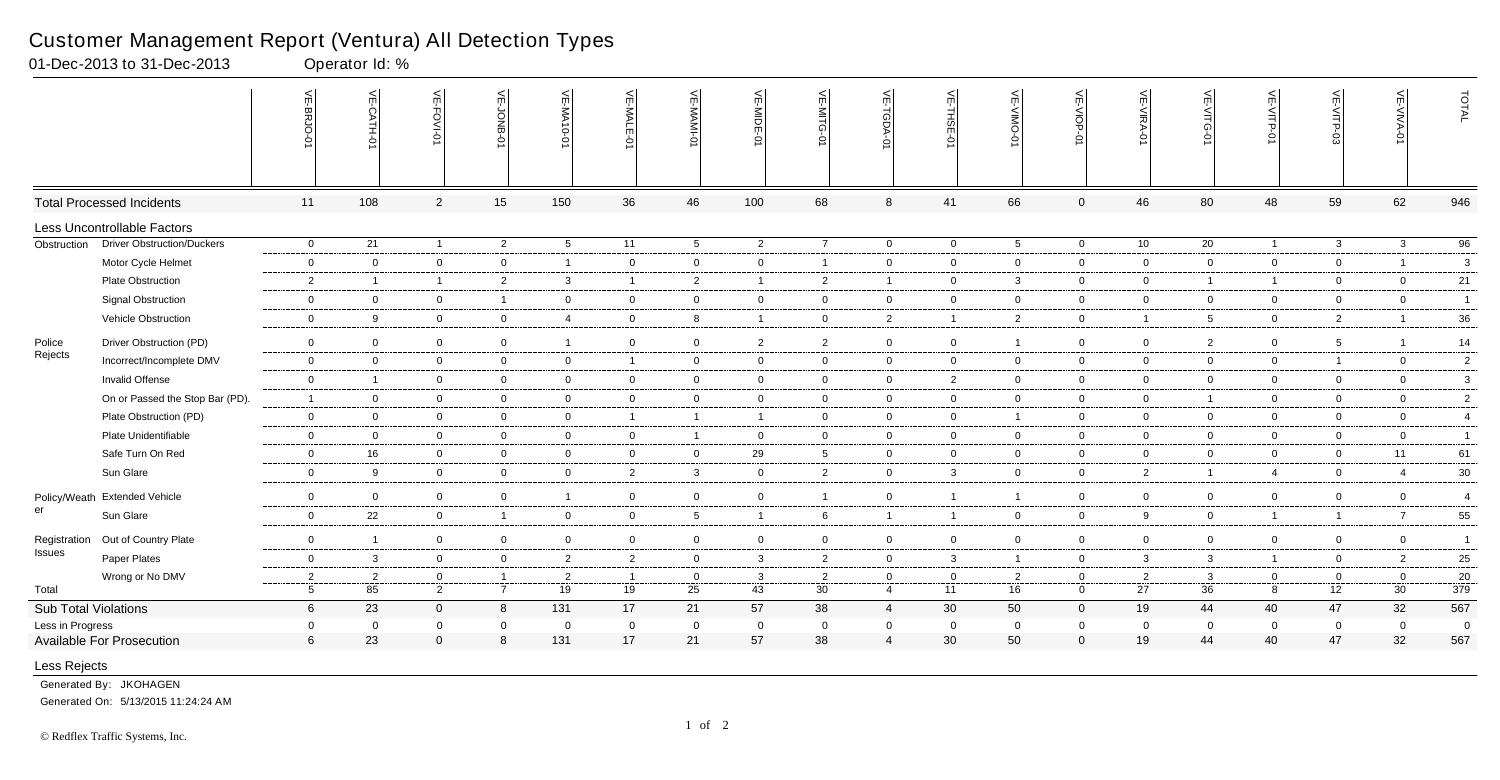|                             |                                   | VE-BRJO-0       | VE-CATH-01              | VE-FOVI-01     | VE-JONB-<br>Ö۱ | VE-MA10-01              | VE-MALE<br>ò   | VE-MAMI         | VE-MIDE-01               | $\leq$<br>-MITG | VE-TGDA-0      | VE-THSE-01     | VE-VIMO-01     | VE-VIOP-0      | VE-VIRA-01     | 늦<br>:-VITG<br>ò | VE-VITP-<br>ò  | VE-VITP-03      | VE-VIVA-0      | TOTAL           |
|-----------------------------|-----------------------------------|-----------------|-------------------------|----------------|----------------|-------------------------|----------------|-----------------|--------------------------|-----------------|----------------|----------------|----------------|----------------|----------------|------------------|----------------|-----------------|----------------|-----------------|
|                             | <b>Total Processed Incidents</b>  | 11              | 108                     | $\overline{2}$ | 15             | 150                     | 36             | 46              | 100                      | 68              | 8              | 41             | 66             | $\overline{0}$ | 46             | 80               | 48             | 59              | 62             | 946             |
|                             | Less Uncontrollable Factors       |                 |                         |                |                |                         |                |                 |                          |                 |                |                |                |                |                |                  |                |                 |                |                 |
| Obstruction                 | <b>Driver Obstruction/Duckers</b> | $\overline{0}$  | 21                      | $\overline{1}$ | $\overline{2}$ | $5\overline{)}$         | 11             | $5\overline{)}$ | $\overline{2}$           | $\overline{7}$  | $\overline{0}$ | $\overline{0}$ | 5 <sub>5</sub> | $\overline{0}$ | 10             | $\overline{20}$  | $\overline{1}$ | $\mathbf{3}$    | $\mathbf{3}$   | $\overline{96}$ |
|                             | Motor Cycle Helmet                | $\mathbf 0$     | $\overline{0}$          | $\overline{0}$ | $\mathbf{0}$   | $\overline{\mathbf{1}}$ | $\overline{0}$ | $\overline{0}$  | $\overline{0}$           | $\mathbf{1}$    | $\overline{0}$ | $\overline{0}$ | $\mathbf{0}$   | $\overline{0}$ | $\overline{0}$ | $\overline{0}$   | $\overline{0}$ | $\overline{0}$  | $\overline{1}$ | $\mathbf{3}$    |
|                             | <b>Plate Obstruction</b>          | $\overline{c}$  | $\overline{\mathbf{1}}$ | $\overline{1}$ | $\overline{2}$ | $\mathbf{3}$            | $\overline{1}$ | $\overline{2}$  | $\overline{\phantom{0}}$ | $\overline{2}$  | $\overline{1}$ | $\overline{0}$ | $\mathbf{3}$   | $\overline{0}$ | $\mathbf 0$    | $\overline{1}$   | $\mathbf{1}$   | $\mathbf{0}$    | $\overline{0}$ | 21              |
|                             | <b>Signal Obstruction</b>         | $\mathbf 0$     | $\overline{0}$          | $\mathbf 0$    | $\overline{1}$ | $\mathbf 0$             | $\overline{0}$ | $\overline{0}$  | $\mathbf 0$              | $\overline{0}$  | $\mathbf{0}$   | $\overline{0}$ | $\mathbf 0$    | $\overline{0}$ | $\mathbf 0$    | 0                | $\overline{0}$ | $\mathbf 0$     | $\overline{0}$ | $\overline{1}$  |
|                             | Vehicle Obstruction               | $\mathbf 0$     | 9                       | $\mathbf 0$    | $\overline{0}$ | $\overline{4}$          | $\mathbf 0$    | 8               | $\overline{1}$           | $\overline{0}$  | $\overline{2}$ | $\overline{1}$ | $2^{\circ}$    | $\overline{0}$ | $\overline{1}$ | $5\overline{5}$  | $\overline{0}$ | $\overline{2}$  | $\overline{1}$ | 36              |
| Police                      | Driver Obstruction (PD)           | $\overline{0}$  | $\mathbf 0$             | $\overline{0}$ | $\overline{0}$ | $\overline{\mathbf{1}}$ | $\overline{0}$ | $\overline{0}$  | $\overline{2}$           | $\overline{2}$  | $\overline{0}$ | $\overline{0}$ | $\mathbf{1}$   | $\overline{0}$ | $\overline{0}$ | $\overline{2}$   | $\overline{0}$ | $5\overline{5}$ |                | 14              |
| Rejects                     | Incorrect/Incomplete DMV          | $\mathbf 0$     | $\mathbf 0$             | $\overline{0}$ | $\overline{0}$ | $\mathbf 0$             | $\overline{1}$ | $\overline{0}$  | $\overline{0}$           | $\overline{0}$  | $\overline{0}$ | $\overline{0}$ | $\mathbf 0$    | $\mathbf 0$    | $\mathbf 0$    | $\mathbf 0$      | $\overline{0}$ | $\overline{1}$  | $\overline{0}$ | $\overline{2}$  |
|                             | <b>Invalid Offense</b>            | $\mathbf 0$     | -1                      | $\overline{0}$ | $\overline{0}$ | $\overline{0}$          | $\overline{0}$ | $\overline{0}$  | $\overline{0}$           | $\overline{0}$  | $\overline{0}$ | $\overline{2}$ | $\mathbf{0}$   | $\overline{0}$ | $\overline{0}$ | 0                | $\overline{0}$ | $\overline{0}$  | $\overline{0}$ | $\mathbf{3}$    |
|                             | On or Passed the Stop Bar (PD).   | $\overline{1}$  | $\overline{0}$          | $\mathbf 0$    | $\overline{0}$ | $\mathbf 0$             | $\mathbf 0$    | $\overline{0}$  | $\overline{0}$           | $\overline{0}$  | $\overline{0}$ | $\overline{0}$ | $\mathbf 0$    | $\overline{0}$ | $\mathbf 0$    | $\overline{1}$   | $\overline{0}$ | $\mathbf 0$     | $\overline{0}$ | $\overline{2}$  |
|                             | Plate Obstruction (PD)            | $\mathbf 0$     | $\overline{0}$          | $\overline{0}$ | $\overline{0}$ | $\overline{0}$          | $\mathbf{1}$   | $\overline{1}$  | $\overline{\phantom{0}}$ | $\overline{0}$  | $\mathbf 0$    | $\overline{0}$ | 1              | $\mathbf 0$    | $\mathbf 0$    | $\mathbf 0$      | $\overline{0}$ | $\mathbf 0$     | $\overline{0}$ | $\overline{4}$  |
|                             | Plate Unidentifiable              | $\mathbf 0$     | $\mathbf 0$             | $\mathbf 0$    | $\overline{0}$ | $\mathbf 0$             | $\overline{0}$ | $\overline{1}$  | $\mathbf 0$              | $\overline{0}$  | $\overline{0}$ | $\overline{0}$ | $\mathbf{0}$   | $\mathbf 0$    | $\mathbf 0$    | 0                | $\overline{0}$ | $\mathbf 0$     | $\overline{0}$ | $\mathbf{1}$    |
|                             | Safe Turn On Red                  | $\mathbf 0$     | 16                      | $\overline{0}$ | $\overline{0}$ | $\overline{0}$          | $\mathbf 0$    | $\overline{0}$  | 29                       | $5\overline{5}$ | $\mathbf 0$    | $\overline{0}$ | $\overline{0}$ | $\overline{0}$ | $\mathbf 0$    | $\overline{0}$   | $\overline{0}$ | $\mathbf 0$     | 11             | 61              |
|                             | Sun Glare                         | $\mathbf 0$     | 9                       | $\overline{0}$ | $\overline{0}$ | $\mathbf 0$             | $\overline{2}$ | $\mathbf{3}$    | $\overline{0}$           | $\overline{2}$  | $\overline{0}$ | $\overline{3}$ | $\mathbf 0$    | $\mathbf 0$    | $\overline{2}$ | $\overline{1}$   | $\overline{4}$ | $\mathbf 0$     | $\overline{4}$ | $30\,$          |
|                             | Policy/Weath Extended Vehicle     | $\mathbf 0$     | $\overline{0}$          | $\overline{0}$ | $\overline{0}$ | $\overline{1}$          | $\overline{0}$ | $\overline{0}$  | $\overline{0}$           | $\overline{1}$  | $\overline{0}$ | $\overline{1}$ | $\overline{1}$ | $\overline{0}$ | $\mathbf 0$    | $\overline{0}$   | $\overline{0}$ | $\overline{0}$  | $\overline{0}$ | $\overline{4}$  |
| er                          | Sun Glare                         | $\mathbf 0$     | 22                      | $\overline{0}$ | $\overline{1}$ | $\overline{0}$          | $\mathbf 0$    | $5\overline{)}$ | $\overline{1}$           | 6               | $\overline{1}$ | $\overline{1}$ | $\mathbf 0$    | $\mathbf 0$    | 9              | $\mathbf 0$      | $\overline{1}$ | $\overline{1}$  | $\overline{7}$ | 55              |
| Registration                | Out of Country Plate              | $\mathbf 0$     | -1                      | $\mathbf 0$    | $\mathbf 0$    | $\overline{0}$          | $\mathbf 0$    | $\overline{0}$  | $\mathbf 0$              | $\mathbf{0}$    | $\overline{0}$ | $\overline{0}$ | $\mathbf 0$    | $\overline{0}$ | $\mathbf 0$    | 0                | $\overline{0}$ | $\mathbf 0$     | $\overline{0}$ | $\overline{1}$  |
| Issues                      | Paper Plates                      | $\mathbf 0$     | $\mathbf{3}$            | $\mathbf 0$    | $\overline{0}$ | $\overline{2}$          | $\overline{2}$ | $\overline{0}$  | $\overline{\mathbf{3}}$  | $\overline{2}$  | $\mathbf 0$    | $\mathbf{3}$   | $\mathbf{1}$   | $\mathbf 0$    | $\mathbf{3}$   | $\mathbf{3}$     | $\overline{1}$ | $\overline{0}$  | $\overline{2}$ | 25              |
|                             | Wrong or No DMV                   | $\overline{2}$  | $\overline{2}$          | $\mathbf 0$    | $\overline{1}$ | $\overline{2}$          | $\overline{1}$ | $\overline{0}$  | $\mathbf{3}$             | $\overline{2}$  | $\mathbf 0$    | $\overline{0}$ | $\overline{2}$ | $\mathbf 0$    | $\overline{2}$ | $\mathbf{3}$     | $\overline{0}$ | $\mathbf 0$     | $\overline{0}$ | 20              |
| Total                       |                                   | $5\phantom{.0}$ | 85                      | $\overline{2}$ | $\overline{7}$ | 19                      | 19             | 25              | 43                       | 30              | $\overline{4}$ | 11             | 16             | $\mathbf 0$    | 27             | 36               | 8              | 12              | 30             | 379             |
| <b>Sub Total Violations</b> |                                   | 6               | 23                      | $\Omega$       | 8              | 131                     | 17             | 21              | 57                       | 38              | $\overline{4}$ | 30             | 50             | $\mathbf 0$    | 19             | 44               | 40             | 47              | 32             | 567             |
| Less in Progress            |                                   | $\overline{0}$  | $\mathbf 0$             | $\mathbf 0$    | $\overline{0}$ | $\mathbf 0$             | $\mathbf 0$    | $\mathbf 0$     | $\overline{0}$           | $\mathbf 0$     | $\mathbf 0$    | $\overline{0}$ | $\mathbf 0$    | $\mathbf 0$    | $\overline{0}$ | $\mathbf 0$      | $\mathbf 0$    | $\mathbf 0$     | $\mathbf 0$    | $\mathbf 0$     |
|                             | Available For Prosecution         | 6               | 23                      | $\Omega$       | 8              | 131                     | 17             | 21              | 57                       | 38              | $\overline{4}$ | 30             | 50             | $\mathbf 0$    | 19             | 44               | 40             | 47              | 32             | 567             |
| Less Rejects                |                                   |                 |                         |                |                |                         |                |                 |                          |                 |                |                |                |                |                |                  |                |                 |                |                 |

Generated By: JKOHAGEN

Generated On: 5/13/2015 11:24:24 AM

### Customer Management Report (Ventura) All Detection Types

01-Dec-2013 to 31-Dec-2013 Operator Id: %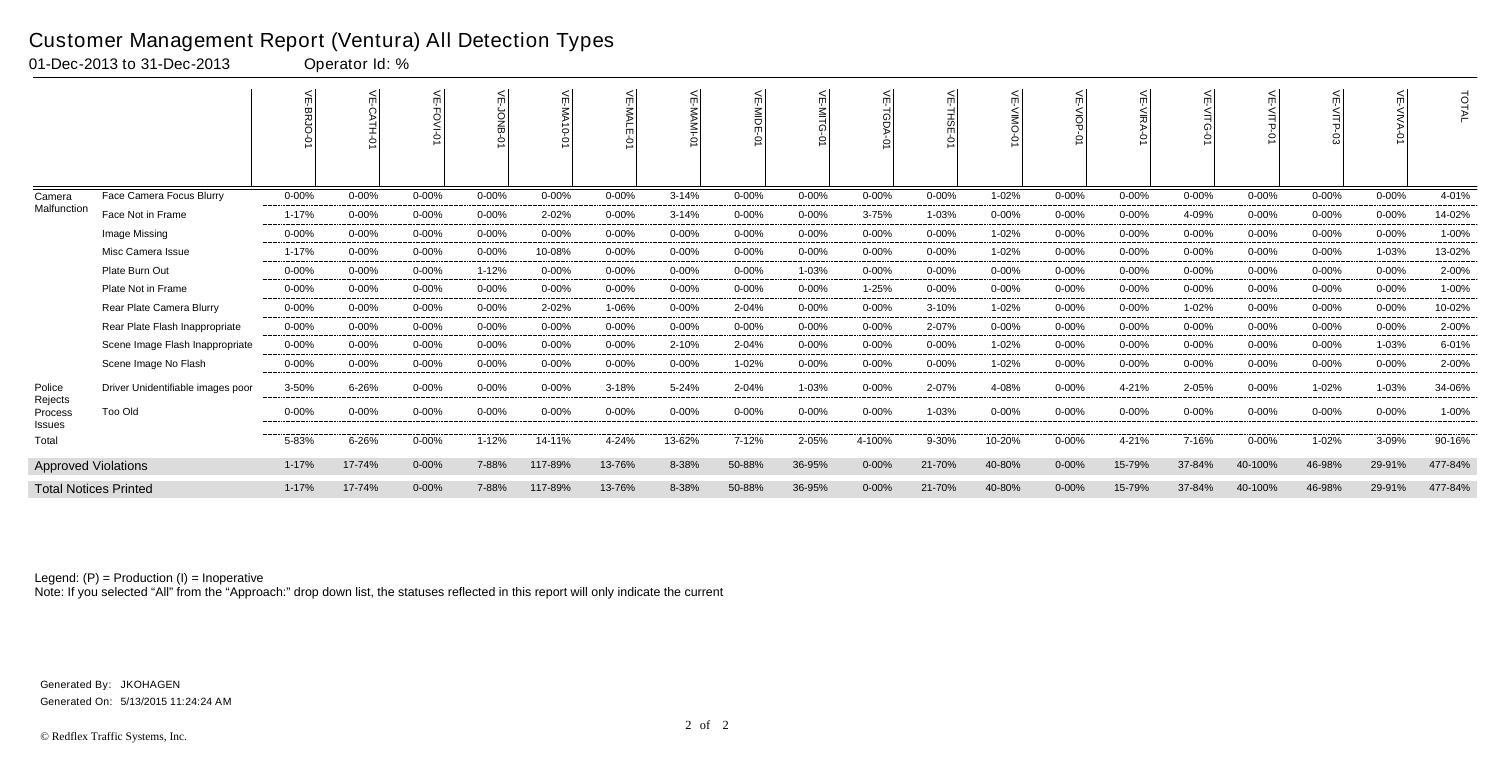|                              |                                   |            | 늦         |            | ≲          | ے<br>0-01 AM |            | $\blacksquare$ | ¥<br>is<br>Tur<br>Ò | mil       | $\leq$<br>Adel | 늦<br><b>THSE</b><br>0 | ш         | $\leq$     | 늰<br><b>VIRA</b><br>Ò | 듰         | $\leq$    |            |           | TOTAL   |
|------------------------------|-----------------------------------|------------|-----------|------------|------------|--------------|------------|----------------|---------------------|-----------|----------------|-----------------------|-----------|------------|-----------------------|-----------|-----------|------------|-----------|---------|
| Camera                       | Face Camera Focus Blurry          | $0 - 00%$  | $0 - 00%$ | $0 - 00%$  | $0 - 00%$  | $0 - 00%$    | $0 - 00%$  | $3 - 14%$      | $0 - 00%$           | $0 - 00%$ | $0 - 00%$      | $0 - 00%$             | 1-02%     | $0 - 00%$  | $0 - 00%$             | $0 - 00%$ | $0 - 00%$ | $0 - 00%$  | $0 - 00%$ | 4-01%   |
| Malfunction                  | Face Not in Frame                 | 1-17%      | $0 - 00%$ | 0-00%      | $0 - 00%$  | 2-02%        | $0 - 00%$  | $3 - 14%$      | $0 - 00%$           | $0 - 00%$ | $3 - 75%$      | 1-03%                 | $0 - 00%$ | $0 - 00%$  | $0 - 00%$             | 4-09%     | 0-00%     | $0 - 00\%$ | $0 - 00%$ | 14-02%  |
|                              | Image Missing                     | $0 - 00%$  | $0 - 00%$ | 0-00%      | $0 - 00%$  | $0 - 00%$    | $0 - 00%$  | $0 - 00%$      | $0 - 00%$           | $0 - 00%$ | $0 - 00%$      | $0 - 00%$             | 1-02%     | $0 - 00%$  | $0 - 00\%$            | $0 - 00%$ | $0 - 00%$ | $0 - 00%$  | $0 - 00%$ | 1-00%   |
|                              | Misc Camera Issue                 | 1-17%      | $0 - 00%$ | $0 - 00%$  | $0 - 00%$  | 10-08%       | $0 - 00%$  | $0 - 00%$      | $0 - 00%$           | $0 - 00%$ | $0 - 00%$      | $0 - 00%$             | 1-02%     | $0 - 00%$  | $0 - 00%$             | $0 - 00%$ | $0 - 00%$ | $0 - 00%$  | 1-03%     | 13-02%  |
|                              | Plate Burn Out                    | $0 - 00\%$ | $0 - 00%$ | 0-00%      | $1 - 12%$  | $0 - 00%$    | $0 - 00%$  | $0 - 00%$      | $0 - 00%$           | 1-03%     | 0-00%          | $0 - 00%$             | $0 - 00%$ | $0 - 00\%$ | $0 - 00%$             | $0 - 00%$ | 0-00%     | $0 - 00%$  | $0 - 00%$ | 2-00%   |
|                              | Plate Not in Frame                | $0 - 00%$  | $0 - 00%$ | 0-00%      | 0-00%      | $0 - 00%$    | $0 - 00%$  | $0 - 00%$      | $0 - 00%$           | $0 - 00%$ | 1-25%          | $0 - 00%$             | $0 - 00%$ | $0 - 00%$  | $0 - 00%$             | $0 - 00%$ | $0 - 00%$ | $0 - 00\%$ | $0 - 00%$ | 1-00%   |
|                              | Rear Plate Camera Blurry          | $0 - 00%$  | $0 - 00%$ | 0-00%      | $0 - 00%$  | 2-02%        | 1-06%      | $0 - 00%$      | 2-04%               | $0 - 00%$ | $0 - 00%$      | $3 - 10%$             | 1-02%     | $0 - 00%$  | $0 - 00%$             | 1-02%     | $0 - 00%$ | $0 - 00%$  | $0 - 00%$ | 10-02%  |
|                              | Rear Plate Flash Inappropriate    | $0 - 00\%$ | $0 - 00%$ | $0 - 00%$  | 0-00%      | $0 - 00%$    | $0 - 00%$  | $0 - 00%$      | $0 - 00%$           | $0 - 00%$ | 0-00%          | 2-07%                 | $0 - 00%$ | $0 - 00%$  | $0 - 00%$             | $0 - 00%$ | 0-00%     | $0 - 00%$  | $0 - 00%$ | 2-00%   |
|                              | Scene Image Flash Inappropriate   | $0 - 00\%$ | $0 - 00%$ | $0 - 00%$  | $0 - 00%$  | $0 - 00%$    | $0 - 00%$  | 2-10%          | 2-04%               | $0 - 00%$ | $0 - 00%$      | $0 - 00%$             | 1-02%     | $0 - 00%$  | $0 - 00%$             | $0 - 00%$ | $0 - 00%$ | $0 - 00%$  | 1-03%     | 6-01%   |
|                              | Scene Image No Flash              | $0 - 00%$  | $0 - 00%$ | $0 - 00%$  | $0 - 00%$  | $0 - 00%$    | $0 - 00%$  | $0 - 00%$      | 1-02%               | $0 - 00%$ | 0-00%          | $0 - 00%$             | 1-02%     | $0 - 00%$  | $0 - 00%$             | $0 - 00%$ | $0 - 00%$ | $0 - 00\%$ | $0 - 00%$ | 2-00%   |
| Police<br>Rejects            | Driver Unidentifiable images poor | 3-50%      | 6-26%     | $0 - 00%$  | $0 - 00\%$ | $0 - 00%$    | 3-18%      | 5-24%          | 2-04%               | 1-03%     | $0 - 00%$      | 2-07%                 | 4-08%     | $0 - 00%$  | 4-21%                 | 2-05%     | 0-00%     | 1-02%      | 1-03%     | 34-06%  |
| Process<br>Issues            | <b>Too Old</b>                    | $0 - 00%$  | $0 - 00%$ | $0 - 00\%$ | $0 - 00%$  | $0 - 00%$    | $0 - 00\%$ | 0-00%          | $0 - 00%$           | $0 - 00%$ | $0 - 00%$      | 1-03%                 | $0 - 00%$ | $0 - 00%$  | $0 - 00%$             | $0 - 00%$ | 0-00%     | $0 - 00%$  | $0 - 00%$ | 1-00%   |
| Total                        |                                   | 5-83%      | 6-26%     | $0 - 00\%$ | $1 - 12%$  | 14-11%       | 4-24%      | 13-62%         | 7-12%               | 2-05%     | 4-100%         | 9-30%                 | 10-20%    | $0 - 00%$  | 4-21%                 | 7-16%     | 0-00%     | 1-02%      | 3-09%     | 90-16%  |
| <b>Approved Violations</b>   |                                   | $1 - 17%$  | 17-74%    | $0 - 00%$  | 7-88%      | 117-89%      | 13-76%     | 8-38%          | 50-88%              | 36-95%    | $0 - 00%$      | 21-70%                | 40-80%    | $0 - 00%$  | 15-79%                | 37-84%    | 40-100%   | 46-98%     | 29-91%    | 477-84% |
| <b>Total Notices Printed</b> |                                   | $1 - 17%$  | 17-74%    | $0 - 00%$  | 7-88%      | 117-89%      | 13-76%     | 8-38%          | 50-88%              | 36-95%    | $0 - 00%$      | 21-70%                | 40-80%    | $0 - 00%$  | 15-79%                | 37-84%    | 40-100%   | 46-98%     | 29-91%    | 477-84% |

Note: If you selected "All" from the "Approach:" drop down list, the statuses reflected in this report will only indicate the current

### Customer Management Report (Ventura) All Detection Types

01-Dec-2013 to 31-Dec-2013 Operator Id: %

Generated On: 5/13/2015 11:24:24 AM Generated By: JKOHAGEN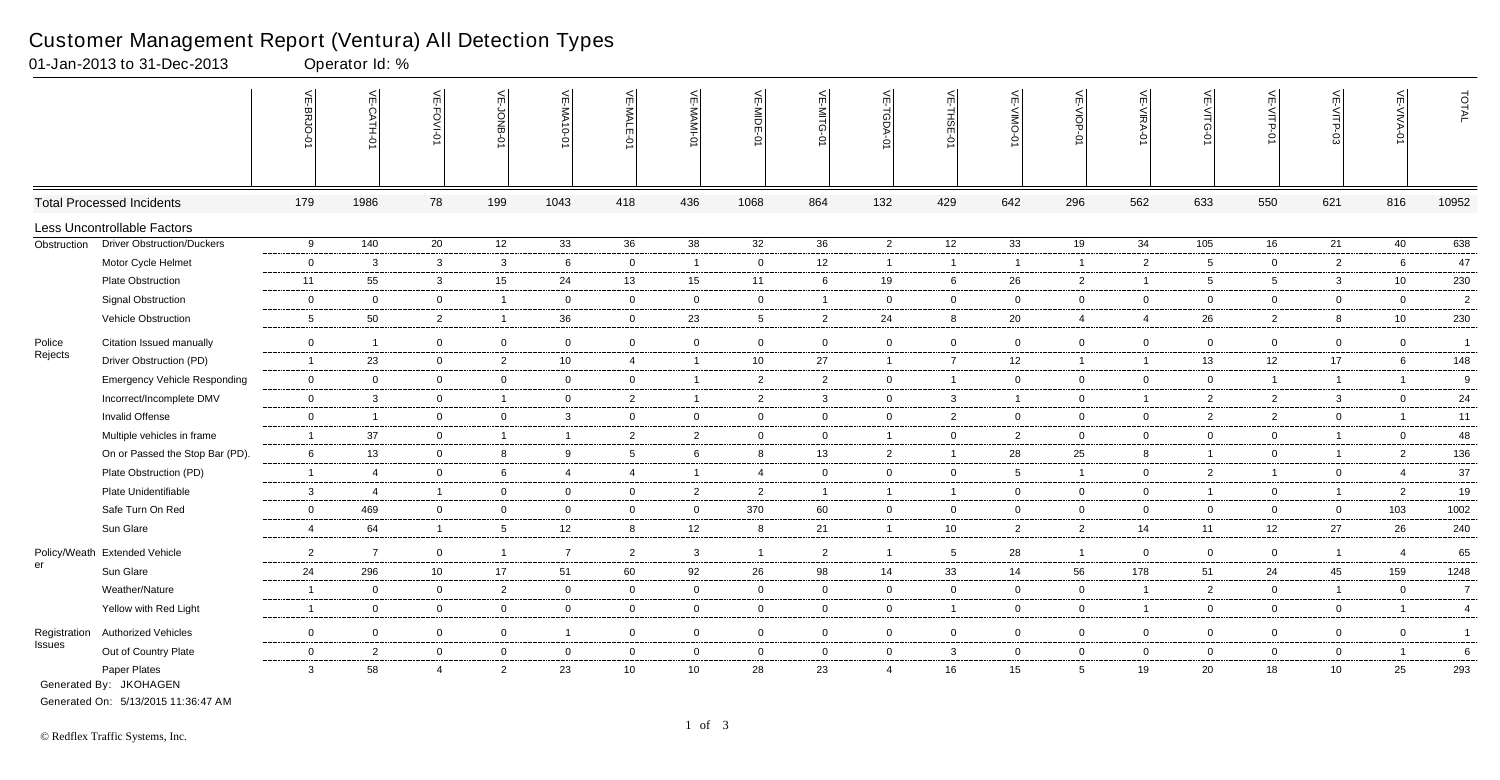|               |                                        | VE-BRJO-       | VE-CATH-0                | ⊫<br>Ġ         | VE-JONB-0       | VE-MA10-01     | VE-MALE-<br>$\overline{5}$ | VE-MAMI-0      | VE-MIDE-01     | VE-MITG-<br>ò  | VE-TGDA-0      | VE-THSE-01     | VE-VIMO-<br>ò  | VE-VIOP-01      | VE-VIRA-0      | VE-VITG-0       | VE-VITP-01     | VE-VITP-03     | VE-VIVA-01     | TOTAL           |
|---------------|----------------------------------------|----------------|--------------------------|----------------|-----------------|----------------|----------------------------|----------------|----------------|----------------|----------------|----------------|----------------|-----------------|----------------|-----------------|----------------|----------------|----------------|-----------------|
|               | <b>Total Processed Incidents</b>       | 179            | 1986                     | 78             | 199             | 1043           | 418                        | 436            | 1068           | 864            | 132            | 429            | 642            | 296             | 562            | 633             | 550            | 621            | 816            | 10952           |
|               | Less Uncontrollable Factors            |                |                          |                |                 |                |                            |                |                |                |                |                |                |                 |                |                 |                |                |                |                 |
| Obstruction   | <b>Driver Obstruction/Duckers</b>      | 9              | 140                      | 20             | 12              | 33             | 36                         | 38             | 32             | 36             | $\overline{2}$ | 12             | 33             | 19              | 34             | $\frac{105}{ }$ | 16             | 21             | 40             | 638             |
|               | Motor Cycle Helmet                     | $\mathbf 0$    | $\overline{\mathbf{3}}$  | $\mathbf{3}$   | $\mathbf{3}$    | 6              | $\overline{0}$             | $\overline{1}$ | $\overline{0}$ | 12             | $\mathbf{1}$   | $\overline{1}$ | $\overline{1}$ | $\mathbf{1}$    | $\overline{2}$ | $5\phantom{.0}$ | $\overline{0}$ | $\overline{2}$ | 6              | 47              |
|               | Plate Obstruction                      | 11             | 55                       | $\mathbf{3}$   | 15              | 24             | 13                         | 15             | 11             | 6              | 19             | 6              | 26             | $\overline{2}$  | $\overline{1}$ | $5\overline{)}$ | 5 <sup>5</sup> | $\mathbf{3}$   | 10             | 230             |
|               | <b>Signal Obstruction</b>              | $\overline{0}$ | $\overline{0}$           | $\overline{0}$ | $\overline{1}$  | $\overline{0}$ | $\mathbf{0}$               | $\overline{0}$ | $\overline{0}$ | $\mathbf 1$    | $\overline{0}$ | $\mathbf 0$    | 0              | $\overline{0}$  | $\overline{0}$ | $\mathbf 0$     | $\overline{0}$ | $\overline{0}$ | $\mathbf 0$    | $\overline{2}$  |
|               | Vehicle Obstruction                    | 5              | 50                       | $\overline{2}$ | $\mathbf{1}$    | 36             | $\overline{0}$             | 23             | -5             | $\overline{2}$ | 24             | 8              | 20             | $\overline{4}$  | $\overline{4}$ | 26              | $\overline{2}$ | 8              | 10             | 230             |
| Police        | Citation Issued manually               | $\overline{0}$ | $\overline{\phantom{0}}$ | $\overline{0}$ | $\overline{0}$  | $\overline{0}$ | $\overline{0}$             | $\mathbf 0$    | $\overline{0}$ | $\mathbf 0$    | $\overline{0}$ | $\mathbf 0$    | $\overline{0}$ | $\overline{0}$  | $\overline{0}$ | $\overline{0}$  | $\overline{0}$ | $\mathbf 0$    | $\overline{0}$ | $\overline{1}$  |
| Rejects       | Driver Obstruction (PD)                | $\overline{1}$ | 23                       | $\overline{0}$ | $\overline{2}$  | 10             | 4                          | $\overline{1}$ | 10             | 27             | $\overline{1}$ | $\overline{7}$ | 12             | $\overline{1}$  | $\overline{1}$ | 13              | 12             | 17             | 6              | 148             |
|               | <b>Emergency Vehicle Responding</b>    | $\overline{0}$ | $\overline{0}$           | $\overline{0}$ | $\overline{0}$  | $\overline{0}$ | $\overline{0}$             | $\mathbf{1}$   | $\overline{2}$ | $\overline{2}$ | $\mathbf 0$    | $\overline{1}$ | $\mathbf 0$    | $\overline{0}$  | $\overline{0}$ | $\overline{0}$  | $\mathbf{1}$   | $\overline{1}$ | $\overline{1}$ | 9               |
|               | Incorrect/Incomplete DMV               | $\overline{0}$ | $\mathbf{3}$             | $\overline{0}$ | $\mathbf{1}$    | $\mathbf 0$    | $\overline{2}$             | $\mathbf{1}$   | $\overline{2}$ | 3              | $\mathbf 0$    | $\mathbf{3}$   | $\mathbf{1}$   | $\overline{0}$  | $\overline{1}$ | $\overline{2}$  | $\overline{2}$ | 3              | $\mathbf 0$    | 24              |
|               | Invalid Offense                        | $\mathbf 0$    | $\overline{1}$           | $\overline{0}$ | $\overline{0}$  | $\mathbf{3}$   | $\overline{0}$             | $\mathbf 0$    | $\overline{0}$ | $\mathbf 0$    | $\overline{0}$ | $\overline{2}$ | $\mathbf 0$    | $\overline{0}$  | $\overline{0}$ | $\overline{2}$  | $\overline{2}$ | $\mathbf 0$    | $\overline{1}$ | 11              |
|               | Multiple vehicles in frame             | $\overline{1}$ | 37                       | $\mathbf 0$    | $\overline{1}$  | $\overline{1}$ | $\overline{2}$             | $\overline{2}$ | $\mathbf 0$    | $\mathbf 0$    | $\mathbf{1}$   | $\mathbf 0$    | $\overline{2}$ | $\overline{0}$  | $\Omega$       | $\overline{0}$  | $\overline{0}$ | $\overline{1}$ | $\mathbf 0$    | 48              |
|               | On or Passed the Stop Bar (PD).        | 6              | 13                       | $\overline{0}$ | 8               | 9              | $5\overline{)}$            | 6              | 8              | 13             | 2              | $\overline{1}$ | 28             | 25              | 8              | $\overline{1}$  | $\overline{0}$ | $\overline{1}$ | $\overline{2}$ | 136             |
|               | Plate Obstruction (PD)                 | $\overline{1}$ | $\overline{4}$           | $\mathbf 0$    | 6               | $\overline{4}$ | $\overline{4}$             | $\overline{1}$ | $\overline{4}$ | $\mathbf 0$    | $\mathbf 0$    | $\mathbf 0$    | 5              | $\overline{1}$  | $\mathbf 0$    | $\overline{2}$  | $\mathbf{1}$   | 0              | $\overline{4}$ | 37              |
|               | Plate Unidentifiable                   | $\mathbf{3}$   | $\overline{4}$           | $\overline{1}$ | $\overline{0}$  | $\mathbf 0$    | $\overline{0}$             | $\overline{2}$ | $\overline{2}$ | $\overline{1}$ | $\overline{1}$ | $\overline{1}$ | $\overline{0}$ | $\overline{0}$  | $\overline{0}$ | $\overline{1}$  | $\overline{0}$ | $\overline{1}$ | $\overline{2}$ | 19              |
|               | Safe Turn On Red                       | $\overline{0}$ | 469                      | $\overline{0}$ | $\overline{0}$  | $\overline{0}$ | $\mathbf 0$                | $\mathsf 0$    | 370            | 60             | $\overline{0}$ | $\mathbf 0$    | $\mathbf 0$    | $\overline{0}$  | $\mathbf 0$    | $\overline{0}$  | $\overline{0}$ | $\overline{0}$ | 103            | 1002            |
|               | Sun Glare                              | $\overline{4}$ | 64                       | $\mathbf{1}$   | $5\phantom{.0}$ | 12             | 8                          | 12             | 8              | 21             | $\overline{1}$ | 10             | $\overline{2}$ | $\overline{2}$  | 14             | 11              | 12             | 27             | 26             | 240             |
|               | Policy/Weath Extended Vehicle          | 2              | $\overline{7}$           | $\overline{0}$ | $\overline{1}$  | $\overline{7}$ | $\overline{2}$             | $\mathbf{3}$   | $\overline{1}$ | $\overline{2}$ | $\mathbf{1}$   | 5              | 28             | $\overline{1}$  | $\mathbf 0$    | $\overline{0}$  | $\overline{0}$ | $\overline{1}$ | $\overline{4}$ | 65              |
| er            | Sun Glare                              | 24             | 296                      | 10             | 17              | 51             | 60                         | 92             | 26             | 98             | 14             | 33             | 14             | 56              | 178            | 51              | 24             | 45             | 159            | 1248            |
|               | Weather/Nature                         | $\overline{1}$ | $\overline{0}$           | $\overline{0}$ | $\overline{2}$  | $\overline{0}$ | $\overline{0}$             | $\overline{0}$ | $\overline{0}$ | $\mathbf 0$    | $\overline{0}$ | $\mathbf 0$    | $\overline{0}$ | $\overline{0}$  | $\overline{1}$ | $\overline{2}$  | $\overline{0}$ | $\overline{1}$ | $\overline{0}$ | $\overline{7}$  |
|               | Yellow with Red Light                  | $\overline{1}$ | $\overline{0}$           | $\overline{0}$ | $\overline{0}$  | $\mathbf 0$    | $\overline{0}$             | $\mathbf 0$    | $\overline{0}$ | $\mathbf 0$    | $\mathbf 0$    | $\overline{1}$ | $\mathbf 0$    | $\overline{0}$  | $\overline{1}$ | $\overline{0}$  | $\overline{0}$ | $\mathbf 0$    | $\overline{1}$ | $\overline{4}$  |
| Registration  | <b>Authorized Vehicles</b>             | $\mathbf 0$    | $\mathbf 0$              | $\overline{0}$ | $\mathbf 0$     | $\overline{1}$ | $\overline{0}$             | $\mathbf 0$    | $\mathbf 0$    | $\overline{0}$ | $\mathbf{0}$   | $\mathbf 0$    | $\mathbf 0$    | $\overline{0}$  | $\Omega$       | $\mathbf 0$     | $\overline{0}$ | 0              | $\mathbf 0$    | $\overline{1}$  |
| <b>Issues</b> | Out of Country Plate                   | $\mathsf 0$    | $\overline{2}$           | $\overline{0}$ | $\mathbf 0$     | $\overline{0}$ | $\mathbf 0$                | $\overline{0}$ | $\overline{0}$ | $\mathbf 0$    | $\overline{0}$ | $\mathbf{3}$   | $\mathbf 0$    | $\overline{0}$  | $\Omega$       | $\mathbf 0$     | $\overline{0}$ | $\mathbf 0$    | $\overline{1}$ | $6\phantom{1}6$ |
|               | Paper Plates<br>Generated By: JKOHAGEN | $\mathbf{3}$   | 58                       | $\overline{4}$ | $\overline{2}$  | 23             | 10                         | 10             | 28             | 23             | $\overline{4}$ | 16             | 15             | $5\overline{)}$ | 19             | 20              | 18             | 10             | 25             | 293             |

01-Jan-2013 to 31-Dec-2013 Operator Id: %

Generated On: 5/13/2015 11:36:47 AM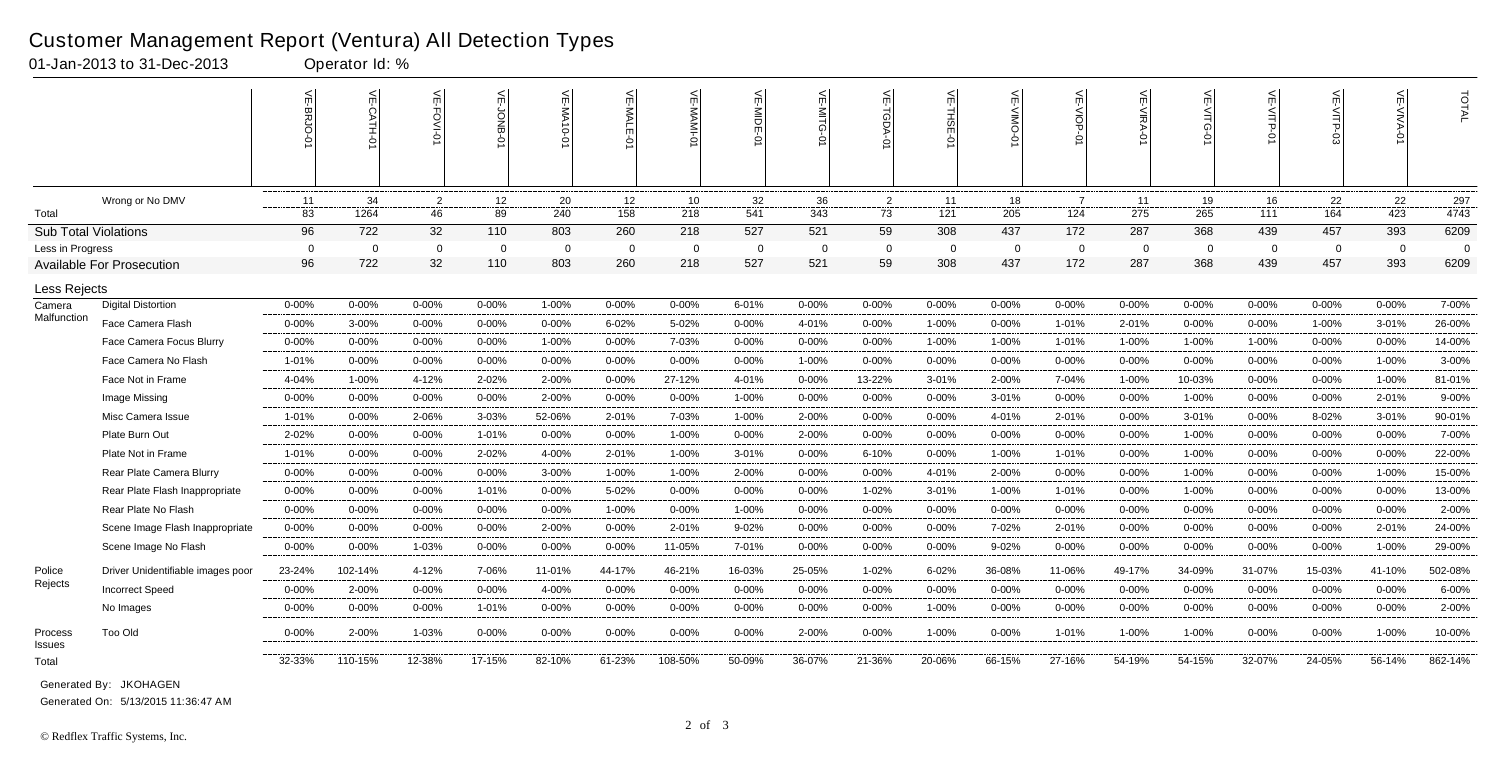|                             |                                   |                | VE-CATH-0      | VE-FOVI-       | 닞<br>ğ         | <b>VE-MA10-0</b> | VE-MALE-0  | VE-MAMI-       | VE-MIDE-01     | VE-MITG-<br>ò | VE-TGDA-0      | VE-THSE-01     | $\mathsf{r}$ | VE-VIOP        | VE-VIRA-0      | $\leq$         | VE-VITP-    | <b>VE-VITP-03</b> | 늰              | TOTAL    |
|-----------------------------|-----------------------------------|----------------|----------------|----------------|----------------|------------------|------------|----------------|----------------|---------------|----------------|----------------|--------------|----------------|----------------|----------------|-------------|-------------------|----------------|----------|
|                             | Wrong or No DMV                   | 11             | 34             | $\overline{2}$ | 12             | 20               | 12         | 10             | 32             | 36            | $\overline{2}$ | 11             | 18           | $\overline{7}$ | 11             | 19             | 16          | 22                | 22             | 297      |
| Total                       |                                   | 83             | 1264           | 46             | 89             | 240              | 158        | 218            | 541            | 343           | 73             | 121            | 205          | 124            | 275            | 265            | 111         | 164               | 423            | 4743     |
| <b>Sub Total Violations</b> |                                   | 96             | 722            | 32             | 110            | 803              | 260        | 218            | 527            | 521           | 59             | 308            | 437          | 172            | 287            | 368            | 439         | 457               | 393            | 6209     |
| Less in Progress            |                                   | $\overline{0}$ | $\overline{0}$ | $\mathbf 0$    | $\overline{0}$ | $\overline{0}$   | $\Omega$   | $\overline{0}$ | $\overline{0}$ | $\mathbf{0}$  | $\mathbf 0$    | $\overline{0}$ | $\mathbf 0$  | $\mathbf 0$    | $\overline{0}$ | $\overline{0}$ | $\mathbf 0$ | $\overline{0}$    | $\overline{0}$ | $\Omega$ |
|                             | <b>Available For Prosecution</b>  | 96             | 722            | 32             | 110            | 803              | 260        | 218            | 527            | 521           | 59             | 308            | 437          | 172            | 287            | 368            | 439         | 457               | 393            | 6209     |
| Less Rejects                |                                   |                |                |                |                |                  |            |                |                |               |                |                |              |                |                |                |             |                   |                |          |
| Camera                      | <b>Digital Distortion</b>         | $0 - 00%$      | $0 - 00%$      | $0 - 00%$      | $0 - 00%$      | 1-00%            | $0 - 00\%$ | $0 - 00%$      | 6-01%          | $0 - 00\%$    | $0 - 00%$      | $0 - 00%$      | $0 - 00%$    | $0 - 00%$      | $0 - 00%$      | $0 - 00%$      | $0 - 00%$   | $0 - 00%$         | $0 - 00%$      | 7-00%    |
| Malfunction                 | Face Camera Flash                 | $0 - 00%$      | 3-00%          | $0 - 00%$      | $0 - 00%$      | $0 - 00%$        | $6 - 02%$  | 5-02%          | $0 - 00%$      | 4-01%         | $0 - 00\%$     | 1-00%          | $0 - 00%$    | 1-01%          | 2-01%          | $0 - 00%$      | $0 - 00\%$  | 1-00%             | $3 - 01%$      | 26-00%   |
|                             | Face Camera Focus Blurry          | 0-00%          | $0 - 00%$      | $0 - 00%$      | 0-00%          | 1-00%            | $0 - 00%$  | 7-03%          | 0-00%          | $0 - 00%$     | $0 - 00%$      | 1-00%          | 1-00%        | 1-01%          | 1-00%          | 1-00%          | 1-00%       | $0 - 00%$         | $0 - 00%$      | 14-00%   |
|                             | Face Camera No Flash              | 1-01%          | $0 - 00%$      | $0 - 00%$      | $0 - 00%$      | $0 - 00%$        | $0 - 00%$  | $0 - 00%$      | $0 - 00%$      | 1-00%         | $0 - 00\%$     | $0 - 00%$      | $0 - 00%$    | $0 - 00%$      | $0 - 00%$      | $0 - 00%$      | $0 - 00%$   | $0 - 00%$         | 1-00%          | 3-00%    |
|                             | Face Not in Frame                 | 4-04%          | 1-00%          | 4-12%          | 2-02%          | 2-00%            | $0 - 00%$  | 27-12%         | 4-01%          | $0 - 00%$     | 13-22%         | $3 - 01%$      | 2-00%        | 7-04%          | 1-00%          | 10-03%         | $0 - 00%$   | 0-00%             | 1-00%          | 81-01%   |
|                             | Image Missing                     | $0 - 00%$      | $0 - 00%$      | $0 - 00%$      | $0 - 00%$      | 2-00%            | $0 - 00\%$ | $0 - 00%$      | 1-00%          | $0 - 00%$     | $0 - 00\%$     | $0 - 00%$      | $3 - 01%$    | $0 - 00\%$     | $0 - 00%$      | 1-00%          | $0 - 00%$   | $0 - 00%$         | 2-01%          | 9-00%    |
|                             | Misc Camera Issue                 | 1-01%          | $0 - 00%$      | 2-06%          | 3-03%          | 52-06%           | 2-01%      | 7-03%          | 1-00%          | 2-00%         | $0 - 00\%$     | $0 - 00%$      | 4-01%        | 2-01%          | $0 - 00%$      | $3 - 01%$      | $0 - 00%$   | 8-02%             | $3 - 01%$      | 90-01%   |
|                             | Plate Burn Out                    | 2-02%          | $0 - 00%$      | $0 - 00%$      | 1-01%          | $0 - 00%$        | $0 - 00\%$ | 1-00%          | $0 - 00%$      | 2-00%         | $0 - 00\%$     | $0 - 00%$      | $0 - 00%$    | $0 - 00%$      | $0 - 00%$      | 1-00%          | $0 - 00%$   | 0-00%             | $0 - 00%$      | 7-00%    |
|                             | Plate Not in Frame                | $1 - 01%$      | $0 - 00\%$     | $0 - 00%$      | 2-02%          | 4-00%            | 2-01%      | 1-00%          | $3 - 01%$      | $0 - 00\%$    | 6-10%          | $0 - 00%$      | 1-00%        | 1-01%          | $0 - 00%$      | 1-00%          | $0 - 00%$   | $0 - 00\%$        | $0 - 00\%$     | 22-00%   |
|                             | Rear Plate Camera Blurry          | $0 - 00%$      | $0 - 00%$      | $0 - 00\%$     | $0 - 00%$      | $3 - 00%$        | 1-00%      | 1-00%          | 2-00%          | $0 - 00\%$    | 0-00%          | 4-01%          | 2-00%        | $0 - 00%$      | $0 - 00\%$     | 1-00%          | $0 - 00%$   | $0 - 00\%$        | $1 - 00%$      | 15-00%   |
|                             | Rear Plate Flash Inappropriate    | 0-00%          | $0 - 00%$      | $0 - 00%$      | $1 - 01%$      | $0 - 00%$        | 5-02%      | $0 - 00%$      | 0-00%          | $0 - 00%$     | 1-02%          | $3 - 01%$      | 1-00%        | 1-01%          | $0 - 00%$      | 1-00%          | $0 - 00%$   | 0-00%             | $0 - 00%$      | 13-00%   |
|                             | Rear Plate No Flash               | $0 - 00%$      | $0 - 00%$      | $0 - 00%$      | $0 - 00%$      | $0 - 00%$        | 1-00%      | $0 - 00%$      | 1-00%          | $0 - 00%$     | $0 - 00%$      | $0 - 00%$      | $0 - 00%$    | $0 - 00%$      | $0 - 00%$      | $0 - 00%$      | $0 - 00%$   | $0 - 00\%$        | $0 - 00%$      | 2-00%    |
|                             | Scene Image Flash Inappropriate   | $0 - 00%$      | $0 - 00%$      | $0 - 00%$      | $0 - 00%$      | 2-00%            | $0 - 00%$  | 2-01%          | $9 - 02%$      | $0 - 00%$     | $0 - 00%$      | $0 - 00%$      | 7-02%        | 2-01%          | $0 - 00%$      | $0 - 00%$      | $0 - 00%$   | $0 - 00%$         | 2-01%          | 24-00%   |
|                             | Scene Image No Flash              | $0 - 00\%$     | $0 - 00%$      | 1-03%          | $0 - 00%$      | $0 - 00%$        | $0 - 00%$  | 11-05%         | 7-01%          | $0 - 00%$     | $0 - 00\%$     | $0 - 00%$      | $9 - 02%$    | $0 - 00\%$     | $0 - 00%$      | $0 - 00%$      | $0 - 00%$   | $0 - 00%$         | 1-00%          | 29-00%   |
| Police                      | Driver Unidentifiable images poor | 23-24%         | 102-14%        | 4-12%          | 7-06%          | 11-01%           | 44-17%     | 46-21%         | 16-03%         | 25-05%        | 1-02%          | 6-02%          | 36-08%       | 11-06%         | 49-17%         | 34-09%         | 31-07%      | 15-03%            | 41-10%         | 502-08%  |
| Rejects                     | <b>Incorrect Speed</b>            | $0 - 00%$      | 2-00%          | $0 - 00%$      | $0 - 00%$      | 4-00%            | $0 - 00\%$ | $0 - 00%$      | $0 - 00%$      | $0 - 00\%$    | $0 - 00%$      | $0 - 00%$      | $0 - 00%$    | $0 - 00%$      | $0 - 00%$      | $0 - 00%$      | $0 - 00%$   | $0 - 00%$         | $0 - 00%$      | 6-00%    |
|                             | No Images                         | $0 - 00%$      | $0 - 00%$      | $0 - 00%$      | 1-01%          | $0 - 00%$        | $0 - 00%$  | $0 - 00%$      | 0-00%          | $0 - 00%$     | $0 - 00%$      | 1-00%          | 0-00%        | $0 - 00%$      | $0 - 00%$      | 0-00%          | $0 - 00%$   | 0-00%             | $0 - 00%$      | 2-00%    |
| Process<br><b>Issues</b>    | <b>Too Old</b>                    | 0-00%          | 2-00%          | 1-03%          | 0-00%          | 0-00%            | $0 - 00\%$ | 0-00%          | 0-00%          | 2-00%         | $0 - 00%$      | 1-00%          | 0-00%        | 1-01%          | 1-00%          | 1-00%          | 0-00%       | $0 - 00%$         | 1-00%          | 10-00%   |
| Total                       |                                   | 32-33%         | 110-15%        | 12-38%         | 17-15%         | 82-10%           | 61-23%     | 108-50%        | 50-09%         | 36-07%        | 21-36%         | 20-06%         | 66-15%       | 27-16%         | 54-19%         | 54-15%         | 32-07%      | 24-05%            | 56-14%         | 862-14%  |

01-Jan-2013 to 31-Dec-2013 Operator Id: %

Generated On: 5/13/2015 11:36:47 AM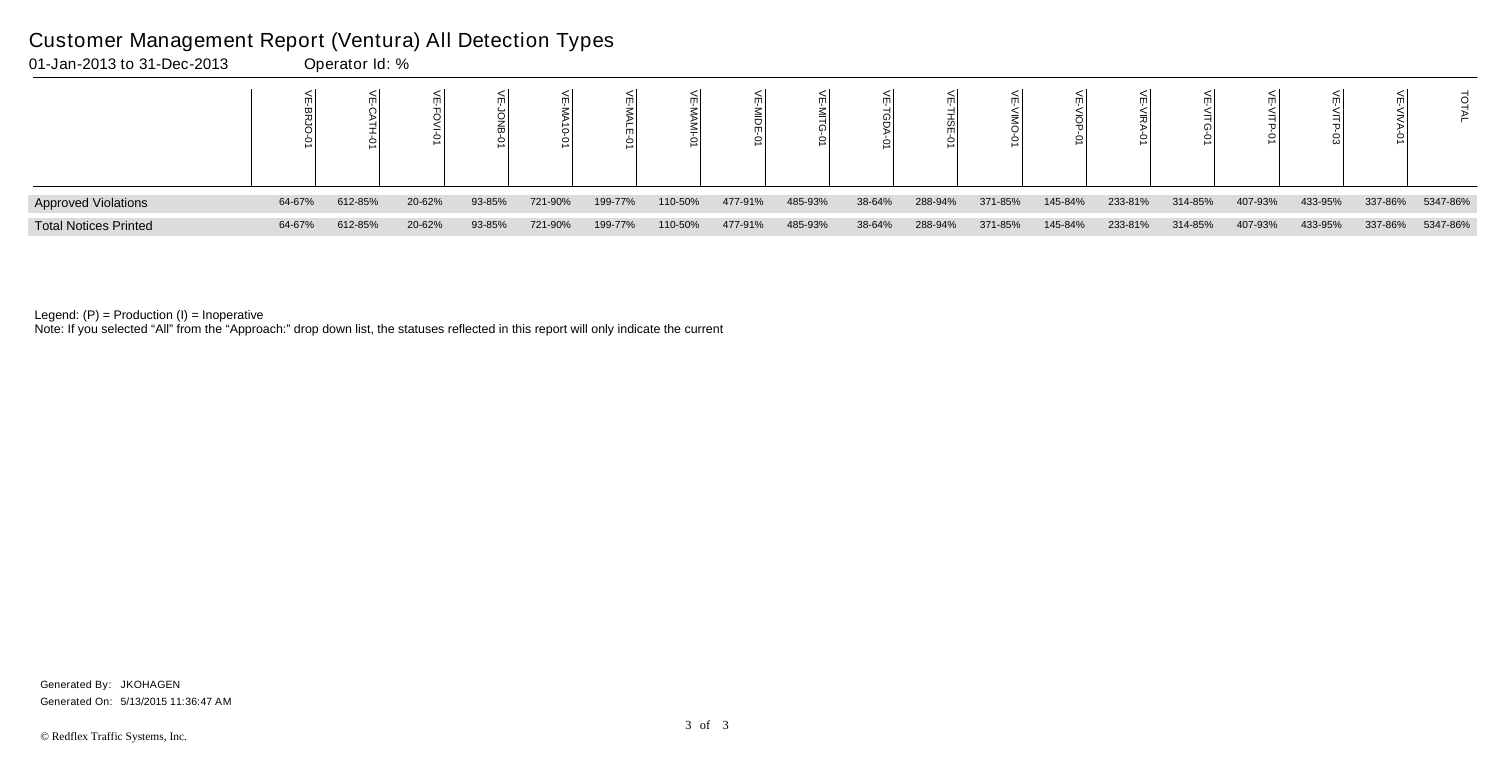| <b>Approved Violations</b>   | 64-67% | 612-85% | 20-62% | 93-85% | 721-90% | 199-77% | 110-50% | 477-91% | 485-93% | 38-64% | 288-94% | 371-85% | 145-84% | 233-81% | 314-85% | 407-93% | 433-95% | 337-86% | 5347-86% |
|------------------------------|--------|---------|--------|--------|---------|---------|---------|---------|---------|--------|---------|---------|---------|---------|---------|---------|---------|---------|----------|
| <b>Total Notices Printed</b> | 64-67% | 612-85% | 20-62% | 93-85% | 721-90% | 199-77% | 110-50% | 477-91% | 485-93% | 38-64% | 288-94% | 371-85% | 145-84% | 233-81% | 314-85% | 407-93% | 433-95% | 337-86% | 5347-86% |

Note: If you selected "All" from the "Approach:" drop down list, the statuses reflected in this report will only indicate the current

### Customer Management Report (Ventura) All Detection Types

01-Jan-2013 to 31-Dec-2013 Operator Id: %

Generated On: 5/13/2015 11:36:47 AM Generated By: JKOHAGEN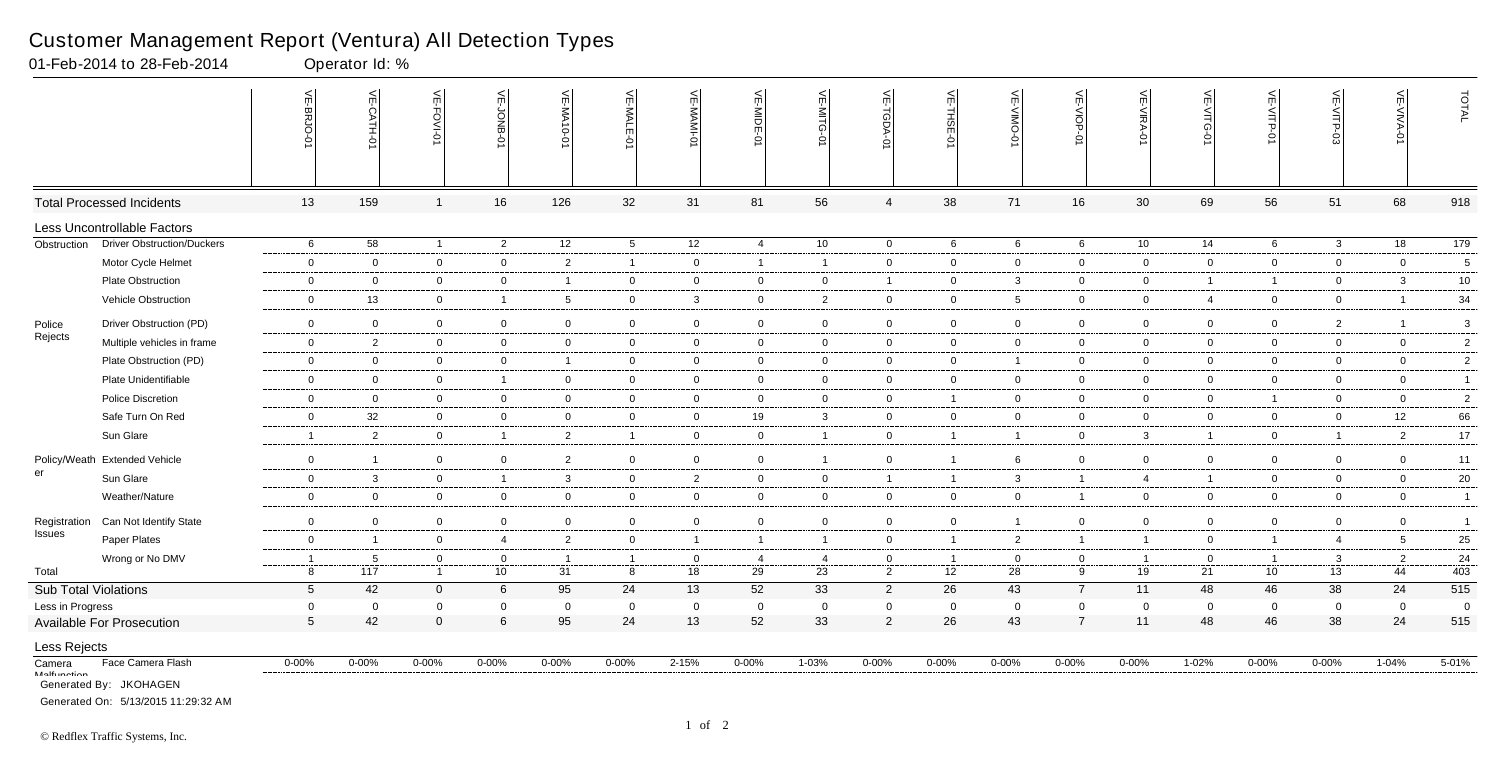|                              |                                                               | VE-BRJO<br>$\circ$ | VE-CATH-01     | <b>VE-FOVI-0</b> | 닞<br><b>BNOr-</b> | VE-MA10-01              | VE-MALE<br>ò    | VE-MAMI-0      | VE-MIDE-01     | VE-MITG-01     | VE-TGDA-0      | VE-THSE-01     | VE-VIMO-<br>Ò  | VE-VIOP-0      | VE-VIRA-01     | VE-VITG-01     | VE-VITP-01     | VE-VITP-03     | VE-VIVA-0      | TOTAL          |
|------------------------------|---------------------------------------------------------------|--------------------|----------------|------------------|-------------------|-------------------------|-----------------|----------------|----------------|----------------|----------------|----------------|----------------|----------------|----------------|----------------|----------------|----------------|----------------|----------------|
|                              | <b>Total Processed Incidents</b>                              | 13                 | 159            | $\mathbf 1$      | 16                | 126                     | 32              | 31             | 81             | 56             | $\overline{4}$ | 38             | 71             | 16             | 30             | 69             | 56             | 51             | 68             | 918            |
|                              | Less Uncontrollable Factors                                   |                    |                |                  |                   |                         |                 |                |                |                |                |                |                |                |                |                |                |                |                |                |
| Obstruction                  | <b>Driver Obstruction/Duckers</b>                             | 6                  | 58             | $\overline{1}$   | $\overline{2}$    | 12                      | $5\overline{)}$ | 12             | $\overline{4}$ | 10             | $\mathbf 0$    | 6              | 6              | 6              | 10             | 14             | 6              | $\mathbf{3}$   | 18             | 179            |
|                              | Motor Cycle Helmet                                            | $\overline{0}$     | 0              | $\overline{0}$   | $\overline{0}$    | $\overline{2}$          | $\overline{1}$  | $\overline{0}$ | $\overline{1}$ | $\overline{1}$ | $\overline{0}$ | $\mathbf 0$    | 0              | $\overline{0}$ | $\overline{0}$ | $\mathbf 0$    | $\mathbf 0$    | $\overline{0}$ | $\overline{0}$ | 5              |
|                              | <b>Plate Obstruction</b>                                      | $\overline{0}$     | $\overline{0}$ | $\overline{0}$   | $\mathbf 0$       | $\overline{1}$          | $\overline{0}$  | $\overline{0}$ | $\overline{0}$ | $\overline{0}$ | $\overline{1}$ | $\overline{0}$ | 3              | $\overline{0}$ | $\overline{0}$ | -1             | $\mathbf{1}$   | $\overline{0}$ | $\mathbf{3}$   | 10             |
|                              | Vehicle Obstruction                                           | $\mathbf 0$        | 13             | $\overline{0}$   | $\overline{1}$    | 5                       | $\overline{0}$  | $\mathbf{3}$   | $\overline{0}$ | $\overline{2}$ | $\overline{0}$ | $\mathbf{0}$   | 5              | $\overline{0}$ | $\overline{0}$ | 4              | $\overline{0}$ | $\overline{0}$ | $\overline{1}$ | 34             |
| Police                       | Driver Obstruction (PD)                                       | $\bf{0}$           | $\overline{0}$ | $\mathbf 0$      | $\overline{0}$    | $\mathbf 0$             | $\overline{0}$  | $\mathbf 0$    | $\overline{0}$ | $\mathbf 0$    | $\mathbf 0$    | $\mathbf 0$    | $\mathbf 0$    | $\mathbf 0$    | $\overline{0}$ | $\mathbf 0$    | $\mathbf 0$    | $\overline{2}$ | -1             | 3              |
| Rejects                      | Multiple vehicles in frame                                    | $\overline{0}$     | $\overline{2}$ | $\mathbf 0$      | $\overline{0}$    | $\mathbf 0$             | $\mathbf 0$     | $\overline{0}$ | $\overline{0}$ | $\mathbf 0$    | $\overline{0}$ | $\mathbf 0$    | $\mathbf 0$    | $\overline{0}$ | $\mathbf 0$    | $\overline{0}$ | $\mathbf 0$    | 0              | $\mathbf 0$    | $\sqrt{2}$     |
|                              | Plate Obstruction (PD)                                        | $\mathbf 0$        | $\mathbf 0$    | $\overline{0}$   | $\mathbf 0$       | $\overline{1}$          | $\overline{0}$  | $\overline{0}$ | $\overline{0}$ | $\overline{0}$ | $\overline{0}$ | $\mathbf{0}$   | $\mathbf 1$    | $\overline{0}$ | $\mathbf 0$    | $\overline{0}$ | $\overline{0}$ | $\overline{0}$ | $\overline{0}$ | $\overline{c}$ |
|                              | Plate Unidentifiable                                          | $\overline{0}$     | $\mathbf 0$    | $\mathbf 0$      | $\overline{1}$    | $\mathbf 0$             | $\overline{0}$  | $\overline{0}$ | $\overline{0}$ | $\overline{0}$ | $\overline{0}$ | $\mathbf 0$    | 0              | $\overline{0}$ | $\mathbf 0$    | $\overline{0}$ | $\overline{0}$ | $\overline{0}$ | $\overline{0}$ | $\overline{1}$ |
|                              | Police Discretion                                             | $\overline{0}$     | $\mathbf{0}$   | $\mathbf 0$      | $\overline{0}$    | $\mathbf 0$             | $\overline{0}$  | $\mathbf 0$    | $\overline{0}$ | $\mathbf 0$    | $\overline{0}$ | $\overline{1}$ | 0              | $\mathbf 0$    | $\mathbf 0$    | $\mathbf 0$    | $\mathbf{1}$   | $\mathbf 0$    | $\mathbf 0$    | $\sqrt{2}$     |
|                              | Safe Turn On Red                                              | $\overline{0}$     | 32             | $\overline{0}$   | $\overline{0}$    | $\mathbf{0}$            | $\overline{0}$  | $\mathbf 0$    | 19             | $\mathbf{3}$   | $\mathbf 0$    | $\overline{0}$ | $\overline{0}$ | $\overline{0}$ | $\overline{0}$ | $\overline{0}$ | $\overline{0}$ | $\overline{0}$ | 12             | 66             |
|                              | Sun Glare                                                     | $\overline{1}$     | $\overline{2}$ | $\mathbf 0$      | $\overline{1}$    | $\overline{2}$          | $\mathbf{1}$    | $\overline{0}$ | $\overline{0}$ | $\mathbf{1}$   | $\overline{0}$ | $\overline{1}$ | $\overline{1}$ | $\overline{0}$ | $\mathbf{3}$   | $\overline{1}$ | $\overline{0}$ | $\overline{1}$ | $\overline{2}$ | 17             |
| Policy/Weath                 | <b>Extended Vehicle</b>                                       | $\overline{0}$     | $\overline{1}$ | $\overline{0}$   | $\mathbf 0$       | $\overline{2}$          | $\overline{0}$  | $\mathbf 0$    | $\mathbf 0$    | $\mathbf{1}$   | $\mathbf 0$    | $\overline{1}$ | 6              | $\mathbf 0$    | $\overline{0}$ | $\overline{0}$ | $\overline{0}$ | $\overline{0}$ | $\overline{0}$ | 11             |
| er                           | Sun Glare                                                     | $\mathbf 0$        | 3              | $\mathbf 0$      | $\overline{1}$    | 3                       | $\mathbf 0$     | $\overline{2}$ | $\overline{0}$ | $\mathbf 0$    | $\overline{1}$ | $\overline{1}$ | 3              | $\overline{1}$ | $\overline{4}$ | $\overline{1}$ | $\mathbf 0$    | 0              | $\mathbf 0$    | $20\,$         |
|                              | Weather/Nature                                                | $\mathbf 0$        | $\Omega$       | $\overline{0}$   | $\mathbf 0$       | $\mathbf 0$             | $\overline{0}$  |                | $\mathbf 0$    | $\overline{0}$ | $\mathbf 0$    | $\mathbf 0$    | 0              | $\overline{1}$ | $\mathbf 0$    | $\overline{0}$ |                | $\mathbf 0$    | $\mathbf 0$    | $\overline{1}$ |
|                              |                                                               |                    |                |                  |                   |                         |                 | $\mathbf 0$    |                |                |                |                |                |                |                |                | $\overline{0}$ |                |                |                |
| Registration                 | Can Not Identify State                                        | $\overline{0}$     | $\mathbf 0$    | $\overline{0}$   | $\overline{0}$    | $\mathbf 0$             | $\overline{0}$  | $\overline{0}$ | $\overline{0}$ | $\mathbf 0$    | $\mathbf 0$    | $\mathbf 0$    |                | $\overline{0}$ | $\mathbf 0$    | $\overline{0}$ | $\overline{0}$ | $\mathbf 0$    | $\overline{0}$ | $\overline{1}$ |
| Issues                       | Paper Plates                                                  | $\mathbf 0$        | $\overline{1}$ | $\overline{0}$   | $\overline{4}$    | $\overline{2}$          | $\overline{0}$  | $\overline{1}$ | $\overline{1}$ | $\mathbf{1}$   | $\overline{0}$ | $\overline{1}$ | $\overline{2}$ | $\overline{1}$ | $\overline{1}$ | $\overline{0}$ | $\mathbf{1}$   | $\overline{4}$ | 5              | 25             |
|                              | Wrong or No DMV                                               | $\overline{1}$     | - 5            | $\overline{0}$   | $\overline{0}$    | - 1                     | -1              | $\overline{0}$ | -4             | $\overline{4}$ | $\overline{0}$ | $\overline{1}$ | $\Omega$       | $\overline{0}$ | - 1            | $\overline{0}$ | $\overline{1}$ | 3              | $\overline{2}$ | 24             |
| Total                        |                                                               | 8                  | 117            | $\overline{1}$   | 10                | 31                      | 8               | 18             | 29             | 23             | $\overline{2}$ | 12             | 28             | 9              | 19             | 21             | 10             | 13             | 44             | 403            |
| <b>Sub Total Violations</b>  |                                                               | $5\phantom{.0}$    | 42             | $\mathbf 0$      | $6\phantom{.}6$   | 95                      | 24              | 13             | 52             | 33             | $\overline{2}$ | 26             | 43             | $\overline{7}$ | 11             | 48             | 46             | 38             | 24             | 515            |
| Less in Progress             |                                                               | $\overline{0}$     | 0              | $\Omega$         | $\mathbf{0}$      | $\overline{\mathbf{0}}$ | $\mathbf 0$     | $\mathbf 0$    | $\overline{0}$ | $\mathbf 0$    | $\mathbf 0$    | $\overline{0}$ | 0              | $\mathbf 0$    | $\overline{0}$ | $\mathbf 0$    | $\overline{0}$ | $\overline{0}$ | $\overline{0}$ | $\overline{0}$ |
|                              | Available For Prosecution                                     | $5\overline{)}$    | 42             | $\mathbf{0}$     | $\,6\,$           | 95                      | 24              | 13             | 52             | 33             | $\overline{2}$ | 26             | 43             | $\overline{7}$ | 11             | 48             | 46             | 38             | 24             | 515            |
| Less Rejects                 |                                                               |                    |                |                  |                   |                         |                 |                |                |                |                |                |                |                |                |                |                |                |                |                |
| Camera<br><b>Malfunation</b> | Face Camera Flash                                             | $0 - 00%$          | $0 - 00%$      | $0 - 00\%$       | $0 - 00\%$        | $0 - 00\%$              | $0 - 00\%$      | 2-15%          | $0 - 00%$      | $1 - 03%$      | $0 - 00\%$     | $0 - 00\%$     | $0 - 00%$      | $0 - 00\%$     | $0 - 00\%$     | $1 - 02%$      | $0 - 00\%$     | $0 - 00\%$     | $1 - 04%$      | 5-01%          |
|                              | Generated By: JKOHAGEN<br>Generated On: 5/13/2015 11:29:32 AM |                    |                |                  |                   |                         |                 |                |                |                |                |                |                |                |                |                |                |                |                |                |

01-Feb-2014 to 28-Feb-2014 Operator Id: %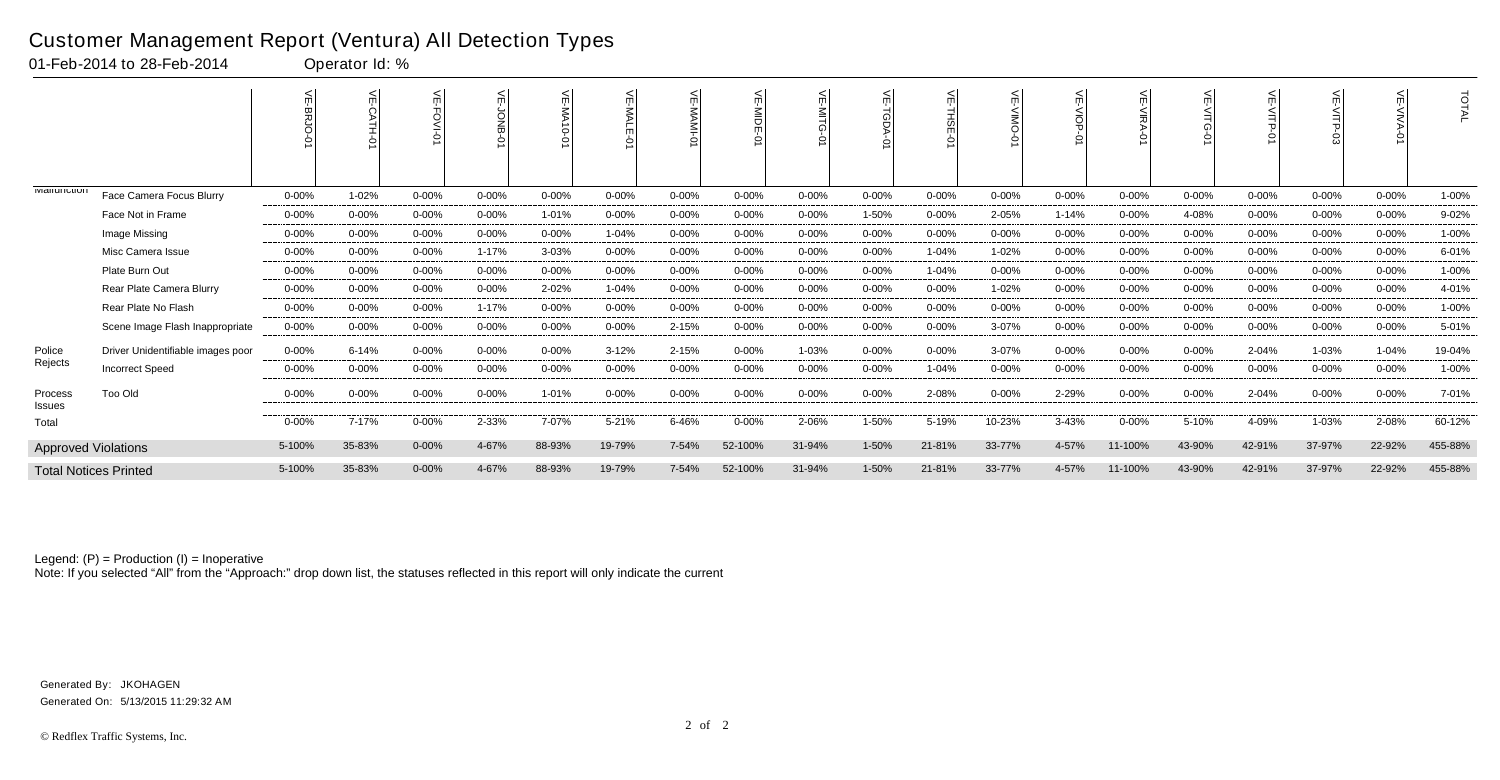|                      |                                   |           |           | 븻          | 늦         |            | ے<br><b>MALE</b><br>$\circ$ | ¥<br>$\circ$ |           | ے<br>$\leq$ | 늦         | 븻         | ے<br>ONIN  | 늰<br>$\frac{1}{2}$<br>⌒ | 븻<br>γ∥R  | 늦          | 늰          |           | $\leq$     | <b>TOTAL</b> |
|----------------------|-----------------------------------|-----------|-----------|------------|-----------|------------|-----------------------------|--------------|-----------|-------------|-----------|-----------|------------|-------------------------|-----------|------------|------------|-----------|------------|--------------|
| <b>IVIAIIUIIUIUI</b> | Face Camera Focus Blurry          | $0 - 00%$ | 1-02%     | $0 - 00%$  | $0 - 00%$ | $0 - 00%$  | $0 - 00\%$                  | 0-00%        | $0 - 00%$ | $0 - 00\%$  | $0 - 00%$ | $0 - 00%$ | $0 - 00\%$ | $0 - 00\%$              | $0 - 00%$ | $0 - 00\%$ | $0 - 00\%$ | $0 - 00%$ | $0 - 00\%$ | 1-00%        |
|                      | Face Not in Frame                 | $0 - 00%$ | $0 - 00%$ | $0 - 00%$  | $0 - 00%$ | 1-01%      | $0 - 00\%$                  | $0 - 00%$    | $0 - 00%$ | $0 - 00%$   | 1-50%     | $0 - 00%$ | 2-05%      | $1 - 14%$               | $0 - 00%$ | 4-08%      | $0 - 00%$  | $0 - 00%$ | $0 - 00\%$ | 9-02%        |
|                      | Image Missing                     | $0 - 00%$ | $0 - 00%$ | $0 - 00%$  | $0 - 00%$ | $0 - 00%$  | 1-04%                       | $0 - 00%$    | $0 - 00%$ | $0 - 00%$   | $0 - 00%$ | $0 - 00%$ | $0 - 00%$  | $0 - 00%$               | $0 - 00%$ | $0 - 00%$  | $0 - 00%$  | $0 - 00%$ | $0 - 00%$  | 1-00%        |
|                      | Misc Camera Issue                 | $0 - 00%$ | $0 - 00%$ | $0 - 00%$  | $1 - 17%$ | 3-03%      | $0 - 00%$                   | $0 - 00%$    | $0 - 00%$ | $0 - 00\%$  | $0 - 00%$ | $1 - 04%$ | 1-02%      | $0 - 00%$               | $0 - 00%$ | $0 - 00%$  | 0-00%      | $0 - 00%$ | $0 - 00\%$ | 6-01%        |
|                      | Plate Burn Out                    | $0 - 00%$ | $0 - 00%$ | $0 - 00%$  | $0 - 00%$ | $0 - 00%$  | $0 - 00%$                   | $0 - 00%$    | $0 - 00%$ | $0 - 00%$   | $0 - 00%$ | 1-04%     | $0 - 00%$  | $0 - 00%$               | $0 - 00%$ | $0 - 00%$  | $0 - 00%$  | $0 - 00%$ | $0 - 00%$  | 1-00%        |
|                      | Rear Plate Camera Blurry          | $0 - 00%$ | $0 - 00%$ | $0 - 00%$  | $0 - 00%$ | 2-02%      | 1-04%                       | $0 - 00%$    | $0 - 00%$ | $0 - 00\%$  | $0 - 00%$ | $0 - 00%$ | 1-02%      | $0 - 00%$               | $0 - 00%$ | $0 - 00%$  | $0 - 00%$  | 0-00%     | $0 - 00%$  | 4-01%        |
|                      | Rear Plate No Flash               | $0 - 00%$ | $0 - 00%$ | $0 - 00%$  | $1 - 17%$ | $0 - 00%$  | $0 - 00%$                   | $0 - 00%$    | $0 - 00%$ | $0 - 00%$   | $0 - 00%$ | $0 - 00%$ | $0 - 00%$  | $0 - 00%$               | $0 - 00%$ | $0 - 00%$  | $0 - 00%$  | $0 - 00%$ | $0 - 00%$  | 1-00%        |
|                      | Scene Image Flash Inappropriate   | $0 - 00%$ | $0 - 00%$ | $0 - 00%$  | $0 - 00%$ | $0 - 00%$  | $0 - 00\%$                  | 2-15%        | $0 - 00%$ | $0 - 00\%$  | $0 - 00%$ | $0 - 00%$ | 3-07%      | $0 - 00%$               | $0 - 00%$ | $0 - 00\%$ | $0 - 00%$  | $0 - 00%$ | $0 - 00\%$ | 5-01%        |
| Police               | Driver Unidentifiable images poor | $0 - 00%$ | 6-14%     | $0 - 00%$  | $0 - 00%$ | $0 - 00\%$ | $3 - 12%$                   | 2-15%        | $0 - 00%$ | 1-03%       | 0-00%     | $0 - 00%$ | 3-07%      | 0-00%                   | $0 - 00%$ | $0 - 00\%$ | 2-04%      | 1-03%     | $1 - 04%$  | 19-04%       |
| Rejects              | <b>Incorrect Speed</b>            | $0 - 00%$ | $0 - 00%$ | $0 - 00%$  | $0 - 00%$ | $0 - 00%$  | $0 - 00%$                   | $0 - 00%$    | $0 - 00%$ | $0 - 00%$   | $0 - 00%$ | 1-04%     | $0 - 00%$  | $0 - 00%$               | $0 - 00%$ | $0 - 00%$  | $0 - 00%$  | $0 - 00%$ | $0 - 00%$  | 1-00%        |
| Process<br>Issues    | Too Old                           | $0 - 00%$ | $0 - 00%$ | 0-00%      | $0 - 00%$ | 1-01%      | $0 - 00\%$                  | $0 - 00%$    | $0 - 00%$ | $0 - 00\%$  | $0 - 00%$ | 2-08%     | $0 - 00\%$ | 2-29%                   | $0 - 00%$ | 0-00%      | 2-04%      | $0 - 00%$ | $0 - 00\%$ | 7-01%        |
| Total                |                                   | $0 - 00%$ | 7-17%     | $0 - 00%$  | 2-33%     | 7-07%      | $5 - 21%$                   | 6-46%        | $0 - 00%$ | 2-06%       | 1-50%     | 5-19%     | 10-23%     | 3-43%                   | $0 - 00%$ | 5-10%      | 4-09%      | 1-03%     | 2-08%      | 60-12%       |
|                      | <b>Approved Violations</b>        | 5-100%    | 35-83%    | $0 - 00\%$ | 4-67%     | 88-93%     | 19-79%                      | 7-54%        | 52-100%   | 31-94%      | $1 - 50%$ | 21-81%    | 33-77%     | 4-57%                   | 11-100%   | 43-90%     | 42-91%     | 37-97%    | 22-92%     | 455-88%      |
|                      | <b>Total Notices Printed</b>      | 5-100%    | 35-83%    | $0 - 00\%$ | 4-67%     | 88-93%     | 19-79%                      | 7-54%        | 52-100%   | 31-94%      | 1-50%     | 21-81%    | 33-77%     | 4-57%                   | 11-100%   | 43-90%     | 42-91%     | 37-97%    | 22-92%     | 455-88%      |

Note: If you selected "All" from the "Approach:" drop down list, the statuses reflected in this report will only indicate the current

### Customer Management Report (Ventura) All Detection Types

01-Feb-2014 to 28-Feb-2014 Operator Id: %

Generated On: 5/13/2015 11:29:32 AM Generated By: JKOHAGEN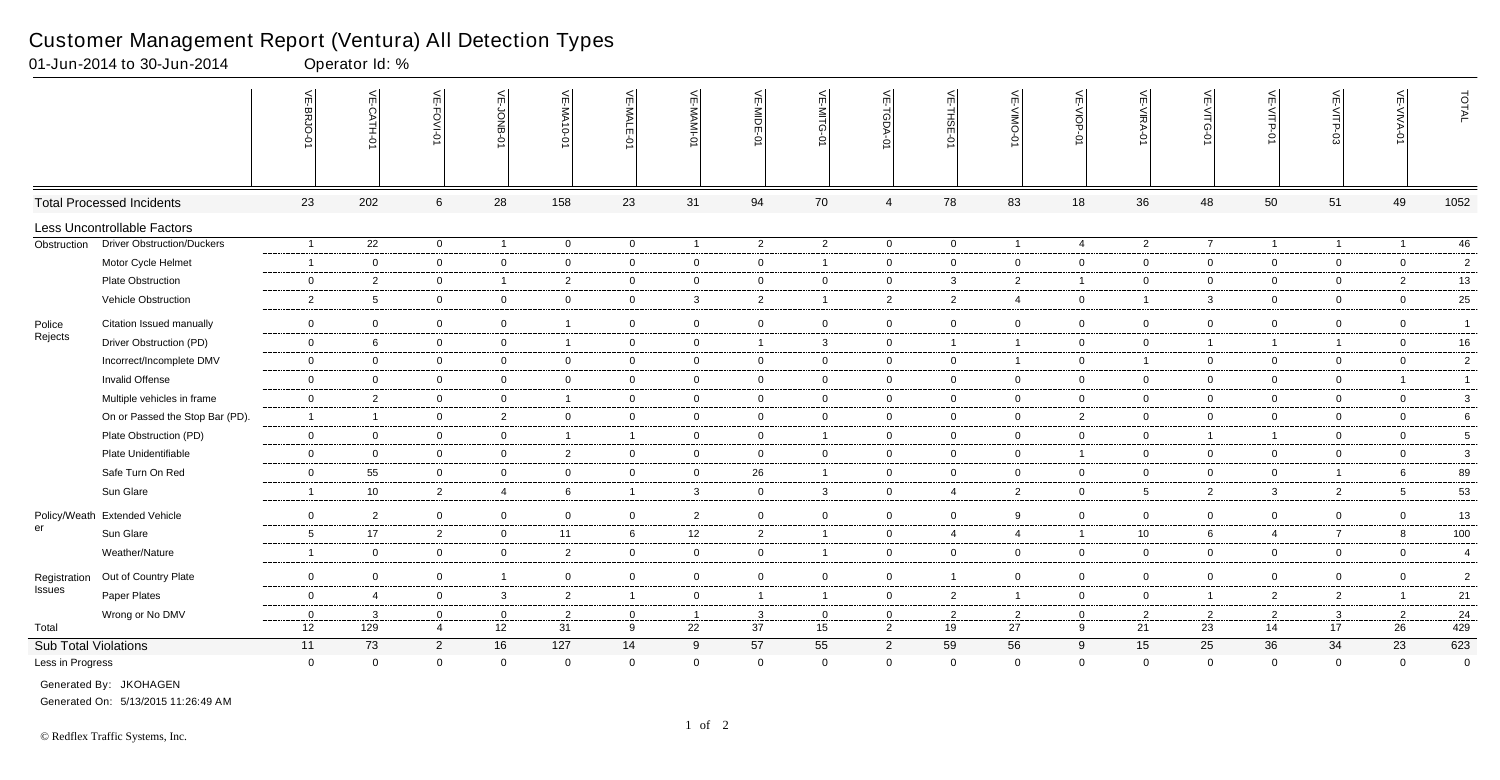|                             |                                   | 븻<br>-BRJO-    | VE-CATH-01      | VE-FOVI-0      | <b>NE-JONB</b> | VE-MA10-01              | VE-MALE        | VE-MAMI-0      | VE-MIDE-01     | VE-MITG-01     | VE-TGDA-0      | VE-THSE-01     | $\leq$<br>$\overline{5}$<br>ò | VE-VIOP-<br>Ò  | VE-VIRA-01      | VE-VITG-0      | VE-VITP-01     | VE-VITP-03     | VE-VIVA-0       | TOTAL          |
|-----------------------------|-----------------------------------|----------------|-----------------|----------------|----------------|-------------------------|----------------|----------------|----------------|----------------|----------------|----------------|-------------------------------|----------------|-----------------|----------------|----------------|----------------|-----------------|----------------|
|                             | <b>Total Processed Incidents</b>  | 23             | 202             | 6              | 28             | 158                     | 23             | 31             | 94             | 70             | 4              | 78             | 83                            | 18             | 36              | 48             | 50             | 51             | 49              | 1052           |
|                             | Less Uncontrollable Factors       |                |                 |                |                |                         |                |                |                |                |                |                |                               |                |                 |                |                |                |                 |                |
| Obstruction                 | <b>Driver Obstruction/Duckers</b> | $\overline{1}$ | $\overline{22}$ | $\overline{0}$ | $\overline{1}$ | $\overline{0}$          | $\overline{0}$ | $\overline{1}$ | $\overline{2}$ | $\overline{2}$ | $\mathbf 0$    | $\overline{0}$ | $\overline{1}$                | $\overline{4}$ | $\overline{2}$  | $\overline{7}$ | $\overline{1}$ | $\overline{1}$ | $\overline{1}$  | 46             |
|                             | Motor Cycle Helmet                | $\overline{1}$ | $\mathbf 0$     | $\overline{0}$ | $\overline{0}$ | $\mathbf 0$             | $\overline{0}$ | $\mathbf 0$    | $\overline{0}$ | $\mathbf{1}$   | $\mathbf 0$    | $\mathbf 0$    | $\mathbf 0$                   | $\overline{0}$ | $\mathbf 0$     | $\overline{0}$ | $\overline{0}$ | $\mathbf 0$    | $\overline{0}$  | $\overline{2}$ |
|                             | Plate Obstruction                 | $\overline{0}$ | $\overline{2}$  | $\mathbf 0$    | $\overline{1}$ | $\overline{2}$          | $\overline{0}$ | $\overline{0}$ | $\mathbf 0$    | $\mathbf 0$    | $\overline{0}$ | $\mathbf{3}$   | $\overline{2}$                | $\overline{1}$ | $\mathbf 0$     | $\mathbf 0$    | $\overline{0}$ | $\mathbf 0$    | $\overline{2}$  | $13$           |
|                             | Vehicle Obstruction               | $\overline{2}$ | 5               | $\mathbf 0$    | $\overline{0}$ | $\overline{0}$          | $\overline{0}$ | $\mathbf{3}$   | $\overline{2}$ | $\overline{1}$ | $\overline{2}$ | $\overline{2}$ | $\overline{4}$                | $\overline{0}$ | $\overline{1}$  | 3 <sup>1</sup> | $\overline{0}$ | $\overline{0}$ | $\overline{0}$  | $25\,$         |
| Police                      | Citation Issued manually          | $\mathbf 0$    | $\overline{0}$  | $\mathbf 0$    | $\overline{0}$ | $\overline{\mathbf{1}}$ | $\overline{0}$ | $\mathsf 0$    | $\overline{0}$ | $\mathbf 0$    | $\mathbf 0$    | $\mathbf 0$    | $\mathbf 0$                   | $\overline{0}$ | $\mathbf 0$     | $\overline{0}$ | $\overline{0}$ | $\overline{0}$ | $\overline{0}$  | $\overline{1}$ |
| Rejects                     | Driver Obstruction (PD)           | $\overline{0}$ | 6               | $\overline{0}$ | $\overline{0}$ | $\overline{1}$          | $\mathbf 0$    | $\overline{0}$ | $\overline{1}$ | $\mathbf{3}$   | $\overline{0}$ | $\overline{1}$ | $\overline{1}$                | $\overline{0}$ | $\mathbf 0$     | $\overline{1}$ | $\overline{1}$ | $\overline{1}$ | $\overline{0}$  | $16 \,$        |
|                             | Incorrect/Incomplete DMV          | $\mathbf 0$    | $\mathbf 0$     | $\mathbf 0$    | $\overline{0}$ | $\mathbf 0$             | $\overline{0}$ | $\overline{0}$ | $\overline{0}$ | $\overline{0}$ | $\mathbf 0$    | $\mathbf 0$    | $\overline{1}$                | $\overline{0}$ | $\overline{1}$  | $\overline{0}$ | $\overline{0}$ | $\mathbf 0$    | $\overline{0}$  | $\overline{c}$ |
|                             | Invalid Offense                   | $\overline{0}$ | $\mathbf 0$     | $\mathbf 0$    | $\overline{0}$ | $\mathbf 0$             | $\mathbf 0$    | $\mathbf 0$    | $\overline{0}$ | $\mathbf 0$    | $\overline{0}$ | $\mathbf 0$    | $\mathbf 0$                   | $\overline{0}$ | $\mathbf 0$     | $\mathbf 0$    | $\overline{0}$ | $\mathbf 0$    | $\overline{1}$  | $\overline{1}$ |
|                             | Multiple vehicles in frame        | $\overline{0}$ | $\overline{2}$  | $\mathbf 0$    | $\overline{0}$ | $\overline{1}$          | $\overline{0}$ | $\overline{0}$ | $\mathbf 0$    | $\overline{0}$ | $\overline{0}$ | $\mathbf 0$    | $\mathbf 0$                   | $\overline{0}$ | $\mathbf 0$     | $\overline{0}$ | $\overline{0}$ | $\mathbf 0$    | $\overline{0}$  | $\mathbf{3}$   |
|                             | On or Passed the Stop Bar (PD).   | $\overline{1}$ | $\overline{1}$  | $\overline{0}$ | $\overline{2}$ | $\mathbf 0$             | $\overline{0}$ | $\mathbf 0$    | $\overline{0}$ | $\overline{0}$ | $\mathbf 0$    | $\mathbf 0$    | $\overline{0}$                | $\overline{2}$ | $\mathbf 0$     | $\overline{0}$ | $\overline{0}$ | $\mathbf 0$    | $\overline{0}$  | 6              |
|                             | Plate Obstruction (PD)            | $\overline{0}$ | $\overline{0}$  | $\mathbf 0$    | $\overline{0}$ | $\overline{1}$          | $\overline{1}$ | $\overline{0}$ | $\overline{0}$ | $\mathbf{1}$   | $\overline{0}$ | $\mathbf 0$    | $\overline{0}$                | $\overline{0}$ | $\overline{0}$  | $\overline{1}$ | $\mathbf{1}$   | $\overline{0}$ | $\overline{0}$  | $\sqrt{5}$     |
|                             | Plate Unidentifiable              | $\overline{0}$ | $\overline{0}$  | $\mathbf 0$    | $\overline{0}$ | 2                       | $\overline{0}$ | $\overline{0}$ | $\overline{0}$ | $\overline{0}$ | $\overline{0}$ | $\mathbf 0$    | $\mathbf 0$                   | $\overline{1}$ | $\mathbf 0$     | $\mathbf 0$    | $\overline{0}$ | $\mathbf 0$    | $\mathbf 0$     | 3              |
|                             | Safe Turn On Red                  | $\overline{0}$ | 55              | $\overline{0}$ | $\overline{0}$ | $\overline{0}$          | $\overline{0}$ | $\mathbf 0$    | 26             | $\mathbf{1}$   | $\mathbf 0$    | $\mathbf 0$    | $\overline{0}$                | $\overline{0}$ | $\overline{0}$  | $\overline{0}$ | $\overline{0}$ | $\overline{1}$ | 6               | 89             |
|                             | Sun Glare                         | $\overline{1}$ | 10              | 2              | $\overline{4}$ | 6                       | $\overline{1}$ | $\mathbf{3}$   | $\overline{0}$ | $\mathbf{3}$   | $\overline{0}$ | $\overline{4}$ | $\overline{2}$                | $\overline{0}$ | $5\overline{5}$ | $\overline{2}$ | $\mathbf{3}$   | $\overline{2}$ | $5\overline{)}$ | 53             |
|                             | Policy/Weath Extended Vehicle     | $\overline{0}$ | $\overline{2}$  | $\overline{0}$ | $\overline{0}$ | $\overline{0}$          | $\overline{0}$ | $\overline{2}$ | $\overline{0}$ | $\overline{0}$ | $\mathbf 0$    | $\overline{0}$ | 9                             | $\overline{0}$ | $\overline{0}$  | $\overline{0}$ | $\overline{0}$ | $\mathbf 0$    | $\overline{0}$  | 13             |
| er                          | Sun Glare                         | 5              | 17              | $\overline{2}$ | $\overline{0}$ | 11                      | 6              | 12             | $\overline{c}$ | $\mathbf{1}$   | $\overline{0}$ | $\overline{4}$ | $\overline{4}$                | $\overline{1}$ | 10              | 6              | $\overline{4}$ | $\overline{7}$ | 8               | 100            |
|                             | Weather/Nature                    | $\overline{1}$ | $\overline{0}$  | $\overline{0}$ | $\overline{0}$ | $\overline{2}$          | $\overline{0}$ | $\mathbf 0$    | $\overline{0}$ | $\mathbf{1}$   | $\mathbf 0$    | $\mathbf 0$    | $\overline{0}$                | $\overline{0}$ | $\overline{0}$  | $\overline{0}$ | $\overline{0}$ | $\mathbf 0$    | $\overline{0}$  | 4              |
| Registration                | Out of Country Plate              | $\mathbf 0$    | $\mathbf 0$     | $\mathbf 0$    | $\overline{1}$ | $\mathbf 0$             | $\overline{0}$ | $\overline{0}$ | $\overline{0}$ | $\mathbf 0$    | $\mathbf 0$    | $\overline{1}$ | $\mathbf 0$                   | $\mathbf 0$    | $\overline{0}$  | $\overline{0}$ | $\overline{0}$ | $\overline{0}$ | $\overline{0}$  | $\overline{c}$ |
| Issues                      | Paper Plates                      | $\overline{0}$ | $\overline{4}$  | $\overline{0}$ | $\mathbf{3}$   | $\overline{2}$          | $\sim$         | $\mathbf 0$    | $\overline{1}$ | $\mathbf{1}$   | $\mathbf 0$    | 2              | $\mathbf{1}$                  | $\overline{0}$ | $\overline{0}$  | $\overline{1}$ | $\overline{2}$ | $\overline{2}$ | $\overline{1}$  | 21             |
|                             | Wrong or No DMV                   | $\mathbf 0$    | $\mathbf{3}$    | $\mathbf 0$    | $\mathbf 0$    | $\overline{2}$          | $\mathbf 0$    | $\overline{1}$ | $\mathbf{3}$   | $\overline{0}$ | $\mathbf 0$    | 2              | $\overline{2}$                | $\mathbf 0$    | 2               | $\overline{2}$ | $\overline{2}$ | $\mathbf{3}$   | $\overline{2}$  | 24             |
| Total                       |                                   | 12             | 129             | $\overline{4}$ | 12             | 31                      | 9              | 22             | 37             | 15             | $\overline{2}$ | 19             | 27                            | 9              | 21              | 23             | 14             | 17             | 26              | 429            |
| <b>Sub Total Violations</b> |                                   | 11             | 73              | $\overline{2}$ | 16             | 127                     | 14             | 9              | 57             | 55             | $\overline{2}$ | 59             | 56                            | 9              | 15              | 25             | 36             | 34             | 23              | 623            |
| Less in Progress            |                                   | $\overline{0}$ | $\mathbf 0$     | $\overline{0}$ | $\mathbf 0$    | $\overline{0}$          | $\mathbf 0$    | $\mathbf 0$    | $\overline{0}$ | $\mathbf 0$    | $\mathbf 0$    | $\overline{0}$ | $\Omega$                      | $\mathbf 0$    | $\Omega$        | $\mathbf 0$    | $\mathbf 0$    | $\mathbf 0$    | $\Omega$        | $\overline{0}$ |
|                             | Generated By: JKOHAGEN            |                |                 |                |                |                         |                |                |                |                |                |                |                               |                |                 |                |                |                |                 |                |

01-Jun-2014 to 30-Jun-2014 Operator Id: %

Generated On: 5/13/2015 11:26:49 AM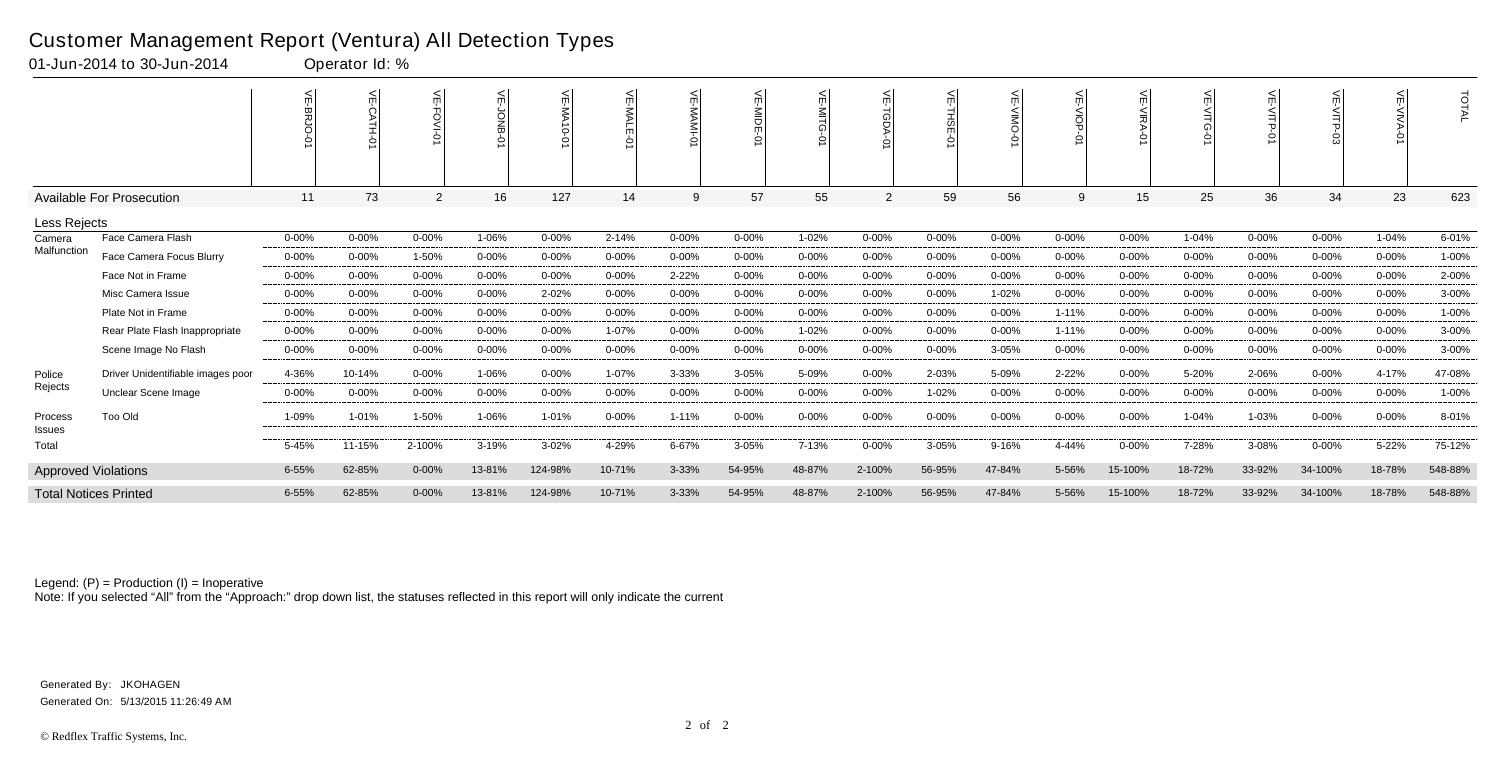|                              |                                   |           | $\,<$     | ے              | $\leq$<br>$\circ$ | ←         | ¥          | $\overline{m}$ |           | ≲         | 심              |           |           | ¥<br>$rac{1}{9}$<br>$\circ$ |            |           | F<br>.<br>ЧЦР-<br>Ò |           |            | <b>TOTAL</b> |
|------------------------------|-----------------------------------|-----------|-----------|----------------|-------------------|-----------|------------|----------------|-----------|-----------|----------------|-----------|-----------|-----------------------------|------------|-----------|---------------------|-----------|------------|--------------|
|                              | Available For Prosecution         | 11        | 73        | $\overline{2}$ | 16                | 127       | 14         | 9              | 57        | 55        | $\overline{2}$ | 59        | 56        | 9                           | 15         | 25        | 36                  | 34        | 23         | 623          |
| Less Rejects                 |                                   |           |           |                |                   |           |            |                |           |           |                |           |           |                             |            |           |                     |           |            |              |
| Camera                       | Face Camera Flash                 | 0-00%     | $0 - 00%$ | $0 - 00%$      | 1-06%             | $0 - 00%$ | $2 - 14%$  | $0 - 00%$      | $0 - 00%$ | 1-02%     | $0 - 00%$      | 0-00%     | $0 - 00%$ | $0 - 00%$                   | $0 - 00%$  | 1-04%     | $0 - 00%$           | $0 - 00%$ | 1-04%      | 6-01%        |
| Malfunction                  | Face Camera Focus Blurry          | $0 - 00%$ | $0 - 00%$ | 1-50%          | 0-00%             | $0 - 00%$ | $0 - 00%$  | 0-00%          | $0 - 00%$ | $0 - 00%$ | $0 - 00%$      | $0 - 00%$ | $0 - 00%$ | $0 - 00%$                   | $0 - 00%$  | $0 - 00%$ | $0 - 00%$           | $0 - 00%$ | $0 - 00%$  | 1-00%        |
|                              | Face Not in Frame                 | $0 - 00%$ | $0 - 00%$ | $0 - 00%$      | $0 - 00%$         | $0 - 00%$ | $0 - 00%$  | 2-22%          | $0 - 00%$ | $0 - 00%$ | $0 - 00%$      | $0 - 00%$ | $0 - 00%$ | $0 - 00%$                   | $0 - 00%$  | $0 - 00%$ | $0 - 00%$           | $0 - 00%$ | $0 - 00%$  | 2-00%        |
|                              | Misc Camera Issue                 | $0 - 00%$ | $0 - 00%$ | $0 - 00%$      | $0 - 00%$         | 2-02%     | $0 - 00%$  | $0 - 00%$      | $0 - 00%$ | $0 - 00%$ | $0 - 00%$      | $0 - 00%$ | 1-02%     | $0 - 00%$                   | $0 - 00%$  | $0 - 00%$ | $0 - 00%$           | $0 - 00%$ | $0 - 00%$  | 3-00%        |
|                              | Plate Not in Frame                | $0 - 00%$ | $0 - 00%$ | $0 - 00%$      | 0-00%             | $0 - 00%$ | $0 - 00%$  | $0 - 00%$      | $0 - 00%$ | $0 - 00%$ | $0 - 00%$      | $0 - 00%$ | $0 - 00%$ | $1 - 11%$                   | $0 - 00%$  | $0 - 00%$ | 0-00%               | $0 - 00%$ | $0 - 00%$  | 1-00%        |
|                              | Rear Plate Flash Inappropriate    | $0 - 00%$ | $0 - 00%$ | $0 - 00%$      | 0-00%             | $0 - 00%$ | 1-07%      | $0 - 00%$      | $0 - 00%$ | 1-02%     | $0 - 00%$      | $0 - 00%$ | $0 - 00%$ | 1-11%                       | $0 - 00%$  | $0 - 00%$ | $0 - 00%$           | $0 - 00%$ | $0 - 00\%$ | 3-00%        |
|                              | Scene Image No Flash              | 0-00%     | $0 - 00%$ | 0-00%          | $0 - 00%$         | $0 - 00%$ | $0 - 00\%$ | $0 - 00%$      | $0 - 00%$ | $0 - 00%$ | $0 - 00%$      | $0 - 00%$ | 3-05%     | 0-00%                       | $0 - 00%$  | $0 - 00%$ | $0 - 00%$           | $0 - 00%$ | $0 - 00\%$ | 3-00%        |
| Police                       | Driver Unidentifiable images poor | 4-36%     | 10-14%    | $0 - 00\%$     | 1-06%             | $0 - 00%$ | 1-07%      | 3-33%          | 3-05%     | 5-09%     | $0 - 00\%$     | 2-03%     | 5-09%     | 2-22%                       | 0-00%      | 5-20%     | 2-06%               | 0-00%     | 4-17%      | 47-08%       |
| Rejects                      | Unclear Scene Image               | $0 - 00%$ | $0 - 00%$ | $0 - 00%$      | $0 - 00%$         | $0 - 00%$ | $0 - 00%$  | $0 - 00%$      | $0 - 00%$ | $0 - 00%$ | $0 - 00%$      | 1-02%     | $0 - 00%$ | $0 - 00%$                   | $0 - 00\%$ | $0 - 00%$ | $0 - 00%$           | $0 - 00%$ | $0 - 00\%$ | 1-00%        |
| Process<br>Issues            | Too Old                           | 1-09%     | 1-01%     | 1-50%          | 1-06%             | 1-01%     | $0 - 00%$  | 1-11%          | $0 - 00%$ | $0 - 00%$ | $0 - 00%$      | $0 - 00%$ | $0 - 00%$ | $0 - 00%$                   | $0 - 00%$  | 1-04%     | 1-03%               | $0 - 00%$ | $0 - 00\%$ | 8-01%        |
| Total                        |                                   | 5-45%     | 11-15%    | 2-100%         | 3-19%             | $3 - 02%$ | 4-29%      | 6-67%          | 3-05%     | 7-13%     | $0 - 00%$      | $3 - 05%$ | 9-16%     | 4-44%                       | $0 - 00%$  | 7-28%     | 3-08%               | $0 - 00%$ | 5-22%      | 75-12%       |
| <b>Approved Violations</b>   |                                   | 6-55%     | 62-85%    | $0 - 00%$      | 13-81%            | 124-98%   | 10-71%     | 3-33%          | 54-95%    | 48-87%    | 2-100%         | 56-95%    | 47-84%    | 5-56%                       | 15-100%    | 18-72%    | 33-92%              | 34-100%   | 18-78%     | 548-88%      |
| <b>Total Notices Printed</b> |                                   | 6-55%     | 62-85%    | $0 - 00%$      | 13-81%            | 124-98%   | 10-71%     | 3-33%          | 54-95%    | 48-87%    | 2-100%         | 56-95%    | 47-84%    | 5-56%                       | 15-100%    | 18-72%    | 33-92%              | 34-100%   | 18-78%     | 548-88%      |

Note: If you selected "All" from the "Approach:" drop down list, the statuses reflected in this report will only indicate the current

### Customer Management Report (Ventura) All Detection Types

01-Jun-2014 to 30-Jun-2014 Operator Id: %

Generated On: 5/13/2015 11:26:49 AM Generated By: JKOHAGEN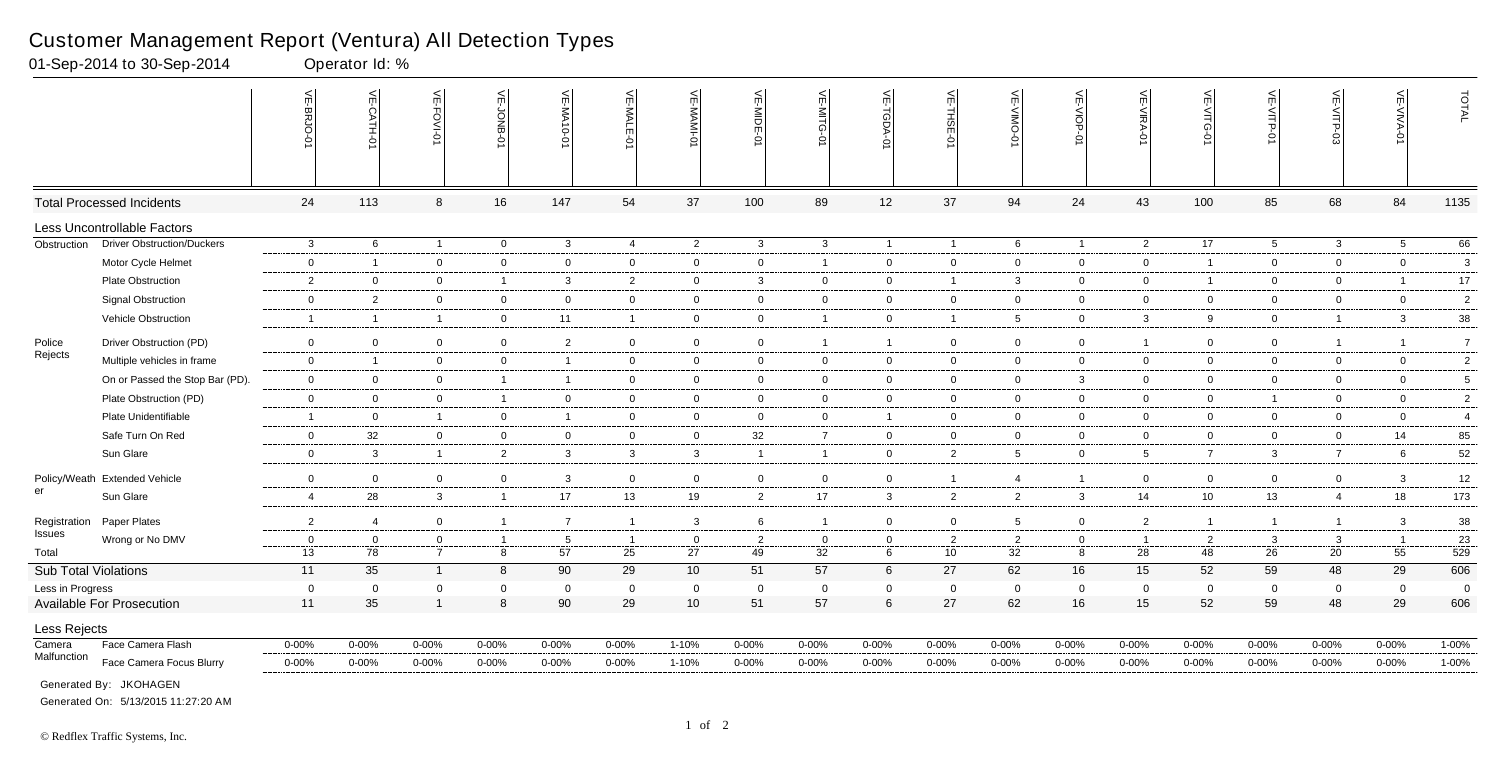|                             |                                   | 븻<br>-BRJO-0       | VE-CATH-01           | VE-FOVI-01                    | ے<br>έ<br>ٵ         | VE-MA<br>$10 - 01$       | VE-MALE<br>ò         | VE-MAMI              | VE-MIDE-01           | VE-MITG-0            | VE-TGDA-0       | VE-THSE-01           | VE-VIMO-0            | VE-VIOP-0        | VE-VIRA-01           | 늦<br>-VITG<br>Ò      | VE-VITP-<br>Ġ      | <b>VE-VITP-03</b>  | VE-VIVA-             | TOTAL           |
|-----------------------------|-----------------------------------|--------------------|----------------------|-------------------------------|---------------------|--------------------------|----------------------|----------------------|----------------------|----------------------|-----------------|----------------------|----------------------|------------------|----------------------|----------------------|--------------------|--------------------|----------------------|-----------------|
|                             | <b>Total Processed Incidents</b>  | 24                 | 113                  | 8                             | 16                  | 147                      | 54                   | 37                   | 100                  | 89                   | 12              | 37                   | 94                   | 24               | 43                   | 100                  | 85                 | 68                 | 84                   | 1135            |
|                             | Less Uncontrollable Factors       |                    |                      |                               |                     |                          |                      |                      |                      |                      |                 |                      |                      |                  |                      |                      |                    |                    |                      |                 |
| Obstruction                 | <b>Driver Obstruction/Duckers</b> | $\mathbf{3}$       | 6                    | $\overline{1}$                | $\overline{0}$      | $\mathbf{3}$             | 4                    | $\overline{2}$       | $\mathbf{3}$         | $\mathbf{3}$         | $\overline{1}$  | $\overline{1}$       | 6                    | $\overline{1}$   | $\overline{2}$       | 17                   | $5\overline{)}$    | $\mathbf{3}$       | $5\overline{)}$      | 66              |
|                             | Motor Cycle Helmet                | $\mathbf 0$        | $\overline{1}$       | $\mathbf 0$                   | $\mathbf 0$         | $\mathbf 0$              | $\overline{0}$       | $\overline{0}$       | $\mathbf 0$          | $\mathbf{1}$         | $\mathbf 0$     | $\overline{0}$       | $\overline{0}$       | $\overline{0}$   | $\mathbf 0$          | $\overline{1}$       | $\overline{0}$     | $\mathbf 0$        | $\overline{0}$       | $\mathbf{3}$    |
|                             | Plate Obstruction                 | $\overline{2}$     | $\overline{0}$       | $\overline{0}$                | $\overline{1}$      | 3                        | 2                    | $\mathbf 0$          | $\mathbf{3}$         | $\overline{0}$       | $\mathbf 0$     | $\overline{1}$       | $\mathbf{3}$         | $\mathbf 0$      | $\mathbf 0$          | $\overline{1}$       | $\mathbf{0}$       | $\mathbf 0$        |                      | $17\,$          |
|                             | <b>Signal Obstruction</b>         | $\mathbf 0$        | $\overline{2}$       | $\mathbf 0$                   | $\overline{0}$      | $\mathbf 0$              | $\mathbf 0$          | $\overline{0}$       | $\mathbf 0$          | $\overline{0}$       | $\overline{0}$  | $\overline{0}$       | $\overline{0}$       | $\mathbf 0$      | $\mathbf 0$          | $\overline{0}$       | $\mathbf{0}$       | $\mathbf 0$        | $\overline{0}$       | $\overline{2}$  |
|                             | Vehicle Obstruction               | $\overline{1}$     | $\overline{1}$       | $\overline{1}$                | $\overline{0}$      | 11                       | $\overline{1}$       | $\overline{0}$       | $\mathbf 0$          | $\mathbf{1}$         | $\overline{0}$  | $\overline{1}$       | $5\overline{)}$      | $\mathbf 0$      | $\mathbf{3}$         | 9                    | $\overline{0}$     | $\overline{1}$     | $\mathbf{3}$         | 38              |
| Police                      | Driver Obstruction (PD)           | $\mathbf 0$        | $\overline{0}$       | $\overline{0}$                | $\mathbf 0$         | $\overline{2}$           | $\overline{0}$       | $\mathbf 0$          | $\mathbf 0$          | $\mathbf{1}$         | $\overline{1}$  | $\overline{0}$       | $\overline{0}$       | $\overline{0}$   | $\overline{1}$       | $\overline{0}$       | $\overline{0}$     | $\overline{1}$     | $\overline{1}$       | $7\overline{ }$ |
| Rejects                     | Multiple vehicles in frame        | $\mathbf{0}$       | $\overline{1}$       | $\mathbf 0$                   | $\overline{0}$      | $\overline{\phantom{0}}$ | $\mathbf 0$          | $\overline{0}$       | $\mathbf 0$          | $\overline{0}$       | $\mathbf 0$     | $\overline{0}$       | $\mathbf 0$          | $\mathbf 0$      | $\mathbf 0$          | $\mathbf 0$          | $\mathbf{0}$       | $\mathbf 0$        | $\overline{0}$       | $\overline{2}$  |
|                             | On or Passed the Stop Bar (PD).   | $\mathbf 0$        | $\overline{0}$       | $\overline{0}$                | $\overline{1}$      | $\overline{\phantom{0}}$ | $\overline{0}$       | $\mathbf 0$          | $\mathbf 0$          | $\overline{0}$       | 0               | $\overline{0}$       | $\overline{0}$       | $\mathbf{3}$     | $\overline{0}$       | $\overline{0}$       | $\overline{0}$     | $\mathbf 0$        | $\mathbf 0$          | $5\overline{)}$ |
|                             | Plate Obstruction (PD)            | $\mathbf 0$        | $\mathbf 0$          | $\mathbf 0$                   | $\overline{1}$      | $\mathbf 0$              | $\mathbf 0$          | $\overline{0}$       | $\mathbf 0$          | $\overline{0}$       | $\mathbf 0$     | $\overline{0}$       | $\overline{0}$       | $\mathbf 0$      | $\mathbf 0$          | $\overline{0}$       | $\overline{1}$     | $\mathbf 0$        | $\overline{0}$       | $\overline{2}$  |
|                             | Plate Unidentifiable              | $\overline{1}$     | $\mathbf 0$          | $\overline{1}$                | $\overline{0}$      | $\overline{\mathbf{1}}$  | $\overline{0}$       | $\overline{0}$       | $\mathbf 0$          | $\overline{0}$       | $\overline{1}$  | $\overline{0}$       | $\overline{0}$       | $\mathbf 0$      | $\mathbf 0$          | $\mathbf 0$          | $\overline{0}$     | $\mathbf{0}$       | $\overline{0}$       | $\overline{4}$  |
|                             | Safe Turn On Red                  | $\mathbf 0$        | 32                   | $\mathbf 0$                   | $\mathbf 0$         | $\mathbf{0}$             | $\overline{0}$       | $\mathbf 0$          | 32                   | $\overline{7}$       | $\mathbf 0$     | $\overline{0}$       | $\overline{0}$       | $\mathbf 0$      | $\mathbf 0$          | $\mathbf 0$          | $\mathbf{0}$       | $\mathbf 0$        | 14                   | 85              |
|                             | Sun Glare                         | $\mathbf 0$        | $\mathbf{3}$         | $\overline{1}$                | $\overline{2}$      | $\mathbf{3}$             | $\mathbf{3}$         | $\mathbf{3}$         | $\overline{1}$       | $\overline{1}$       | $\overline{0}$  | $\overline{2}$       | $5^{\circ}$          | $\mathbf 0$      | 5                    | $\overline{7}$       | $\mathbf{3}$       | $\overline{7}$     | 6                    | 52              |
|                             | Policy/Weath Extended Vehicle     | $\mathbf 0$        | $\overline{0}$       | $\mathbf 0$                   | $\mathbf 0$         | $\mathbf{3}$             | $\mathbf 0$          | $\overline{0}$       | $\mathbf 0$          | $\overline{0}$       | $\mathbf 0$     | $\overline{1}$       | $\overline{4}$       | $\overline{1}$   | $\mathbf 0$          | $\mathbf 0$          | $\mathbf{0}$       | $\mathbf 0$        | $\mathbf{3}$         | 12              |
| er                          | Sun Glare                         | $\overline{4}$     | 28                   | $\mathbf{3}$                  | $\overline{1}$      | 17                       | 13                   | 19                   | $\overline{2}$       | 17                   | $\mathbf{3}$    | $\overline{2}$       | $\overline{2}$       | $\mathbf{3}$     | 14                   | 10                   | 13                 | $\overline{4}$     | 18                   | 173             |
|                             |                                   |                    |                      |                               |                     |                          |                      |                      |                      |                      |                 |                      |                      |                  |                      |                      |                    |                    |                      |                 |
| Registration<br>Issues      | Paper Plates                      | $\overline{2}$     | $\overline{4}$       | $\overline{0}$                | $\overline{1}$      | $\overline{7}$           | $\overline{1}$       | $\mathbf{3}$         | 6                    | $\mathbf{1}$         | $\overline{0}$  | $\overline{0}$       | 5 <sup>5</sup>       | $\overline{0}$   | $\overline{2}$       | $\overline{1}$       | $\overline{1}$     | $\overline{1}$     | $\mathbf{3}$         | 38              |
| Total                       | Wrong or No DMV                   | $\mathbf{0}$<br>13 | $\overline{0}$<br>78 | $\mathbf 0$<br>$\overline{7}$ | $\overline{1}$<br>8 | 5<br>57                  | $\overline{1}$<br>25 | $\overline{0}$<br>27 | $\overline{2}$<br>49 | $\overline{0}$<br>32 | 0<br>$\,6\,$    | $\overline{2}$<br>10 | $\overline{2}$<br>32 | $\mathbf 0$<br>8 | $\overline{1}$<br>28 | $\overline{2}$<br>48 | $\mathbf{3}$<br>26 | $\mathbf{3}$<br>20 | $\overline{1}$<br>55 | 23<br>529       |
| <b>Sub Total Violations</b> |                                   | 11                 | 35                   | $\overline{1}$                | 8                   | 90                       | 29                   | 10 <sup>°</sup>      | 51                   | 57                   | 6               | 27                   | 62                   | 16               | 15                   | 52                   | 59                 | 48                 | 29                   | 606             |
| Less in Progress            |                                   | $\mathbf 0$        | $\mathbf{0}$         | $\Omega$                      | $\mathbf 0$         | $\Omega$                 | $\Omega$             | $\overline{0}$       | $\overline{0}$       | $\mathbf 0$          | $\mathbf 0$     | $\overline{0}$       | $\Omega$             | $\mathbf 0$      | $\Omega$             | $\Omega$             | $\mathbf 0$        | $\overline{0}$     | $\mathbf 0$          | $\mathbf 0$     |
|                             | <b>Available For Prosecution</b>  | 11                 | 35                   | $\overline{1}$                | $\boldsymbol{8}$    | 90                       | 29                   | 10                   | 51                   | 57                   | $6\phantom{.}6$ | 27                   | 62                   | 16               | 15                   | 52                   | 59                 | 48                 | 29                   | 606             |
| Less Rejects                |                                   |                    |                      |                               |                     |                          |                      |                      |                      |                      |                 |                      |                      |                  |                      |                      |                    |                    |                      |                 |
| Camera                      | Face Camera Flash                 | $0 - 00%$          | 0-00%                | $0 - 00\%$                    | $0 - 00%$           | $0 - 00%$                | $0 - 00\%$           | $1 - 10%$            | $0 - 00%$            | $0 - 00%$            | $0 - 00\%$      | $0 - 00%$            | $0 - 00%$            | $0 - 00%$        | $0 - 00%$            | $0 - 00%$            | $0 - 00\%$         | $0 - 00%$          | $0 - 00\%$           | $1 - 00%$       |
| Malfunction                 | Face Camera Focus Blurry          | $0 - 00%$          | $0 - 00\%$           | $0 - 00%$                     | 0-00%               | $0 - 00%$                | $0 - 00\%$           | 1-10%                | $0 - 00%$            | $0 - 00\%$           | 0-00%           | 0-00%                | $0 - 00%$            | $0 - 00\%$       | $0 - 00%$            | 0-00%                | $0 - 00%$          | 0-00%              | $0 - 00%$            | 1-00%           |
|                             | Generated By: JKOHAGEN            |                    |                      |                               |                     |                          |                      |                      |                      |                      |                 |                      |                      |                  |                      |                      |                    |                    |                      |                 |

01-Sep-2014 to 30-Sep-2014

Generated On: 5/13/2015 11:27:20 AM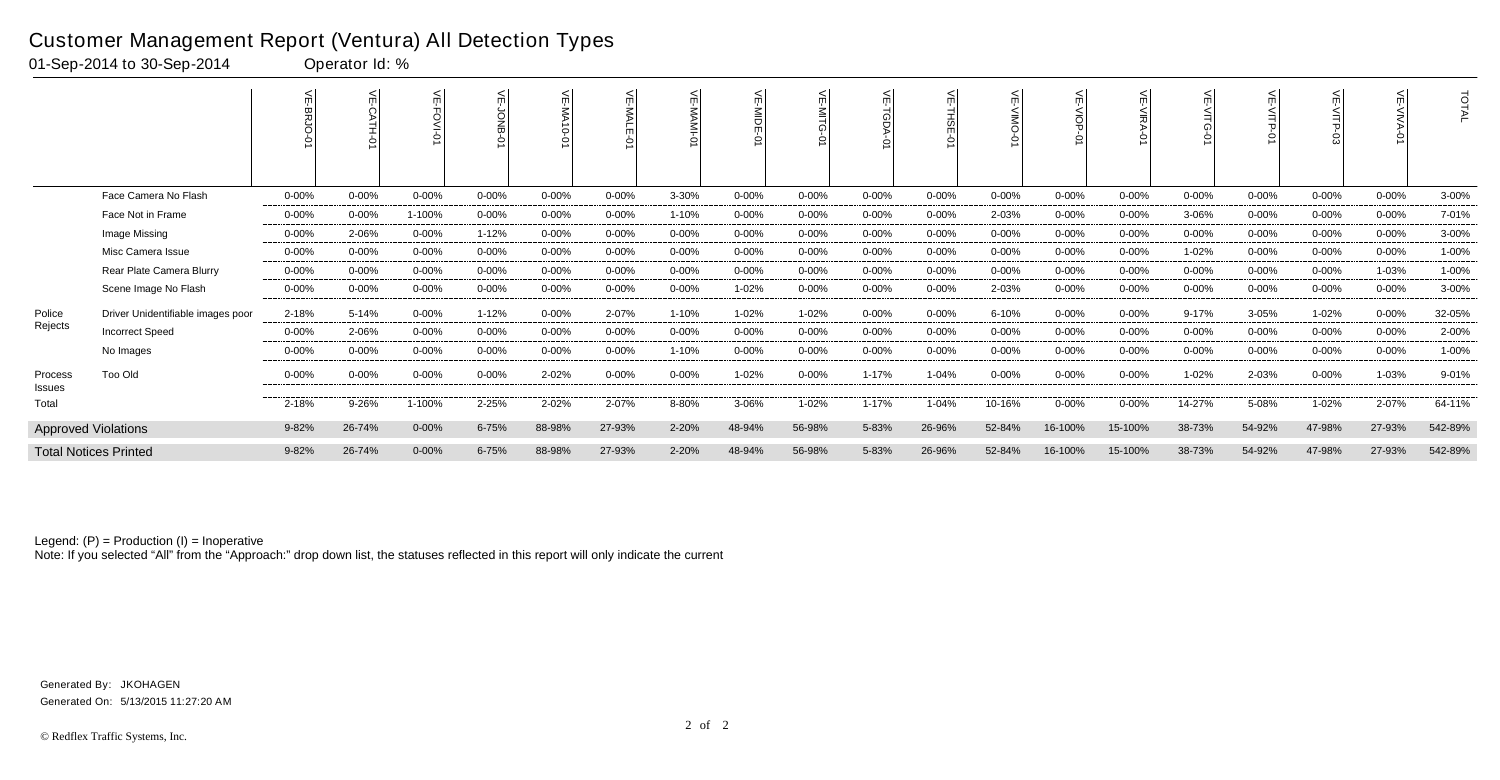|                   |                                   | $\leq$<br>였 | $\leq$<br>ò | ¥<br>O-IVO |           | 늦<br>$\vec{0}$ -0 | ₹<br><b>NALE</b> | ш         | $\leq$<br>≧<br>Fo<br>Š | <          | $\leq$     | 듯<br>졺<br>$\circ$ |            | $\leq$     | $\leq$     | ш         | $\leq$    |           |            | TOTAL   |
|-------------------|-----------------------------------|-------------|-------------|------------|-----------|-------------------|------------------|-----------|------------------------|------------|------------|-------------------|------------|------------|------------|-----------|-----------|-----------|------------|---------|
|                   | Face Camera No Flash              | $0 - 00%$   | $0 - 00%$   | $0 - 00%$  | 0-00%     | $0 - 00%$         | $0 - 00\%$       | 3-30%     | $0 - 00%$              | $0 - 00\%$ | $0 - 00\%$ | $0 - 00%$         | $0 - 00%$  | $0 - 00\%$ | $0 - 00%$  | $0 - 00%$ | $0 - 00%$ | $0 - 00%$ | $0 - 00\%$ | 3-00%   |
|                   | Face Not in Frame                 | $0 - 00\%$  | $0 - 00%$   | 1-100%     | 0-00%     | $0 - 00%$         | $0 - 00\%$       | 1-10%     | $0 - 00%$              | $0 - 00\%$ | $0 - 00%$  | $0 - 00%$         | 2-03%      | $0 - 00\%$ | $0 - 00\%$ | 3-06%     | $0 - 00%$ | $0 - 00%$ | $0 - 00\%$ | 7-01%   |
|                   | Image Missing                     | $0 - 00\%$  | 2-06%       | $0 - 00%$  | $1 - 12%$ | $0 - 00%$         | $0 - 00\%$       | $0 - 00%$ | $0 - 00%$              | $0 - 00\%$ | $0 - 00\%$ | $0 - 00%$         | $0 - 00\%$ | $0 - 00\%$ | $0 - 00%$  | $0 - 00%$ | $0 - 00%$ | 0-00%     | $0 - 00\%$ | 3-00%   |
|                   | Misc Camera Issue                 | $0 - 00\%$  | $0 - 00\%$  | $0 - 00%$  | $0 - 00%$ | $0 - 00%$         | $0 - 00\%$       | $0 - 00%$ | $0 - 00%$              | $0 - 00\%$ | $0 - 00\%$ | $0 - 00%$         | $0 - 00%$  | $0 - 00\%$ | $0 - 00\%$ | 1-02%     | $0 - 00%$ | 0-00%     | $0 - 00\%$ | 1-00%   |
|                   | Rear Plate Camera Blurry          | 0-00%       | 0-00%       | $0 - 00%$  | $0 - 00%$ | $0 - 00%$         | $0 - 00\%$       | $0 - 00%$ | $0 - 00%$              | 0-00%      | 0-00%      | $0 - 00%$         | $0 - 00%$  | $0 - 00\%$ | $0 - 00%$  | $0 - 00%$ | $0 - 00%$ | $0 - 00%$ | 1-03%      | 1-00%   |
|                   | Scene Image No Flash              | $0 - 00\%$  | $0 - 00%$   | $0 - 00%$  | $0 - 00%$ | $0 - 00%$         | $0 - 00\%$       | $0 - 00%$ | 1-02%                  | $0 - 00\%$ | $0 - 00\%$ | $0 - 00%$         | 2-03%      | $0 - 00\%$ | $0 - 00%$  | 0-00%     | $0 - 00%$ | $0 - 00%$ | $0 - 00\%$ | 3-00%   |
| Police            | Driver Unidentifiable images poor | 2-18%       | 5-14%       | $0 - 00\%$ | $1 - 12%$ | $0 - 00\%$        | 2-07%            | $1 - 10%$ | 1-02%                  | $1 - 02%$  | $0 - 00\%$ | 0-00%             | 6-10%      | $0 - 00\%$ | $0 - 00\%$ | $9 - 17%$ | 3-05%     | 1-02%     | $0 - 00\%$ | 32-05%  |
| Rejects           | <b>Incorrect Speed</b>            | $0 - 00\%$  | 2-06%       | $0 - 00%$  | $0 - 00%$ | $0 - 00%$         | $0 - 00%$        | $0 - 00%$ | $0 - 00%$              | $0 - 00\%$ | $0 - 00\%$ | $0 - 00%$         | $0 - 00%$  | $0 - 00%$  | $0 - 00%$  | $0 - 00%$ | $0 - 00%$ | $0 - 00%$ | $0 - 00\%$ | 2-00%   |
|                   | No Images                         | $0 - 00\%$  | $0 - 00%$   | $0 - 00%$  | $0 - 00%$ | $0 - 00%$         | $0 - 00%$        | 1-10%     | $0 - 00%$              | $0 - 00\%$ | $0 - 00\%$ | $0 - 00%$         | $0 - 00%$  | $0 - 00\%$ | $0 - 00%$  | $0 - 00%$ | $0 - 00%$ | $0 - 00%$ | $0 - 00\%$ | 1-00%   |
| Process<br>Issues | Too Old                           | $0 - 00\%$  | $0 - 00%$   | $0 - 00%$  | $0 - 00%$ | 2-02%             | $0 - 00\%$       | $0 - 00%$ | 1-02%                  | $0 - 00\%$ | 1-17%      | 1-04%             | $0 - 00\%$ | $0 - 00\%$ | $0 - 00%$  | 1-02%     | 2-03%     | $0 - 00%$ | 1-03%      | 9-01%   |
| Total             |                                   | 2-18%       | 9-26%       | 1-100%     | 2-25%     | 2-02%             | 2-07%            | 8-80%     | 3-06%                  | 1-02%      | 1-17%      | 1-04%             | 10-16%     | $0 - 00\%$ | $0 - 00\%$ | 14-27%    | 5-08%     | 1-02%     | 2-07%      | 64-11%  |
|                   | <b>Approved Violations</b>        | 9-82%       | 26-74%      | $0 - 00%$  | 6-75%     | 88-98%            | 27-93%           | 2-20%     | 48-94%                 | 56-98%     | 5-83%      | 26-96%            | 52-84%     | 16-100%    | 15-100%    | 38-73%    | 54-92%    | 47-98%    | 27-93%     | 542-89% |
|                   | <b>Total Notices Printed</b>      | 9-82%       | 26-74%      | $0 - 00%$  | 6-75%     | 88-98%            | 27-93%           | 2-20%     | 48-94%                 | 56-98%     | 5-83%      | 26-96%            | 52-84%     | 16-100%    | 15-100%    | 38-73%    | 54-92%    | 47-98%    | 27-93%     | 542-89% |

Note: If you selected "All" from the "Approach:" drop down list, the statuses reflected in this report will only indicate the current

### Customer Management Report (Ventura) All Detection Types

01-Sep-2014 to 30-Sep-2014 Operator Id: %

Generated On: 5/13/2015 11:27:20 AM Generated By: JKOHAGEN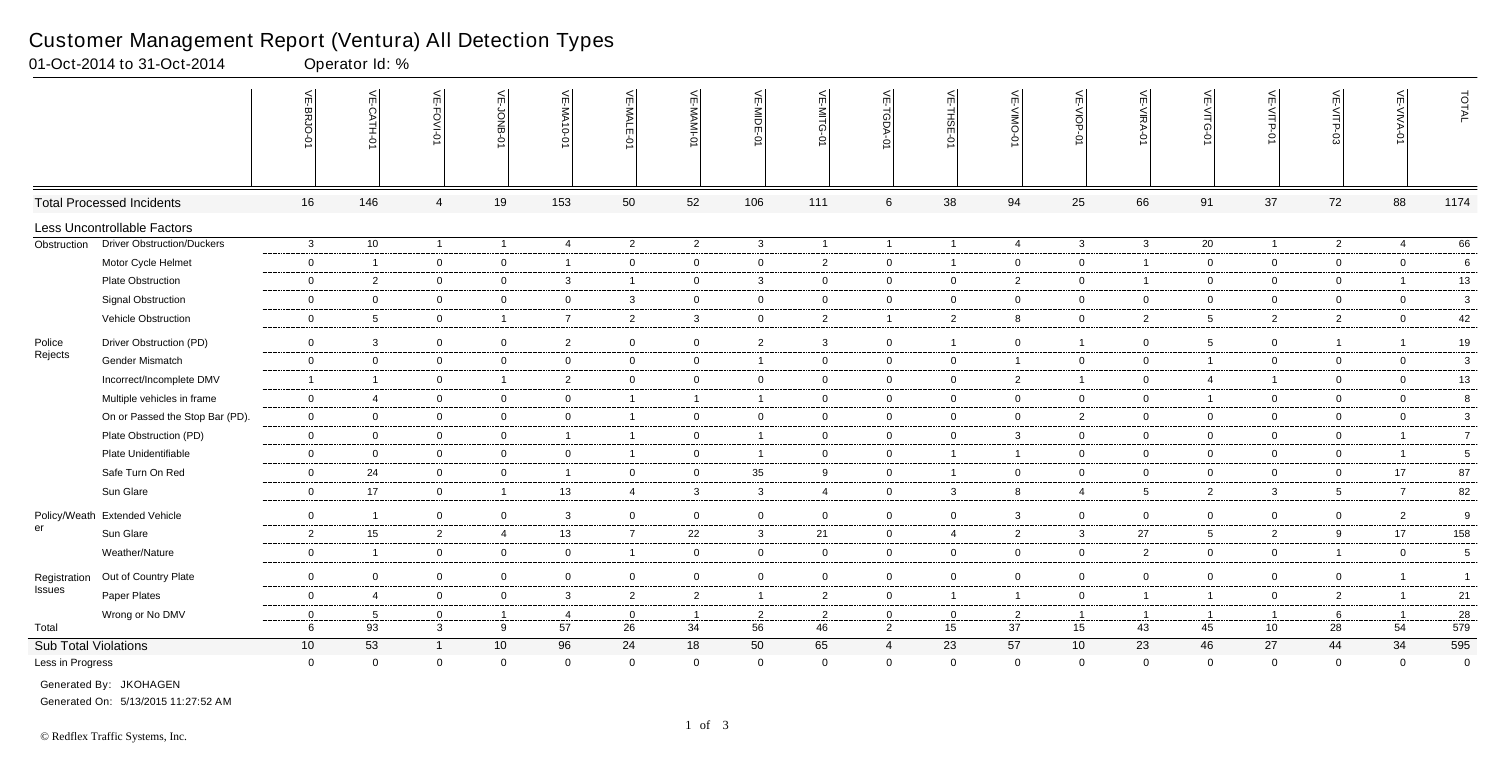|                      |                                   | 늦<br>E-BRJO      | VE-CATH-01               | VE-FOVI-0      | VE-JONB-01      | VE-MA10-01     | $\leq$<br>-MAL<br>İш | VE-MAMI-0      | VE-MIDE-01     | VE-MITG-01     | VE-TGDA-0       | VE-THSE-01     | VE-VIMO-0       | VE-VIOP-01      | VE-VIRA-01     | VE-VITG<br>ò    | VE-VITP-<br>ò  | VE-VITP-03      | $\overline{\text{VE-WIVA-01}}$ | TOTAL           |
|----------------------|-----------------------------------|------------------|--------------------------|----------------|-----------------|----------------|----------------------|----------------|----------------|----------------|-----------------|----------------|-----------------|-----------------|----------------|-----------------|----------------|-----------------|--------------------------------|-----------------|
|                      | <b>Total Processed Incidents</b>  | 16               | 146                      | 4              | 19              | 153            | 50                   | 52             | 106            | 111            | $6\phantom{.}6$ | 38             | 94              | 25              | 66             | 91              | 37             | 72              | 88                             | 1174            |
|                      | Less Uncontrollable Factors       |                  |                          |                |                 |                |                      |                |                |                |                 |                |                 |                 |                |                 |                |                 |                                |                 |
| Obstruction          | <b>Driver Obstruction/Duckers</b> | $\mathbf{3}$     | 10                       | $\sim$         | $\overline{1}$  | $\overline{4}$ | $\overline{2}$       | $\overline{2}$ | $\mathbf{3}$   | $\mathbf{1}$   | $\mathbf{1}$    | $\overline{1}$ | $\overline{4}$  | $\mathbf{3}$    | $\mathbf{3}$   | $\overline{20}$ | $\overline{1}$ | $\overline{2}$  | $\overline{4}$                 | 66              |
|                      | Motor Cycle Helmet                | $\mathbf 0$      | $\overline{1}$           | $\mathbf 0$    | $\overline{0}$  | $\overline{1}$ | $\overline{0}$       | $\mathbf{0}$   | $\overline{0}$ | $\overline{2}$ | $\overline{0}$  | $\overline{1}$ | $\overline{0}$  | $\overline{0}$  | $\overline{1}$ | $\overline{0}$  | $\mathbf{0}$   | $\overline{0}$  | $\overline{0}$                 | $6\phantom{.}$  |
|                      | Plate Obstruction                 | $\mathbf 0$      | $\overline{2}$           | $\overline{0}$ | $\mathbf 0$     | $\overline{3}$ | $\overline{1}$       | $\overline{0}$ | $\mathbf{3}$   | $\mathbf 0$    | $\overline{0}$  | $\overline{0}$ | $\overline{2}$  | $\overline{0}$  | $\overline{1}$ | $\mathbf 0$     | $\mathbf{0}$   | $\overline{0}$  | $\overline{1}$                 | 13              |
|                      | <b>Signal Obstruction</b>         | $\mathbf 0$      | $\overline{0}$           | $\mathbf 0$    | $\mathbf 0$     | $\mathbf 0$    | $\mathbf{3}$         | $\overline{0}$ | $\overline{0}$ | $\overline{0}$ | $\mathbf 0$     | $\mathbf 0$    | $\overline{0}$  | $\mathbf 0$     | $\mathbf 0$    | $\overline{0}$  | $\overline{0}$ | $\mathbf 0$     | $\overline{0}$                 | $\mathbf{3}$    |
|                      | Vehicle Obstruction               | $\overline{0}$   | $5\phantom{.0}$          | $\overline{0}$ | $\mathbf{1}$    | $\overline{7}$ | $\overline{2}$       | $\mathbf{3}$   | $\overline{0}$ | $\overline{2}$ | $\mathbf{1}$    | $\overline{2}$ | 8               | $\mathbf 0$     | $\overline{2}$ | 5 <sub>5</sub>  | $\overline{2}$ | $\overline{2}$  | $\overline{0}$                 | 42              |
| Police               | Driver Obstruction (PD)           | $\overline{0}$   | $\mathbf{3}$             | $\overline{0}$ | $\overline{0}$  | $\overline{2}$ | $\overline{0}$       | $\overline{0}$ | $\overline{c}$ | $\mathbf{3}$   | $\mathbf 0$     | $\overline{1}$ | $\overline{0}$  | $\mathbf{1}$    | $\overline{0}$ | 5 <sub>5</sub>  | $\overline{0}$ | $\overline{1}$  | $\mathbf{1}$                   | 19              |
| Rejects              | Gender Mismatch                   | $\overline{0}$   | $\overline{0}$           | $\mathbf 0$    | $\overline{0}$  | $\overline{0}$ | $\overline{0}$       | $\overline{0}$ | $\overline{1}$ | $\overline{0}$ | $\mathbf 0$     | $\overline{0}$ | $\mathbf{1}$    | $\mathbf 0$     | $\overline{0}$ | $\overline{1}$  | $\overline{0}$ | $\overline{0}$  | $\overline{0}$                 | $\mathbf{3}$    |
|                      | Incorrect/Incomplete DMV          | $\overline{1}$   | $\overline{\phantom{0}}$ | $\mathbf 0$    | $\mathbf{1}$    | $\overline{2}$ | $\mathbf 0$          | $\overline{0}$ | $\overline{0}$ | $\mathbf 0$    | $\mathbf 0$     | $\mathbf 0$    | $\overline{2}$  | $\mathbf{1}$    | $\mathbf 0$    | $\overline{4}$  | $\overline{1}$ | $\mathbf 0$     | $\overline{0}$                 | 13              |
|                      | Multiple vehicles in frame        | $\overline{0}$   | $\overline{4}$           | $\overline{0}$ | $\overline{0}$  | $\overline{0}$ | $\overline{1}$       | $\overline{1}$ | $\overline{1}$ | $\overline{0}$ | $\mathbf 0$     | $\mathbf 0$    | $\overline{0}$  | $\overline{0}$  | $\mathbf 0$    | $\overline{1}$  | $\overline{0}$ | $\mathbf 0$     | $\overline{0}$                 | 8               |
|                      | On or Passed the Stop Bar (PD).   | $\mathbf 0$      | $\overline{0}$           | $\mathbf 0$    | $\overline{0}$  | $\mathbf 0$    | $\mathbf{1}$         | $\mathbf 0$    | $\overline{0}$ | $\overline{0}$ | $\overline{0}$  | $\mathbf 0$    | $\mathbf{0}$    | $\overline{2}$  | $\mathbf 0$    | $\overline{0}$  | $\overline{0}$ | $\mathbf 0$     | $\overline{0}$                 | $\mathbf{3}$    |
|                      | Plate Obstruction (PD)            | $\overline{0}$   | $\overline{0}$           | $\overline{0}$ | $\overline{0}$  | $\overline{1}$ | $\overline{1}$       | $\overline{0}$ | $\overline{1}$ | $\overline{0}$ | $\mathbf 0$     | $\overline{0}$ | $\mathbf{3}$    | $\overline{0}$  | $\overline{0}$ | $\overline{0}$  | $\overline{0}$ | $\overline{0}$  | $\overline{1}$                 | $7^{\circ}$     |
|                      | Plate Unidentifiable              | $\mathbf 0$      | $\overline{0}$           | $\overline{0}$ | $\overline{0}$  | $\mathbf 0$    | $\overline{1}$       | $\overline{0}$ | $\overline{1}$ | $\overline{0}$ | $\overline{0}$  | $\overline{1}$ | $\mathbf{1}$    | $\overline{0}$  | $\mathbf 0$    | $\overline{0}$  | $\mathbf{0}$   | $\overline{0}$  | $\overline{1}$                 | 5 <sub>5</sub>  |
|                      | Safe Turn On Red                  | $\overline{0}$   | 24                       | $\mathbf 0$    | $\overline{0}$  | $\overline{1}$ | $\overline{0}$       | $\overline{0}$ | 35             | 9              | $\overline{0}$  | $\overline{1}$ | $\overline{0}$  | $\overline{0}$  | $\overline{0}$ | $\overline{0}$  | $\mathbf{0}$   | $\mathbf 0$     | 17                             | 87              |
|                      | Sun Glare                         | $\mathbf 0$      | 17                       | $\overline{0}$ | $\overline{1}$  | 13             | $\overline{4}$       | $\mathbf{3}$   | $\mathbf{3}$   | $\overline{4}$ | $\overline{0}$  | $\mathbf{3}$   | 8               | 4               | 5              | $\overline{2}$  | $\mathbf{3}$   | $5\phantom{.0}$ | $\overline{7}$                 | 82              |
|                      |                                   |                  |                          |                |                 |                |                      |                |                |                |                 |                |                 |                 |                |                 |                |                 |                                |                 |
| er                   | Policy/Weath Extended Vehicle     | $\overline{0}$   | $\overline{1}$           | $\mathbf 0$    | $\overline{0}$  | $\mathbf{3}$   | $\overline{0}$       | $\overline{0}$ | $\overline{0}$ | $\overline{0}$ | $\overline{0}$  | $\mathbf 0$    | 3               | $\overline{0}$  | $\overline{0}$ | $\overline{0}$  | $\mathbf{0}$   | $\mathbf 0$     | $\overline{2}$                 | 9               |
|                      | Sun Glare                         | $\overline{2}$   | 15                       | $\overline{2}$ | $\overline{4}$  | 13             | $\overline{7}$       | 22             | $\mathbf{3}$   | 21             | $\mathbf 0$     | $\overline{4}$ | $\overline{2}$  | $\mathbf{3}$    | 27             | 5               | $\overline{2}$ | 9               | 17                             | 158             |
|                      | Weather/Nature                    | $\overline{0}$   | $\overline{1}$           | $\overline{0}$ | $\overline{0}$  | $\overline{0}$ | $\overline{1}$       | $\overline{0}$ | $\overline{0}$ | $\overline{0}$ | $\mathbf 0$     | $\overline{0}$ | $\overline{0}$  | $\overline{0}$  | $\overline{2}$ | $\mathbf 0$     | $\overline{0}$ | $\overline{1}$  | $\overline{0}$                 | $5\phantom{.0}$ |
| Registration         | Out of Country Plate              | $\mathbf 0$      | $\overline{0}$           | $\overline{0}$ | $\mathbf 0$     | $\mathbf 0$    | $\mathbf 0$          | $\overline{0}$ | $\overline{0}$ | $\overline{0}$ | $\overline{0}$  | $\overline{0}$ | $\mathbf 0$     | $\overline{0}$  | $\mathbf 0$    | 0               | $\mathbf{0}$   | $\overline{0}$  | $\mathbf{1}$                   | $\overline{1}$  |
| <b>Issues</b>        | Paper Plates                      | $\overline{0}$   | $\overline{4}$           | $\overline{0}$ | $\overline{0}$  | $\mathbf{3}$   | $\overline{2}$       | $\overline{2}$ | $\overline{1}$ | $\overline{2}$ | $\overline{0}$  | $\overline{1}$ | $\mathbf{1}$    | $\overline{0}$  | $\overline{1}$ | $\overline{1}$  | $\mathbf{0}$   | $\overline{2}$  | $\mathbf{1}$                   | 21              |
|                      | Wrong or No DMV                   | $\mathbf 0$      | 5                        | $\mathbf 0$    | $\overline{1}$  | $\overline{4}$ | $\overline{0}$       | $\overline{1}$ | $\overline{2}$ | $\overline{2}$ | $\mathbf 0$     | $\mathbf 0$    | 2               | $\overline{1}$  | $\overline{1}$ | $\overline{1}$  | $\overline{1}$ | 6               | $\overline{1}$                 | 28              |
| Total                |                                   | $6\phantom{.}6$  | 93                       | $\mathbf{3}$   | 9               | 57             | 26                   | 34             | 56             | 46             | $\overline{2}$  | 15             | $\overline{37}$ | 15              | 43             | 45              | 10             | 28              | 54                             | 579             |
| Sub Total Violations |                                   | 10               | 53                       | $\overline{1}$ | 10 <sup>°</sup> | 96             | 24                   | 18             | 50             | 65             | $\overline{4}$  | 23             | 57              | 10 <sup>°</sup> | 23             | 46              | 27             | 44              | 34                             | 595             |
| Less in Progress     |                                   | $\boldsymbol{0}$ | $\overline{0}$           | $\mathbf 0$    | $\mathsf 0$     | $\overline{0}$ | $\mathbf 0$          | $\mathbf 0$    | $\overline{0}$ | $\mathbf 0$    | $\mathbf 0$     | $\mathbf 0$    | $\mathbf 0$     | $\mathbf 0$     | $\mathbf{0}$   | $\Omega$        | $\mathbf 0$    | $\mathbf 0$     | $\mathbf{0}$                   | $\overline{0}$  |
|                      | Generated By: JKOHAGEN            |                  |                          |                |                 |                |                      |                |                |                |                 |                |                 |                 |                |                 |                |                 |                                |                 |

01-Oct-2014 to 31-Oct-2014 Qperator Id: %

Generated On: 5/13/2015 11:27:52 AM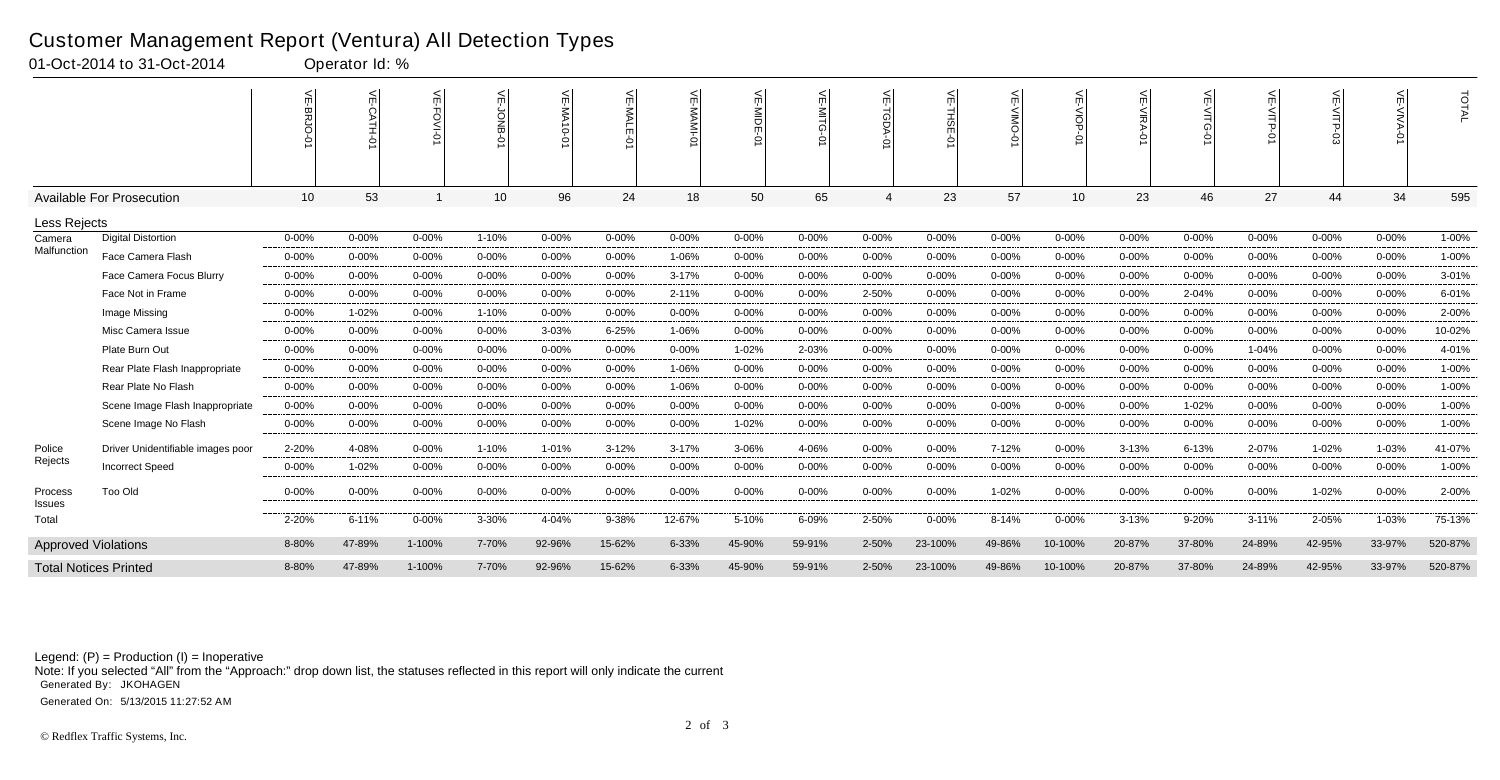|                            |                                   | $\leq$<br>◠ | 녽         | mì        | 늰<br><b>DNB</b><br>⌒ | <b>VE-MA10-0</b> | $\leq$    | 늦          | VE-MIDE-0 | <u> 등</u><br>ධ | $\leq$         | ₹<br>⌒     | $\leq$     | VE-VIOP-0       | ₹<br>$\circ$ | ਜ<br>C    | 낟<br><b>NITP-</b><br>ò | <b>VE-VITP.</b> | 듯          | TOTAL   |
|----------------------------|-----------------------------------|-------------|-----------|-----------|----------------------|------------------|-----------|------------|-----------|----------------|----------------|------------|------------|-----------------|--------------|-----------|------------------------|-----------------|------------|---------|
|                            | <b>Available For Prosecution</b>  | 10          | 53        |           | 10 <sup>°</sup>      | 96               | 24        | 18         | 50        | 65             | $\overline{4}$ | 23         | 57         | 10 <sup>1</sup> | 23           | 46        | 27                     | 44              | 34         | 595     |
| Less Rejects               |                                   |             |           |           |                      |                  |           |            |           |                |                |            |            |                 |              |           |                        |                 |            |         |
| Camera                     | <b>Digital Distortion</b>         | $0 - 00%$   | $0 - 00%$ | $0 - 00%$ | 1-10%                | $0 - 00%$        | $0 - 00%$ | $0 - 00\%$ | $0 - 00%$ | $0 - 00%$      | $0 - 00%$      | $0 - 00%$  | $0 - 00%$  | $0 - 00%$       | $0 - 00\%$   | $0 - 00%$ | $0 - 00%$              | $0 - 00%$       | $0 - 00%$  | 1-00%   |
| Malfunction                | Face Camera Flash                 | $0 - 00%$   | $0 - 00%$ | $0 - 00%$ | $0 - 00%$            | $0 - 00%$        | $0 - 00%$ | 1-06%      | $0 - 00%$ | $0 - 00%$      | $0 - 00%$      | $0 - 00%$  | $0 - 00%$  | $0 - 00%$       | $0 - 00\%$   | $0 - 00%$ | $0 - 00%$              | $0 - 00%$       | $0 - 00\%$ | 1-00%   |
|                            | Face Camera Focus Blurry          | $0 - 00%$   | $0 - 00%$ | $0 - 00%$ | $0 - 00%$            | $0 - 00%$        | $0 - 00%$ | 3-17%      | $0 - 00%$ | $0 - 00%$      | $0 - 00%$      | $0 - 00%$  | $0 - 00\%$ | $0 - 00%$       | $0 - 00%$    | $0 - 00%$ | $0 - 00%$              | 0-00%           | $0 - 00%$  | 3-01%   |
|                            | Face Not in Frame                 | $0 - 00\%$  | $0 - 00%$ | 0-00%     | $0 - 00%$            | $0 - 00%$        | $0 - 00%$ | 2-11%      | $0 - 00%$ | $0 - 00%$      | 2-50%          | $0 - 00%$  | $0 - 00%$  | $0 - 00%$       | $0 - 00%$    | 2-04%     | $0 - 00%$              | $0 - 00%$       | $0 - 00\%$ | 6-01%   |
|                            | Image Missing                     | $0 - 00%$   | 1-02%     | $0 - 00%$ | 1-10%                | $0 - 00%$        | $0 - 00%$ | $0 - 00%$  | 0-00%     | $0 - 00%$      | $0 - 00%$      | $0 - 00%$  | $0 - 00%$  | $0 - 00%$       | $0 - 00%$    | $0 - 00%$ | $0 - 00%$              | $0 - 00%$       | $0 - 00\%$ | 2-00%   |
|                            | Misc Camera Issue                 | $0 - 00%$   | $0 - 00%$ | $0 - 00%$ | $0 - 00%$            | 3-03%            | $6 - 25%$ | 1-06%      | $0 - 00%$ | $0 - 00%$      | $0 - 00%$      | $0 - 00%$  | $0 - 00%$  | $0 - 00%$       | $0 - 00\%$   | $0 - 00%$ | $0 - 00%$              | $0 - 00%$       | $0 - 00\%$ | 10-02%  |
|                            | Plate Burn Out                    | $0 - 00%$   | $0 - 00%$ | $0 - 00%$ | $0 - 00%$            | $0 - 00%$        | $0 - 00%$ | $0 - 00%$  | 1-02%     | 2-03%          | $0 - 00%$      | $0 - 00%$  | $0 - 00%$  | $0 - 00%$       | $0 - 00%$    | $0 - 00%$ | 1-04%                  | 0-00%           | $0 - 00%$  | 4-01%   |
|                            | Rear Plate Flash Inappropriate    | $0 - 00%$   | $0 - 00%$ | $0 - 00%$ | $0 - 00%$            | $0 - 00%$        | $0 - 00%$ | 1-06%      | $0 - 00%$ | $0 - 00%$      | $0 - 00%$      | $0 - 00%$  | $0 - 00%$  | $0 - 00%$       | $0 - 00%$    | $0 - 00%$ | $0 - 00%$              | 0-00%           | $0 - 00\%$ | 1-00%   |
|                            | Rear Plate No Flash               | $0 - 00\%$  | $0 - 00%$ | $0 - 00%$ | $0 - 00\%$           | $0 - 00%$        | $0 - 00%$ | 1-06%      | $0 - 00%$ | $0 - 00%$      | $0 - 00%$      | $0 - 00%$  | $0 - 00%$  | $0 - 00%$       | $0 - 00%$    | $0 - 00%$ | $0 - 00%$              | $0 - 00%$       | 0-00%      | 1-00%   |
|                            | Scene Image Flash Inappropriate   | $0 - 00%$   | $0 - 00%$ | $0 - 00%$ | $0 - 00%$            | $0 - 00%$        | $0 - 00%$ | $0 - 00%$  | $0 - 00%$ | $0 - 00%$      | $0 - 00%$      | $0 - 00%$  | $0 - 00%$  | $0 - 00%$       | $0 - 00%$    | 1-02%     | $0 - 00%$              | $0 - 00%$       | $0 - 00%$  | 1-00%   |
|                            | Scene Image No Flash              | $0 - 00%$   | $0 - 00%$ | $0 - 00%$ | $0 - 00%$            | $0 - 00\%$       | $0 - 00%$ | $0 - 00%$  | 1-02%     | $0 - 00%$      | $0 - 00%$      | $0 - 00%$  | $0 - 00%$  | $0 - 00%$       | $0 - 00\%$   | $0 - 00%$ | $0 - 00%$              | $0 - 00%$       | 0-00%      | 1-00%   |
| Police                     | Driver Unidentifiable images poor | 2-20%       | 4-08%     | $0 - 00%$ | 1-10%                | 1-01%            | $3 - 12%$ | 3-17%      | 3-06%     | 4-06%          | $0 - 00%$      | $0 - 00\%$ | 7-12%      | $0 - 00%$       | $3 - 13%$    | 6-13%     | 2-07%                  | 1-02%           | 1-03%      | 41-07%  |
| Rejects                    | <b>Incorrect Speed</b>            | $0 - 00%$   | 1-02%     | 0-00%     | $0 - 00%$            | $0 - 00%$        | $0 - 00%$ | 0-00%      | $0 - 00%$ | $0 - 00%$      | $0 - 00%$      | $0 - 00%$  | $0 - 00%$  | $0 - 00%$       | $0 - 00%$    | $0 - 00%$ | $0 - 00%$              | 0-00%           | $0 - 00%$  | 1-00%   |
| Process<br>Issues          | <b>Too Old</b>                    | 0-00%       | $0 - 00%$ | 0-00%     | 0-00%                | $0 - 00%$        | $0 - 00%$ | 0-00%      | $0 - 00%$ | $0 - 00%$      | 0-00%          | $0 - 00%$  | 1-02%      | 0-00%           | $0 - 00%$    | $0 - 00%$ | 0-00%                  | 1-02%           | 0-00%      | 2-00%   |
| Total                      |                                   | 2-20%       | $6 - 11%$ | $0 - 00%$ | 3-30%                | 4-04%            | 9-38%     | 12-67%     | 5-10%     | 6-09%          | 2-50%          | $0 - 00%$  | 8-14%      | $0 - 00%$       | 3-13%        | 9-20%     | $3 - 11%$              | 2-05%           | 1-03%      | 75-13%  |
| <b>Approved Violations</b> |                                   | 8-80%       | 47-89%    | 1-100%    | 7-70%                | 92-96%           | 15-62%    | 6-33%      | 45-90%    | 59-91%         | 2-50%          | 23-100%    | 49-86%     | 10-100%         | 20-87%       | 37-80%    | 24-89%                 | 42-95%          | 33-97%     | 520-87% |
|                            | <b>Total Notices Printed</b>      | 8-80%       | 47-89%    | 1-100%    | 7-70%                | 92-96%           | 15-62%    | 6-33%      | 45-90%    | 59-91%         | 2-50%          | 23-100%    | 49-86%     | 10-100%         | 20-87%       | 37-80%    | 24-89%                 | 42-95%          | 33-97%     | 520-87% |

### Customer Management Report (Ventura) All Detection Types

01-Oct-2014 to 31-Oct-2014 Qperator Id: %

Note: If you selected "All" from the "Approach:" drop down list, the statuses reflected in this report will only indicate the current Generated By: JKOHAGEN

Generated On: 5/13/2015 11:27:52 AM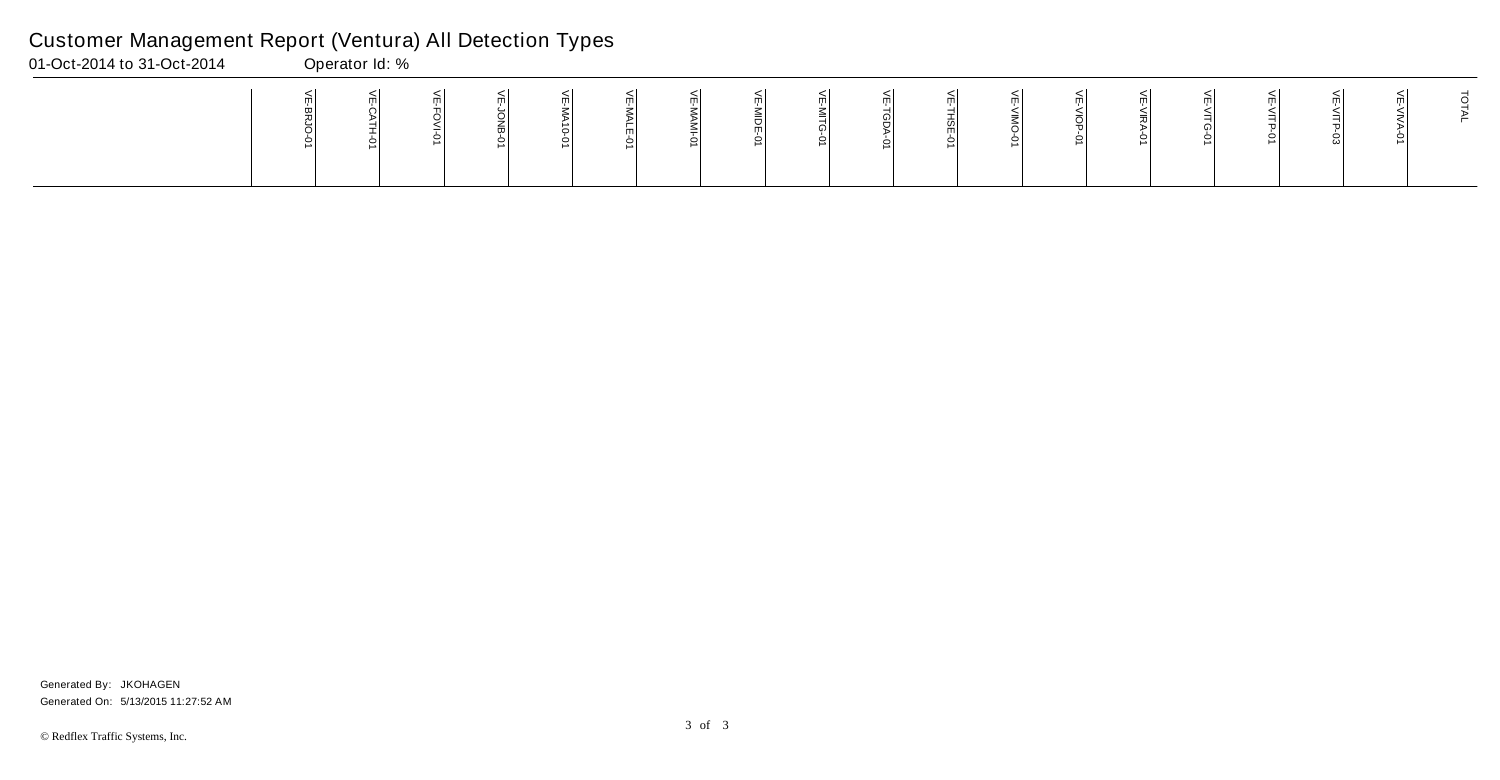| 01-Oct-2014 to 31-Oct-2014 | Operator Id: % |  |  |  |  |  |  |  |  |  |
|----------------------------|----------------|--|--|--|--|--|--|--|--|--|
|                            |                |  |  |  |  |  |  |  |  |  |

Generated On: 5/13/2015 11:27:52 AM Generated By: JKOHAGEN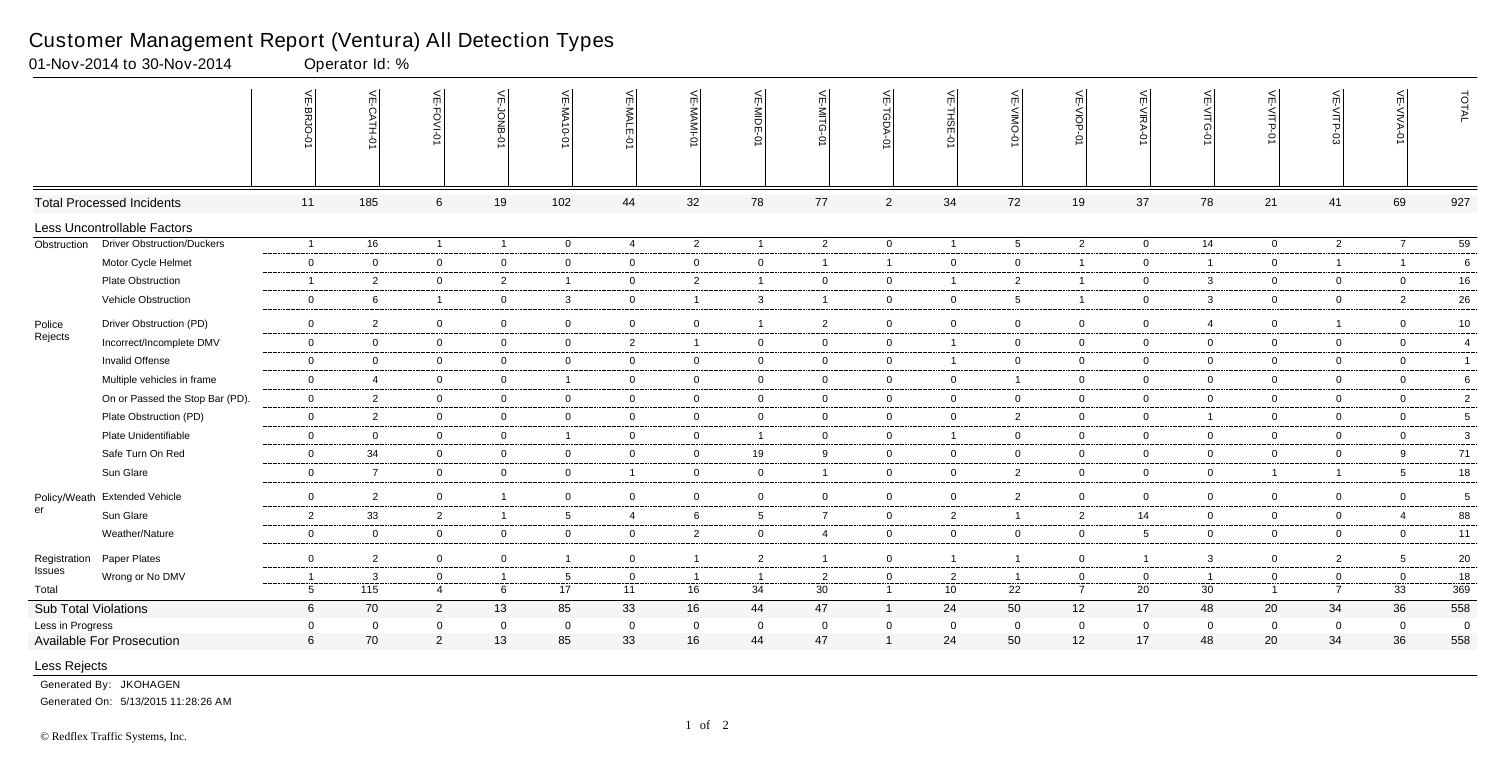|                      |                                   | VE-BRJO-0       | VE-CATH-01     | VE-FOVI-01      | VE-JONB-01     | VE-MA10-01     | VE-MALE-01     | VE-MAMI-       | VE-MIDE-01               | VE-MITG-<br>ò  | 늰<br>-TGDA     | VE-THSE-01              | VE-VIMO         | VE-VIOP-0      | VE-VIRA-01     | VE-VITG-01     | VE-VITP-01     | $\overline{VE-V1TP-03}$ | VE-VIVA-0      | TOTAL           |
|----------------------|-----------------------------------|-----------------|----------------|-----------------|----------------|----------------|----------------|----------------|--------------------------|----------------|----------------|-------------------------|-----------------|----------------|----------------|----------------|----------------|-------------------------|----------------|-----------------|
|                      | <b>Total Processed Incidents</b>  | 11              | 185            | $6\overline{6}$ | 19             | 102            | 44             | 32             | 78                       | 77             | $\overline{2}$ | 34                      | 72              | 19             | 37             | 78             | 21             | 41                      | 69             | 927             |
|                      | Less Uncontrollable Factors       |                 |                |                 |                |                |                |                |                          |                |                |                         |                 |                |                |                |                |                         |                |                 |
| Obstruction          | <b>Driver Obstruction/Duckers</b> | $\overline{1}$  | 16             | $\overline{1}$  | $\overline{1}$ | $\mathbf 0$    | $\overline{4}$ | $\overline{2}$ | $\overline{1}$           | $\overline{2}$ | $\mathbf 0$    | $\overline{1}$          | $5\overline{)}$ | $\overline{2}$ | $\overline{0}$ | 14             | $\overline{0}$ | $\overline{2}$          | $\overline{7}$ | $\overline{59}$ |
|                      | Motor Cycle Helmet                | $\overline{0}$  | $\mathbf 0$    | $\mathbf 0$     | $\mathbf 0$    | $\overline{0}$ | $\overline{0}$ | $\overline{0}$ | $\overline{0}$           | $\mathbf{1}$   | $\overline{1}$ | $\mathbf 0$             | $\overline{0}$  | $\overline{1}$ | $\mathbf 0$    | 1              | $\mathbf 0$    | $\overline{1}$          | $\mathbf{1}$   | 6               |
|                      | <b>Plate Obstruction</b>          | $\overline{1}$  | $\overline{2}$ | $\mathbf 0$     | $\overline{2}$ | $\overline{1}$ | $\mathbf 0$    | $\overline{2}$ | $\overline{\mathbf{1}}$  | $\overline{0}$ | $\overline{0}$ | - 1                     | $\overline{2}$  | $\overline{1}$ | $\mathbf 0$    | $\mathbf{3}$   | $\mathbf 0$    | 0                       | $\mathbf 0$    | 16              |
|                      | Vehicle Obstruction               | $\overline{0}$  | 6              | $\overline{1}$  | $\overline{0}$ | $\mathbf{3}$   | $\mathbf 0$    | $\overline{1}$ | 3                        | $\mathbf{1}$   | $\overline{0}$ | $\mathbf 0$             | $5\overline{)}$ | $\overline{1}$ | $\mathbf 0$    | 3              | $\overline{0}$ | $\mathbf 0$             | $\overline{2}$ | 26              |
| Police               | Driver Obstruction (PD)           | $\mathbf 0$     | 2              | $\overline{0}$  | $\overline{0}$ | 0              | $\mathbf 0$    | $\mathbf 0$    | $\overline{1}$           | $\overline{2}$ | $\overline{0}$ | $\overline{0}$          | $\mathbf 0$     | $\overline{0}$ | $\overline{0}$ | $\overline{4}$ | $\overline{0}$ | $\overline{1}$          | $\overline{0}$ | 10              |
| Rejects              | Incorrect/Incomplete DMV          | $\overline{0}$  | $\overline{0}$ | $\overline{0}$  | $\overline{0}$ | $\overline{0}$ | $\overline{2}$ | $\overline{1}$ | $\overline{0}$           | $\overline{0}$ | $\overline{0}$ | $\overline{1}$          | $\overline{0}$  | $\overline{0}$ | $\overline{0}$ | $\overline{0}$ | $\overline{0}$ | $\mathbf 0$             | $\overline{0}$ | $\overline{4}$  |
|                      | Invalid Offense                   | $\overline{0}$  | $\overline{0}$ | $\overline{0}$  | $\overline{0}$ | $\overline{0}$ | $\overline{0}$ | $\overline{0}$ | $\overline{0}$           | $\overline{0}$ | $\overline{0}$ | $\overline{1}$          | $\overline{0}$  | $\overline{0}$ | $\mathbf 0$    | $\overline{0}$ | $\overline{0}$ | $\overline{0}$          | $\mathbf 0$    | $\mathbf{1}$    |
|                      | Multiple vehicles in frame        | $\overline{0}$  | $\overline{4}$ | $\overline{0}$  | $\mathbf 0$    | $\overline{1}$ | $\overline{0}$ | $\mathbf 0$    | $\mathbf 0$              | $\mathbf 0$    | $\overline{0}$ | $\overline{0}$          | $\overline{1}$  | $\overline{0}$ | $\overline{0}$ | $\mathbf 0$    | $\mathbf 0$    | $\overline{0}$          | $\overline{0}$ | $6\phantom{.}$  |
|                      | On or Passed the Stop Bar (PD).   | $\overline{0}$  | 2              | $\overline{0}$  | $\overline{0}$ | $\mathbf 0$    | $\overline{0}$ | $\overline{0}$ | $\mathbf 0$              | $\overline{0}$ | $\overline{0}$ | $\overline{0}$          | $\mathbf 0$     | $\overline{0}$ | $\overline{0}$ | $\overline{0}$ | $\mathbf 0$    | $\overline{0}$          | $\overline{0}$ | $\overline{2}$  |
|                      | Plate Obstruction (PD)            | $\overline{0}$  | $\overline{2}$ | $\overline{0}$  | $\overline{0}$ | $\overline{0}$ | $\overline{0}$ | $\overline{0}$ | $\mathbf 0$              | $\overline{0}$ | $\overline{0}$ | $\overline{0}$          | $\overline{2}$  | $\overline{0}$ | $\overline{0}$ | $\mathbf{1}$   | $\overline{0}$ | $\mathbf 0$             | $\overline{0}$ | 5 <sub>5</sub>  |
|                      | Plate Unidentifiable              | $\mathbf 0$     | $\overline{0}$ | $\overline{0}$  | $\mathbf 0$    | $\overline{1}$ | $\overline{0}$ | $\overline{0}$ | $\overline{\phantom{0}}$ | $\mathbf 0$    | $\overline{0}$ | $\overline{\mathbf{1}}$ | $\overline{0}$  | $\overline{0}$ | $\overline{0}$ | $\mathbf 0$    | $\mathbf 0$    | $\mathbf 0$             | $\overline{0}$ | $\mathbf{3}$    |
|                      | Safe Turn On Red                  | $\overline{0}$  | 34             | $\overline{0}$  | $\overline{0}$ | $\overline{0}$ | $\overline{0}$ | $\overline{0}$ | 19                       | 9              | $\overline{0}$ | $\overline{0}$          | $\overline{0}$  | $\overline{0}$ | $\overline{0}$ | $\overline{0}$ | $\mathbf 0$    | $\mathbf 0$             | 9              | 71              |
|                      | Sun Glare                         | $\mathbf 0$     | $\overline{7}$ | $\overline{0}$  | $\overline{0}$ | $\mathbf 0$    | $\overline{1}$ | $\overline{0}$ | $\mathbf 0$              | $\mathbf{1}$   | $\overline{0}$ | $\mathbf 0$             | $\overline{2}$  | $\overline{0}$ | $\overline{0}$ | $\overline{0}$ | $\mathbf{1}$   | $\overline{1}$          | 5 <sub>5</sub> | 18              |
|                      | Policy/Weath Extended Vehicle     | $\overline{0}$  | $\overline{2}$ | $\overline{0}$  | $\overline{1}$ | $\mathbf 0$    | $\overline{0}$ | $\overline{0}$ | $\mathbf 0$              | $\mathbf 0$    | $\overline{0}$ | $\mathbf 0$             | $\overline{2}$  | $\overline{0}$ | $\overline{0}$ | $\overline{0}$ | $\mathbf 0$    | $\overline{0}$          | $\overline{0}$ | $5\phantom{.0}$ |
| er                   | Sun Glare                         | $\overline{2}$  | 33             | $\overline{2}$  | $\mathbf{1}$   | 5              | $\overline{4}$ | 6              | 5                        | $\overline{7}$ | $\overline{0}$ | $\overline{2}$          | $\overline{1}$  | $\overline{2}$ | 14             | $\mathbf{0}$   | $\mathbf 0$    | $\mathbf 0$             | $\overline{4}$ | 88              |
|                      | Weather/Nature                    | $\overline{0}$  | $\mathbf 0$    | $\overline{0}$  | $\overline{0}$ | $\mathbf 0$    | $\mathbf 0$    | $\overline{2}$ | $\mathbf 0$              | $\overline{4}$ | $\overline{0}$ | $\overline{0}$          | $\mathbf 0$     | $\overline{0}$ | 5              | $\overline{0}$ | $\overline{0}$ | $\mathbf 0$             | $\overline{0}$ | 11              |
| Registration         | Paper Plates                      | $\overline{0}$  | $\overline{2}$ | $\overline{0}$  | $\overline{0}$ | $\overline{1}$ | $\overline{0}$ | $\overline{1}$ | $\overline{2}$           | $\mathbf{1}$   | $\overline{0}$ | $\overline{\mathbf{1}}$ | $\mathbf{1}$    | $\overline{0}$ | $\overline{1}$ | $\mathbf{3}$   | $\mathbf 0$    | $\overline{2}$          | 5              | $20\,$          |
| Issues               | Wrong or No DMV                   | $\overline{1}$  | $\mathbf{3}$   | $\mathbf 0$     | $\overline{1}$ | 5              | $\mathbf 0$    | $\overline{1}$ | $\overline{1}$           | $\overline{2}$ | $\overline{0}$ | $\overline{2}$          | $\overline{1}$  | $\overline{0}$ | $\mathbf 0$    | $\mathbf{1}$   | $\mathbf 0$    | 0                       | $\overline{0}$ | 18              |
| Total                |                                   | $5\overline{)}$ | 115            | $\overline{4}$  | 6              | 17             | 11             | 16             | 34                       | 30             | $\overline{1}$ | 10                      | 22              | $\overline{7}$ | 20             | 30             | $\mathbf{1}$   | $\overline{7}$          | 33             | 369             |
| Sub Total Violations |                                   | 6               | 70             | $\overline{2}$  | 13             | 85             | 33             | 16             | 44                       | 47             | $\overline{1}$ | 24                      | 50              | 12             | 17             | 48             | 20             | 34                      | 36             | 558             |
| Less in Progress     |                                   | $\mathbf 0$     | $\overline{0}$ | $\mathbf 0$     | $\mathbf 0$    | $\mathbf 0$    | $\mathbf 0$    | $\overline{0}$ | $\mathbf 0$              | $\mathbf 0$    | $\mathbf 0$    | $\overline{0}$          | $\mathbf 0$     | $\mathbf 0$    | $\overline{0}$ | $\mathbf 0$    | $\overline{0}$ | $\mathbf 0$             | $\overline{0}$ | $\mathbf 0$     |
|                      | <b>Available For Prosecution</b>  | $6\phantom{.}6$ | 70             | 2               | 13             | 85             | 33             | 16             | 44                       | 47             | $\overline{1}$ | 24                      | 50              | 12             | 17             | 48             | 20             | 34                      | 36             | 558             |
| Less Rejects         |                                   |                 |                |                 |                |                |                |                |                          |                |                |                         |                 |                |                |                |                |                         |                |                 |

01-Nov-2014 to 30-Nov-2014 Operator Id: %

Camera Face Camera Flash 1-17% 0-00% 1-50% 0-00% 0-00% 0-00% 2-12% 0-00% 0-00% 0-00% 0-00% 1-02% 0-00% 0-00% 0-00% 0-00% 0-00% 1-03% 6-01% Generated By: JKOHAGEN

Generated On: 5/13/2015 11:28:26 AM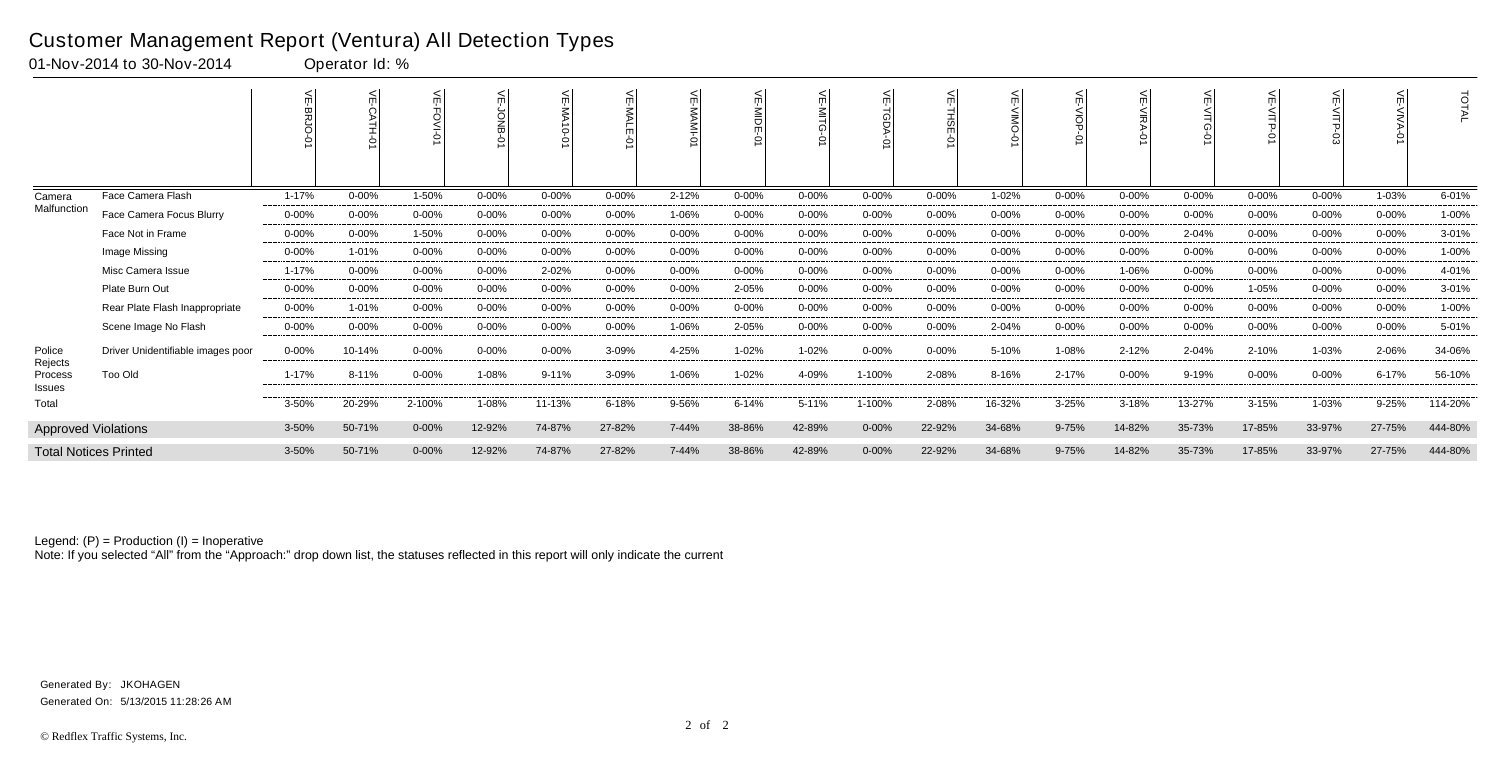|                              |                                   |            |           |            |            | 쉬<br><b>NA10-01</b> |            | 늦<br><b>NAM-</b> | 늦<br>≧<br>Fo<br>ò |            |            | $\circ$    | 늰         | 늰<br>$rac{1}{9}$ | 늦<br>∠<br>MRA<br>Š | ш         | $\leq$    |           |            | <b>TOTAL</b> |
|------------------------------|-----------------------------------|------------|-----------|------------|------------|---------------------|------------|------------------|-------------------|------------|------------|------------|-----------|------------------|--------------------|-----------|-----------|-----------|------------|--------------|
| Camera                       | Face Camera Flash                 | $1 - 17%$  | $0 - 00%$ | 1-50%      | $0 - 00\%$ | $0 - 00%$           | $0 - 00\%$ | $2 - 12%$        | $0 - 00%$         | $0 - 00%$  | $0 - 00%$  | $0 - 00%$  | 1-02%     | $0 - 00%$        | $0 - 00%$          | $0 - 00%$ | $0 - 00%$ | $0 - 00%$ | 1-03%      | 6-01%        |
| Malfunction                  | Face Camera Focus Blurry          | $0 - 00%$  | $0 - 00%$ | $0 - 00\%$ | $0 - 00\%$ | $0 - 00%$           | 0-00%      | 1-06%            | $0 - 00%$         | $0 - 00%$  | $0 - 00\%$ | $0 - 00\%$ | $0 - 00%$ | $0 - 00\%$       | $0 - 00%$          | $0 - 00%$ | $0 - 00%$ | $0 - 00%$ | $0 - 00\%$ | 1-00%        |
|                              | Face Not in Frame                 | $0 - 00\%$ | $0 - 00%$ | 1-50%      | $0 - 00\%$ | $0 - 00%$           | $0 - 00\%$ | $0 - 00\%$       | $0 - 00%$         | $0 - 00\%$ | $0 - 00%$  | $0 - 00%$  | 0-00%     | $0 - 00%$        | $0 - 00%$          | 2-04%     | $0 - 00%$ | 0-00%     | $0 - 00\%$ | 3-01%        |
|                              | Image Missing                     | $0 - 00\%$ | 1-01%     | $0 - 00\%$ | $0 - 00\%$ | $0 - 00%$           | 0-00%      | $0 - 00\%$       | $0 - 00%$         | $0 - 00\%$ | $0 - 00\%$ | $0 - 00%$  | $0 - 00%$ | $0 - 00\%$       | $0 - 00\%$         | $0 - 00%$ | $0 - 00%$ | $0 - 00%$ | $0 - 00\%$ | 1-00%        |
|                              | Misc Camera Issue                 | 1-17%      | $0 - 00%$ | 0-00%      | $0 - 00\%$ | 2-02%               | 0-00%      | 0-00%            | $0 - 00%$         | $0 - 00\%$ | $0 - 00\%$ | $0 - 00%$  | 0-00%     | 0-00%            | 1-06%              | $0 - 00%$ | $0 - 00%$ | $0 - 00%$ | $0 - 00\%$ | 4-01%        |
|                              | Plate Burn Out                    | $0 - 00\%$ | $0 - 00%$ | $0 - 00\%$ | $0 - 00\%$ | $0 - 00%$           | $0 - 00\%$ | 0-00%            | 2-05%             | $0 - 00\%$ | $0 - 00%$  | $0 - 00\%$ | 0-00%     | $0 - 00\%$       | $0 - 00\%$         | $0 - 00%$ | 1-05%     | 0-00%     | $0 - 00\%$ | 3-01%        |
|                              | Rear Plate Flash Inappropriate    | $0 - 00%$  | 1-01%     | $0 - 00\%$ | $0 - 00\%$ | $0 - 00%$           | $0 - 00\%$ | $0 - 00\%$       | $0 - 00%$         | $0 - 00\%$ | $0 - 00\%$ | $0 - 00%$  | $0 - 00%$ | $0 - 00\%$       | $0 - 00%$          | $0 - 00%$ | $0 - 00%$ | $0 - 00%$ | $0 - 00\%$ | 1-00%        |
|                              | Scene Image No Flash              | $0 - 00%$  | $0 - 00%$ | $0 - 00%$  | $0 - 00\%$ | $0 - 00%$           | $0 - 00%$  | 1-06%            | 2-05%             | $0 - 00%$  | $0 - 00%$  | $0 - 00%$  | 2-04%     | $0 - 00%$        | 0-00%              | $0 - 00%$ | $0 - 00%$ | $0 - 00%$ | $0 - 00\%$ | 5-01%        |
| Police                       | Driver Unidentifiable images poor | $0 - 00\%$ | 10-14%    | 0-00%      | $0 - 00\%$ | $0 - 00%$           | 3-09%      | 4-25%            | 1-02%             | 1-02%      | $0 - 00\%$ | $0 - 00%$  | 5-10%     | 1-08%            | $2 - 12%$          | 2-04%     | 2-10%     | 1-03%     | 2-06%      | 34-06%       |
| Rejects<br>Process<br>Issues | Too Old                           | 1-17%      | 8-11%     | $0 - 00\%$ | 1-08%      | $9 - 11%$           | 3-09%      | 1-06%            | 1-02%             | 4-09%      | 1-100%     | 2-08%      | 8-16%     | 2-17%            | $0 - 00%$          | 9-19%     | $0 - 00%$ | $0 - 00%$ | $6 - 17%$  | 56-10%       |
| Total                        |                                   | 3-50%      | 20-29%    | 2-100%     | 1-08%      | 11-13%              | 6-18%      | 9-56%            | $6 - 14%$         | 5-11%      | 1-100%     | 2-08%      | 16-32%    | $3 - 25%$        | 3-18%              | 13-27%    | $3 - 15%$ | 1-03%     | $9 - 25%$  | 114-20%      |
| <b>Approved Violations</b>   |                                   | 3-50%      | 50-71%    | $0 - 00\%$ | 12-92%     | 74-87%              | 27-82%     | 7-44%            | 38-86%            | 42-89%     | $0 - 00\%$ | 22-92%     | 34-68%    | $9 - 75%$        | 14-82%             | 35-73%    | 17-85%    | 33-97%    | 27-75%     | 444-80%      |
|                              | <b>Total Notices Printed</b>      | 3-50%      | 50-71%    | $0 - 00%$  | 12-92%     | 74-87%              | 27-82%     | 7-44%            | 38-86%            | 42-89%     | $0 - 00\%$ | 22-92%     | 34-68%    | 9-75%            | 14-82%             | 35-73%    | 17-85%    | 33-97%    | 27-75%     | 444-80%      |

Note: If you selected "All" from the "Approach:" drop down list, the statuses reflected in this report will only indicate the current

### Customer Management Report (Ventura) All Detection Types

01-Nov-2014 to 30-Nov-2014 Operator Id: %

Generated On: 5/13/2015 11:28:26 AM Generated By: JKOHAGEN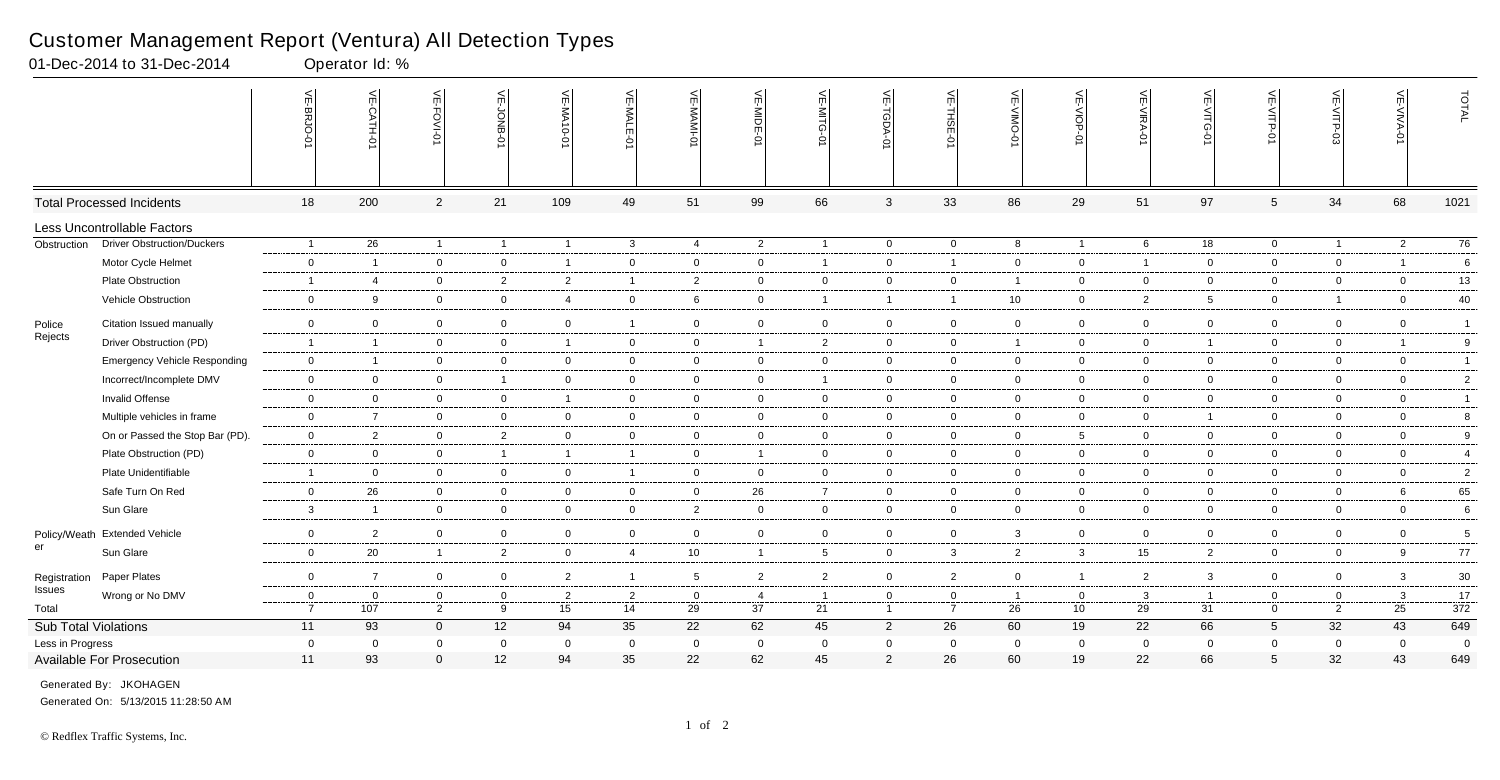|                        |                                     | VE-BRJO-                      | VE-CATH-0               | $\leq$                         | VE-JONB-<br>$\circ$ | VE-MA10-01           | VE-MALE-0            | VE-MAMI-0         | VE-MIDE-01           | $\leq$<br>E-MITG<br>ò | VE-TGDA-0                     | VE-THSE-01                    | VE-VIMO-0            | VE-VIOP-0                      | VE-VIRA-0          | $\leq$<br>D-31IV-3 | VE-VITP-01                    | VE-VITP-03          | VE-VIVA-0          | TOTAL          |
|------------------------|-------------------------------------|-------------------------------|-------------------------|--------------------------------|---------------------|----------------------|----------------------|-------------------|----------------------|-----------------------|-------------------------------|-------------------------------|----------------------|--------------------------------|--------------------|--------------------|-------------------------------|---------------------|--------------------|----------------|
|                        | <b>Total Processed Incidents</b>    | 18                            | 200                     | $\overline{2}$                 | 21                  | 109                  | 49                   | 51                | 99                   | 66                    | $\mathbf{3}$                  | 33                            | 86                   | 29                             | 51                 | 97                 | $\overline{5}$                | 34                  | 68                 | 1021           |
|                        | Less Uncontrollable Factors         |                               |                         |                                |                     |                      |                      |                   |                      |                       |                               |                               |                      |                                |                    |                    |                               |                     |                    |                |
| Obstruction            | <b>Driver Obstruction/Duckers</b>   | $\overline{1}$                | 26                      | $\overline{1}$                 | $\overline{1}$      | $\overline{1}$       | $\mathbf{3}$         | $\overline{4}$    | 2                    | $\overline{1}$        | $\overline{0}$                | $\overline{0}$                | 8                    | $\mathbf{1}$                   | 6                  | 18                 | $\overline{0}$                | $\overline{1}$      | $\overline{2}$     | 76             |
|                        | Motor Cycle Helmet                  | $\overline{0}$                | $\overline{\mathbf{1}}$ | $\overline{0}$                 | $\mathbf 0$         | $\overline{1}$       | $\mathbf{0}$         | $\mathbf 0$       | $\overline{0}$       | -1                    | $\mathbf 0$                   | $\overline{1}$                | 0                    | $\overline{0}$                 | $\overline{1}$     | $\overline{0}$     | $\overline{0}$                | $\mathbf 0$         | $\overline{1}$     | 6              |
|                        | Plate Obstruction                   | $\overline{1}$                | $\overline{4}$          | $\overline{0}$                 | $\overline{2}$      | $\overline{2}$       | $\mathbf{1}$         | $\overline{2}$    | $\mathbf 0$          | $\mathbf 0$           | $\mathbf{0}$                  | $\mathbf 0$                   | $\overline{1}$       | $\overline{0}$                 | $\mathbf 0$        | $\overline{0}$     | $\overline{0}$                | $\mathbf 0$         | $\mathbf 0$        | 13             |
|                        | Vehicle Obstruction                 | $\overline{0}$                | - 9                     | $\overline{0}$                 | $\overline{0}$      | $\overline{4}$       | $\overline{0}$       | 6                 | $\mathbf 0$          | -1                    | $\mathbf{1}$                  | -1                            | 10                   | $\overline{0}$                 | 2                  | 5                  | $\overline{0}$                | $\overline{1}$      | $\mathbf 0$        | 40             |
| Police                 | Citation Issued manually            | $\mathbf 0$                   | $\overline{0}$          | $\mathbf{0}$                   | $\mathbf 0$         | $\overline{0}$       | 1                    | $\mathbf 0$       | $\overline{0}$       | $\mathbf{0}$          | $\mathbf 0$                   | $\overline{0}$                | $\mathbf 0$          | $\overline{0}$                 | $\mathbf 0$        | $\mathbf 0$        | $\mathbf 0$                   | $\mathbf 0$         | $\mathbf 0$        | $\overline{1}$ |
| Rejects                | Driver Obstruction (PD)             | $\overline{1}$                | $\overline{1}$          | $\overline{0}$                 | $\overline{0}$      | $\overline{1}$       | $\mathbf{0}$         | $\mathbf 0$       | $\overline{1}$       | $\overline{2}$        | $\overline{0}$                | $\overline{0}$                | $\overline{1}$       | $\overline{0}$                 | $\mathbf 0$        | $\overline{1}$     | $\overline{0}$                | $\mathbf 0$         | $\overline{1}$     | $9\,$          |
|                        | <b>Emergency Vehicle Responding</b> | $\overline{0}$                | $\overline{1}$          | $\overline{0}$                 | $\overline{0}$      | $\mathbf 0$          | $\overline{0}$       | $\overline{0}$    | $\mathbf 0$          | $\mathbf 0$           | $\mathbf{0}$                  | $\mathbf 0$                   | $\mathbf 0$          | $\overline{0}$                 | $\overline{0}$     | $\overline{0}$     | $\overline{0}$                | 0                   | $\mathbf 0$        | $\mathbf{1}$   |
|                        | Incorrect/Incomplete DMV            | $\mathbf 0$                   | $\overline{0}$          | $\overline{0}$                 | $\overline{1}$      | $\overline{0}$       | $\overline{0}$       | $\mathbf 0$       | $\overline{0}$       | -1                    | $\mathbf 0$                   | $\overline{0}$                | $\mathbf 0$          | $\overline{0}$                 | $\overline{0}$     | $\mathbf 0$        | $\overline{0}$                | $\overline{0}$      | $\overline{0}$     | $\overline{2}$ |
|                        | Invalid Offense                     | $\mathbf 0$                   | $\overline{0}$          | $\overline{0}$                 | $\overline{0}$      | $\overline{1}$       | $\overline{0}$       | $\overline{0}$    | $\mathbf 0$          | $\overline{0}$        | $\mathbf 0$                   | $\mathbf 0$                   | $\overline{0}$       | $\overline{0}$                 | $\overline{0}$     | $\overline{0}$     | $\overline{0}$                | $\overline{0}$      | $\mathbf 0$        | $\overline{1}$ |
|                        | Multiple vehicles in frame          | $\mathbf 0$                   | $\overline{7}$          | $\overline{0}$                 | $\mathbf 0$         | $\mathbf 0$          | $\overline{0}$       | $\mathbf 0$       | $\overline{0}$       | $\overline{0}$        | $\mathbf 0$                   | $\overline{0}$                | $\mathbf 0$          | $\overline{0}$                 | $\overline{0}$     | $\overline{1}$     | $\overline{0}$                | $\mathbf 0$         | $\overline{0}$     | 8              |
|                        | On or Passed the Stop Bar (PD).     | $\overline{0}$                | 2                       | $\overline{0}$                 | $\overline{2}$      | $\overline{0}$       | $\mathbf{0}$         | $\overline{0}$    | $\overline{0}$       | $\mathbf{0}$          | $\mathbf 0$                   | $\mathbf 0$                   | $\mathbf 0$          | $5\overline{)}$                | $\mathbf 0$        | $\overline{0}$     | $\overline{0}$                | $\mathbf 0$         | $\overline{0}$     | 9              |
|                        | Plate Obstruction (PD)              | $\overline{0}$                | $\overline{0}$          | $\overline{0}$                 | $\overline{1}$      | $\overline{1}$       | $\mathbf{1}$         | $\overline{0}$    | $\overline{1}$       | $\overline{0}$        | $\mathbf{0}$                  | $\mathbf 0$                   | $\mathbf 0$          | $\overline{0}$                 | $\mathbf 0$        | $\overline{0}$     | $\overline{0}$                | $\mathbf 0$         | $\mathbf 0$        | $\overline{4}$ |
|                        | Plate Unidentifiable                | $\overline{1}$                | $\overline{0}$          | $\overline{0}$                 | $\overline{0}$      | $\mathbf 0$          | $\mathbf{1}$         | $\overline{0}$    | $\overline{0}$       | $\overline{0}$        | $\overline{0}$                | $\overline{0}$                | $\overline{0}$       | $\overline{0}$                 | $\overline{0}$     | $\overline{0}$     | $\overline{0}$                | $\overline{0}$      | $\mathbf 0$        | $\overline{2}$ |
|                        | Safe Turn On Red                    | $\overline{0}$                | 26                      | $\overline{0}$                 | $\overline{0}$      | $\overline{0}$       | $\mathbf 0$          | $\mathbf 0$       | 26                   | $\overline{7}$        | $\overline{0}$                | $\mathbf 0$                   | $\mathbf 0$          | $\overline{0}$                 | $\mathbf 0$        | $\overline{0}$     | $\overline{0}$                | $\overline{0}$      | 6                  | 65             |
|                        | Sun Glare                           | $\mathbf{3}$                  | $\overline{1}$          | $\overline{0}$                 | $\overline{0}$      | $\mathbf 0$          | $\overline{0}$       | $\overline{2}$    | $\overline{0}$       | $\mathbf{0}$          | $\mathbf{0}$                  | $\overline{0}$                | $\overline{0}$       | $\overline{0}$                 | $\mathbf 0$        | $\overline{0}$     | $\overline{0}$                | $\mathbf 0$         | $\overline{0}$     | 6              |
|                        | Policy/Weath Extended Vehicle       | $\mathbf 0$                   | $\overline{2}$          | $\overline{0}$                 | $\overline{0}$      | $\overline{0}$       | $\mathbf{0}$         | $\overline{0}$    | $\mathbf 0$          | $\mathbf 0$           | $\mathbf{0}$                  | $\overline{0}$                | 3                    | $\overline{0}$                 | $\mathbf 0$        | $\overline{0}$     | $\overline{0}$                | $\overline{0}$      | $\mathbf 0$        | 5              |
| er                     | Sun Glare                           | $\mathbf 0$                   | 20                      | $\overline{1}$                 | $\overline{2}$      | $\mathbf 0$          | $\overline{4}$       | 10                | $\overline{1}$       | 5                     | $\mathbf 0$                   | $\mathbf{3}$                  | $\overline{2}$       | 3 <sup>1</sup>                 | 15                 | $\overline{2}$     | $\overline{0}$                | 0                   | 9                  | 77             |
|                        |                                     |                               |                         |                                |                     |                      |                      |                   |                      |                       |                               |                               |                      |                                |                    |                    |                               |                     |                    |                |
| Registration<br>Issues | Paper Plates                        | $\overline{0}$                | $\overline{7}$          | $\overline{0}$                 | $\overline{0}$      | $\overline{2}$       | $\mathbf{1}$         | 5                 | $\overline{2}$       | $\overline{2}$        | $\mathbf 0$                   | 2                             | $\mathbf 0$          | $\mathbf{1}$                   | 2                  | 3 <sup>1</sup>     | $\overline{0}$                | $\mathbf 0$         | $\mathbf{3}$       | $30\,$         |
| Total                  | Wrong or No DMV                     | $\mathbf 0$<br>$\overline{7}$ | $\overline{0}$<br>107   | $\mathbf{0}$<br>$\overline{2}$ | $\mathbf 0$<br>9    | $\overline{2}$<br>15 | $\overline{2}$<br>14 | $\mathbf 0$<br>29 | $\overline{4}$<br>37 | 21                    | $\mathbf 0$<br>$\overline{1}$ | $\mathbf 0$<br>$\overline{7}$ | $\overline{1}$<br>26 | $\mathbf 0$<br>10 <sup>°</sup> | $\mathbf{3}$<br>29 | 31                 | $\overline{0}$<br>$\mathbf 0$ | 0<br>$\overline{2}$ | $\mathbf{3}$<br>25 | 17<br>372      |
| Sub Total Violations   |                                     | 11                            | 93                      | $\mathbf 0$                    | 12                  | 94                   | 35                   | 22                | 62                   | 45                    | $\overline{2}$                | 26                            | 60                   | 19                             | 22                 | 66                 | $5\overline{)}$               | 32                  | 43                 | 649            |
| Less in Progress       |                                     | $\overline{0}$                | $\overline{0}$          | $\mathbf{0}$                   | $\overline{0}$      | $\overline{0}$       | $\mathbf{0}$         | $\mathbf 0$       | $\overline{0}$       | $\Omega$              | $\overline{0}$                | $\overline{0}$                | $\overline{0}$       | $\mathbf 0$                    | $\overline{0}$     | $\mathbf 0$        | $\overline{0}$                | $\mathbf 0$         | $\mathbf 0$        | $\overline{0}$ |
|                        | Available For Prosecution           | 11                            | 93                      | $\Omega$                       | 12                  | 94                   | 35                   | 22                | 62                   | 45                    | $\overline{2}$                | 26                            | 60                   | 19                             | 22                 | 66                 | 5                             | 32                  | 43                 | 649            |

01-Dec-2014 to 31-Dec-2014 Operator Id: %

Generated On: 5/13/2015 11:28:50 AM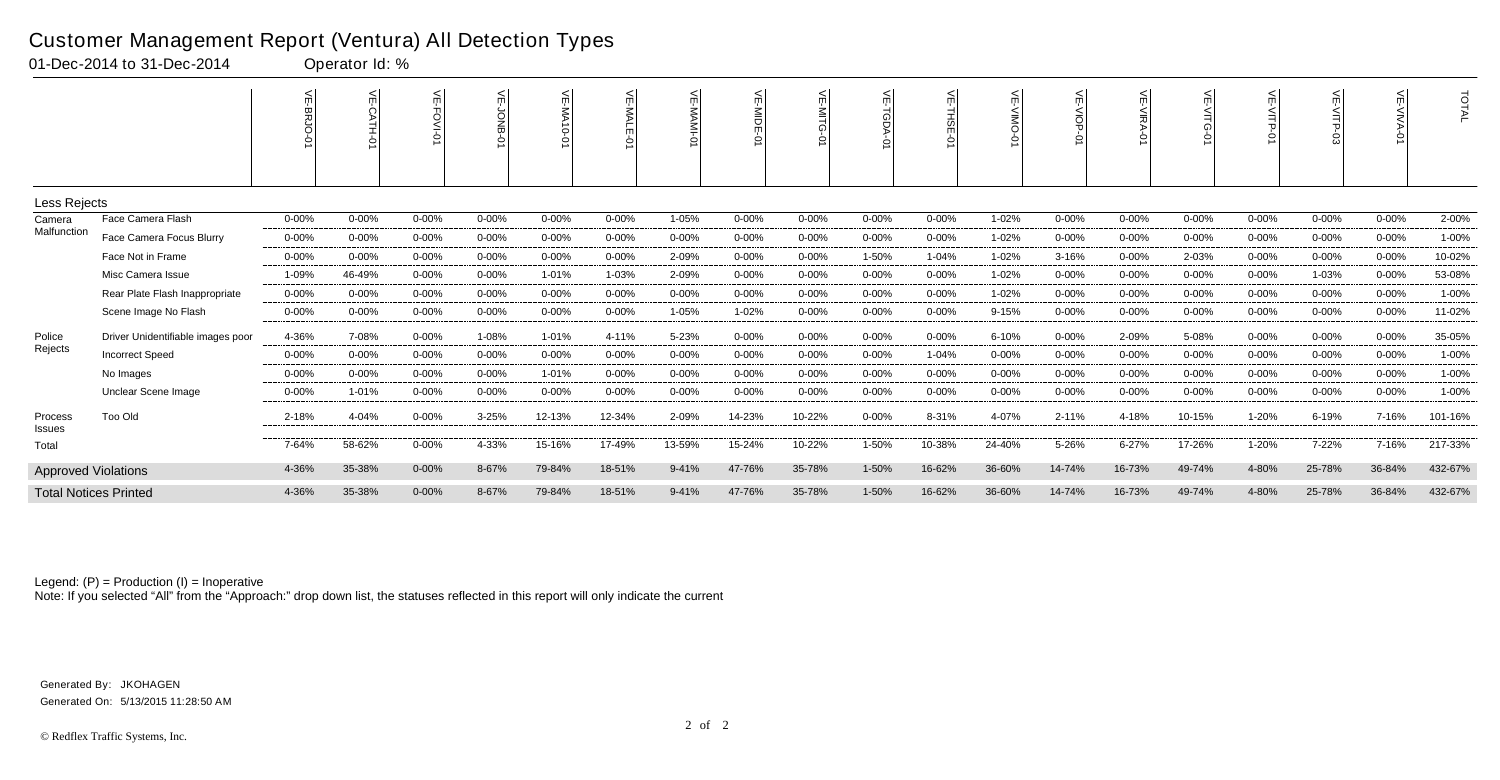|                            |                                   |           | 븻<br><b>CATH-01</b> | ĕ<br><b>O&gt;IV-0</b> | ਜ          | 닞<br>$\overline{\mathsf{S}}$<br>$0-0$ |           | $\leq$    | 닞<br>흶<br>ò | 늰<br>$\leq$ | $\leq$<br>TGDA | ے<br>THSE<br>Ò | m         | $\leq$    | ⋇<br>ᅌ    | ¥<br>○    | VE-VITP-01 |           | ਜ<br>ò     | TOTAL   |
|----------------------------|-----------------------------------|-----------|---------------------|-----------------------|------------|---------------------------------------|-----------|-----------|-------------|-------------|----------------|----------------|-----------|-----------|-----------|-----------|------------|-----------|------------|---------|
| Less Rejects               |                                   |           |                     |                       |            |                                       |           |           |             |             |                |                |           |           |           |           |            |           |            |         |
| Camera                     | Face Camera Flash                 | $0 - 00%$ | $0 - 00%$           | $0 - 00%$             | 0-00%      | $0 - 00%$                             | $0 - 00%$ | 1-05%     | $0 - 00%$   | 0-00%       | $0 - 00%$      | $0 - 00%$      | 1-02%     | $0 - 00%$ | $0 - 00%$ | $0 - 00%$ | $0 - 00%$  | $0 - 00%$ | $0 - 00%$  | 2-00%   |
| Malfunction                | Face Camera Focus Blurry          | $0 - 00%$ | $0 - 00%$           | 0-00%                 | $0 - 00\%$ | $0 - 00%$                             | 0-00%     | 0-00%     | $0 - 00%$   | $0 - 00%$   | $0 - 00\%$     | $0 - 00%$      | 1-02%     | $0 - 00%$ | $0 - 00%$ | $0 - 00%$ | $0 - 00%$  | $0 - 00%$ | $0 - 00%$  | 1-00%   |
|                            | Face Not in Frame                 | $0 - 00%$ | $0 - 00%$           | $0 - 00%$             | $0 - 00%$  | $0 - 00%$                             | $0 - 00%$ | 2-09%     | $0 - 00%$   | $0 - 00%$   | 1-50%          | $1 - 04%$      | 1-02%     | 3-16%     | $0 - 00%$ | 2-03%     | $0 - 00%$  | $0 - 00%$ | 0-00%      | 10-02%  |
|                            | Misc Camera Issue                 | 1-09%     | 46-49%              | 0-00%                 | $0 - 00%$  | 1-01%                                 | 1-03%     | 2-09%     | $0 - 00%$   | $0 - 00%$   | $0 - 00%$      | $0 - 00%$      | 1-02%     | $0 - 00%$ | $0 - 00%$ | $0 - 00%$ | $0 - 00%$  | 1-03%     | $0 - 00%$  | 53-08%  |
|                            | Rear Plate Flash Inappropriate    | $0 - 00%$ | $0 - 00%$           | 0-00%                 | $0 - 00%$  | $0 - 00%$                             | 0-00%     | $0 - 00%$ | $0 - 00%$   | $0 - 00%$   | $0 - 00%$      | $0 - 00%$      | 1-02%     | $0 - 00%$ | $0 - 00%$ | $0 - 00%$ | $0 - 00%$  | $0 - 00%$ | $0 - 00%$  | 1-00%   |
|                            | Scene Image No Flash              | $0 - 00%$ | $0 - 00%$           | $0 - 00%$             | 0-00%      | $0 - 00%$                             | $0 - 00%$ | 1-05%     | 1-02%       | $0 - 00%$   | $0 - 00%$      | $0 - 00%$      | $9 - 15%$ | $0 - 00%$ | $0 - 00%$ | $0 - 00%$ | 0-00%      | $0 - 00%$ | 0-00%      | 11-02%  |
| Police                     | Driver Unidentifiable images poor | 4-36%     | 7-08%               | $0 - 00%$             | 1-08%      | 1-01%                                 | 4-11%     | 5-23%     | $0 - 00%$   | $0 - 00%$   | $0 - 00%$      | $0 - 00%$      | 6-10%     | $0 - 00%$ | 2-09%     | 5-08%     | $0 - 00%$  | $0 - 00%$ | $0 - 00%$  | 35-05%  |
| Rejects                    | <b>Incorrect Speed</b>            | $0 - 00%$ | $0 - 00%$           | 0-00%                 | $0 - 00%$  | $0 - 00%$                             | $0 - 00%$ | $0 - 00%$ | $0 - 00%$   | $0 - 00%$   | $0 - 00%$      | 1-04%          | $0 - 00%$ | $0 - 00%$ | $0 - 00%$ | $0 - 00%$ | $0 - 00%$  | $0 - 00%$ | $0 - 00%$  | 1-00%   |
|                            | No Images                         | $0 - 00%$ | $0 - 00%$           | 0-00%                 | $0 - 00\%$ | 1-01%                                 | 0-00%     | $0 - 00%$ | $0 - 00%$   | $0 - 00%$   | $0 - 00%$      | $0 - 00%$      | $0 - 00%$ | $0 - 00%$ | $0 - 00%$ | $0 - 00%$ | $0 - 00%$  | $0 - 00%$ | $0 - 00\%$ | 1-00%   |
|                            | Unclear Scene Image               | $0 - 00%$ | 1-01%               | 0-00%                 | $0 - 00%$  | $0 - 00%$                             | $0 - 00%$ | $0 - 00%$ | $0 - 00%$   | $0 - 00%$   | $0 - 00%$      | $0 - 00%$      | $0 - 00%$ | $0 - 00%$ | $0 - 00%$ | $0 - 00%$ | $0 - 00%$  | $0 - 00%$ | $0 - 00%$  | 1-00%   |
| Process<br><b>Issues</b>   | <b>Too Old</b>                    | 2-18%     | 4-04%               | $0 - 00%$             | 3-25%      | 12-13%                                | 12-34%    | 2-09%     | 14-23%      | 10-22%      | 0-00%          | 8-31%          | 4-07%     | 2-11%     | 4-18%     | 10-15%    | 1-20%      | 6-19%     | 7-16%      | 101-16% |
| Total                      |                                   | 7-64%     | 58-62%              | $0 - 00%$             | 4-33%      | 15-16%                                | 17-49%    | 13-59%    | 15-24%      | 10-22%      | $1 - 50%$      | 10-38%         | 24-40%    | 5-26%     | $6 - 27%$ | 17-26%    | $1 - 20%$  | 7-22%     | 7-16%      | 217-33% |
| <b>Approved Violations</b> |                                   | 4-36%     | 35-38%              | $0 - 00\%$            | 8-67%      | 79-84%                                | 18-51%    | $9 - 41%$ | 47-76%      | 35-78%      | 1-50%          | 16-62%         | 36-60%    | 14-74%    | 16-73%    | 49-74%    | 4-80%      | 25-78%    | 36-84%     | 432-67% |
|                            | <b>Total Notices Printed</b>      | 4-36%     | 35-38%              | $0 - 00%$             | 8-67%      | 79-84%                                | 18-51%    | $9 - 41%$ | 47-76%      | 35-78%      | 1-50%          | 16-62%         | 36-60%    | 14-74%    | 16-73%    | 49-74%    | 4-80%      | 25-78%    | 36-84%     | 432-67% |

Note: If you selected "All" from the "Approach:" drop down list, the statuses reflected in this report will only indicate the current

### Customer Management Report (Ventura) All Detection Types

01-Dec-2014 to 31-Dec-2014 Operator Id: %

Generated On: 5/13/2015 11:28:50 AM Generated By: JKOHAGEN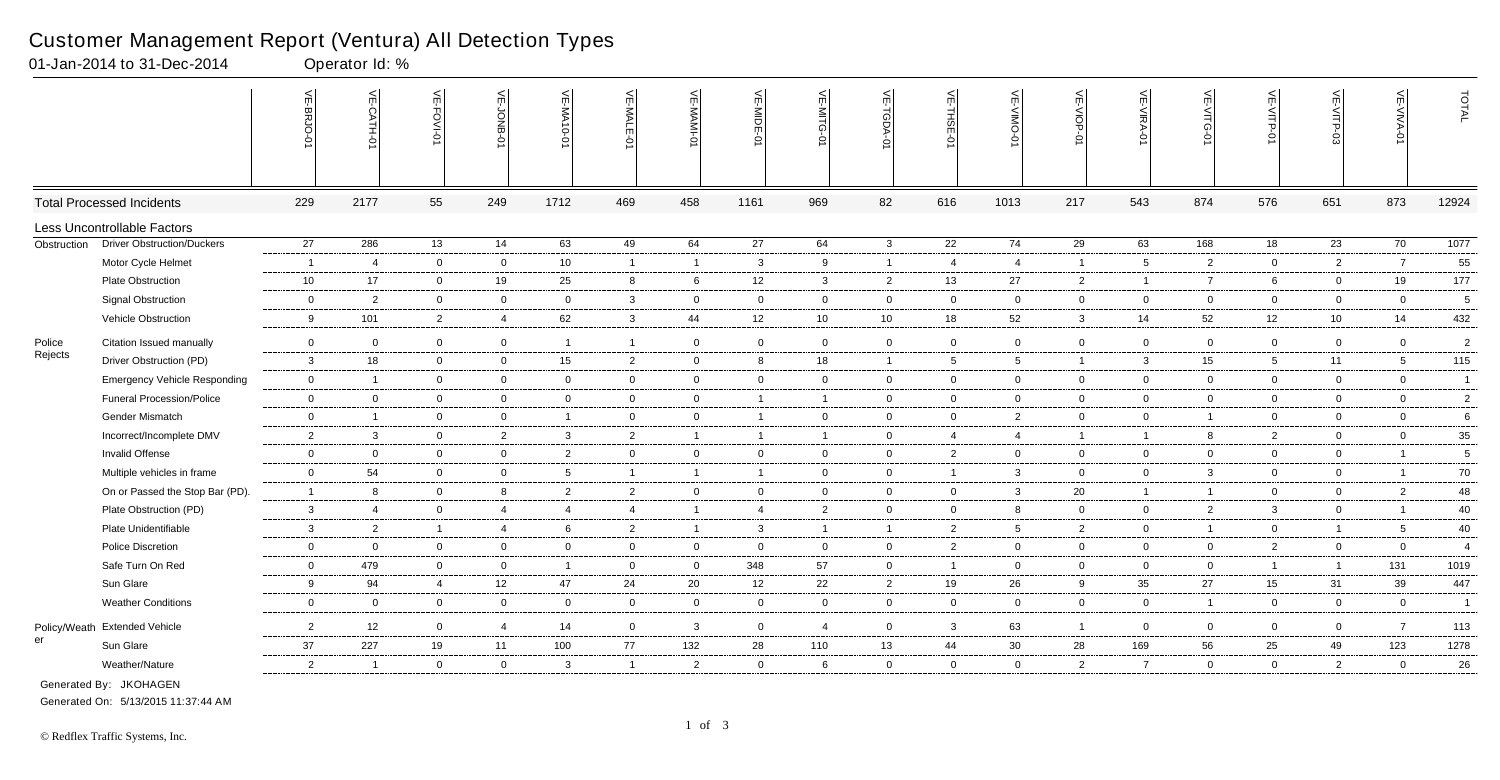|              |                                     | 븻<br><b>BRJO</b> | 닞<br>-CATH-0             | $\leq$                  | VE-JONB        | VE-MA10-01     | VE-MALE-01     | VE-MAMI-0      | VE-MIDE-01     | $\leq$<br>-NITG<br>ò | VE-TGDA-0      | VE-THSE-01     | $\frac{1}{2}$<br>-ONIA-<br>ò | VE-VIOP-<br>$\vec{S}$ | VE-VIRA-0      | $\mathrel{\mathop{\leq_{\mathrm{m}}}}$<br>-VITG<br>Ò | VE-VITP-01      | VE-VITP-03     | VE-VIVA-01      | TOTAL          |
|--------------|-------------------------------------|------------------|--------------------------|-------------------------|----------------|----------------|----------------|----------------|----------------|----------------------|----------------|----------------|------------------------------|-----------------------|----------------|------------------------------------------------------|-----------------|----------------|-----------------|----------------|
|              | <b>Total Processed Incidents</b>    | 229              | 2177                     | 55                      | 249            | 1712           | 469            | 458            | 1161           | 969                  | 82             | 616            | 1013                         | 217                   | 543            | 874                                                  | 576             | 651            | 873             | 12924          |
|              | Less Uncontrollable Factors         |                  |                          |                         |                |                |                |                |                |                      |                |                |                              |                       |                |                                                      |                 |                |                 |                |
| Obstruction  | <b>Driver Obstruction/Duckers</b>   | 27               | 286                      | 13                      | 14             | 63             | 49             | 64             | 27             | 64                   | $\mathbf{3}$   | 22             | 74                           | 29                    | 63             | 168                                                  | 18              | 23             | 70              | 1077           |
|              | Motor Cycle Helmet                  | $\overline{1}$   | $\overline{4}$           | $\overline{0}$          | $\overline{0}$ | 10             | 1              | $\overline{1}$ | $\mathbf{3}$   | 9                    | $\mathbf{1}$   | $\overline{4}$ | $\overline{4}$               | $\overline{1}$        | -5             | $\overline{2}$                                       | $\overline{0}$  | $\overline{2}$ | $\overline{7}$  | 55             |
|              | Plate Obstruction                   | 10               | 17                       | $\overline{0}$          | 19             | 25             | 8              | 6              | 12             | $\mathbf{3}$         | $\overline{2}$ | 13             | 27                           | $\overline{2}$        | $\overline{1}$ | $\overline{7}$                                       | 6               | $\mathbf 0$    | 19              | 177            |
|              | <b>Signal Obstruction</b>           | $\mathbf 0$      | $\overline{2}$           | $\overline{0}$          | $\mathbf 0$    | $\mathbf 0$    | $\mathbf{3}$   | $\mathbf 0$    | $\mathbf 0$    | $\mathbf 0$          | $\mathbf 0$    | $\mathbf 0$    | 0                            | $\mathbf 0$           | $\overline{0}$ | $\mathbf 0$                                          | $\mathbf 0$     | 0              | $\mathbf 0$     | 5              |
|              | Vehicle Obstruction                 | 9                | 101                      | $\overline{2}$          | $\overline{4}$ | 62             | 3              | 44             | 12             | 10                   | 10             | 18             | 52                           | $\mathbf{3}$          | 14             | 52                                                   | 12              | 10             | 14              | 432            |
| Police       | Citation Issued manually            | $\boldsymbol{0}$ | $\overline{0}$           | $\mathbf 0$             | $\mathbf 0$    | $\overline{1}$ | 1              | $\mathbf 0$    | $\overline{0}$ | $\mathbf 0$          | $\mathbf 0$    | $\overline{0}$ | $\mathbf 0$                  | $\mathbf 0$           | $\mathbf 0$    | $\mathbf 0$                                          | $\mathbf 0$     | 0              | $\overline{0}$  | $\overline{2}$ |
| Rejects      | Driver Obstruction (PD)             | $\mathbf{3}$     | 18                       | $\overline{0}$          | $\overline{0}$ | 15             | $\overline{2}$ | $\mathbf 0$    | 8              | 18                   | $\mathbf{1}$   | 5              | $5\overline{5}$              | $\overline{1}$        | $\mathbf{3}$   | 15                                                   | $5\overline{)}$ | 11             | 5               | 115            |
|              | <b>Emergency Vehicle Responding</b> | $\mathbf 0$      | $\overline{\phantom{0}}$ | $\overline{0}$          | $\mathbf 0$    | $\mathbf 0$    | $\mathbf{0}$   | $\mathbf 0$    | $\overline{0}$ | $\mathbf 0$          | $\mathbf 0$    | $\overline{0}$ | 0                            | $\overline{0}$        | $\Omega$       | $\overline{0}$                                       | $\mathbf 0$     | 0              | $\overline{0}$  | $\overline{1}$ |
|              | <b>Funeral Procession/Police</b>    | $\overline{0}$   | $\overline{0}$           | $\mathbf 0$             | $\overline{0}$ | $\overline{0}$ | $\mathbf 0$    | $\mathbf 0$    | $\overline{1}$ | $\mathbf{1}$         | $\mathbf{0}$   | $\mathbf 0$    | $\mathbf 0$                  | $\overline{0}$        | $\mathbf 0$    | $\mathbf 0$                                          | $\overline{0}$  | $\mathbf 0$    | $\mathbf 0$     | $\overline{2}$ |
|              | Gender Mismatch                     | $\mathbf 0$      | $\overline{1}$           | $\overline{0}$          | $\overline{0}$ | $\overline{1}$ | $\overline{0}$ | $\overline{0}$ | $\overline{1}$ | $\overline{0}$       | $\overline{0}$ | $\overline{0}$ | $\overline{2}$               | $\overline{0}$        | $\overline{0}$ | $\overline{1}$                                       | $\overline{0}$  | $\overline{0}$ | $\overline{0}$  | 6              |
|              | Incorrect/Incomplete DMV            | $\overline{2}$   | 3                        | $\overline{0}$          | $\overline{2}$ | $\mathbf{3}$   | $\overline{2}$ | $\overline{1}$ | $\overline{1}$ | $\overline{1}$       | $\mathbf{0}$   | $\overline{4}$ | $\overline{4}$               | $\overline{1}$        | $\overline{1}$ | 8                                                    | $\overline{2}$  | $\overline{0}$ | $\mathbf 0$     | 35             |
|              | Invalid Offense                     | $\mathbf 0$      | $\overline{0}$           | $\mathbf 0$             | $\mathbf{0}$   | $\overline{2}$ | $\mathbf 0$    | $\overline{0}$ | $\mathbf 0$    | $\mathbf{0}$         | $\mathbf{0}$   | $\overline{2}$ | 0                            | $\overline{0}$        | $\mathbf 0$    | $\mathbf 0$                                          | $\mathbf 0$     | $\mathbf 0$    |                 | 5              |
|              | Multiple vehicles in frame          | $\mathbf 0$      | 54                       | $\overline{0}$          | $\overline{0}$ | - 5            | $\mathbf{1}$   | $\overline{1}$ | $\overline{1}$ | $\Omega$             | $\overline{0}$ | $\overline{1}$ | 3                            | $\overline{0}$        | $\overline{0}$ | $\mathbf{3}$                                         | $\overline{0}$  | $\overline{0}$ | -1              | $70\,$         |
|              | On or Passed the Stop Bar (PD).     | $\overline{1}$   | 8                        | $\overline{0}$          | 8              | $\overline{2}$ | $\overline{2}$ | $\overline{0}$ | $\overline{0}$ | $\mathbf 0$          | $\overline{0}$ | $\overline{0}$ | 3                            | 20                    | $\overline{1}$ | $\overline{1}$                                       | $\overline{0}$  | 0              | $\overline{2}$  | 48             |
|              | Plate Obstruction (PD)              | $\mathbf{3}$     | $\overline{4}$           | $\mathbf 0$             | $\overline{4}$ | $\overline{4}$ | $\overline{4}$ | $\overline{1}$ | $\overline{4}$ | $\overline{2}$       | $\mathbf{0}$   | $\mathbf 0$    | 8                            | $\overline{0}$        | $\mathbf 0$    | $\overline{2}$                                       | $\mathbf{3}$    | 0              | $\overline{1}$  | 40             |
|              | Plate Unidentifiable                | $\mathbf{3}$     | $\overline{2}$           | $\overline{\mathbf{1}}$ | $\overline{4}$ | 6              | $\overline{2}$ | $\overline{1}$ | $\mathbf{3}$   | $\mathbf{1}$         | $\overline{1}$ | $\overline{2}$ | 5                            | $\overline{2}$        | $\mathbf 0$    |                                                      | $\overline{0}$  | $\overline{1}$ | $5\overline{5}$ | 40             |
|              | <b>Police Discretion</b>            | $\mathbf 0$      | $\overline{0}$           | $\overline{0}$          | $\mathbf 0$    | $\mathbf 0$    | $\overline{0}$ | $\mathbf 0$    | $\mathbf 0$    | $\mathbf 0$          | $\mathbf 0$    | $\overline{2}$ | $\mathbf 0$                  | $\overline{0}$        | $\overline{0}$ | $\overline{0}$                                       | $\overline{2}$  | $\mathbf 0$    | $\mathbf 0$     | $\overline{4}$ |
|              | Safe Turn On Red                    | $\overline{0}$   | 479                      | $\overline{0}$          | $\overline{0}$ | $\overline{1}$ | $\overline{0}$ | $\overline{0}$ | 348            | 57                   | $\overline{0}$ | $\overline{1}$ | $\overline{0}$               | $\overline{0}$        | $\overline{0}$ | $\overline{0}$                                       | $\mathbf{1}$    | $\overline{1}$ | 131             | 1019           |
|              | Sun Glare                           | 9                | 94                       | $\overline{4}$          | 12             | 47             | 24             | 20             | 12             | 22                   | $\overline{2}$ | 19             | 26                           | 9                     | 35             | 27                                                   | 15              | 31             | 39              | 447            |
|              | <b>Weather Conditions</b>           | $\mathbf 0$      | $\overline{0}$           | $\overline{0}$          | $\overline{0}$ | $\overline{0}$ | $\overline{0}$ | $\mathbf 0$    | $\overline{0}$ | $\overline{0}$       | $\overline{0}$ | $\overline{0}$ | $\overline{0}$               | $\overline{0}$        | $\overline{0}$ |                                                      | $\overline{0}$  | $\overline{0}$ | $\overline{0}$  | $\overline{1}$ |
| Policy/Weath | <b>Extended Vehicle</b>             | $\overline{2}$   | 12                       | $\overline{0}$          | $\overline{4}$ | 14             | $\mathbf{0}$   | $\mathbf{3}$   | $\mathbf 0$    | $\overline{4}$       | $\overline{0}$ | $\mathbf{3}$   | 63                           | $\overline{1}$        | $\mathbf 0$    | $\overline{0}$                                       | $\overline{0}$  | 0              | $\overline{7}$  | 113            |
| er           | Sun Glare                           | $37\,$           | 227                      | 19                      | 11             | 100            | 77             | 132            | 28             | 110                  | 13             | 44             | 30                           | 28                    | 169            | 56                                                   | 25              | 49             | 123             | 1278           |
|              | Weather/Nature                      | $\overline{2}$   | $\overline{\mathbf{1}}$  | $\overline{0}$          | $\mathbf 0$    | $\mathbf{3}$   | 1              | $\overline{2}$ | $\mathbf{0}$   | 6                    | $\overline{0}$ | $\overline{0}$ | $\overline{0}$               | $\overline{2}$        | 7              | $\mathbf{0}$                                         | $\overline{0}$  | $\overline{2}$ | $\overline{0}$  | 26             |

01-Jan-2014 to 31-Dec-2014 Qperator Id: %

Generated On: 5/13/2015 11:37:44 AM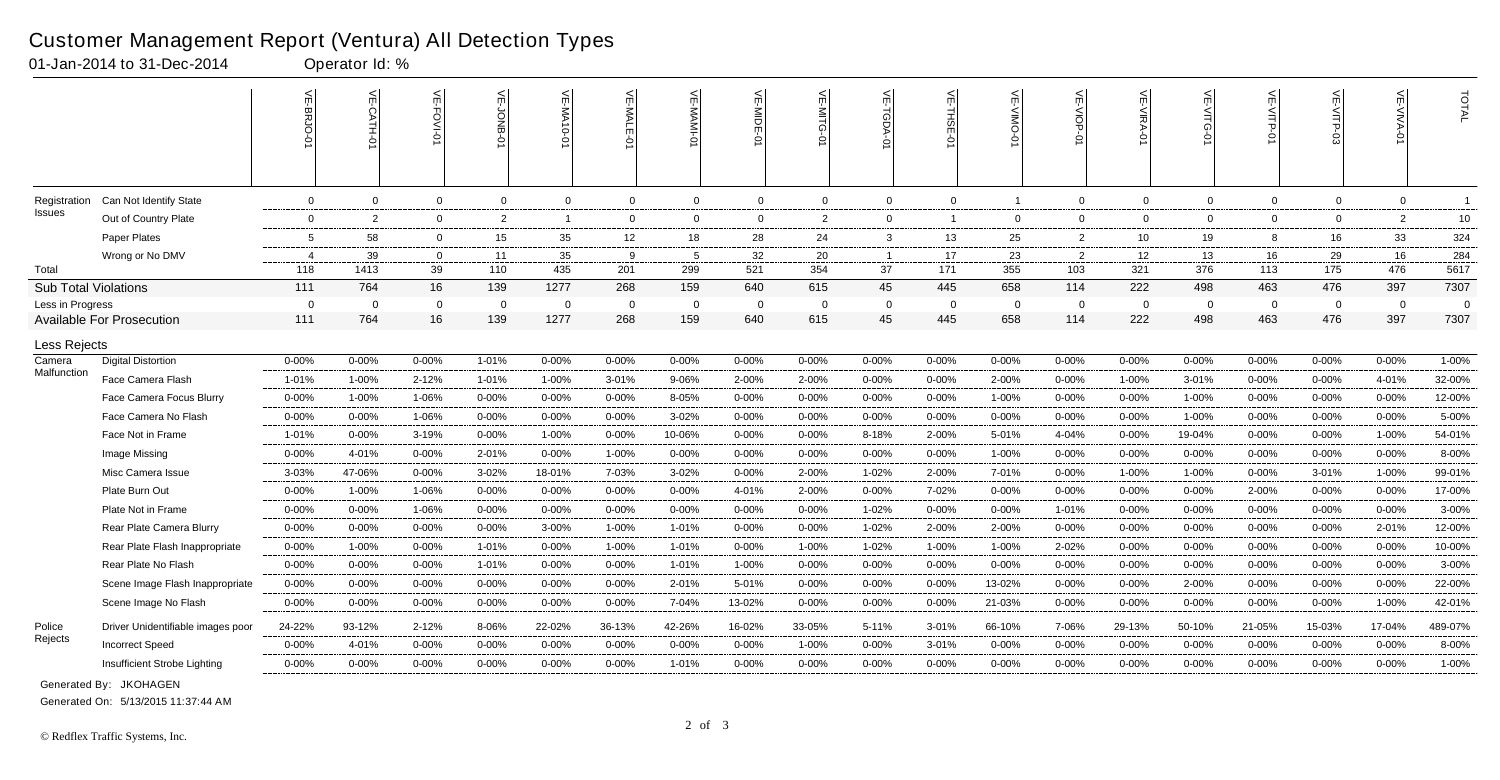|                             |                                   | m                       | $\leq$<br>CATH.<br>ò | 븻<br>O-IVO:    | ⋚<br>-jOKB     | VE-MA10-01     | VE-MALE-0    | VE-MAMI-0      | VE-MIDE-01     | $\leq$<br>Μ    | VE-TGDA-C      | ⊭<br>THSE-0    | 닞           | VE-VIOP-       | VE-VIRA-01 | 븻<br><b>E-VITG-</b><br>Ò | VE-VITP-01  | VE-VITP-03     | ے<br>-VIVA-    | TOTAL          |
|-----------------------------|-----------------------------------|-------------------------|----------------------|----------------|----------------|----------------|--------------|----------------|----------------|----------------|----------------|----------------|-------------|----------------|------------|--------------------------|-------------|----------------|----------------|----------------|
| Registration                | Can Not Identify State            | $\mathbf 0$             | $\overline{0}$       | $\mathbf 0$    | $\overline{0}$ | $\mathbf 0$    | $\mathbf{0}$ | $\mathbf 0$    | $\overline{0}$ | $\overline{0}$ | $\mathbf 0$    | $\overline{0}$ |             | $\mathbf 0$    | $\Omega$   | $\overline{0}$           | $\mathbf 0$ | $\overline{0}$ | $\mathbf 0$    | $\overline{1}$ |
| Issues                      | Out of Country Plate              | $\mathbf 0$             | $\overline{2}$       | $\overline{0}$ | $\overline{2}$ | -1             | $\mathbf 0$  | 0              | $\overline{0}$ | $\overline{2}$ | $\mathbf 0$    | $\overline{1}$ | $\mathbf 0$ | $\mathbf{0}$   | $\Omega$   | $\overline{0}$           | $\mathbf 0$ | $\overline{0}$ | $\overline{2}$ | 10             |
|                             | Paper Plates                      | 5                       | 58                   | $\mathbf 0$    | 15             | 35             | 12           | 18             | 28             | 24             | 3              | 13             | 25          | 2              | 10         | 19                       | 8           | 16             | 33             | 324            |
|                             | Wrong or No DMV                   | $\overline{4}$          | 39                   | $\Omega$       | 11             | 35             | 9            | -5             | 32             | 20             | $\overline{1}$ | 17             | 23          | $\overline{2}$ | 12         | 13                       | 16          | 29             | 16             | 284            |
| Total                       |                                   | 118                     | 1413                 | 39             | 110            | 435            | 201          | 299            | 521            | 354            | 37             | 171            | 355         | 103            | 321        | 376                      | 113         | 175            | 476            | 5617           |
| <b>Sub Total Violations</b> |                                   | 111                     | 764                  | 16             | 139            | 1277           | 268          | 159            | 640            | 615            | 45             | 445            | 658         | 114            | 222        | 498                      | 463         | 476            | 397            | 7307           |
| Less in Progress            |                                   | $\overline{\mathbf{0}}$ | $\Omega$             | $\mathbf{0}$   | $\overline{0}$ | $\overline{0}$ | $\mathbf 0$  | $\overline{0}$ | $\overline{0}$ | $\Omega$       | $\mathbf 0$    | - 0            | $\Omega$    | $\mathbf 0$    | $\Omega$   | $\overline{0}$           | $\mathbf 0$ | $\overline{0}$ | $\Omega$       | $\Omega$       |
|                             | <b>Available For Prosecution</b>  | 111                     | 764                  | 16             | 139            | 1277           | 268          | 159            | 640            | 615            | 45             | 445            | 658         | 114            | 222        | 498                      | 463         | 476            | 397            | 7307           |
| Less Rejects                |                                   |                         |                      |                |                |                |              |                |                |                |                |                |             |                |            |                          |             |                |                |                |
| Camera                      | <b>Digital Distortion</b>         | $0 - 00%$               | 0-00%                | $0 - 00%$      | 1-01%          | $0 - 00%$      | $0 - 00\%$   | $0 - 00%$      | $0 - 00%$      | $0 - 00%$      | $0 - 00\%$     | $0 - 00%$      | $0 - 00%$   | $0 - 00\%$     | 0-00%      | $0 - 00%$                | 0-00%       | $0 - 00%$      | $0 - 00%$      | 1-00%          |
| Malfunction                 | Face Camera Flash                 | $1 - 01%$               | 1-00%                | 2-12%          | 1-01%          | 1-00%          | 3-01%        | 9-06%          | 2-00%          | 2-00%          | $0 - 00%$      | $0 - 00%$      | 2-00%       | $0 - 00%$      | 1-00%      | 3-01%                    | $0 - 00%$   | $0 - 00%$      | 4-01%          | 32-00%         |
|                             | Face Camera Focus Blurry          | $0 - 00%$               | 1-00%                | 1-06%          | $0 - 00%$      | $0 - 00%$      | $0 - 00%$    | 8-05%          | $0 - 00%$      | $0 - 00%$      | $0 - 00\%$     | $0 - 00%$      | 1-00%       | $0 - 00%$      | $0 - 00%$  | 1-00%                    | $0 - 00%$   | $0 - 00%$      | $0 - 00%$      | 12-00%         |
|                             | Face Camera No Flash              | $0 - 00%$               | $0 - 00%$            | 1-06%          | $0 - 00%$      | $0 - 00%$      | $0 - 00%$    | $3 - 02%$      | $0 - 00%$      | $0 - 00%$      | $0 - 00\%$     | $0 - 00%$      | $0 - 00%$   | $0 - 00%$      | $0 - 00%$  | 1-00%                    | $0 - 00%$   | $0 - 00%$      | $0 - 00%$      | 5-00%          |
|                             | Face Not in Frame                 | $1 - 01%$               | $0 - 00%$            | 3-19%          | $0 - 00%$      | 1-00%          | $0 - 00%$    | 10-06%         | $0 - 00%$      | $0 - 00%$      | 8-18%          | 2-00%          | 5-01%       | 4-04%          | $0 - 00%$  | 19-04%                   | $0 - 00%$   | $0 - 00%$      | 1-00%          | 54-01%         |
|                             | Image Missing                     | $0 - 00%$               | 4-01%                | 0-00%          | 2-01%          | $0 - 00%$      | 1-00%        | $0 - 00\%$     | $0 - 00%$      | 0-00%          | $0 - 00\%$     | $0 - 00%$      | 1-00%       | $0 - 00%$      | 0-00%      | 0-00%                    | $0 - 00%$   | $0 - 00%$      | $0 - 00%$      | 8-00%          |
|                             | Misc Camera Issue                 | $3 - 03%$               | 47-06%               | $0 - 00%$      | $3 - 02%$      | 18-01%         | 7-03%        | 3-02%          | $0 - 00%$      | 2-00%          | 1-02%          | 2-00%          | 7-01%       | $0 - 00%$      | 1-00%      | 1-00%                    | $0 - 00%$   | $3 - 01%$      | 1-00%          | 99-01%         |
|                             | Plate Burn Out                    | $0 - 00%$               | 1-00%                | 1-06%          | $0 - 00%$      | 0-00%          | $0 - 00%$    | $0 - 00%$      | 4-01%          | 2-00%          | $0 - 00%$      | 7-02%          | 0-00%       | $0 - 00%$      | $0 - 00%$  | 0-00%                    | 2-00%       | $0 - 00%$      | $0 - 00%$      | 17-00%         |
|                             | Plate Not in Frame                | $0 - 00%$               | 0-00%                | 1-06%          | $0 - 00%$      | 0-00%          | $0 - 00%$    | $0 - 00%$      | 0-00%          | 0-00%          | $1 - 02%$      | $0 - 00%$      | $0 - 00%$   | 1-01%          | 0-00%      | $0 - 00%$                | $0 - 00%$   | $0 - 00%$      | $0 - 00%$      | 3-00%          |
|                             | Rear Plate Camera Blurry          | $0 - 00%$               | $0 - 00%$            | $0 - 00%$      | $0 - 00%$      | 3-00%          | 1-00%        | 1-01%          | $0 - 00%$      | $0 - 00%$      | 1-02%          | 2-00%          | 2-00%       | $0 - 00%$      | 0-00%      | $0 - 00%$                | $0 - 00%$   | 0-00%          | 2-01%          | 12-00%         |
|                             | Rear Plate Flash Inappropriate    | $0 - 00%$               | 1-00%                | $0 - 00%$      | $1 - 01%$      | $0 - 00%$      | 1-00%        | 1-01%          | $0 - 00%$      | 1-00%          | 1-02%          | 1-00%          | 1-00%       | 2-02%          | 0-00%      | $0 - 00%$                | 0-00%       | 0-00%          | $0 - 00%$      | 10-00%         |
|                             | Rear Plate No Flash               | $0 - 00%$               | $0 - 00%$            | 0-00%          | 1-01%          | $0 - 00%$      | $0 - 00\%$   | 1-01%          | 1-00%          | $0 - 00%$      | $0 - 00\%$     | $0 - 00%$      | $0 - 00%$   | $0 - 00%$      | $0 - 00%$  | $0 - 00%$                | $0 - 00%$   | $0 - 00%$      | $0 - 00%$      | 3-00%          |
|                             | Scene Image Flash Inappropriate   | $0 - 00%$               | $0 - 00%$            | $0 - 00%$      | $0 - 00%$      | $0 - 00%$      | $0 - 00%$    | 2-01%          | 5-01%          | 0-00%          | $0 - 00\%$     | $0 - 00%$      | 13-02%      | $0 - 00%$      | $0 - 00%$  | 2-00%                    | $0 - 00%$   | $0 - 00%$      | 0-00%          | 22-00%         |
|                             | Scene Image No Flash              | $0 - 00%$               | $0 - 00%$            | 0-00%          | $0 - 00%$      | 0-00%          | 0-00%        | 7-04%          | 13-02%         | 0-00%          | $0 - 00%$      | $0 - 00%$      | 21-03%      | $0 - 00%$      | $0 - 00%$  | 0-00%                    | 0-00%       | $0 - 00%$      | 1-00%          | 42-01%         |
| Police                      | Driver Unidentifiable images poor | 24-22%                  | 93-12%               | $2 - 12%$      | 8-06%          | 22-02%         | 36-13%       | 42-26%         | 16-02%         | 33-05%         | 5-11%          | $3 - 01%$      | 66-10%      | 7-06%          | 29-13%     | 50-10%                   | 21-05%      | 15-03%         | 17-04%         | 489-07%        |
| Rejects                     | <b>Incorrect Speed</b>            | $0 - 00%$               | 4-01%                | $0 - 00%$      | $0 - 00%$      | $0 - 00%$      | $0 - 00%$    | $0 - 00%$      | $0 - 00%$      | 1-00%          | $0 - 00\%$     | $3 - 01%$      | $0 - 00%$   | $0 - 00%$      | $0 - 00\%$ | $0 - 00%$                | $0 - 00%$   | $0 - 00%$      | $0 - 00%$      | 8-00%          |
|                             | Insufficient Strobe Lighting      | $0 - 00%$               | 0-00%                | $0 - 00%$      | $0 - 00%$      | 0-00%          | 0-00%        | 1-01%          | $0 - 00%$      | $0 - 00%$      | 0-00%          | $0 - 00%$      | 0-00%       | $0 - 00%$      | $0 - 00%$  | 0-00%                    | $0 - 00%$   | 0-00%          | $0 - 00%$      | 1-00%          |
|                             |                                   |                         |                      |                |                |                |              |                |                |                |                |                |             |                |            |                          |             |                |                |                |

01-Jan-2014 to 31-Dec-2014 Qperator Id: %

No Images 0-00% 0-00% 0-00% 0-00% 1-00% 0-00% 1-01% 0-00% 0-00% 0-00% 0-00% 0-00% 0-00% 0-00% 0-00% 0-00% 0-00% 0-00% 2-00% Generated By: JKOHAGEN

Generated On: 5/13/2015 11:37:44 AM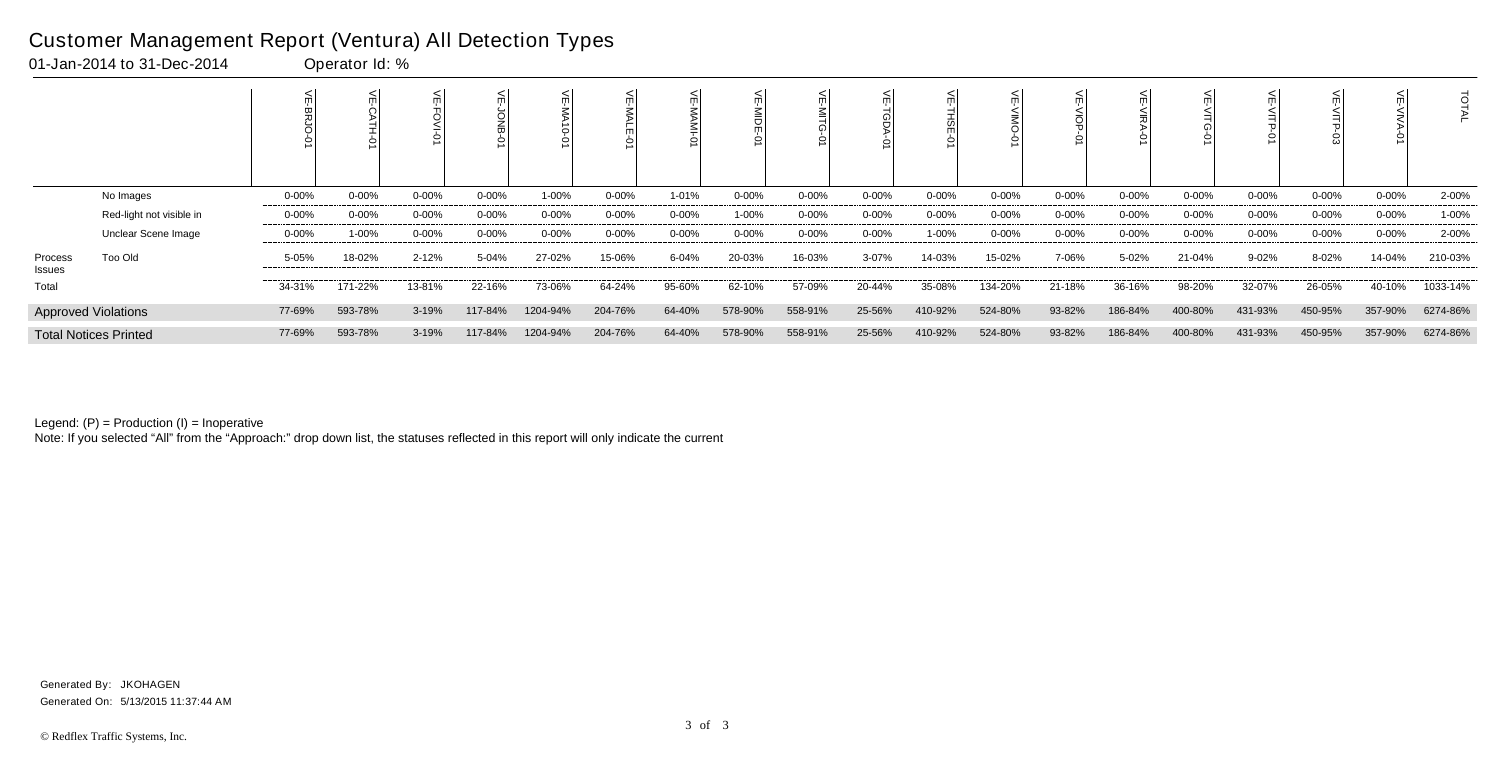|                   |                              |            |            |           |           | $\overrightarrow{c}$<br>ÒI |            |           |           |            |            |           |            |            |           |           |            |           |            | Ö        |
|-------------------|------------------------------|------------|------------|-----------|-----------|----------------------------|------------|-----------|-----------|------------|------------|-----------|------------|------------|-----------|-----------|------------|-----------|------------|----------|
|                   | No Images                    | $0 - 00\%$ | $0 - 00\%$ | $0 - 00%$ | $0 - 00%$ | 1-00%                      | $0 - 00\%$ | 1-01%     | $0 - 00%$ | $0 - 00\%$ | $0 - 00\%$ | $0 - 00%$ | $0 - 00\%$ | $0 - 00\%$ | $0 - 00%$ | $0 - 00%$ | $0 - 00%$  | 0-00%     | $0 - 00\%$ | 2-00%    |
|                   | Red-light not visible in     | $0 - 00\%$ | $0 - 00%$  | $0 - 00%$ | $0 - 00%$ | $0 - 00%$                  | $0 - 00\%$ | $0 - 00%$ | 1-00%     | $0 - 00%$  | $0 - 00\%$ | $0 - 00%$ | $0 - 00\%$ | $0 - 00\%$ | $0 - 00%$ | $0 - 00%$ | $0 - 00%$  | $0 - 00%$ | $0 - 00\%$ | 1-00%    |
|                   | Unclear Scene Image          | $0 - 00\%$ | 1-00%      | $0 - 00%$ | $0 - 00%$ | $0 - 00%$                  | $0 - 00\%$ | $0 - 00%$ | $0 - 00%$ | $0 - 00\%$ | $0 - 00\%$ | 1-00%     | $0 - 00\%$ | $0 - 00\%$ | $0 - 00%$ | $0 - 00%$ | $0 - 00\%$ | 0-00%     | $0 - 00\%$ | 2-00%    |
| Process<br>Issues | Too Old                      | 5-05%      | 18-02%     | 2-12%     | 5-04%     | 27-02%                     | 15-06%     | 6-04%     | 20-03%    | 16-03%     | 3-07%      | 14-03%    | 15-02%     | 7-06%      | 5-02%     | 21-04%    | 9-02%      | 8-02%     | 14-04%     | 210-03%  |
| Total             |                              | 34-31%     | 171-22%    | 13-81%    | 22-16%    | 73-06%                     | 64-24%     | 95-60%    | 62-10%    | 57-09%     | 20-44%     | 35-08%    | 134-20%    | 21-18%     | 36-16%    | 98-20%    | 32-07%     | 26-05%    | 40-10%     | 1033-14% |
|                   | <b>Approved Violations</b>   | 77-69%     | 593-78%    | 3-19%     | 117-84%   | 1204-94%                   | 204-76%    | 64-40%    | 578-90%   | 558-91%    | 25-56%     | 410-92%   | 524-80%    | 93-82%     | 186-84%   | 400-80%   | 431-93%    | 450-95%   | 357-90%    | 6274-86% |
|                   | <b>Total Notices Printed</b> | 77-69%     | 593-78%    | 3-19%     | 117-84%   | 1204-94%                   | 204-76%    | 64-40%    | 578-90%   | 558-91%    | 25-56%     | 410-92%   | 524-80%    | 93-82%     | 186-84%   | 400-80%   | 431-93%    | 450-95%   | 357-90%    | 6274-86% |

Note: If you selected "All" from the "Approach:" drop down list, the statuses reflected in this report will only indicate the current

### Customer Management Report (Ventura) All Detection Types

01-Jan-2014 to 31-Dec-2014 Operator Id: %

Generated On: 5/13/2015 11:37:44 AM Generated By: JKOHAGEN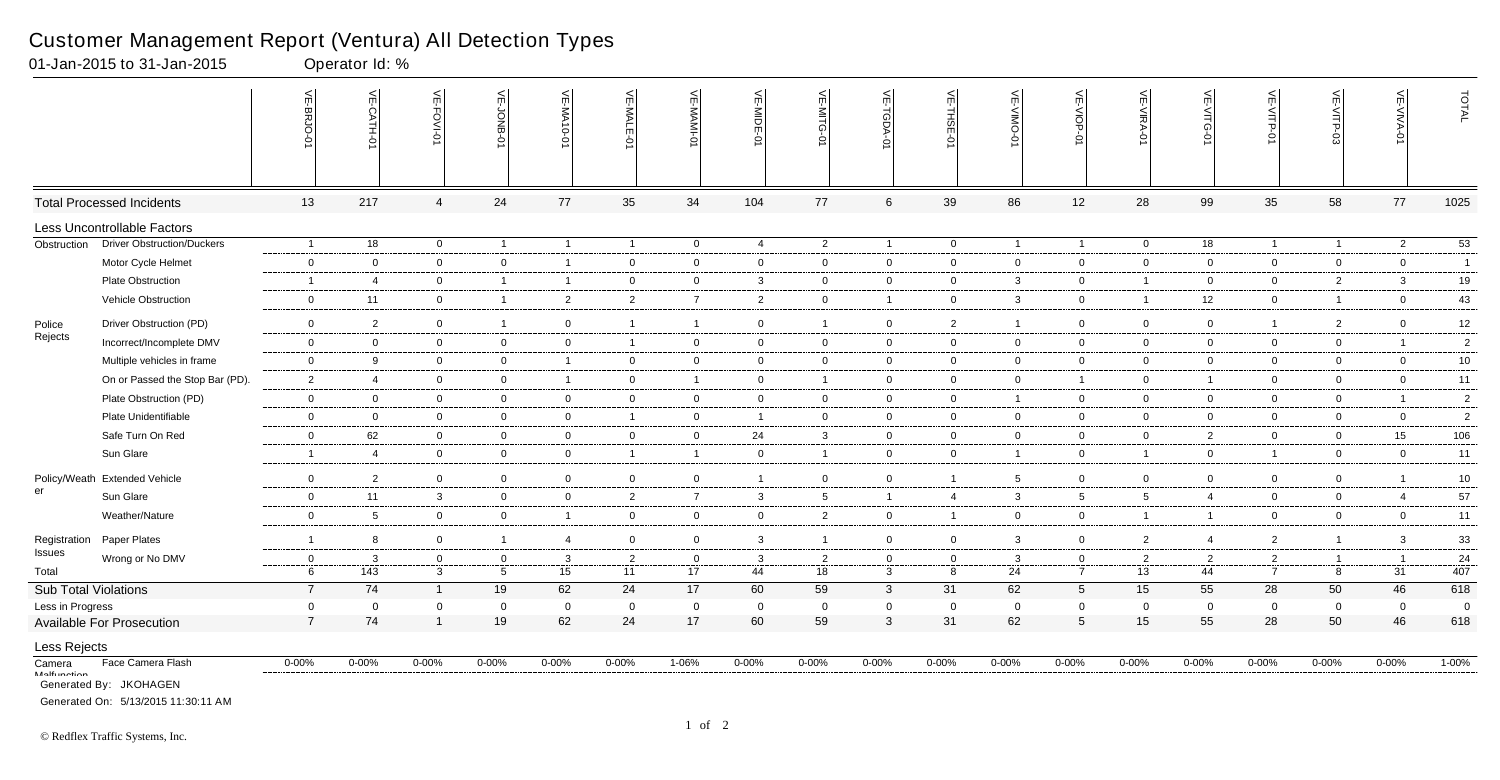|                             |                                                               | m<br>ᡂ         | 닞<br>CATH-01   | VE-FOVI-01     | 븻<br>F-JONB-    | VE-MA10-01              | VE-MALE-<br>Ģ  | VE-MAMI-<br>Ò  | VE-MIDE-0               | ⊼<br>≦<br>റ<br>Ò | VE-TGDA-0      | VE-THSE-01     | VE-VIMO-01      | VE-VIOP-01      | VE-VIRA-01      | $\leq$<br>റ<br>Ò | VE-VITP-01     | VE-VITP-03     | 븻<br>-VIVA <sub></sub> | TOTAL          |
|-----------------------------|---------------------------------------------------------------|----------------|----------------|----------------|-----------------|-------------------------|----------------|----------------|-------------------------|------------------|----------------|----------------|-----------------|-----------------|-----------------|------------------|----------------|----------------|------------------------|----------------|
|                             | <b>Total Processed Incidents</b>                              | 13             | 217            | $\overline{4}$ | 24              | 77                      | 35             | 34             | 104                     | 77               | $\,6\,$        | 39             | 86              | 12              | 28              | 99               | 35             | 58             | 77                     | 1025           |
|                             | Less Uncontrollable Factors                                   |                |                |                |                 |                         |                |                |                         |                  |                |                |                 |                 |                 |                  |                |                |                        |                |
| Obstruction                 | <b>Driver Obstruction/Duckers</b>                             | $\overline{1}$ | 18             | $\mathbf 0$    | $\overline{1}$  | $\overline{\mathbf{1}}$ | $\mathbf{1}$   | $\overline{0}$ | $\overline{4}$          | $\overline{2}$   | $\overline{1}$ | $\overline{0}$ | $\mathbf{1}$    | $\overline{1}$  | $\overline{0}$  | 18               | $\overline{1}$ | $\overline{1}$ | $\overline{2}$         | 53             |
|                             | Motor Cycle Helmet                                            | $\mathbf 0$    | $\overline{0}$ | $\mathbf{0}$   | $\overline{0}$  | $\overline{\mathbf{1}}$ | $\overline{0}$ | $\mathbf 0$    | $\overline{0}$          | $\overline{0}$   | $\overline{0}$ | $\overline{0}$ | $\mathbf{0}$    | $\overline{0}$  | $\mathbf 0$     | $\overline{0}$   | $\overline{0}$ | $\overline{0}$ | $\overline{0}$         | $\overline{1}$ |
|                             | Plate Obstruction                                             | $\overline{1}$ | 4              | $\overline{0}$ | $\overline{1}$  | -1                      | $\mathbf 0$    | $\overline{0}$ | $\overline{3}$          | $\overline{0}$   | $\overline{0}$ | $\overline{0}$ | $\mathbf{3}$    | $\overline{0}$  | $\overline{1}$  | $\mathbf 0$      | $\overline{0}$ | $\overline{2}$ | $\mathbf{3}$           | 19             |
|                             | Vehicle Obstruction                                           | $\mathbf 0$    | 11             | $\overline{0}$ | $\overline{1}$  | $\overline{2}$          | $\overline{2}$ | $\overline{7}$ | $\overline{2}$          | $\overline{0}$   | $\overline{1}$ | $\overline{0}$ | 3               | $\overline{0}$  | $\overline{1}$  | 12               | $\overline{0}$ | $\overline{1}$ | $\overline{0}$         | 43             |
| Police                      | Driver Obstruction (PD)                                       | $\mathbf 0$    | $\overline{2}$ | $\mathbf 0$    | $\overline{1}$  | $\overline{0}$          | $\mathbf{1}$   | $\overline{1}$ | $\overline{0}$          | $\mathbf{1}$     | $\overline{0}$ | $\overline{2}$ | $\mathbf{1}$    | $\overline{0}$  | $\mathbf 0$     | $\overline{0}$   | $\overline{1}$ | 2              | $\mathbf 0$            | 12             |
| Rejects                     | Incorrect/Incomplete DMV                                      | $\mathbf 0$    | $\mathbf 0$    | $\mathbf 0$    | $\overline{0}$  | $\overline{0}$          | $\overline{1}$ | $\overline{0}$ | $\overline{0}$          | $\overline{0}$   | $\overline{0}$ | $\overline{0}$ | $\mathbf 0$     | $\overline{0}$  | $\mathbf 0$     | $\mathbf 0$      | $\overline{0}$ | $\mathbf 0$    | $\overline{1}$         | $\overline{2}$ |
|                             | Multiple vehicles in frame                                    | $\mathbf 0$    | 9              | $\mathbf 0$    | $\mathbf 0$     | -1                      | $\overline{0}$ | $\mathbf 0$    | $\overline{\mathbf{0}}$ | $\overline{0}$   | $\mathbf 0$    | $\overline{0}$ | $\mathbf{0}$    | $\overline{0}$  | $\mathbf 0$     | $\mathbf 0$      | $\overline{0}$ | $\mathbf 0$    | $\mathbf 0$            | $10\,$         |
|                             | On or Passed the Stop Bar (PD).                               | $\overline{2}$ | $\overline{4}$ | $\mathbf 0$    | $\overline{0}$  | - 1                     | $\overline{0}$ | $\overline{1}$ | $\overline{0}$          | $\overline{1}$   | $\overline{0}$ | $\overline{0}$ | $\mathbf{0}$    | $\overline{1}$  | $\mathbf 0$     | $\overline{1}$   | $\overline{0}$ | $\overline{0}$ | $\mathbf 0$            | 11             |
|                             | Plate Obstruction (PD)                                        | $\mathbf 0$    | $\overline{0}$ | $\mathbf 0$    | $\overline{0}$  | $\mathbf{0}$            | $\overline{0}$ | $\overline{0}$ | $\overline{0}$          | $\overline{0}$   | $\mathbf 0$    | $\overline{0}$ | $\mathbf{1}$    | $\overline{0}$  | $\mathbf 0$     | $\mathbf 0$      | $\overline{0}$ | $\overline{0}$ | $\overline{1}$         | $\overline{2}$ |
|                             | Plate Unidentifiable                                          | $\mathbf 0$    | $\mathbf 0$    | $\mathbf 0$    | $\overline{0}$  | $\overline{0}$          | $\mathbf{1}$   | $\mathbf 0$    | $\overline{1}$          | $\overline{0}$   | $\overline{0}$ | $\overline{0}$ | $\mathbf{0}$    | $\overline{0}$  | $\mathbf 0$     | $\overline{0}$   | $\overline{0}$ | $\mathbf 0$    | $\overline{0}$         | $\overline{2}$ |
|                             | Safe Turn On Red                                              | $\mathbf 0$    | 62             | $\mathbf 0$    | $\overline{0}$  | $\overline{0}$          | $\overline{0}$ | $\overline{0}$ | 24                      | $\mathbf{3}$     | $\overline{0}$ | $\overline{0}$ | $\mathbf 0$     | $\overline{0}$  | $\mathbf 0$     | $\overline{2}$   | $\overline{0}$ | $\mathbf 0$    | 15                     | 106            |
|                             |                                                               | $\overline{1}$ | $\overline{4}$ | $\mathbf 0$    |                 |                         |                |                |                         | $\overline{1}$   |                |                | 1               |                 | $\overline{1}$  | $\mathbf 0$      | $\overline{1}$ |                |                        |                |
|                             | Sun Glare                                                     |                |                |                | $\mathbf 0$     | $\mathbf 0$             | $\mathbf{1}$   | $\overline{1}$ | $\overline{\mathbf{0}}$ |                  | $\mathbf 0$    | $\overline{0}$ |                 | $\mathbf 0$     |                 |                  |                | $\mathbf 0$    | $\mathbf 0$            | 11             |
|                             | Policy/Weath Extended Vehicle                                 | $\mathbf 0$    | $\overline{2}$ | $\overline{0}$ | $\overline{0}$  | $\overline{0}$          | $\overline{0}$ | $\overline{0}$ | $\overline{1}$          | $\overline{0}$   | $\overline{0}$ | $\overline{1}$ | $5\overline{)}$ | $\overline{0}$  | $\mathbf 0$     | $\mathbf 0$      | $\overline{0}$ | $\overline{0}$ |                        | 10             |
| er                          | Sun Glare                                                     | $\mathbf 0$    | 11             | 3              | $\overline{0}$  | 0                       | $\overline{2}$ | $\overline{7}$ | -3                      | $5\overline{)}$  | $\overline{1}$ | $\overline{4}$ | 3               | $5\overline{)}$ | $5\phantom{.0}$ | 4                | $\overline{0}$ | $\mathbf 0$    | $\overline{4}$         | 57             |
|                             | Weather/Nature                                                | $\overline{0}$ | 5              | $\mathbf 0$    | $\overline{0}$  | $\mathbf 1$             | $\mathbf 0$    | $\overline{0}$ | $\overline{0}$          | $\overline{2}$   | $\mathbf 0$    | $\overline{1}$ | $\mathbf{0}$    | $\overline{0}$  | $\overline{1}$  | $\overline{1}$   | $\overline{0}$ | $\overline{0}$ | $\overline{0}$         | 11             |
| Registration                | Paper Plates                                                  | $\overline{1}$ | 8              | $\mathbf 0$    | $\overline{1}$  | -4                      | $\overline{0}$ | $\overline{0}$ | $\mathbf{3}$            | $\overline{1}$   | $\mathbf 0$    | $\overline{0}$ | 3               | $\overline{0}$  | $\overline{2}$  | 4                | $\overline{2}$ | $\overline{1}$ | $\mathbf{3}$           | 33             |
| Issues                      | Wrong or No DMV                                               | $\mathbf 0$    | 3              | $\mathbf 0$    | $\mathbf{0}$    | $\mathbf{3}$            | $\overline{2}$ | $\mathbf{0}$   | $\mathbf{3}$            | $\overline{2}$   | $\overline{0}$ | $\overline{0}$ | 3               | $\overline{0}$  | $\overline{2}$  | $\overline{2}$   | $\overline{2}$ | $\overline{1}$ |                        | 24             |
| Total                       |                                                               | 6              | 143            | $\mathbf{3}$   | $5\phantom{.0}$ | 15                      | 11             | 17             | 44                      | 18               | $\mathbf{3}$   | 8              | 24              | $\overline{7}$  | 13              | 44               | $\overline{7}$ | 8              | 31                     | 407            |
| <b>Sub Total Violations</b> |                                                               | $\overline{7}$ | 74             | $\overline{1}$ | 19              | 62                      | 24             | 17             | 60                      | 59               | $\mathbf{3}$   | 31             | 62              | $5\phantom{.0}$ | 15              | 55               | 28             | 50             | 46                     | 618            |
| Less in Progress            |                                                               | $\mathbf 0$    | $\mathbf 0$    | $\overline{0}$ | $\mathbf 0$     | $\mathbf 0$             | $\overline{0}$ | $\mathbf 0$    | $\overline{0}$          | $\mathbf 0$      | $\mathbf 0$    | $\mathbf 0$    | $\mathbf 0$     | $\mathbf 0$     | $\mathbf 0$     | $\mathbf 0$      | $\mathbf 0$    | $\mathbf 0$    | $\mathbf 0$            | $\overline{0}$ |
|                             | <b>Available For Prosecution</b>                              | $\overline{7}$ | 74             | $\overline{1}$ | 19              | 62                      | 24             | 17             | 60                      | 59               | $\mathbf{3}$   | 31             | 62              | $5\phantom{.0}$ | 15              | 55               | 28             | 50             | 46                     | 618            |
| Less Rejects                |                                                               |                |                |                |                 |                         |                |                |                         |                  |                |                |                 |                 |                 |                  |                |                |                        |                |
| Camera                      | Face Camera Flash                                             | $0 - 00\%$     | $0 - 00%$      | $0 - 00\%$     | $0 - 00%$       | $0 - 00%$               | $0 - 00\%$     | $1 - 06%$      | $0 - 00\%$              | $0 - 00\%$       | $0 - 00\%$     | $0 - 00%$      | $0 - 00%$       | $0 - 00\%$      | $0 - 00\%$      | $0 - 00%$        | $0 - 00%$      | $0 - 00\%$     | $0 - 00\%$             | $1 - 00\%$     |
| <b>Molfunation</b>          | Generated By: JKOHAGEN<br>Generated On: 5/13/2015 11:30:11 AM |                |                |                |                 |                         |                |                |                         |                  |                |                |                 |                 |                 |                  |                |                |                        |                |

01-Jan-2015 to 31-Jan-2015 Operator Id: %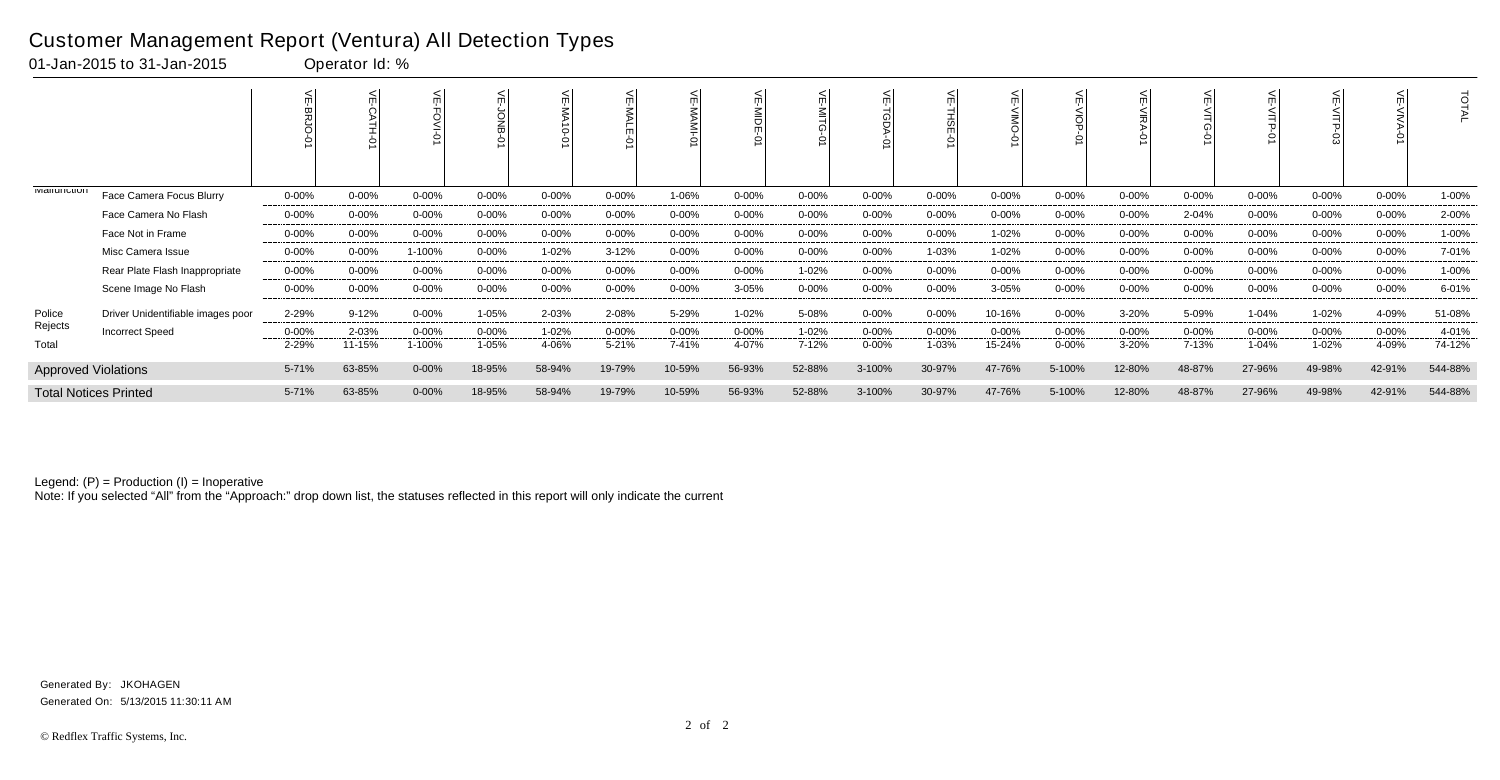|                              |                                   | <          |            | $\circ$   |            | 듀<br>$\circ$ |            |            | ΜDE        |            |            | F<br>힒<br>의 |        |            |            |            |            | 3          |            | Ö       |
|------------------------------|-----------------------------------|------------|------------|-----------|------------|--------------|------------|------------|------------|------------|------------|-------------|--------|------------|------------|------------|------------|------------|------------|---------|
| <b>IVIGIIUIIUIUI</b>         | Face Camera Focus Blurry          | $0 - 00\%$ | $0 - 00\%$ | $0 - 00%$ | $0 - 00\%$ | $0 - 00\%$   | $0 - 00\%$ | 1-06%      | $0 - 00%$  | $0 - 00\%$ | $0 - 00\%$ | $0 - 00%$   | 0-00%  | $0 - 00\%$ | 0-00%      | 0-00%      | $0 - 00\%$ | 0-00%      | $0 - 00\%$ | 1-00%   |
|                              | Face Camera No Flash              | $0 - 00\%$ | $0 - 00\%$ | $0 - 00%$ | $0 - 00\%$ | $0 - 00%$    | $0 - 00\%$ | $0 - 00\%$ | 0-00%      | $0 - 00\%$ | $0 - 00\%$ | $0 - 00%$   | 0-00%  | 0-00%      | $0 - 00\%$ | 2-04%      | $0 - 00\%$ | $0 - 00%$  | $0 - 00\%$ | 2-00%   |
|                              | Face Not in Frame                 | $0 - 00\%$ | $0 - 00%$  | 0-00%     | $0 - 00\%$ | $0 - 00\%$   | $0 - 00\%$ | 0-00%      | $0 - 00%$  | $0 - 00\%$ | $0 - 00\%$ | $0 - 00%$   | 1-02%  | 0-00%      | $0 - 00\%$ | $0 - 00\%$ | $0 - 00\%$ | $0 - 00%$  | $0 - 00\%$ | 1-00%   |
|                              | Misc Camera Issue                 | $0 - 00\%$ | $0 - 00\%$ | 1-100%    | $0 - 00\%$ | 1-02%        | $3 - 12%$  | $0 - 00%$  | $0 - 00\%$ | $0 - 00\%$ | $0 - 00\%$ | 1-03%       | 1-02%  | $0 - 00\%$ | $0 - 00\%$ | $0 - 00%$  | $0 - 00\%$ | $0 - 00\%$ | $0 - 00\%$ | 7-01%   |
|                              | Rear Plate Flash Inappropriate    | $0 - 00\%$ | $0 - 00\%$ | $0 - 00%$ | $0 - 00\%$ | $0 - 00%$    | $0 - 00\%$ | $0 - 00%$  | $0 - 00\%$ | 1-02%      | $0 - 00\%$ | $0 - 00%$   | 0-00%  | 0-00%      | $0 - 00%$  | $0 - 00%$  | $0 - 00\%$ | $0 - 00%$  | $0 - 00%$  | 1-00%   |
|                              | Scene Image No Flash              | $0 - 00\%$ | $0 - 00%$  | 0-00%     | $0 - 00\%$ | $0 - 00%$    | $0 - 00\%$ | 0-00%      | 3-05%      | 0-00%      | $0 - 00\%$ | $0 - 00%$   | 3-05%  | $0 - 00\%$ | 0-00%      | 0-00%      | $0 - 00\%$ | 0-00%      | $0 - 00\%$ | 6-01%   |
| Police                       | Driver Unidentifiable images poor | 2-29%      | $9 - 12%$  | $0 - 00%$ | 1-05%      | 2-03%        | 2-08%      | 5-29%      | 1-02%      | 5-08%      | $0 - 00\%$ | $0 - 00%$   | 10-16% | $0 - 00\%$ | 3-20%      | 5-09%      | 1-04%      | 1-02%      | 4-09%      | 51-08%  |
| Rejects                      | <b>Incorrect Speed</b>            | $0 - 00\%$ | 2-03%      | $0 - 00%$ | 0-00%      | 1-02%        | $0 - 00\%$ | $0 - 00%$  | $0 - 00%$  | 1-02%      | $0 - 00%$  | $0 - 00%$   | 0-00%  | $0 - 00\%$ | $0 - 00%$  | $0 - 00%$  | 0-00%      | $0 - 00%$  | $0 - 00\%$ | 4-01%   |
| Total                        |                                   | 2-29%      | 11-15%     | 1-100%    | 1-05%      | 4-06%        | 5-21%      | 7-41%      | 4-07%      | 7-12%      | $0 - 00%$  | 1-03%       | 15-24% | $0 - 00%$  | 3-20%      | 7-13%      | 1-04%      | 1-02%      | 4-09%      | 74-12%  |
| <b>Approved Violations</b>   |                                   | 5-71%      | 63-85%     | $0 - 00%$ | 18-95%     | 58-94%       | 19-79%     | 10-59%     | 56-93%     | 52-88%     | 3-100%     | 30-97%      | 47-76% | 5-100%     | 12-80%     | 48-87%     | 27-96%     | 49-98%     | 42-91%     | 544-88% |
| <b>Total Notices Printed</b> |                                   | 5-71%      | 63-85%     | $0 - 00%$ | 18-95%     | 58-94%       | 19-79%     | 10-59%     | 56-93%     | 52-88%     | 3-100%     | 30-97%      | 47-76% | 5-100%     | 12-80%     | 48-87%     | 27-96%     | 49-98%     | 42-91%     | 544-88% |

Note: If you selected "All" from the "Approach:" drop down list, the statuses reflected in this report will only indicate the current

### Customer Management Report (Ventura) All Detection Types

01-Jan-2015 to 31-Jan-2015 Operator Id: %

Generated On: 5/13/2015 11:30:11 AM Generated By: JKOHAGEN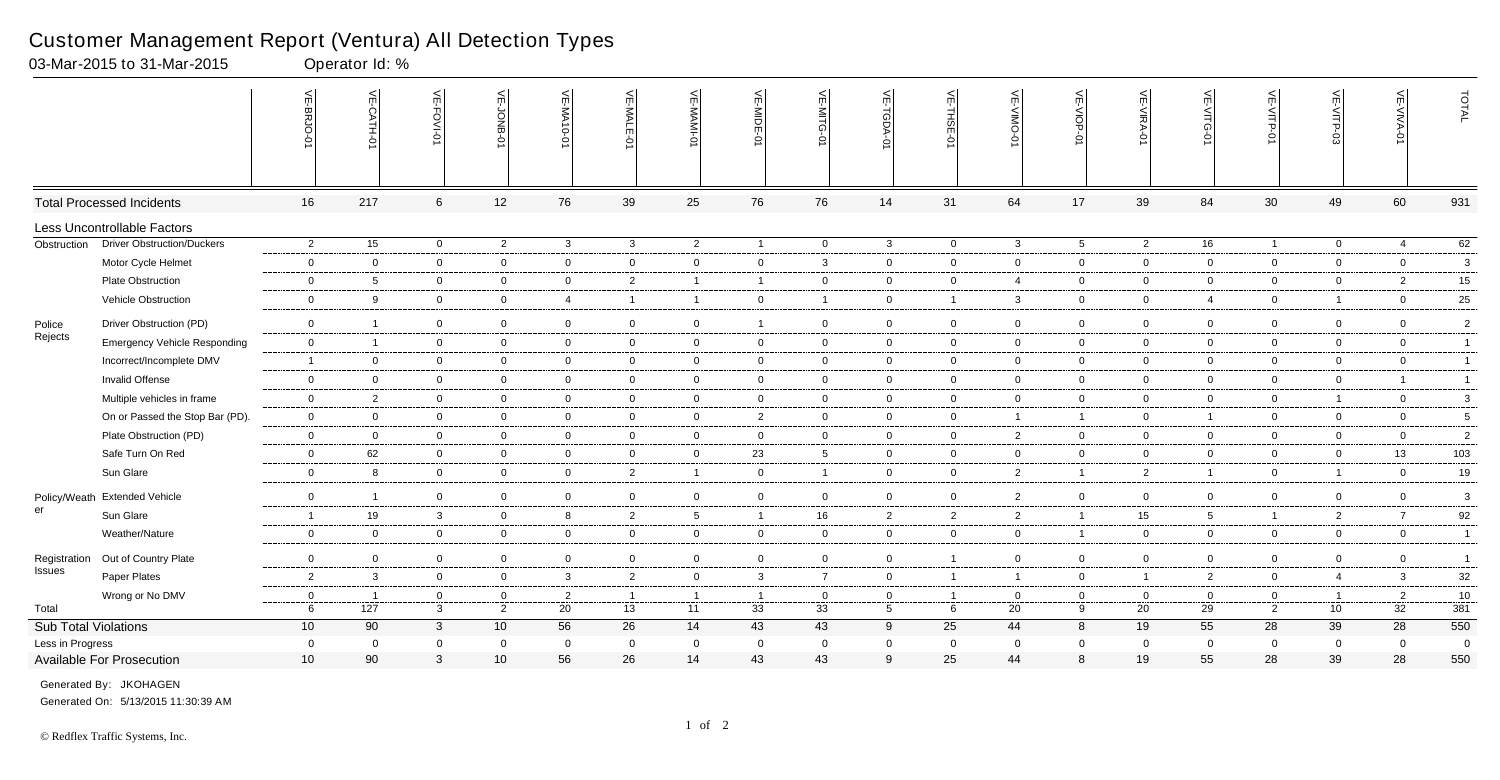|                        |                                     | $\leq$<br>멿                       | VE-CATH-0      | VE-FOVI-0 |                                | VE-JONB-07                          | VE-MA10-01     | $\leq$<br>$\leq$<br>ĥ<br>Ċ | <b>VE-MAMI-0</b>     | VE-MIDE-0      | 븻<br>-NITG<br>ò      | VE-TGDA-0                     | VE-THSE-01          | $\frac{1}{2}$<br>-VIIVO<br>ò | VE-VIOP<br>Ò        | VE-VIRA-0            | VE-VITG-0            | VE-VITP-01                    | VE-VITP-03                        | VE-VIVA-01           | TOTAL          |
|------------------------|-------------------------------------|-----------------------------------|----------------|-----------|--------------------------------|-------------------------------------|----------------|----------------------------|----------------------|----------------|----------------------|-------------------------------|---------------------|------------------------------|---------------------|----------------------|----------------------|-------------------------------|-----------------------------------|----------------------|----------------|
|                        | <b>Total Processed Incidents</b>    | 16                                | 217            |           | 12<br>6                        | 76                                  |                | 39                         | 25                   | 76             | 76                   | 14                            | 31                  | 64                           | 17                  | 39                   | 84                   | 30                            | 49                                | 60                   | 931            |
|                        | Less Uncontrollable Factors         |                                   |                |           |                                |                                     |                |                            |                      |                |                      |                               |                     |                              |                     |                      |                      |                               |                                   |                      |                |
| Obstruction            | <b>Driver Obstruction/Duckers</b>   | $\overline{2}$                    | 15             |           | $\overline{0}$                 | $\overline{2}$                      | $\mathbf{3}$   | $\mathbf{3}$               | $\overline{2}$       | $\overline{1}$ | $\mathbf 0$          | $\mathbf{3}$                  | $\mathbf 0$         | $\mathbf{3}$                 | $5\overline{)}$     | $\overline{2}$       | 16                   | $\mathbf{1}$                  | $\overline{0}$                    | $\overline{4}$       | 62             |
|                        | Motor Cycle Helmet                  | $\overline{0}$                    | $\overline{0}$ |           | $\mathbf 0$                    | $\mathbf 0$                         | $\overline{0}$ | $\overline{0}$             | $\mathbf 0$          | $\mathbf 0$    | 3                    | $\mathbf 0$                   | $\mathbf 0$         | $\overline{0}$               | $\overline{0}$      | $\overline{0}$       | $\mathbf 0$          | $\overline{0}$                | $\mathbf 0$                       | $\mathbf 0$          | 3              |
|                        | <b>Plate Obstruction</b>            | $\mathbf 0$                       | 5              |           | $\overline{0}$                 | $\overline{0}$                      | $\overline{0}$ | $\overline{2}$             | $\overline{1}$       | $\overline{1}$ | $\mathbf 0$          | $\mathbf{0}$                  | $\mathbf 0$         | 4                            | $\overline{0}$      | $\mathbf 0$          | $\overline{0}$       | $\mathbf 0$                   | $\mathbf 0$                       | $\overline{2}$       | 15             |
|                        | Vehicle Obstruction                 | $\overline{0}$                    | 9              |           | $\overline{0}$                 | $\mathsf{O}\xspace$                 | $\overline{4}$ | 1                          | $\overline{1}$       | $\overline{0}$ |                      | $\mathbf 0$                   | $\overline{1}$      | 3                            | $\overline{0}$      | $\mathbf 0$          | 4                    | $\overline{0}$                | $\overline{1}$                    | $\overline{0}$       | 25             |
| Police                 | Driver Obstruction (PD)             | $\mathbf 0$                       |                |           | $\overline{0}$                 | $\mathbf 0$                         | $\overline{0}$ | $\mathbf 0$                | $\overline{0}$       | - 1            | $\mathbf 0$          | $\overline{0}$                | $\mathsf 0$         | $\mathbf 0$                  | $\mathbf 0$         | $\Omega$             | $\mathbf 0$          | $\mathbf 0$                   | $\mathbf 0$                       | $\overline{0}$       | $\overline{2}$ |
| Rejects                | <b>Emergency Vehicle Responding</b> | $\mathbf 0$                       | $\overline{1}$ |           | $\mathbf 0$                    | $\overline{0}$                      | $\mathbf 0$    | $\mathbf 0$                | $\mathbf 0$          | $\mathbf 0$    | $\mathbf 0$          | $\mathbf{0}$                  | $\mathbf 0$         | $\mathbf 0$                  | $\overline{0}$      | $\overline{0}$       | $\mathbf 0$          | $\overline{0}$                | $\mathbf 0$                       | $\mathbf 0$          | $\overline{1}$ |
|                        | Incorrect/Incomplete DMV            | $\overline{1}$                    | $\overline{0}$ |           | $\overline{0}$                 | $\mathbf 0$                         | $\overline{0}$ | $\mathbf 0$                | $\overline{0}$       | $\overline{0}$ | $\mathbf 0$          | $\overline{0}$                | $\mathbf 0$         | $\mathbf 0$                  | $\overline{0}$      | $\Omega$             | $\mathbf 0$          | $\mathbf 0$                   | $\mathbf 0$                       | $\overline{0}$       | $\mathbf{1}$   |
|                        | Invalid Offense                     | $\mathbf 0$                       | $\mathbf 0$    |           | $\overline{0}$                 | $\mathbf 0$                         | $\overline{0}$ | $\overline{0}$             | $\mathbf 0$          | $\mathbf 0$    | $\overline{0}$       | $\mathbf{0}$                  | $\mathbf 0$         | $\overline{0}$               | $\overline{0}$      | $\mathbf 0$          | $\mathbf 0$          | $\overline{0}$                | $\overline{0}$                    | $\overline{1}$       | $\mathbf{1}$   |
|                        | Multiple vehicles in frame          | $\mathbf 0$                       | $\overline{2}$ |           | $\overline{0}$                 | $\overline{0}$                      | $\overline{0}$ | $\overline{0}$             | $\overline{0}$       | $\overline{0}$ | $\overline{0}$       | $\overline{0}$                | $\overline{0}$      | $\overline{0}$               | $\overline{0}$      | $\overline{0}$       | $\overline{0}$       | $\overline{0}$                | $\overline{1}$                    | $\overline{0}$       | 3              |
|                        | On or Passed the Stop Bar (PD).     | $\overline{0}$                    | $\mathbf 0$    |           | $\overline{0}$                 | $\mathbf 0$                         | $\overline{0}$ | $\mathbf 0$                | $\mathbf 0$          | $\overline{c}$ | $\mathbf 0$          | $\mathbf 0$                   | $\mathbf 0$         | $\mathbf{1}$                 | $\mathbf{1}$        | $\mathbf 0$          |                      | $\overline{0}$                | $\mathbf 0$                       | $\mathbf 0$          | $\sqrt{5}$     |
|                        | Plate Obstruction (PD)              | $\mathbf 0$                       | $\overline{0}$ |           | $\overline{0}$                 | $\mathbf 0$                         | $\overline{0}$ | $\mathbf 0$                | $\overline{0}$       | $\overline{0}$ | $\overline{0}$       | $\mathbf 0$                   | $\mathbf 0$         | $\overline{2}$               | $\overline{0}$      | $\overline{0}$       | $\overline{0}$       | $\overline{0}$                | $\mathbf 0$                       | $\overline{0}$       | $\overline{2}$ |
|                        | Safe Turn On Red                    | $\overline{0}$                    | 62             |           | $\mathbf 0$                    | $\overline{0}$                      | $\mathbf 0$    | $\overline{0}$             | $\mathbf 0$          | 23             | $5^{\circ}$          | $\mathbf{0}$                  | $\mathbf 0$         | $\mathbf 0$                  | $\mathbf 0$         | $\mathbf 0$          | $\mathbf 0$          | $\overline{0}$                | $\mathbf 0$                       | 13                   | 103            |
|                        | Sun Glare                           | $\mathbf 0$                       | 8              |           | $\mathbf 0$                    | $\mathbf 0$                         | $\overline{0}$ | $\overline{2}$             | $\overline{1}$       | $\mathbf 0$    | 1                    | $\mathbf 0$                   | $\mathbf 0$         | $\overline{2}$               | $\mathbf{1}$        | $\overline{2}$       |                      | $\overline{0}$                | $\overline{1}$                    | $\mathbf 0$          | 19             |
|                        | Policy/Weath Extended Vehicle       | $\overline{0}$                    | $\overline{1}$ |           | $\mathbf 0$                    | $\overline{0}$                      | $\overline{0}$ | $\overline{0}$             | $\mathbf 0$          | $\overline{0}$ | $\overline{0}$       | $\overline{0}$                | $\mathbf 0$         | $\overline{2}$               | $\overline{0}$      | $\overline{0}$       | $\mathbf 0$          | $\overline{0}$                | $\overline{0}$                    | $\mathbf 0$          | 3              |
| er                     | Sun Glare                           | $\overline{1}$                    | 19             |           | $\mathbf{3}$                   | $\mathbf 0$                         | 8              | $\overline{2}$             | $5\overline{)}$      | $\overline{1}$ | 16                   | $\overline{2}$                | $\overline{2}$      | $\overline{2}$               | $\overline{1}$      | 15                   | 5                    | $\mathbf{1}$                  | $\overline{2}$                    | $\overline{7}$       | 92             |
|                        | Weather/Nature                      | $\overline{0}$                    | $\overline{0}$ |           | $\mathbf 0$                    | $\overline{0}$                      | $\overline{0}$ | $\overline{0}$             | $\mathbf 0$          | $\mathbf 0$    | $\mathbf 0$          | $\overline{0}$                | $\mathbf 0$         | $\overline{0}$               | $\overline{1}$      | $\overline{0}$       | $\mathbf 0$          | $\mathbf 0$                   | $\mathbf 0$                       | $\overline{0}$       | $\overline{1}$ |
|                        |                                     |                                   |                |           |                                |                                     |                |                            |                      |                |                      |                               |                     |                              |                     |                      |                      |                               |                                   |                      |                |
| Registration<br>Issues | Out of Country Plate                | $\overline{0}$                    | $\overline{0}$ |           | $\overline{0}$                 | $\overline{0}$                      | $\overline{0}$ | $\overline{0}$             | $\mathbf 0$          | $\overline{0}$ | $\mathbf 0$          | $\mathbf 0$                   | $\overline{1}$      | $\overline{0}$               | $\overline{0}$      | $\overline{0}$       | $\mathbf 0$          | $\overline{0}$                | 0                                 | $\overline{0}$       | $\overline{1}$ |
|                        | Paper Plates                        | $\overline{2}$                    | $\mathbf{3}$   |           | $\mathbf 0$                    | $\overline{0}$                      | $\mathbf{3}$   | $\overline{2}$             | $\overline{0}$       | $\mathbf{3}$   | $7^{\circ}$          | $\mathbf 0$                   | $\overline{1}$      | $\overline{1}$               | $\overline{0}$      | $\overline{1}$       | $\overline{2}$       | $\overline{0}$                | $\overline{4}$                    | $\mathbf{3}$         | 32             |
| Total                  | Wrong or No DMV                     | $\overline{0}$<br>$6\phantom{.}6$ | - 1<br>127     |           | $\overline{0}$<br>$\mathbf{3}$ | $\mathbf 0$<br>$\overline{2}$<br>20 | $\overline{2}$ | $\overline{1}$<br>13       | $\overline{1}$<br>11 | - 1<br>33      | $\overline{0}$<br>33 | $\mathbf 0$<br>5 <sup>7</sup> | $\overline{1}$<br>6 | $\Omega$<br>20               | $\overline{0}$<br>9 | $\overline{0}$<br>20 | $\overline{0}$<br>29 | $\mathbf 0$<br>$\overline{2}$ | $\overline{1}$<br>10 <sup>°</sup> | $\overline{2}$<br>32 | $10$<br>381    |
| Sub Total Violations   |                                     | 10                                | 90             |           | $\mathbf{3}$                   | 10 <sup>1</sup>                     | 56             | 26                         | 14                   | 43             | 43                   | 9                             | 25                  | 44                           | 8                   | 19                   | 55                   | 28                            | 39                                | 28                   | 550            |
| Less in Progress       |                                     | $\mathbf 0$                       | $\overline{0}$ |           | $\Omega$                       | $\mathbf 0$                         | $\overline{0}$ | $\Omega$                   | $\mathbf 0$          | $\overline{0}$ | $\Omega$             | $\overline{0}$                | $\overline{0}$      | $\Omega$                     | $\mathbf 0$         | $\overline{0}$       | $\Omega$             | $\mathbf 0$                   | $\mathbf 0$                       | $\overline{0}$       | $\Omega$       |
|                        | <b>Available For Prosecution</b>    | 10                                | 90             |           | 3                              | 10                                  | 56             | 26                         | 14                   | 43             | 43                   | 9                             | 25                  | 44                           | $\, 8$              | 19                   | 55                   | 28                            | 39                                | 28                   | 550            |

03-Mar-2015 to 31-Mar-2015 Operator Id: %

Generated On: 5/13/2015 11:30:39 AM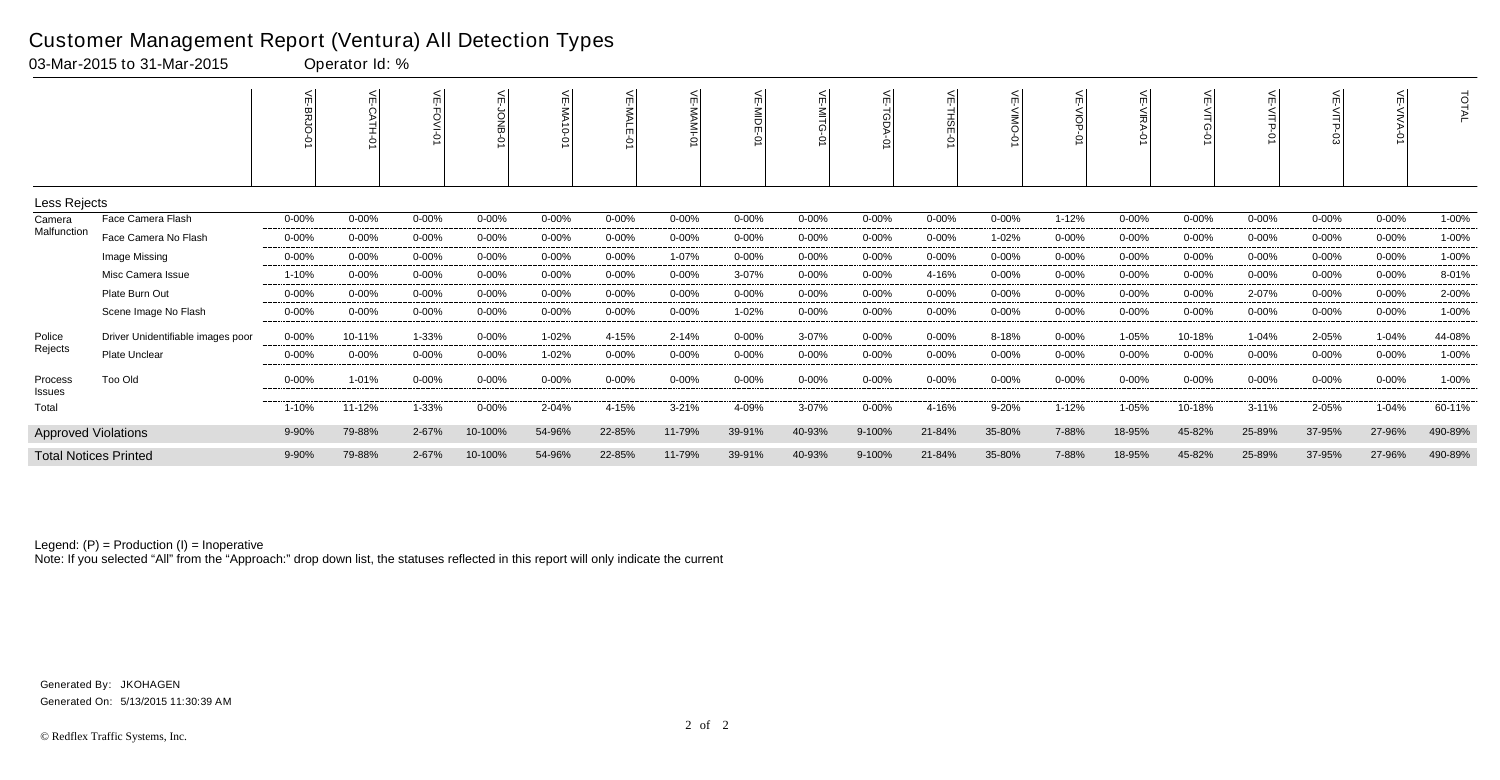| 03-Mar-2015 to 31-Mar-2015 |                                   |            | Operator Id: % |            |            |              |            |            |            |            |            |            |           |            |                       |            |            |            |            |         |
|----------------------------|-----------------------------------|------------|----------------|------------|------------|--------------|------------|------------|------------|------------|------------|------------|-----------|------------|-----------------------|------------|------------|------------|------------|---------|
|                            |                                   |            | $\leq$         |            |            | 늳<br>0-01 AM |            | VE-MAMI-0  | VE-MIDE-0  | ⊼          | π          | ਜ਼         |           |            | 늰<br><b>VIRA</b><br>0 | 붼          | VE-VITP-   |            | ਜ          | TOTAL   |
| Less Rejects               |                                   |            |                |            |            |              |            |            |            |            |            |            |           |            |                       |            |            |            |            |         |
| Camera<br>Malfunction      | Face Camera Flash                 | 0-00%      | $0 - 00%$      | $0 - 00%$  | $0 - 00%$  | $0 - 00%$    | $0 - 00%$  | $0 - 00%$  | $0 - 00%$  | $0 - 00%$  | $0 - 00%$  | $0 - 00%$  | 0-00%     | 1-12%      | $0 - 00%$             | $0 - 00%$  | $0 - 00%$  | $0 - 00%$  | $0 - 00%$  | 1-00%   |
|                            | Face Camera No Flash              | $0 - 00\%$ | $0 - 00%$      | $0 - 00\%$ | $0 - 00\%$ | 0-00%        | $0 - 00%$  | $0 - 00\%$ | $0 - 00%$  | $0 - 00%$  | $0 - 00%$  | $0 - 00\%$ | 1-02%     | $0 - 00%$  | $0 - 00\%$            | $0 - 00%$  | $0 - 00%$  | $0 - 00%$  | $0 - 00\%$ | 1-00%   |
|                            | Image Missing                     | $0 - 00%$  | $0 - 00%$      | 0-00%      | $0 - 00%$  | $0 - 00%$    | 0-00%      | 1-07%      | $0 - 00%$  | $0 - 00%$  | $0 - 00%$  | $0 - 00%$  | $0 - 00%$ | $0 - 00%$  | $0 - 00%$             | $0 - 00%$  | $0 - 00%$  | $0 - 00%$  | $0 - 00%$  | 1-00%   |
|                            | Misc Camera Issue                 | 1-10%      | $0 - 00%$      | $0 - 00%$  | $0 - 00\%$ | $0 - 00%$    | $0 - 00\%$ | $0 - 00\%$ | 3-07%      | $0 - 00\%$ | $0 - 00\%$ | 4-16%      | $0 - 00%$ | $0 - 00\%$ | $0 - 00%$             | $0 - 00%$  | $0 - 00\%$ | $0 - 00%$  | $0 - 00%$  | 8-01%   |
|                            | Plate Burn Out                    | $0 - 00%$  | $0 - 00%$      | $0 - 00%$  | $0 - 00%$  | $0 - 00%$    | 0-00%      | 0-00%      | $0 - 00%$  | $0 - 00%$  | $0 - 00%$  | $0 - 00%$  | $0 - 00%$ | $0 - 00%$  | $0 - 00%$             | $0 - 00%$  | 2-07%      | $0 - 00%$  | $0 - 00%$  | 2-00%   |
|                            | Scene Image No Flash              | $0 - 00\%$ | 0-00%          | $0 - 00\%$ | $0 - 00\%$ | $0 - 00%$    | $0 - 00\%$ | $0 - 00\%$ | 1-02%      | $0 - 00\%$ | $0 - 00\%$ | $0 - 00%$  | 0-00%     | $0 - 00\%$ | $0 - 00%$             | $0 - 00\%$ | $0 - 00\%$ | $0 - 00%$  | $0 - 00\%$ | 1-00%   |
| Police                     | Driver Unidentifiable images poor | $0 - 00\%$ | 10-11%         | 1-33%      | $0 - 00\%$ | 1-02%        | 4-15%      | 2-14%      | $0 - 00%$  | 3-07%      | $0 - 00\%$ | $0 - 00%$  | 8-18%     | $0 - 00\%$ | 1-05%                 | 10-18%     | 1-04%      | 2-05%      | $1 - 04%$  | 44-08%  |
| Rejects                    | <b>Plate Unclear</b>              | $0 - 00%$  | $0 - 00%$      | $0 - 00%$  | $0 - 00%$  | 1-02%        | $0 - 00\%$ | $0 - 00%$  | $0 - 00%$  | $0 - 00%$  | $0 - 00%$  | $0 - 00%$  | $0 - 00%$ | $0 - 00%$  | $0 - 00%$             | $0 - 00%$  | $0 - 00%$  | $0 - 00%$  | $0 - 00%$  | 1-00%   |
| Process<br>Issues          | Too Old                           | $0 - 00\%$ | 1-01%          | 0-00%      | $0 - 00\%$ | 0-00%        | $0 - 00\%$ | $0 - 00\%$ | $0 - 00\%$ | $0 - 00\%$ | $0 - 00\%$ | $0 - 00\%$ | $0 - 00%$ | $0 - 00\%$ | $0 - 00\%$            | $0 - 00\%$ | $0 - 00%$  | $0 - 00\%$ | $0 - 00\%$ | 1-00%   |
| Total                      |                                   | 1-10%      | 11-12%         | 1-33%      | $0 - 00\%$ | 2-04%        | 4-15%      | $3 - 21%$  | 4-09%      | $3 - 07%$  | $0 - 00\%$ | 4-16%      | 9-20%     | $1 - 12%$  | 1-05%                 | 10-18%     | $3 - 11%$  | 2-05%      | 1-04%      | 60-11%  |
|                            | <b>Approved Violations</b>        |            | 79-88%         | 2-67%      | 10-100%    | 54-96%       | 22-85%     | 11-79%     | 39-91%     | 40-93%     | 9-100%     | 21-84%     | 35-80%    | 7-88%      | 18-95%                | 45-82%     | 25-89%     | 37-95%     | 27-96%     | 490-89% |
|                            | <b>Total Notices Printed</b>      |            | 79-88%         | 2-67%      | 10-100%    | 54-96%       | 22-85%     | 11-79%     | 39-91%     | 40-93%     | 9-100%     | 21-84%     | 35-80%    | 7-88%      | 18-95%                | 45-82%     | 25-89%     | 37-95%     | 27-96%     | 490-89% |

Note: If you selected "All" from the "Approach:" drop down list, the statuses reflected in this report will only indicate the current

#### Customer Management Report (Ventura) All Detection Types

Generated On: 5/13/2015 11:30:39 AM Generated By: JKOHAGEN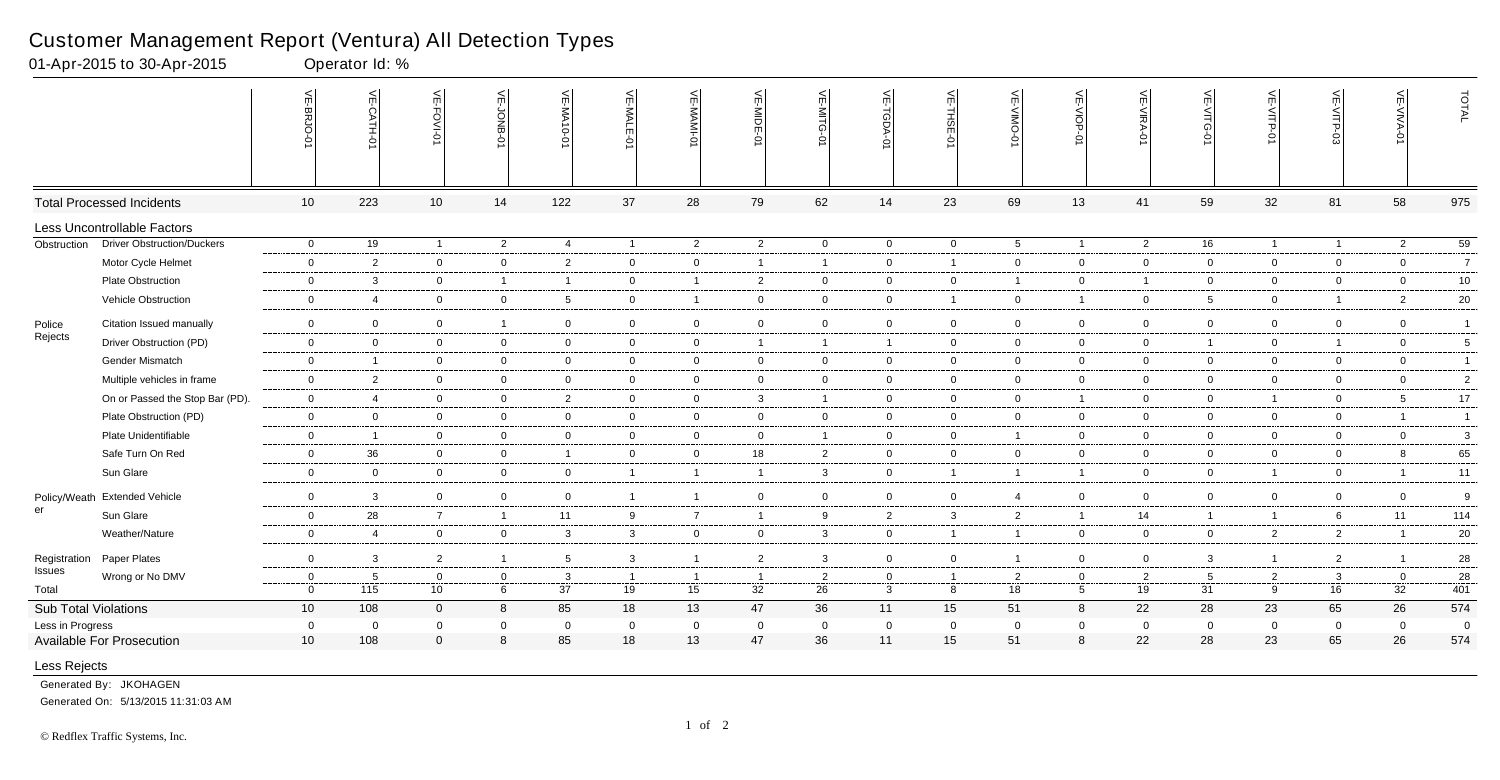|                             |                                  | 늰<br><b>BRJO</b> | VE-CATH-01              | VE-FOVI-0       | VE-JONB-01     | VE-MA10-01              | 늰<br>ĥ         | VE-MAMI-<br>ò  | VE-MIDE-01     | VE-MITG-<br>Ģ. | VE-TGDA-01     | VE-THSE-01     | VE-VIMO<br>Ò   | VE-VIOP-<br>ė   | VE-VIRA-0      | VE-VITG-0       | VE-VITP-01     | VE-VITP-03     | VE-VIVA-0      | TOTAL           |
|-----------------------------|----------------------------------|------------------|-------------------------|-----------------|----------------|-------------------------|----------------|----------------|----------------|----------------|----------------|----------------|----------------|-----------------|----------------|-----------------|----------------|----------------|----------------|-----------------|
|                             | <b>Total Processed Incidents</b> | 10               | 223                     | 10 <sup>1</sup> | 14             | 122                     | 37             | 28             | 79             | 62             | 14             | 23             | 69             | 13              | 41             | 59              | 32             | 81             | 58             | 975             |
|                             | Less Uncontrollable Factors      |                  |                         |                 |                |                         |                |                |                |                |                |                |                |                 |                |                 |                |                |                |                 |
| Obstruction                 | Driver Obstruction/Duckers       | $\overline{0}$   | 19                      | $\overline{1}$  | $\overline{2}$ | $\overline{4}$          | $\overline{1}$ | $\overline{2}$ | 2              | $\overline{0}$ | $\overline{0}$ | $\overline{0}$ | 5 <sup>5</sup> | $\overline{1}$  | 2              | 16              | $\mathbf{1}$   | $\overline{1}$ | $\overline{2}$ | $\overline{59}$ |
|                             | Motor Cycle Helmet               | $\overline{0}$   | $\overline{2}$          | $\overline{0}$  | $\overline{0}$ | $\overline{c}$          | $\mathbf 0$    | $\mathbf 0$    | $\overline{1}$ | 1              | $\mathbf{0}$   | $\overline{1}$ | $\mathbf 0$    | $\overline{0}$  | $\mathbf 0$    | $\overline{0}$  | $\mathbf 0$    | $\mathbf 0$    | $\mathbf 0$    | $\overline{7}$  |
|                             | <b>Plate Obstruction</b>         | $\mathbf 0$      | -3                      | $\mathbf 0$     | $\overline{1}$ | $\overline{\mathbf{1}}$ | $\overline{0}$ | $\overline{1}$ | $\overline{2}$ | $\mathbf 0$    | $\mathbf 0$    | $\mathbf 0$    | $\overline{1}$ | $\overline{0}$  | $\overline{1}$ | $\mathbf 0$     | $\overline{0}$ | 0              | $\mathbf 0$    | $10\,$          |
|                             | Vehicle Obstruction              | $\mathbf 0$      | $\overline{4}$          | $\overline{0}$  | $\mathbf{0}$   | 5                       | $\overline{0}$ | $\overline{1}$ | $\overline{0}$ | $\overline{0}$ | $\mathbf{0}$   | $\overline{1}$ | $\overline{0}$ | $\overline{1}$  | $\mathbf 0$    | $5\overline{)}$ | $\overline{0}$ | $\overline{1}$ | $\overline{2}$ | $20\,$          |
| Police                      | Citation Issued manually         | $\overline{0}$   | $\mathbf 0$             | $\overline{0}$  | $\overline{1}$ | $\overline{0}$          | $\mathbf 0$    | $\overline{0}$ | $\overline{0}$ | $\mathbf 0$    | $\overline{0}$ | $\mathbf 0$    | $\mathbf 0$    | $\overline{0}$  | $\mathbf 0$    | $\overline{0}$  | $\overline{0}$ | $\overline{0}$ | $\mathbf 0$    | $\overline{1}$  |
| Rejects                     | Driver Obstruction (PD)          | $\overline{0}$   | $\overline{0}$          | $\overline{0}$  | $\overline{0}$ | $\overline{0}$          | $\overline{0}$ | $\mathbf 0$    | $\overline{1}$ | $\mathbf 1$    | $\mathbf{1}$   | $\mathbf 0$    | $\mathbf 0$    | $\overline{0}$  | $\mathbf 0$    | $\overline{1}$  | $\overline{0}$ | $\overline{1}$ | $\overline{0}$ | $\sqrt{5}$      |
|                             | Gender Mismatch                  | $\overline{0}$   | $\overline{1}$          | $\overline{0}$  | $\mathbf 0$    | $\overline{0}$          | $\overline{0}$ | $\overline{0}$ | $\mathbf 0$    | $\overline{0}$ | $\overline{0}$ | $\mathbf 0$    | $\mathbf 0$    | $\overline{0}$  | $\overline{0}$ | $\mathbf 0$     | $\overline{0}$ | $\overline{0}$ | $\mathbf 0$    | $\overline{1}$  |
|                             | Multiple vehicles in frame       | $\overline{0}$   | $\overline{2}$          | $\overline{0}$  | $\overline{0}$ | $\overline{0}$          | $\mathbf 0$    | $\mathbf 0$    | $\mathbf 0$    | $\mathbf 0$    | $\mathbf{0}$   | $\mathbf 0$    | $\mathbf 0$    | $\overline{0}$  | $\mathbf 0$    | $\overline{0}$  | $\overline{0}$ | $\mathbf 0$    | $\mathbf 0$    | $\overline{c}$  |
|                             | On or Passed the Stop Bar (PD).  | $\overline{0}$   | $\overline{4}$          | $\mathbf 0$     | $\overline{0}$ | $\overline{2}$          | $\overline{0}$ | $\mathbf 0$    | $\mathbf{3}$   | $\mathbf{1}$   | $\mathbf 0$    | $\overline{0}$ | $\overline{0}$ | $\overline{1}$  | $\overline{0}$ | $\mathbf 0$     | $\mathbf{1}$   | 0              | 5              | 17              |
|                             | Plate Obstruction (PD)           | $\overline{0}$   | $\overline{0}$          | $\mathbf 0$     | $\mathbf 0$    | $\overline{0}$          | $\mathbf 0$    | $\mathbf 0$    | $\overline{0}$ | $\mathbf 0$    | $\mathbf 0$    | $\mathbf 0$    | $\mathbf 0$    | $\overline{0}$  | $\mathbf 0$    | $\mathbf 0$     | $\overline{0}$ | $\mathbf 0$    | $\overline{1}$ | $\overline{1}$  |
|                             | Plate Unidentifiable             | $\overline{0}$   | $\overline{1}$          | $\overline{0}$  | $\mathbf 0$    | $\overline{0}$          | $\overline{0}$ | $\mathbf 0$    | $\overline{0}$ | $\overline{1}$ | $\mathbf{0}$   | $\mathbf 0$    | $\overline{1}$ | $\overline{0}$  | $\overline{0}$ | $\overline{0}$  | $\overline{0}$ | $\overline{0}$ | $\mathbf 0$    | 3               |
|                             | Safe Turn On Red                 | $\overline{0}$   | 36                      | $\overline{0}$  | $\overline{0}$ | $\overline{1}$          | $\mathbf 0$    | $\overline{0}$ | 18             | $\overline{2}$ | $\overline{0}$ | $\mathbf 0$    | $\mathbf 0$    | $\overline{0}$  | $\overline{0}$ | $\overline{0}$  | $\mathbf 0$    | $\mathbf 0$    | 8              | 65              |
|                             | Sun Glare                        | $\overline{0}$   | $\mathbf 0$             | $\mathbf 0$     | $\overline{0}$ | $\overline{0}$          | $\overline{1}$ | $\overline{1}$ | $\overline{1}$ | $\mathbf{3}$   | $\mathbf{0}$   | $\overline{1}$ | $\overline{1}$ | $\overline{1}$  | $\mathbf 0$    | $\overline{0}$  | $\mathbf{1}$   | $\mathbf 0$    | $\overline{1}$ | 11              |
|                             | Policy/Weath Extended Vehicle    | $\overline{0}$   | $\mathbf{3}$            | $\mathbf 0$     | $\overline{0}$ | $\overline{0}$          | $\overline{1}$ | $\overline{1}$ | $\overline{0}$ | $\mathbf 0$    | $\overline{0}$ | $\mathbf 0$    | $\overline{4}$ | $\overline{0}$  | $\overline{0}$ | $\mathbf 0$     | $\mathbf 0$    | $\mathbf 0$    | $\overline{0}$ | 9               |
| er                          | Sun Glare                        | $\mathbf 0$      | 28                      | $\overline{7}$  | $\mathbf{1}$   | 11                      | 9              | $\overline{7}$ | $\overline{1}$ | 9              | $\overline{2}$ | 3              | $\overline{2}$ | $\overline{1}$  | 14             |                 | $\mathbf{1}$   | 6              | 11             | 114             |
|                             | Weather/Nature                   | $\overline{0}$   | $\overline{4}$          | $\mathbf 0$     | $\mathbf 0$    | $\mathbf{3}$            | $\mathbf{3}$   | $\overline{0}$ | $\mathbf 0$    | 3              | $\mathbf{0}$   | $\overline{1}$ | $\mathbf{1}$   | $\overline{0}$  | $\mathbf 0$    | $\mathbf 0$     | $\overline{2}$ | $\overline{2}$ | $\overline{1}$ | 20              |
| Registration                | Paper Plates                     | $\mathbf 0$      | -3                      | $\overline{2}$  | $\overline{1}$ | 5                       | $\mathbf{3}$   | $\overline{1}$ | $\overline{c}$ | $\mathbf{3}$   | $\overline{0}$ | $\mathbf 0$    | $\overline{1}$ | $\overline{0}$  | $\overline{0}$ | $\mathbf{3}$    | $\mathbf{1}$   | $\overline{2}$ | $\overline{1}$ | 28              |
| Issues                      | Wrong or No DMV                  | $\overline{0}$   | 5                       | $\mathbf 0$     | $\overline{0}$ | $\overline{3}$          | $\overline{1}$ | $\overline{1}$ | $\overline{1}$ | $\overline{2}$ | $\mathbf{0}$   | $\overline{1}$ | $\overline{2}$ | $\overline{0}$  | $\overline{2}$ | $5\overline{5}$ | $\overline{2}$ | 3              | $\mathbf 0$    | 28              |
| Total                       |                                  | $\mathbf 0$      | 115                     | 10 <sub>1</sub> | $\,6\,$        | 37                      | 19             | 15             | 32             | 26             | $\mathbf{3}$   | 8              | 18             | $5\overline{)}$ | 19             | 31              | 9              | 16             | 32             | 401             |
| <b>Sub Total Violations</b> |                                  | 10 <sup>°</sup>  | 108                     | $\overline{0}$  | 8              | 85                      | 18             | 13             | 47             | 36             | 11             | 15             | 51             | 8               | 22             | 28              | 23             | 65             | 26             | 574             |
| Less in Progress            |                                  | $\mathbf 0$      | $\overline{\mathbf{0}}$ | $\mathbf 0$     | $\overline{0}$ | $\overline{0}$          | $\mathbf 0$    | $\mathbf 0$    | $\mathbf 0$    | 0              | $\mathbf 0$    | $\mathbf 0$    | $\mathbf 0$    | $\mathbf 0$     | $\mathbf 0$    | $\mathbf 0$     | $\mathbf 0$    | $\mathbf 0$    | $\mathbf 0$    | $\overline{0}$  |
|                             | <b>Available For Prosecution</b> | 10               | 108                     | $\Omega$        | 8              | 85                      | 18             | 13             | 47             | 36             | 11             | 15             | 51             | 8               | 22             | 28              | 23             | 65             | 26             | 574             |
| Less Rejects                |                                  |                  |                         |                 |                |                         |                |                |                |                |                |                |                |                 |                |                 |                |                |                |                 |

Generated By: JKOHAGEN

Generated On: 5/13/2015 11:31:03 AM

# Customer Management Report (Ventura) All Detection Types

01-Apr-2015 to 30-Apr-2015